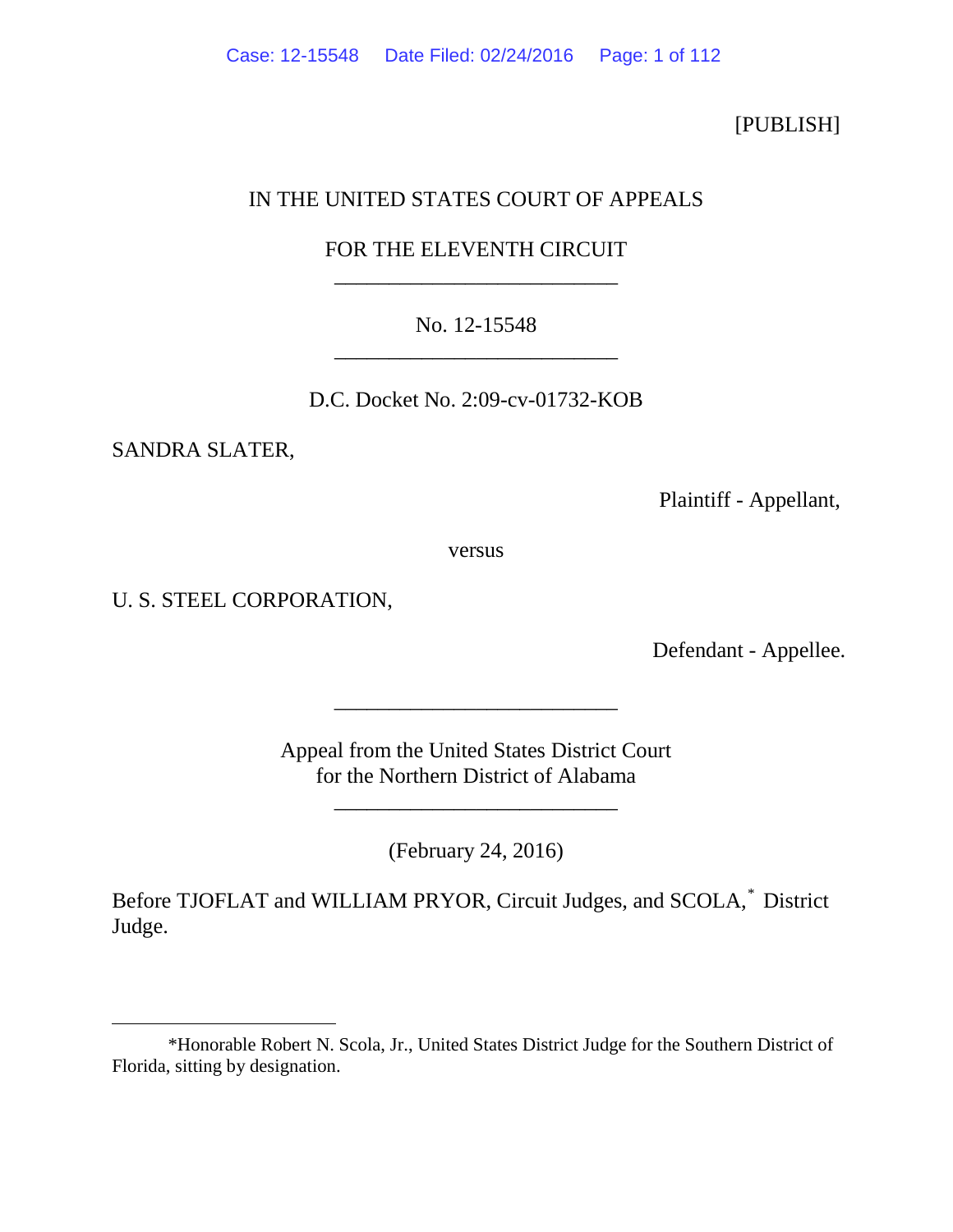# [PUBLISH]

# IN THE UNITED STATES COURT OF APPEALS

# FOR THE ELEVENTH CIRCUIT \_\_\_\_\_\_\_\_\_\_\_\_\_\_\_\_\_\_\_\_\_\_\_\_\_\_

# No. 12-15548 \_\_\_\_\_\_\_\_\_\_\_\_\_\_\_\_\_\_\_\_\_\_\_\_\_\_

D.C. Docket No. 2:09-cv-01732-KOB

SANDRA SLATER,

 $\overline{a}$ 

Plaintiff - Appellant,

versus

U. S. STEEL CORPORATION,

Defendant - Appellee.

Appeal from the United States District Court for the Northern District of Alabama

\_\_\_\_\_\_\_\_\_\_\_\_\_\_\_\_\_\_\_\_\_\_\_\_\_\_

\_\_\_\_\_\_\_\_\_\_\_\_\_\_\_\_\_\_\_\_\_\_\_\_\_\_

(February 24, 2016)

Before TJOFLAT and WILLIAM PRYOR, Circuit Judges, and SCOLA,[\\*](#page-0-0) District Judge.

<span id="page-0-0"></span><sup>\*</sup>Honorable Robert N. Scola, Jr., United States District Judge for the Southern District of Florida, sitting by designation.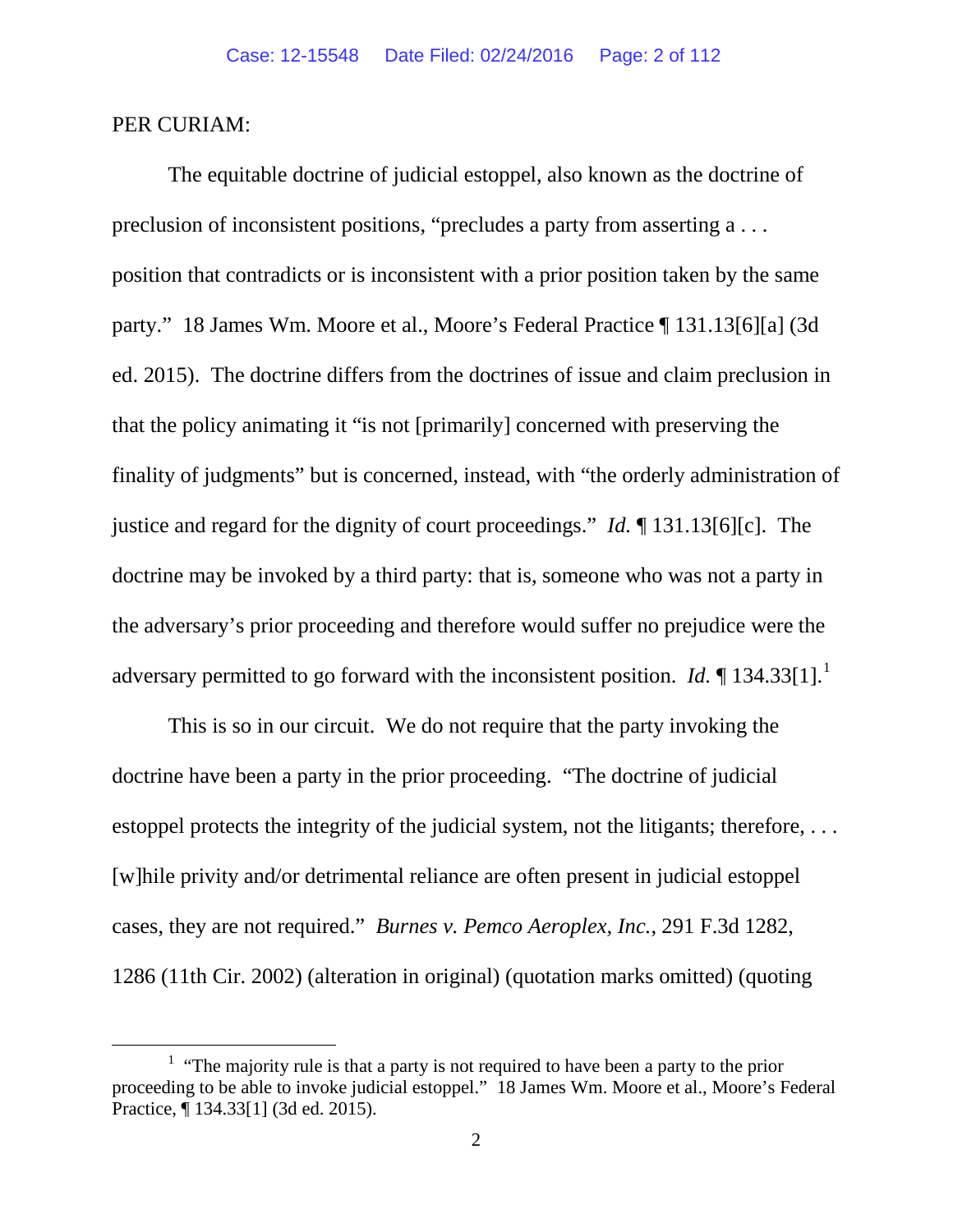### PER CURIAM:

The equitable doctrine of judicial estoppel, also known as the doctrine of preclusion of inconsistent positions, "precludes a party from asserting a . . . position that contradicts or is inconsistent with a prior position taken by the same party." 18 James Wm. Moore et al., Moore's Federal Practice ¶ 131.13[6][a] (3d ed. 2015). The doctrine differs from the doctrines of issue and claim preclusion in that the policy animating it "is not [primarily] concerned with preserving the finality of judgments" but is concerned, instead, with "the orderly administration of justice and regard for the dignity of court proceedings." *Id.* ¶ 131.13[6][c]. The doctrine may be invoked by a third party: that is, someone who was not a party in the adversary's prior proceeding and therefore would suffer no prejudice were the adversary permitted to go forward with the inconsistent position. *Id.* [1](#page-1-0)34.33[1].<sup>1</sup>

This is so in our circuit. We do not require that the party invoking the doctrine have been a party in the prior proceeding. "The doctrine of judicial estoppel protects the integrity of the judicial system, not the litigants; therefore, . . . [w]hile privity and/or detrimental reliance are often present in judicial estoppel cases, they are not required." *Burnes v. Pemco Aeroplex, Inc.*, 291 F.3d 1282, 1286 (11th Cir. 2002) (alteration in original) (quotation marks omitted) (quoting

<span id="page-1-0"></span><sup>&</sup>lt;u>1</u> <sup>1</sup> "The majority rule is that a party is not required to have been a party to the prior proceeding to be able to invoke judicial estoppel." 18 James Wm. Moore et al., Moore's Federal Practice, ¶ 134.33[1] (3d ed. 2015).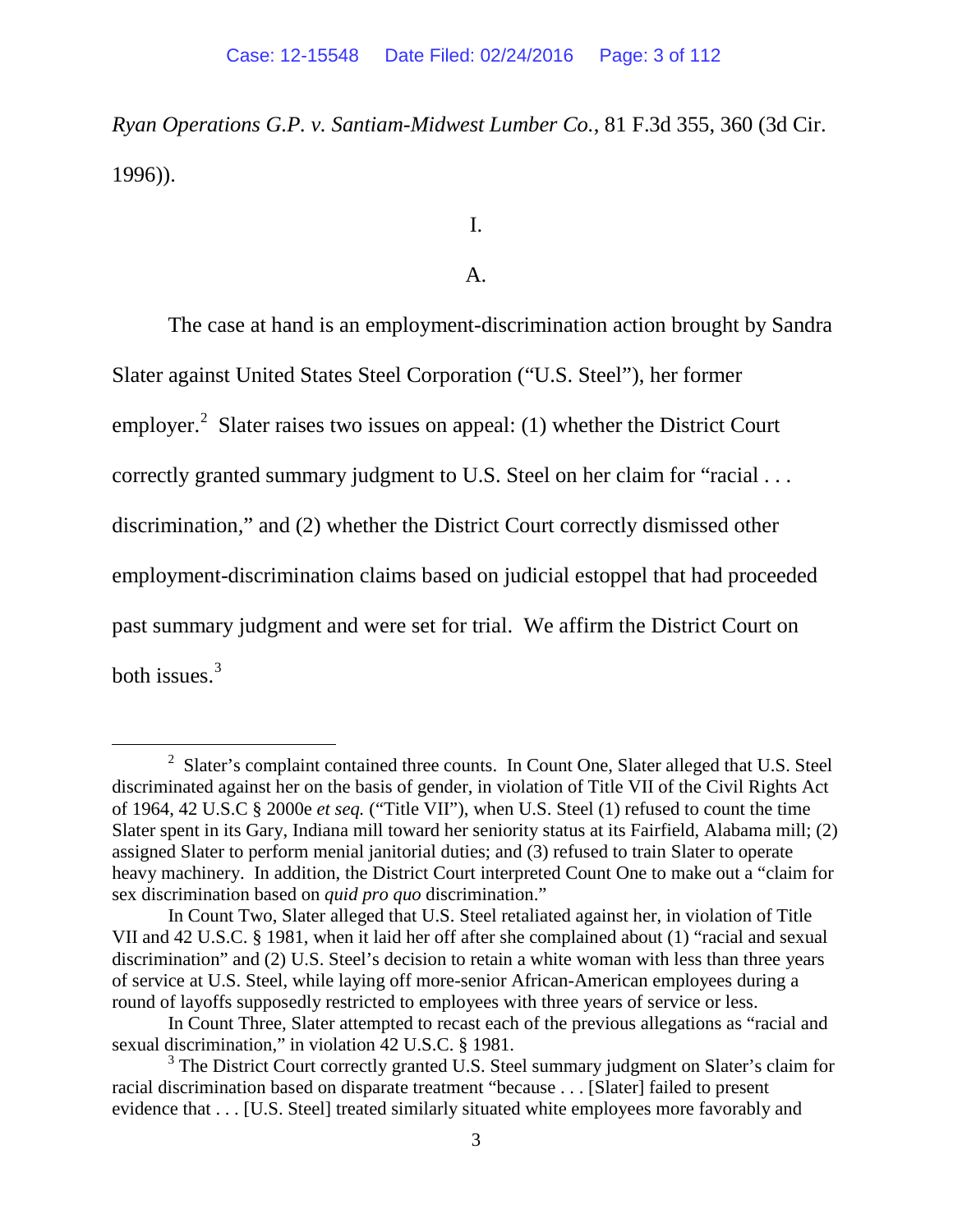*Ryan Operations G.P. v. Santiam-Midwest Lumber Co.*, 81 F.3d 355, 360 (3d Cir. 1996)).

I.

## A.

The case at hand is an employment-discrimination action brought by Sandra

Slater against United States Steel Corporation ("U.S. Steel"), her former

employer.<sup>[2](#page-2-0)</sup> Slater raises two issues on appeal: (1) whether the District Court

correctly granted summary judgment to U.S. Steel on her claim for "racial . . .

discrimination*,*" and (2) whether the District Court correctly dismissed other

employment-discrimination claims based on judicial estoppel that had proceeded

past summary judgment and were set for trial. We affirm the District Court on

both issues.[3](#page-2-1)

<span id="page-2-0"></span> <sup>2</sup>  $2$  Slater's complaint contained three counts. In Count One, Slater alleged that U.S. Steel discriminated against her on the basis of gender, in violation of Title VII of the Civil Rights Act of 1964, 42 U.S.C § 2000e *et seq.* ("Title VII"), when U.S. Steel (1) refused to count the time Slater spent in its Gary, Indiana mill toward her seniority status at its Fairfield, Alabama mill; (2) assigned Slater to perform menial janitorial duties; and (3) refused to train Slater to operate heavy machinery.In addition, the District Court interpreted Count One to make out a "claim for sex discrimination based on *quid pro quo* discrimination."

In Count Two, Slater alleged that U.S. Steel retaliated against her, in violation of Title VII and 42 U.S.C. § 1981, when it laid her off after she complained about (1) "racial and sexual discrimination" and (2) U.S. Steel's decision to retain a white woman with less than three years of service at U.S. Steel, while laying off more-senior African-American employees during a round of layoffs supposedly restricted to employees with three years of service or less.

In Count Three, Slater attempted to recast each of the previous allegations as "racial and sexual discrimination," in violation 42 U.S.C. § 1981.

<span id="page-2-1"></span><sup>&</sup>lt;sup>3</sup> The District Court correctly granted U.S. Steel summary judgment on Slater's claim for racial discrimination based on disparate treatment "because . . . [Slater] failed to present evidence that . . . [U.S. Steel] treated similarly situated white employees more favorably and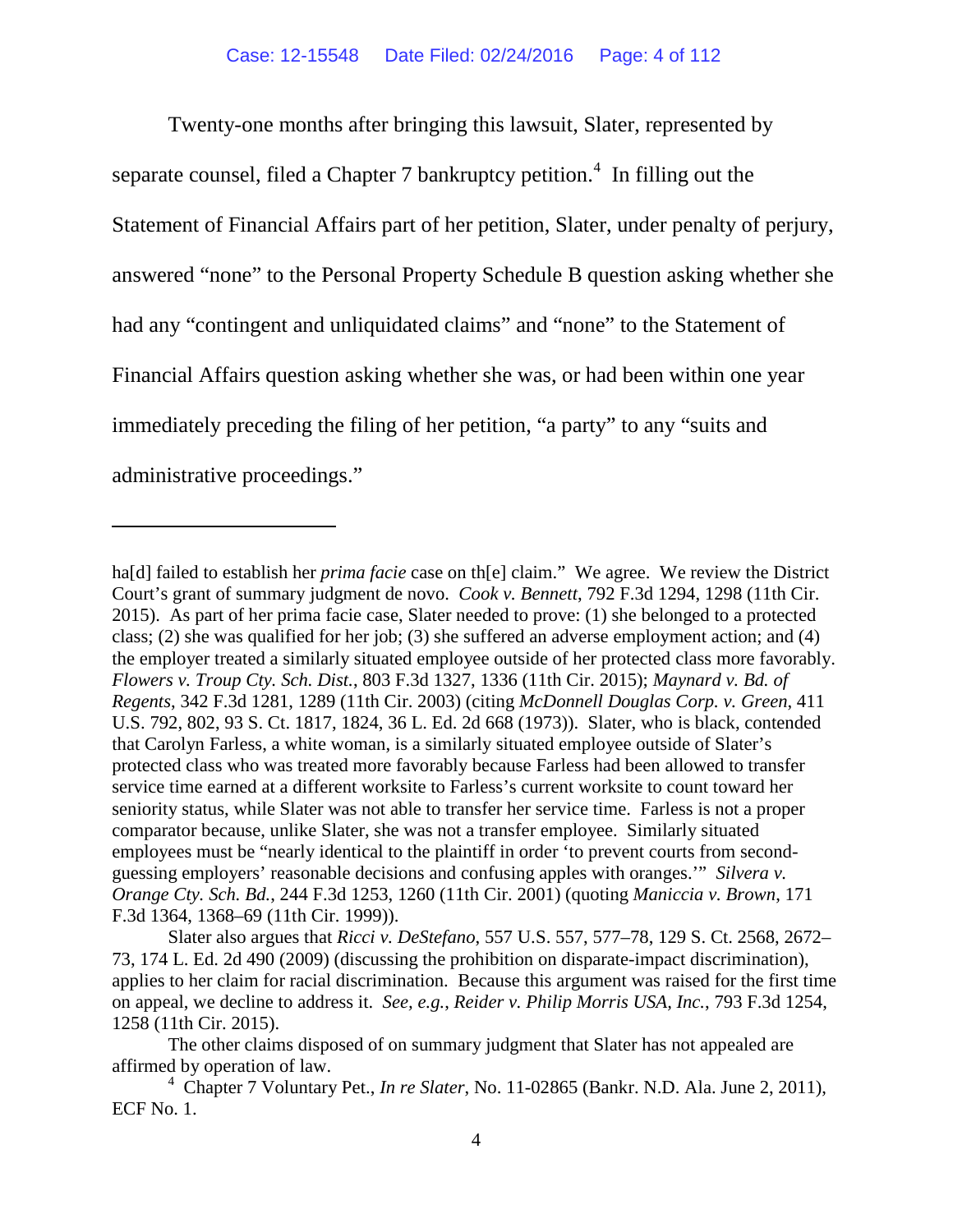Twenty-one months after bringing this lawsuit, Slater, represented by separate counsel, filed a Chapter 7 bankruptcy petition. $4\,$  $4\,$  In filling out the Statement of Financial Affairs part of her petition, Slater, under penalty of perjury, answered "none" to the Personal Property Schedule B question asking whether she had any "contingent and unliquidated claims" and "none" to the Statement of Financial Affairs question asking whether she was, or had been within one year immediately preceding the filing of her petition, "a party" to any "suits and administrative proceedings."

 $\overline{a}$ 

ha[d] failed to establish her *prima facie* case on th[e] claim."We agree. We review the District Court's grant of summary judgment de novo. *Cook v. Bennett*, 792 F.3d 1294, 1298 (11th Cir. 2015). As part of her prima facie case, Slater needed to prove: (1) she belonged to a protected class; (2) she was qualified for her job; (3) she suffered an adverse employment action; and (4) the employer treated a similarly situated employee outside of her protected class more favorably. *Flowers v. Troup Cty. Sch. Dist.*, 803 F.3d 1327, 1336 (11th Cir. 2015); *Maynard v. Bd. of Regents*, 342 F.3d 1281, 1289 (11th Cir. 2003) (citing *McDonnell Douglas Corp. v. Green*, 411 U.S. 792, 802, 93 S. Ct. 1817, 1824, 36 L. Ed. 2d 668 (1973)). Slater, who is black, contended that Carolyn Farless, a white woman, is a similarly situated employee outside of Slater's protected class who was treated more favorably because Farless had been allowed to transfer service time earned at a different worksite to Farless's current worksite to count toward her seniority status, while Slater was not able to transfer her service time. Farless is not a proper comparator because, unlike Slater, she was not a transfer employee. Similarly situated employees must be "nearly identical to the plaintiff in order 'to prevent courts from secondguessing employers' reasonable decisions and confusing apples with oranges.'" *Silvera v. Orange Cty. Sch. Bd.*, 244 F.3d 1253, 1260 (11th Cir. 2001) (quoting *Maniccia v. Brown*, 171 F.3d 1364, 1368–69 (11th Cir. 1999)).

Slater also argues that *Ricci v. DeStefano*, 557 U.S. 557, 577–78, 129 S. Ct. 2568, 2672– 73, 174 L. Ed. 2d 490 (2009) (discussing the prohibition on disparate-impact discrimination), applies to her claim for racial discrimination. Because this argument was raised for the first time on appeal, we decline to address it. *See, e.g.*, *Reider v. Philip Morris USA, Inc.*, 793 F.3d 1254, 1258 (11th Cir. 2015).

The other claims disposed of on summary judgment that Slater has not appealed are affirmed by operation of law.

<span id="page-3-0"></span><sup>4</sup> Chapter 7 Voluntary Pet., *In re Slater*, No. 11-02865 (Bankr. N.D. Ala. June 2, 2011), ECF No. 1.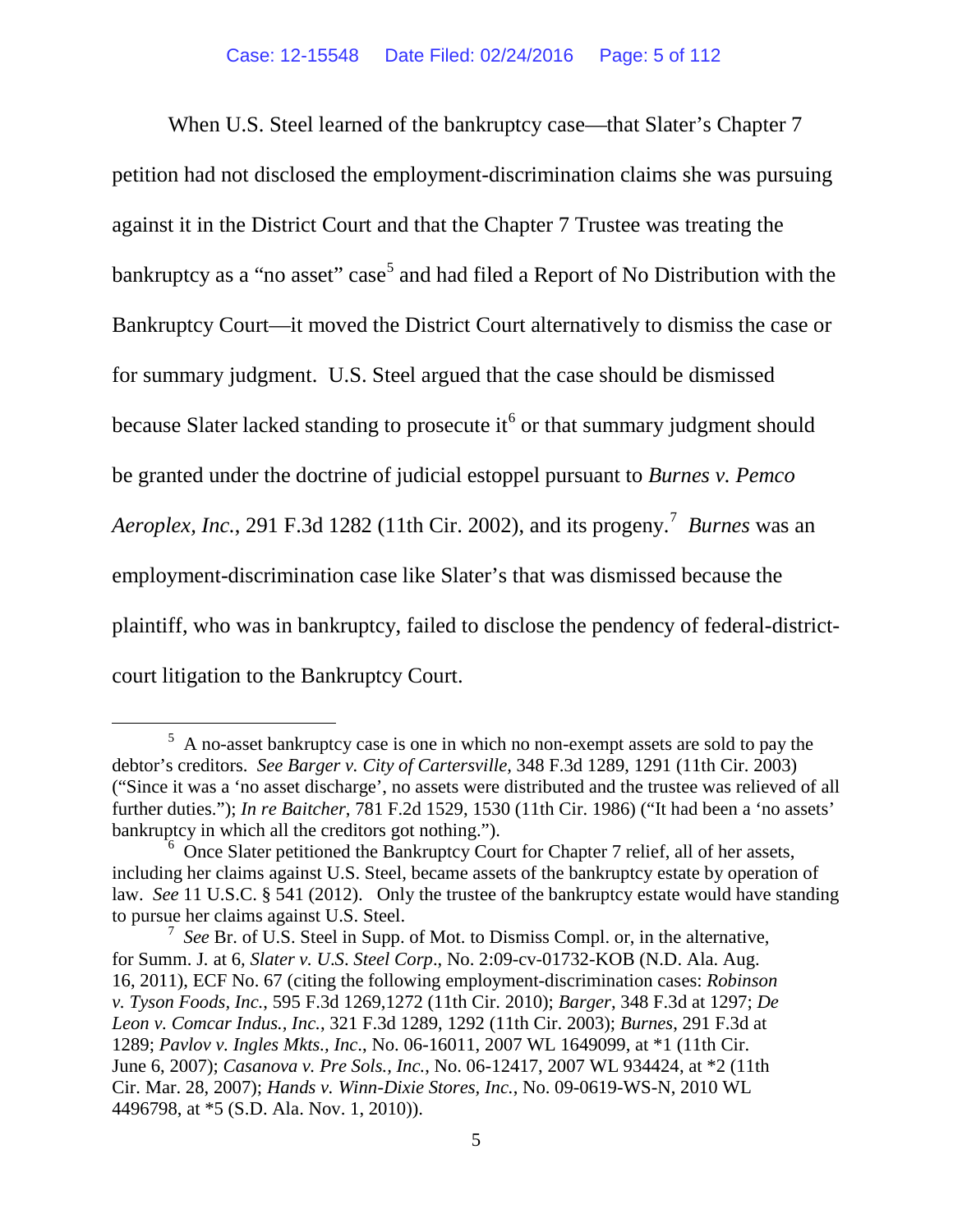When U.S. Steel learned of the bankruptcy case—that Slater's Chapter 7 petition had not disclosed the employment-discrimination claims she was pursuing against it in the District Court and that the Chapter 7 Trustee was treating the bankruptcy as a "no asset" case<sup>[5](#page-4-0)</sup> and had filed a Report of No Distribution with the Bankruptcy Court—it moved the District Court alternatively to dismiss the case or for summary judgment.U.S. Steel argued that the case should be dismissed because Slater lacked standing to prosecute it<sup>[6](#page-4-1)</sup> or that summary judgment should be granted under the doctrine of judicial estoppel pursuant to *Burnes v. Pemco Aeroplex, Inc.*, 291 F.3d 1282 (11th Cir. 2002), and its progeny.[7](#page-4-2) *Burnes* was an employment-discrimination case like Slater's that was dismissed because the plaintiff, who was in bankruptcy, failed to disclose the pendency of federal-districtcourt litigation to the Bankruptcy Court.

<span id="page-4-0"></span> $\frac{1}{5}$  A no-asset bankruptcy case is one in which no non-exempt assets are sold to pay the debtor's creditors. *See Barger v. City of Cartersville,* 348 F.3d 1289, 1291 (11th Cir. 2003) ("Since it was a 'no asset discharge', no assets were distributed and the trustee was relieved of all further duties."); *In re Baitcher*, 781 F.2d 1529, 1530 (11th Cir. 1986) ("It had been a 'no assets' bankruptcy in which all the creditors got nothing.").

<span id="page-4-1"></span><sup>&</sup>lt;sup>6</sup> Once Slater petitioned the Bankruptcy Court for Chapter 7 relief, all of her assets, including her claims against U.S. Steel, became assets of the bankruptcy estate by operation of law. *See* 11 U.S.C. § 541 (2012). Only the trustee of the bankruptcy estate would have standing to pursue her claims against U.S. Steel.

<span id="page-4-2"></span><sup>7</sup> *See* Br. of U.S. Steel in Supp. of Mot. to Dismiss Compl. or, in the alternative, for Summ. J*.* at 6*, Slater v. U*.*S*. *Steel Corp*., No. 2:09-cv-01732-KOB (N.D. Ala. Aug. 16, 2011), ECF No. 67 (citing the following employment-discrimination cases: *Robinson v. Tyson Foods, Inc.*, 595 F.3d 1269,1272 (11th Cir. 2010); *Barger*, 348 F.3d at 1297; *De Leon v. Comcar Indus., Inc.*, 321 F.3d 1289, 1292 (11th Cir. 2003); *Burnes*, 291 F.3d at 1289; *Pavlov v. Ingles Mkts., Inc*., No. 06-16011, 2007 WL 1649099, at \*1 (11th Cir. June 6, 2007); *Casanova v. Pre Sols., Inc.*, No. 06-12417, 2007 WL 934424, at \*2 (11th Cir. Mar. 28, 2007); *Hands v. Winn-Dixie Stores, Inc.*, No. 09-0619-WS-N, 2010 WL 4496798, at \*5 (S.D. Ala. Nov. 1, 2010)).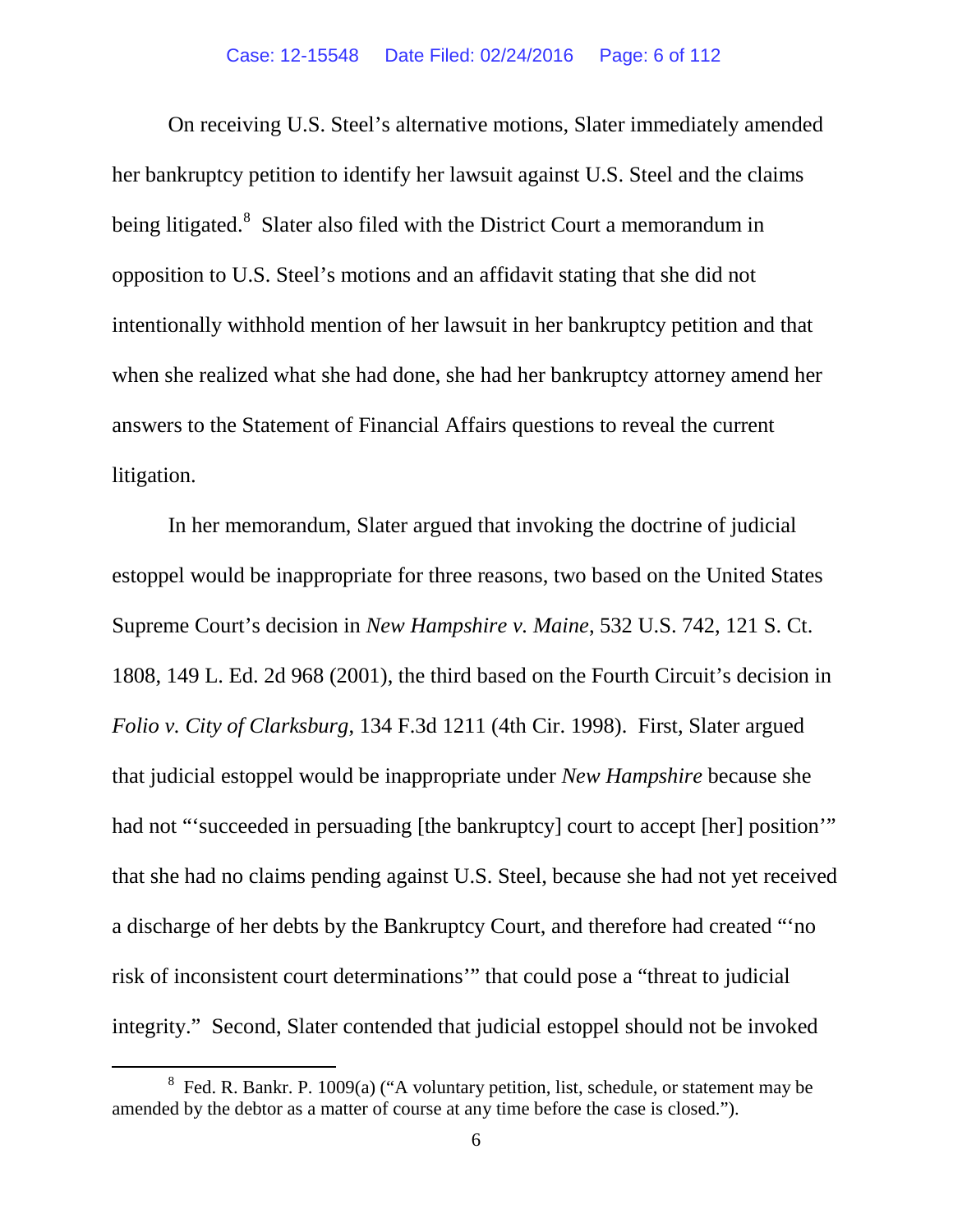On receiving U.S. Steel's alternative motions, Slater immediately amended her bankruptcy petition to identify her lawsuit against U.S. Steel and the claims being litigated.<sup>[8](#page-5-0)</sup> Slater also filed with the District Court a memorandum in opposition to U.S. Steel's motions and an affidavit stating that she did not intentionally withhold mention of her lawsuit in her bankruptcy petition and that when she realized what she had done, she had her bankruptcy attorney amend her answers to the Statement of Financial Affairs questions to reveal the current litigation.

In her memorandum, Slater argued that invoking the doctrine of judicial estoppel would be inappropriate for three reasons, two based on the United States Supreme Court's decision in *New Hampshire v. Maine*, 532 U.S. 742, 121 S. Ct. 1808, 149 L. Ed. 2d 968 (2001), the third based on the Fourth Circuit's decision in *Folio v. City of Clarksburg*, 134 F.3d 1211 (4th Cir. 1998). First, Slater argued that judicial estoppel would be inappropriate under *New Hampshire* because she had not "succeeded in persuading [the bankruptcy] court to accept [her] position" that she had no claims pending against U.S. Steel, because she had not yet received a discharge of her debts by the Bankruptcy Court, and therefore had created "'no risk of inconsistent court determinations'" that could pose a "threat to judicial integrity." Second, Slater contended that judicial estoppel should not be invoked

<span id="page-5-0"></span> <sup>8</sup> Fed. R. Bankr. P. 1009(a) ("A voluntary petition, list, schedule, or statement may be amended by the debtor as a matter of course at any time before the case is closed.").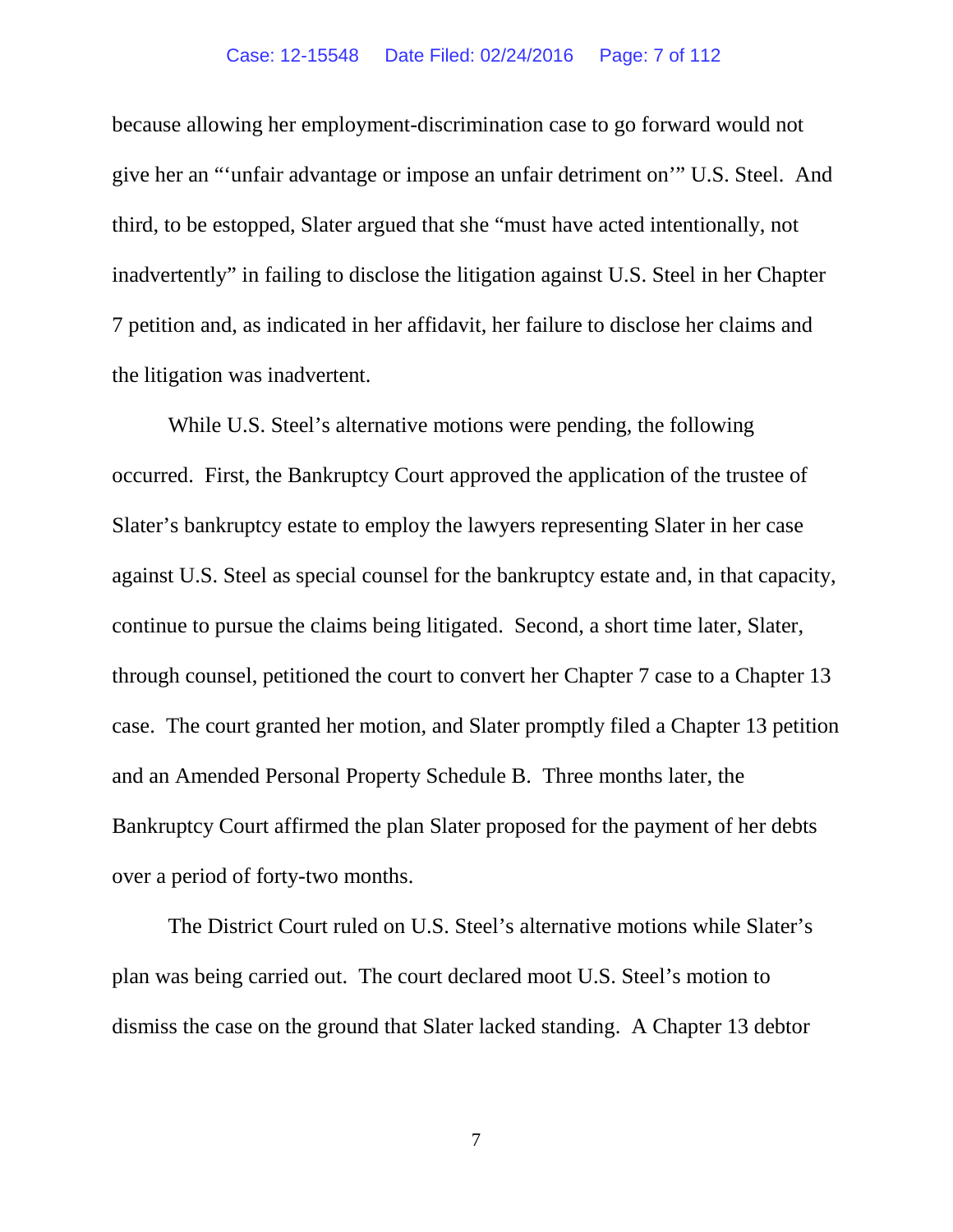#### Case: 12-15548 Date Filed: 02/24/2016 Page: 7 of 112

because allowing her employment-discrimination case to go forward would not give her an "'unfair advantage or impose an unfair detriment on'" U.S. Steel. And third, to be estopped, Slater argued that she "must have acted intentionally, not inadvertently" in failing to disclose the litigation against U.S. Steel in her Chapter 7 petition and, as indicated in her affidavit, her failure to disclose her claims and the litigation was inadvertent.

While U.S. Steel's alternative motions were pending, the following occurred. First, the Bankruptcy Court approved the application of the trustee of Slater's bankruptcy estate to employ the lawyers representing Slater in her case against U.S. Steel as special counsel for the bankruptcy estate and, in that capacity, continue to pursue the claims being litigated. Second, a short time later, Slater, through counsel, petitioned the court to convert her Chapter 7 case to a Chapter 13 case. The court granted her motion, and Slater promptly filed a Chapter 13 petition and an Amended Personal Property Schedule B. Three months later, the Bankruptcy Court affirmed the plan Slater proposed for the payment of her debts over a period of forty-two months.

The District Court ruled on U.S. Steel's alternative motions while Slater's plan was being carried out. The court declared moot U.S. Steel's motion to dismiss the case on the ground that Slater lacked standing. A Chapter 13 debtor

7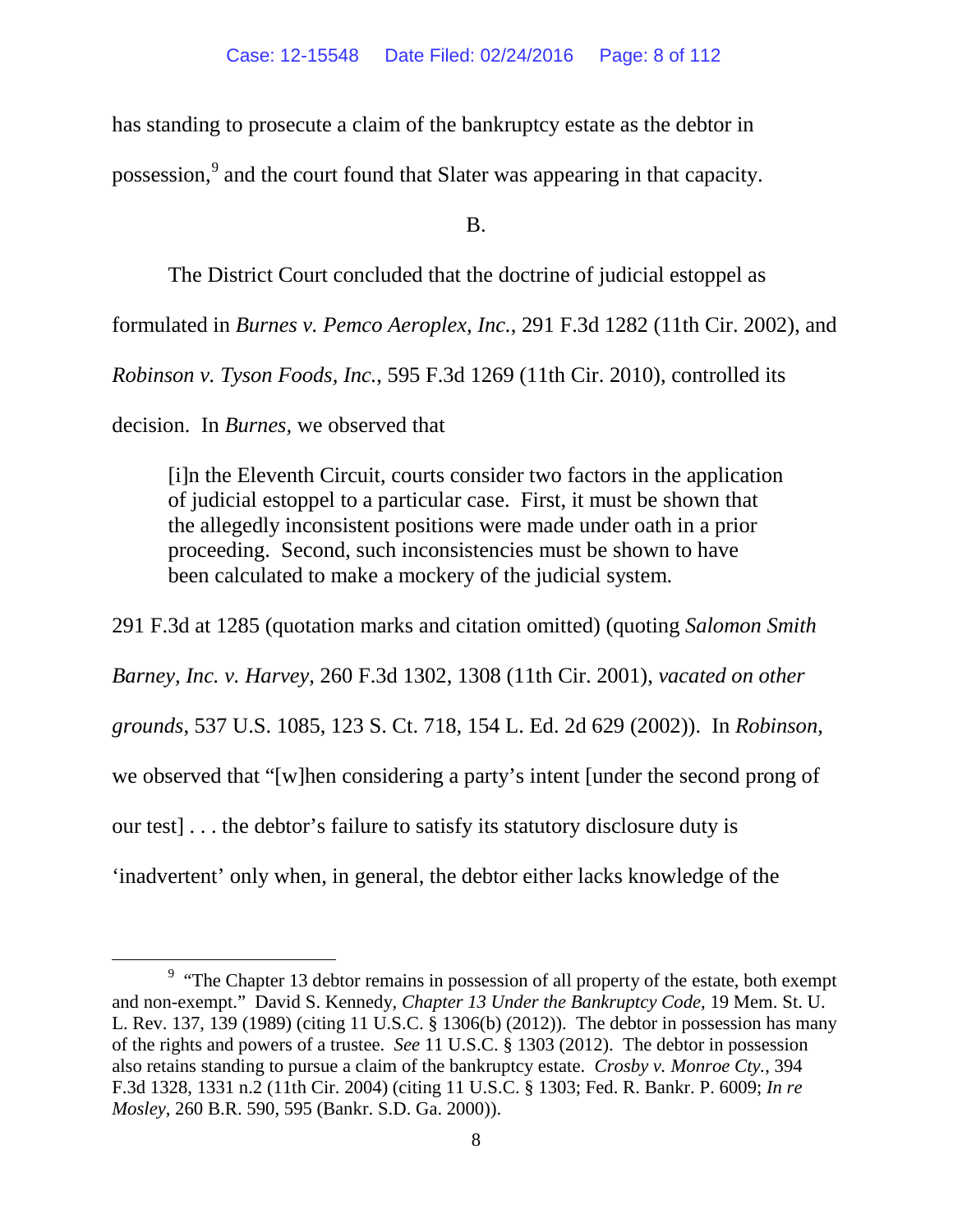has standing to prosecute a claim of the bankruptcy estate as the debtor in

possession,<sup>[9](#page-7-0)</sup> and the court found that Slater was appearing in that capacity.

B.

The District Court concluded that the doctrine of judicial estoppel as

formulated in *Burnes v. Pemco Aeroplex, Inc.*, 291 F.3d 1282 (11th Cir. 2002), and

*Robinson v. Tyson Foods, Inc.*, 595 F.3d 1269 (11th Cir. 2010), controlled its

decision.In *Burnes,* we observed that

[i]n the Eleventh Circuit, courts consider two factors in the application of judicial estoppel to a particular case. First, it must be shown that the allegedly inconsistent positions were made under oath in a prior proceeding. Second, such inconsistencies must be shown to have been calculated to make a mockery of the judicial system.

291 F.3d at 1285 (quotation marks and citation omitted) (quoting *Salomon Smith Barney, Inc. v. Harvey*, 260 F.3d 1302, 1308 (11th Cir. 2001), *vacated on other grounds*, 537 U.S. 1085, 123 S. Ct. 718, 154 L. Ed. 2d 629 (2002)). In *Robinson*, we observed that "[w]hen considering a party's intent [under the second prong of our test] . . . the debtor's failure to satisfy its statutory disclosure duty is 'inadvertent' only when, in general, the debtor either lacks knowledge of the

<span id="page-7-0"></span> <sup>9</sup>  $9$  "The Chapter 13 debtor remains in possession of all property of the estate, both exempt and non-exempt." David S. Kennedy, *Chapter 13 Under the Bankruptcy Code*, 19 Mem. St. U. L. Rev. 137, 139 (1989) (citing 11 U.S.C. § 1306(b) (2012)). The debtor in possession has many of the rights and powers of a trustee. *See* 11 U.S.C. § 1303 (2012). The debtor in possession also retains standing to pursue a claim of the bankruptcy estate. *Crosby v. Monroe Cty.*, 394 F.3d 1328, 1331 n.2 (11th Cir. 2004) (citing 11 U.S.C. § 1303; Fed. R. Bankr. P. 6009; *In re Mosley*, 260 B.R. 590, 595 (Bankr. S.D. Ga. 2000)).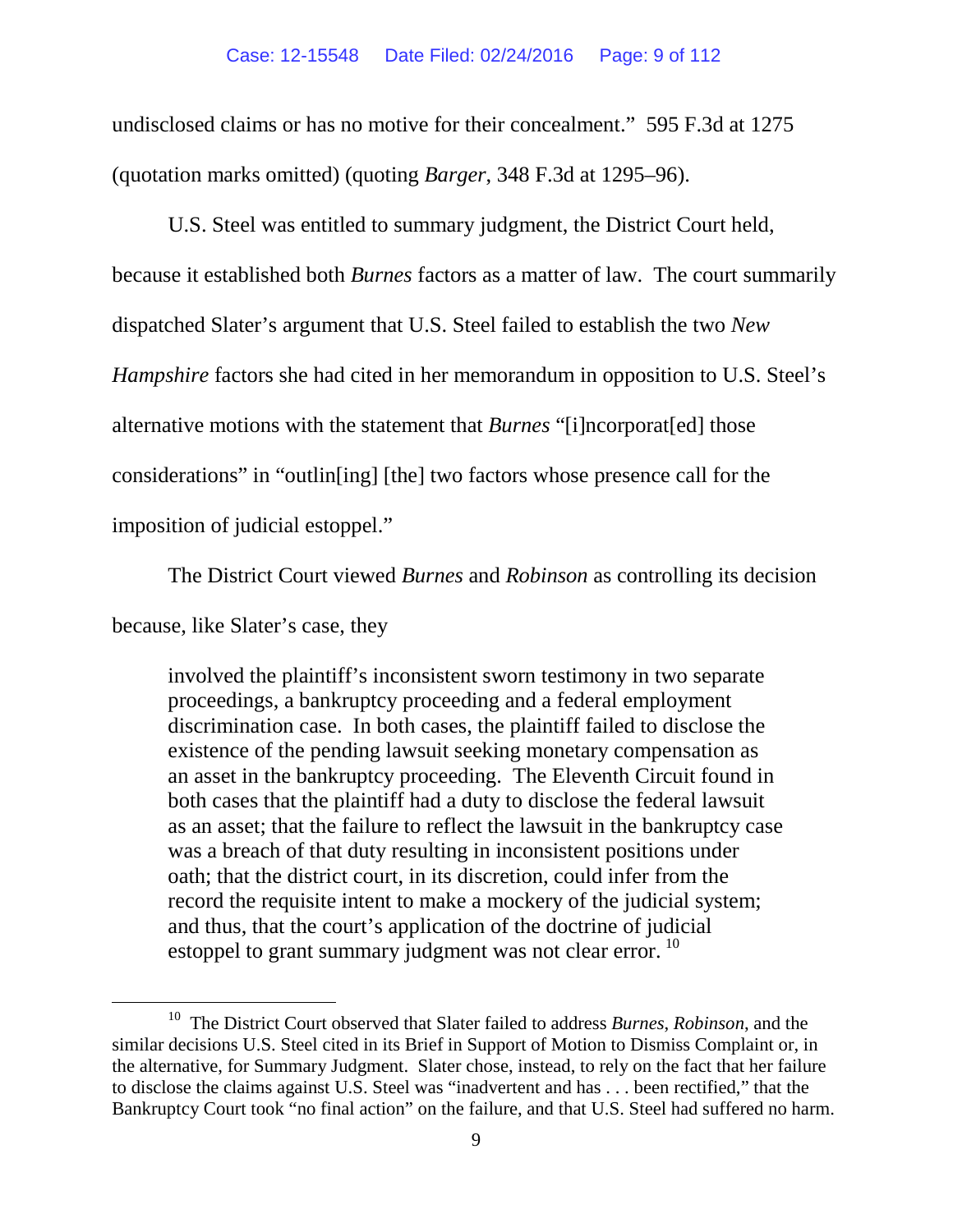#### Case: 12-15548 Date Filed: 02/24/2016 Page: 9 of 112

undisclosed claims or has no motive for their concealment." 595 F.3d at 1275 (quotation marks omitted) (quoting *Barger*, 348 F.3d at 1295–96).

U.S. Steel was entitled to summary judgment, the District Court held, because it established both *Burnes* factors as a matter of law.The court summarily dispatched Slater's argument that U.S. Steel failed to establish the two *New Hampshire* factors she had cited in her memorandum in opposition to U.S. Steel's alternative motions with the statement that *Burnes* "[i]ncorporat[ed] those considerations" in "outlin[ing] [the] two factors whose presence call for the imposition of judicial estoppel."

The District Court viewed *Burnes* and *Robinson* as controlling its decision

because, like Slater's case, they

involved the plaintiff's inconsistent sworn testimony in two separate proceedings, a bankruptcy proceeding and a federal employment discrimination case. In both cases, the plaintiff failed to disclose the existence of the pending lawsuit seeking monetary compensation as an asset in the bankruptcy proceeding. The Eleventh Circuit found in both cases that the plaintiff had a duty to disclose the federal lawsuit as an asset; that the failure to reflect the lawsuit in the bankruptcy case was a breach of that duty resulting in inconsistent positions under oath; that the district court, in its discretion, could infer from the record the requisite intent to make a mockery of the judicial system; and thus, that the court's application of the doctrine of judicial estoppel to grant summary judgment was not clear error.<sup>[10](#page-8-0)</sup>

<span id="page-8-0"></span> <sup>10</sup> The District Court observed that Slater failed to address *Burnes*, *Robinson*, and the similar decisions U.S. Steel cited in its Brief in Support of Motion to Dismiss Complaint or, in the alternative, for Summary Judgment. Slater chose, instead, to rely on the fact that her failure to disclose the claims against U.S. Steel was "inadvertent and has . . . been rectified," that the Bankruptcy Court took "no final action" on the failure, and that U.S. Steel had suffered no harm.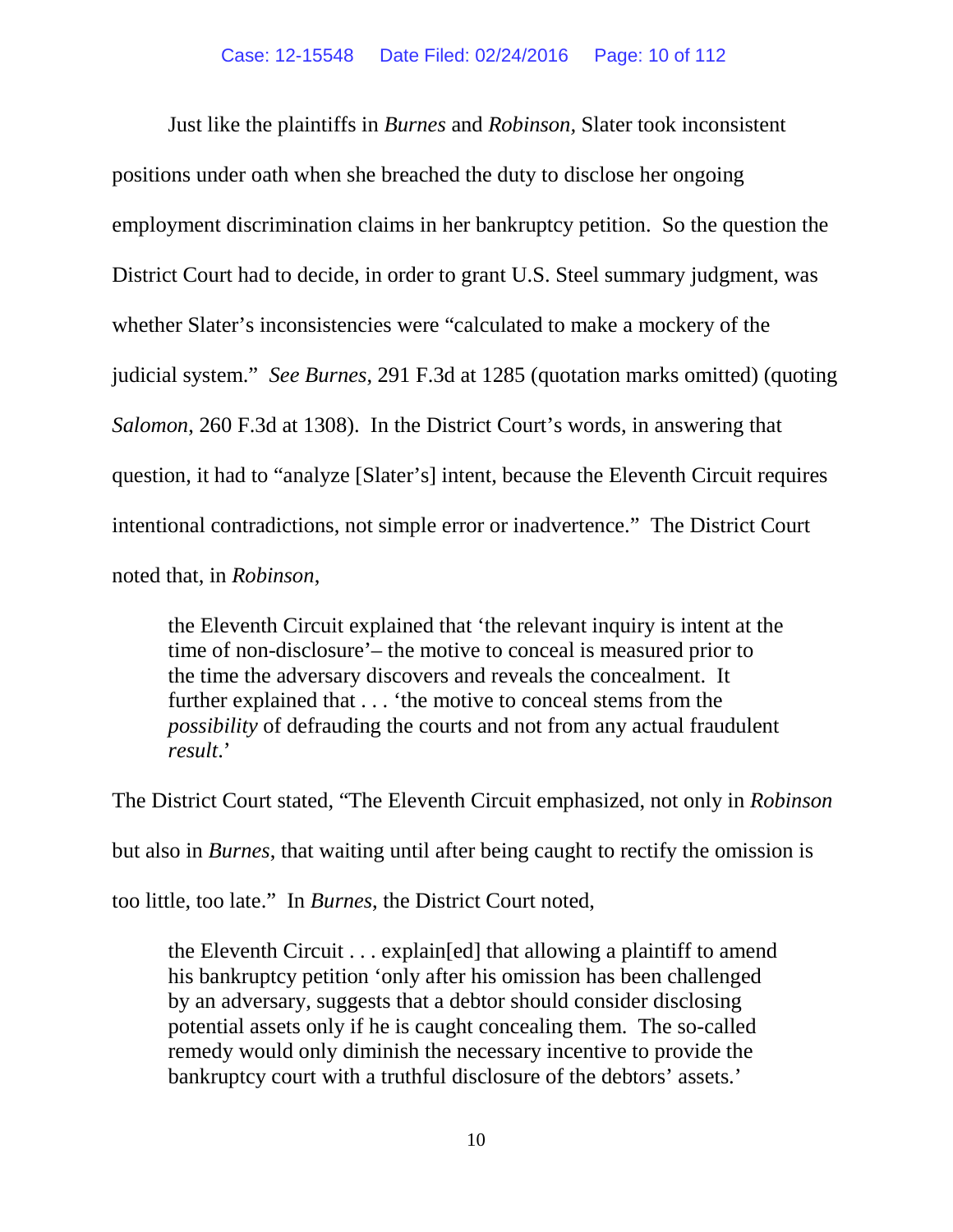Just like the plaintiffs in *Burnes* and *Robinson,* Slater took inconsistent positions under oath when she breached the duty to disclose her ongoing employment discrimination claims in her bankruptcy petition. So the question the District Court had to decide, in order to grant U.S. Steel summary judgment, was whether Slater's inconsistencies were "calculated to make a mockery of the judicial system." *See Burnes*, 291 F.3d at 1285 (quotation marks omitted) (quoting *Salomon*, 260 F.3d at 1308). In the District Court's words, in answering that question, it had to "analyze [Slater's] intent, because the Eleventh Circuit requires intentional contradictions, not simple error or inadvertence." The District Court noted that, in *Robinson*,

the Eleventh Circuit explained that 'the relevant inquiry is intent at the time of non-disclosure'– the motive to conceal is measured prior to the time the adversary discovers and reveals the concealment. It further explained that . . . 'the motive to conceal stems from the *possibility* of defrauding the courts and not from any actual fraudulent *result*.'

The District Court stated, "The Eleventh Circuit emphasized, not only in *Robinson* 

but also in *Burnes*, that waiting until after being caught to rectify the omission is

too little, too late." In *Burnes*, the District Court noted,

the Eleventh Circuit . . . explain[ed] that allowing a plaintiff to amend his bankruptcy petition 'only after his omission has been challenged by an adversary, suggests that a debtor should consider disclosing potential assets only if he is caught concealing them. The so-called remedy would only diminish the necessary incentive to provide the bankruptcy court with a truthful disclosure of the debtors' assets.'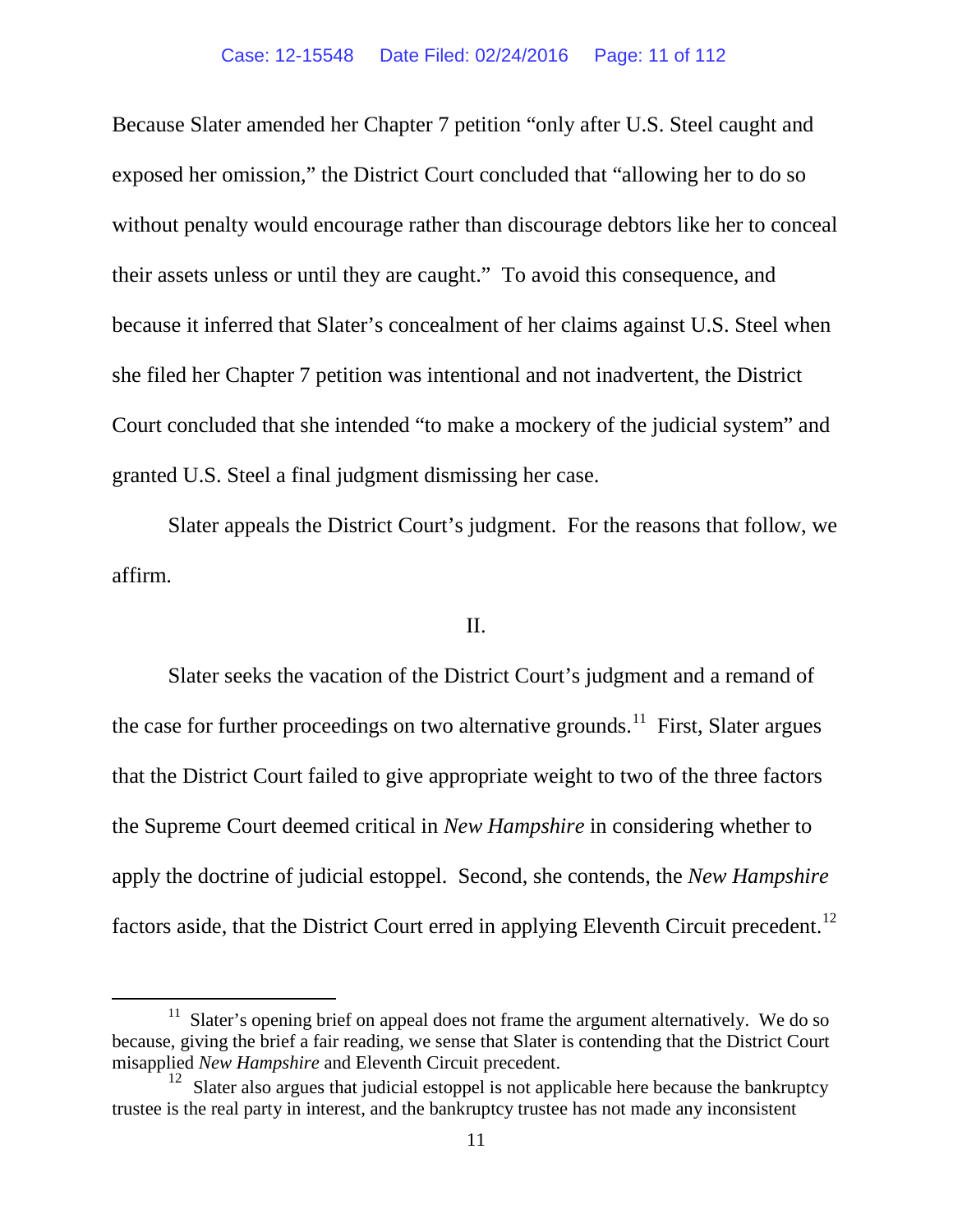Because Slater amended her Chapter 7 petition "only after U.S. Steel caught and exposed her omission," the District Court concluded that "allowing her to do so without penalty would encourage rather than discourage debtors like her to conceal their assets unless or until they are caught." To avoid this consequence, and because it inferred that Slater's concealment of her claims against U.S. Steel when she filed her Chapter 7 petition was intentional and not inadvertent, the District Court concluded that she intended "to make a mockery of the judicial system" and granted U.S. Steel a final judgment dismissing her case.

Slater appeals the District Court's judgment. For the reasons that follow, we affirm.

# II.

Slater seeks the vacation of the District Court's judgment and a remand of the case for further proceedings on two alternative grounds.<sup>11</sup> First, Slater argues that the District Court failed to give appropriate weight to two of the three factors the Supreme Court deemed critical in *New Hampshire* in considering whether to apply the doctrine of judicial estoppel. Second, she contends, the *New Hampshire*  factors aside, that the District Court erred in applying Eleventh Circuit precedent.<sup>12</sup>

<span id="page-10-0"></span> $11$  Slater's opening brief on appeal does not frame the argument alternatively. We do so because, giving the brief a fair reading, we sense that Slater is contending that the District Court misapplied *New Hampshire* and Eleventh Circuit precedent.

<span id="page-10-1"></span> $12$  Slater also argues that judicial estoppel is not applicable here because the bankruptcy trustee is the real party in interest, and the bankruptcy trustee has not made any inconsistent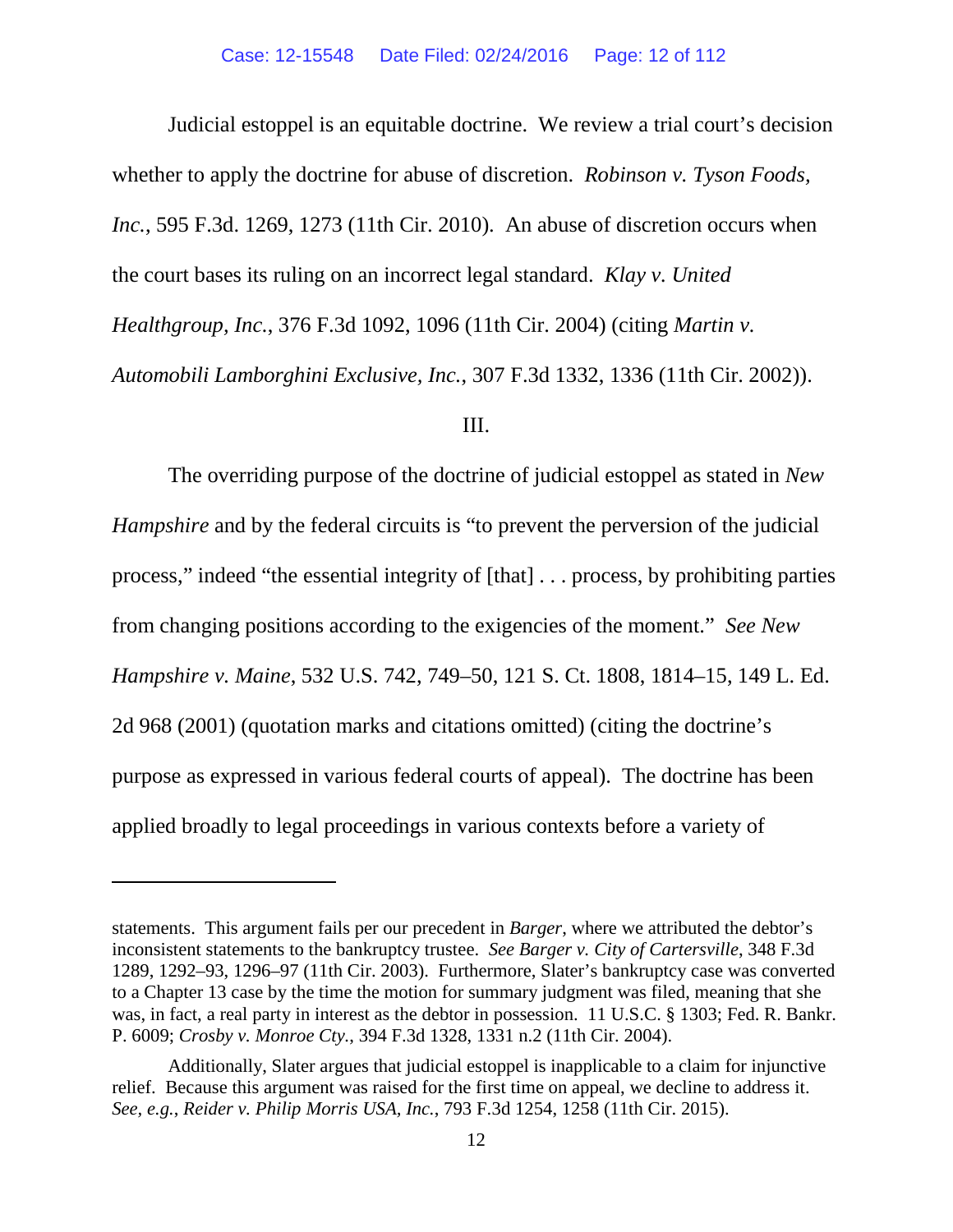Judicial estoppel is an equitable doctrine. We review a trial court's decision whether to apply the doctrine for abuse of discretion. *Robinson v. Tyson Foods, Inc.*, 595 F.3d. 1269, 1273 (11th Cir. 2010). An abuse of discretion occurs when the court bases its ruling on an incorrect legal standard. *Klay v. United Healthgroup, Inc.*, 376 F.3d 1092, 1096 (11th Cir. 2004) (citing *Martin v. Automobili Lamborghini Exclusive, Inc.*, 307 F.3d 1332, 1336 (11th Cir. 2002)).

### III.

The overriding purpose of the doctrine of judicial estoppel as stated in *New Hampshire* and by the federal circuits is "to prevent the perversion of the judicial process," indeed "the essential integrity of [that] . . . process, by prohibiting parties from changing positions according to the exigencies of the moment." *See New Hampshire v. Maine*, 532 U.S. 742, 749–50, 121 S. Ct. 1808, 1814–15, 149 L. Ed. 2d 968 (2001) (quotation marks and citations omitted) (citing the doctrine's purpose as expressed in various federal courts of appeal). The doctrine has been applied broadly to legal proceedings in various contexts before a variety of

 $\overline{a}$ 

statements. This argument fails per our precedent in *Barger*, where we attributed the debtor's inconsistent statements to the bankruptcy trustee. *See Barger v. City of Cartersville*, 348 F.3d 1289, 1292–93, 1296–97 (11th Cir. 2003). Furthermore, Slater's bankruptcy case was converted to a Chapter 13 case by the time the motion for summary judgment was filed, meaning that she was, in fact, a real party in interest as the debtor in possession. 11 U.S.C. § 1303; Fed. R. Bankr. P. 6009; *Crosby v. Monroe Cty.*, 394 F.3d 1328, 1331 n.2 (11th Cir. 2004).

Additionally, Slater argues that judicial estoppel is inapplicable to a claim for injunctive relief. Because this argument was raised for the first time on appeal, we decline to address it. *See, e.g.*, *Reider v. Philip Morris USA, Inc.*, 793 F.3d 1254, 1258 (11th Cir. 2015).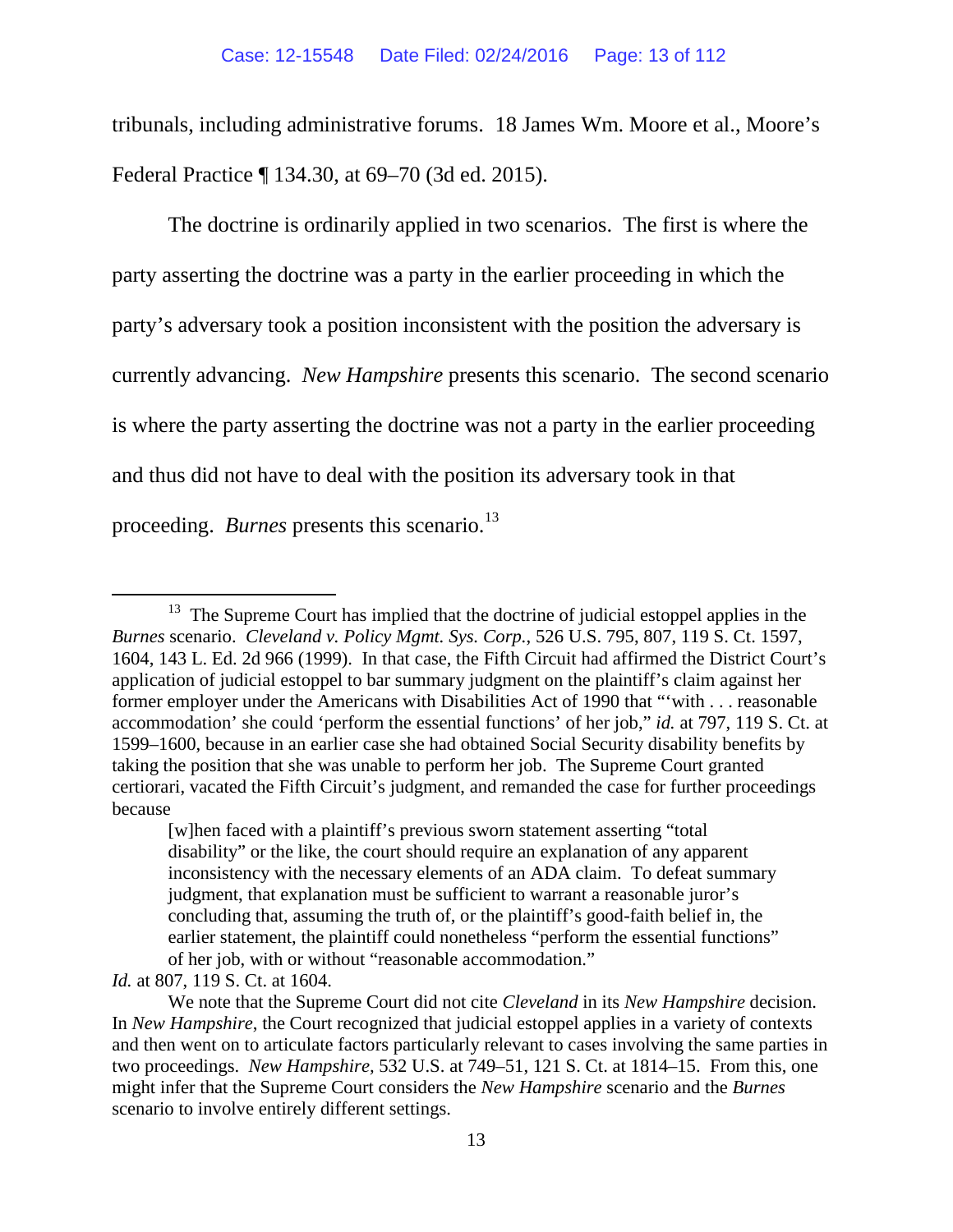tribunals, including administrative forums. 18 James Wm. Moore et al., Moore's Federal Practice ¶ 134.30, at 69–70 (3d ed. 2015).

The doctrine is ordinarily applied in two scenarios. The first is where the party asserting the doctrine was a party in the earlier proceeding in which the party's adversary took a position inconsistent with the position the adversary is currently advancing. *New Hampshire* presents this scenario. The second scenario is where the party asserting the doctrine was not a party in the earlier proceeding and thus did not have to deal with the position its adversary took in that proceeding. *Burnes* presents this scenario.<sup>13</sup>

*Id.* at 807, 119 S. Ct. at 1604.

<span id="page-12-0"></span> $13$  The Supreme Court has implied that the doctrine of judicial estoppel applies in the *Burnes* scenario. *Cleveland v. Policy Mgmt. Sys. Corp.*, 526 U.S. 795, 807, 119 S. Ct. 1597, 1604, 143 L. Ed. 2d 966 (1999). In that case, the Fifth Circuit had affirmed the District Court's application of judicial estoppel to bar summary judgment on the plaintiff's claim against her former employer under the Americans with Disabilities Act of 1990 that "'with . . . reasonable accommodation' she could 'perform the essential functions' of her job," *id.* at 797, 119 S. Ct. at 1599–1600, because in an earlier case she had obtained Social Security disability benefits by taking the position that she was unable to perform her job. The Supreme Court granted certiorari, vacated the Fifth Circuit's judgment, and remanded the case for further proceedings because

<sup>[</sup>w]hen faced with a plaintiff's previous sworn statement asserting "total disability" or the like, the court should require an explanation of any apparent inconsistency with the necessary elements of an ADA claim. To defeat summary judgment, that explanation must be sufficient to warrant a reasonable juror's concluding that, assuming the truth of, or the plaintiff's good-faith belief in, the earlier statement, the plaintiff could nonetheless "perform the essential functions" of her job, with or without "reasonable accommodation."

We note that the Supreme Court did not cite *Cleveland* in its *New Hampshire* decision. In *New Hampshire*, the Court recognized that judicial estoppel applies in a variety of contexts and then went on to articulate factors particularly relevant to cases involving the same parties in two proceedings. *New Hampshire,* 532 U.S. at 749–51, 121 S. Ct. at 1814–15. From this, one might infer that the Supreme Court considers the *New Hampshire* scenario and the *Burnes*  scenario to involve entirely different settings.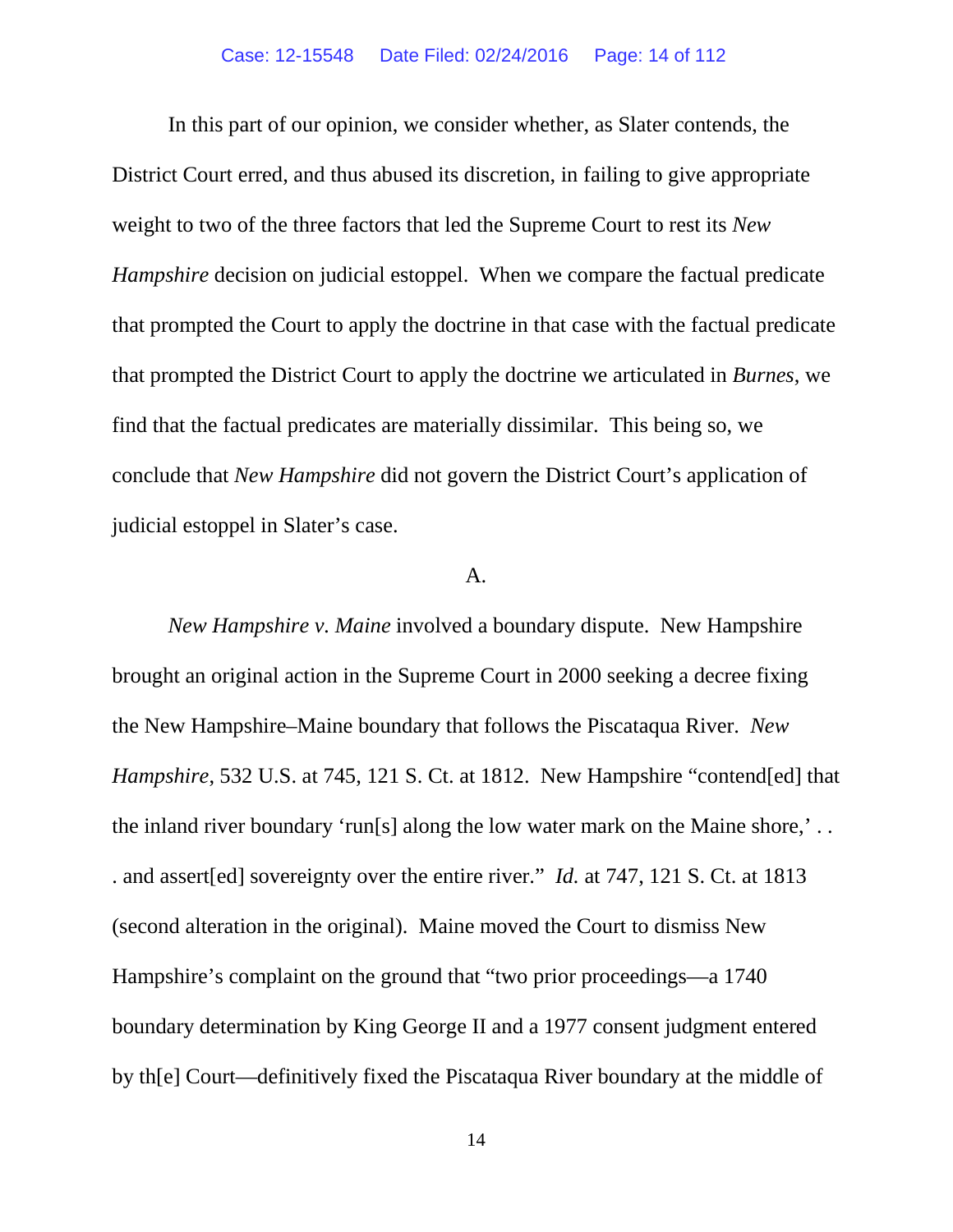In this part of our opinion, we consider whether, as Slater contends, the District Court erred, and thus abused its discretion, in failing to give appropriate weight to two of the three factors that led the Supreme Court to rest its *New Hampshire* decision on judicial estoppel. When we compare the factual predicate that prompted the Court to apply the doctrine in that case with the factual predicate that prompted the District Court to apply the doctrine we articulated in *Burnes*, we find that the factual predicates are materially dissimilar. This being so, we conclude that *New Hampshire* did not govern the District Court's application of judicial estoppel in Slater's case.

### $A<sub>1</sub>$

*New Hampshire v. Maine* involved a boundary dispute. New Hampshire brought an original action in the Supreme Court in 2000 seeking a decree fixing the New Hampshire–Maine boundary that follows the Piscataqua River. *New Hampshire*, 532 U.S. at 745, 121 S. Ct. at 1812. New Hampshire "contend [ed] that the inland river boundary 'run[s] along the low water mark on the Maine shore,' . . . and assert[ed] sovereignty over the entire river." *Id.* at 747, 121 S. Ct. at 1813 (second alteration in the original). Maine moved the Court to dismiss New Hampshire's complaint on the ground that "two prior proceedings—a 1740 boundary determination by King George II and a 1977 consent judgment entered by th[e] Court—definitively fixed the Piscataqua River boundary at the middle of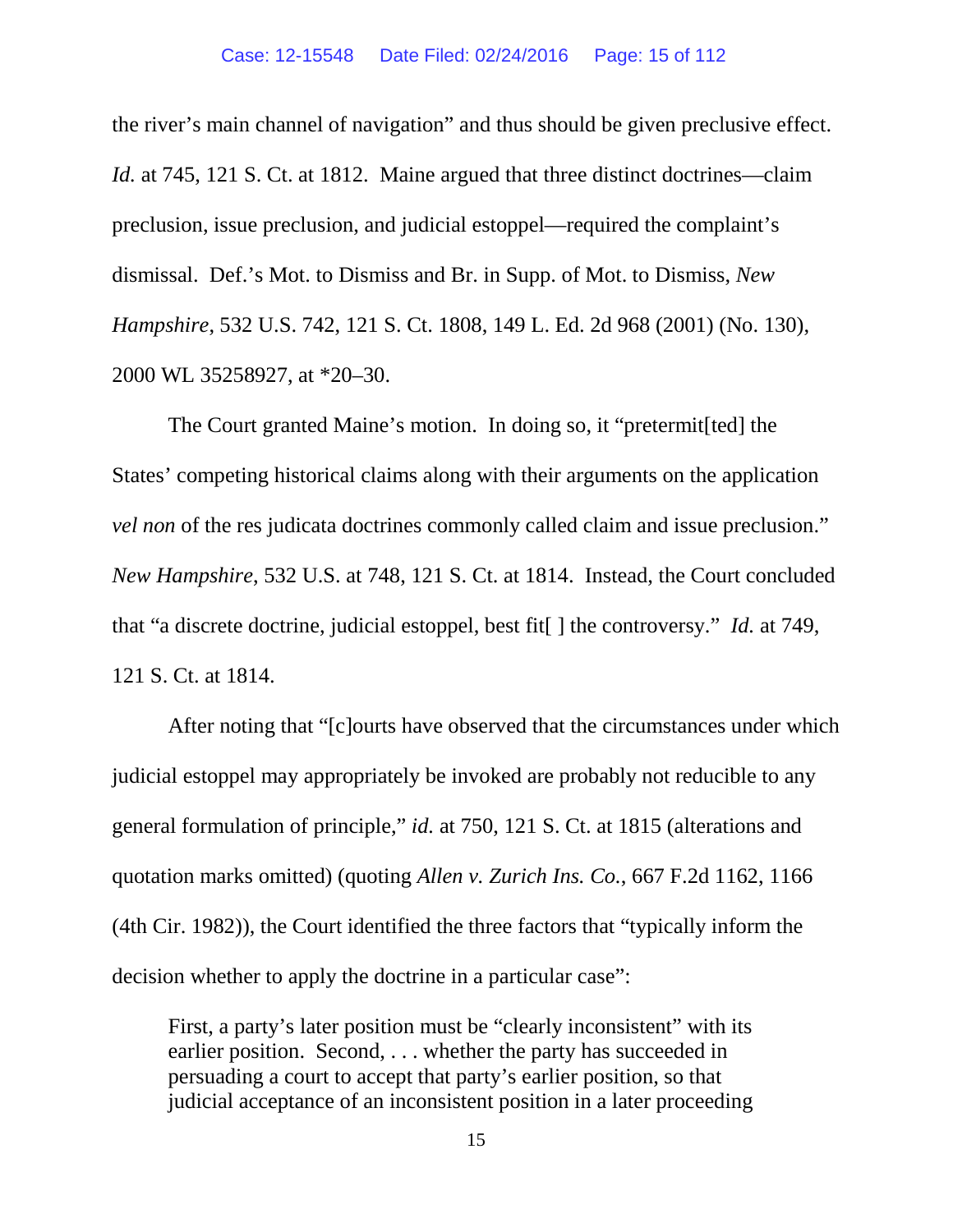the river's main channel of navigation" and thus should be given preclusive effect. *Id.* at 745, 121 S. Ct. at 1812. Maine argued that three distinct doctrines—claim preclusion, issue preclusion, and judicial estoppel—required the complaint's dismissal. Def.'s Mot. to Dismiss and Br. in Supp. of Mot. to Dismiss, *New Hampshire*, 532 U.S. 742, 121 S. Ct. 1808, 149 L. Ed. 2d 968 (2001) (No. 130), 2000 WL 35258927, at \*20–30.

The Court granted Maine's motion. In doing so, it "pretermit[ted] the States' competing historical claims along with their arguments on the application *vel non* of the res judicata doctrines commonly called claim and issue preclusion." *New Hampshire*, 532 U.S. at 748, 121 S. Ct. at 1814. Instead, the Court concluded that "a discrete doctrine, judicial estoppel, best fit[ ] the controversy." *Id.* at 749, 121 S. Ct. at 1814.

After noting that "[c]ourts have observed that the circumstances under which judicial estoppel may appropriately be invoked are probably not reducible to any general formulation of principle," *id.* at 750, 121 S. Ct. at 1815 (alterations and quotation marks omitted) (quoting *Allen v. Zurich Ins. Co.*, 667 F.2d 1162, 1166 (4th Cir. 1982)), the Court identified the three factors that "typically inform the decision whether to apply the doctrine in a particular case":

First, a party's later position must be "clearly inconsistent" with its earlier position. Second, . . . whether the party has succeeded in persuading a court to accept that party's earlier position, so that judicial acceptance of an inconsistent position in a later proceeding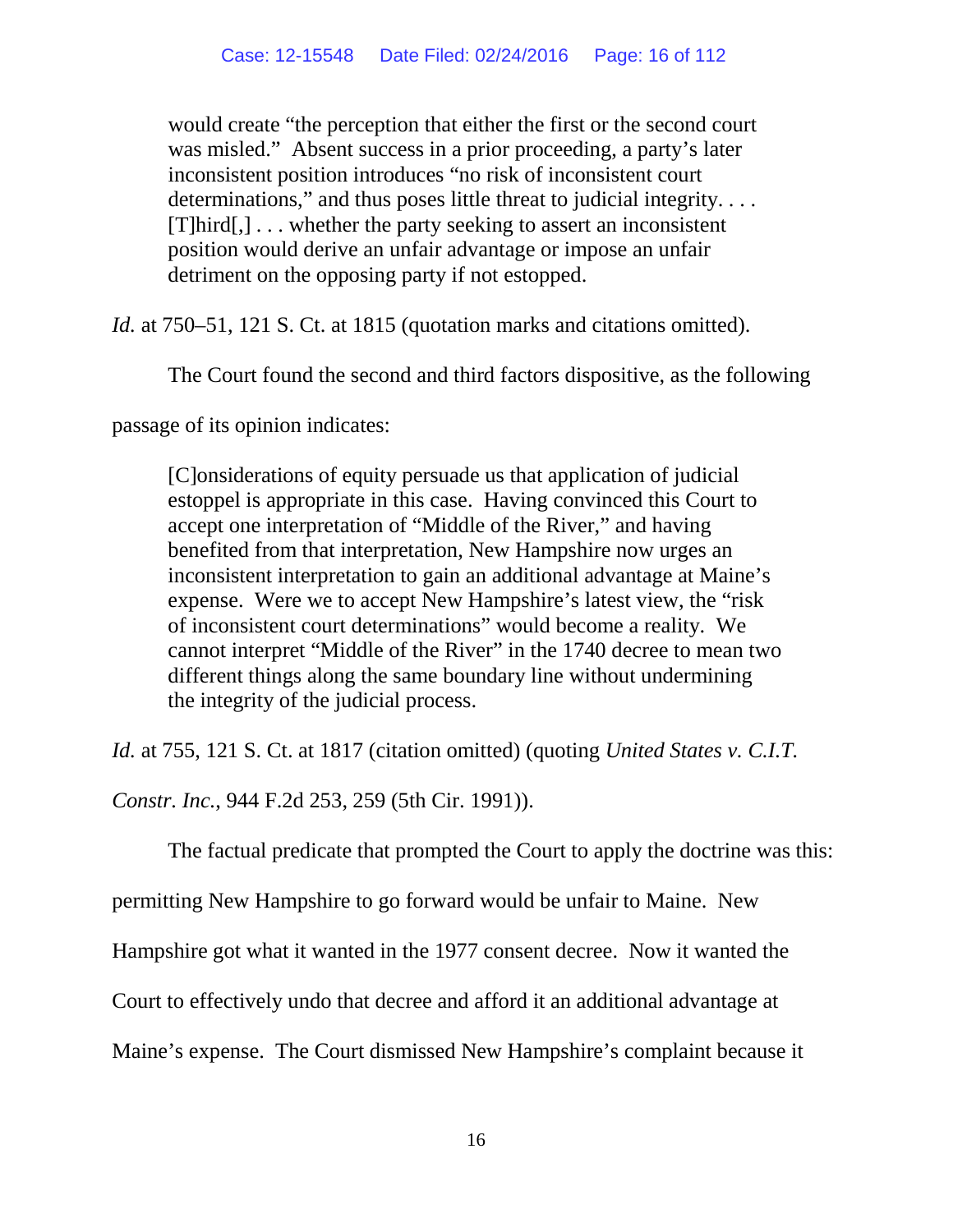would create "the perception that either the first or the second court was misled." Absent success in a prior proceeding, a party's later inconsistent position introduces "no risk of inconsistent court determinations," and thus poses little threat to judicial integrity.... [T]hird[,] . . . whether the party seeking to assert an inconsistent position would derive an unfair advantage or impose an unfair detriment on the opposing party if not estopped.

*Id.* at 750–51, 121 S. Ct. at 1815 (quotation marks and citations omitted).

The Court found the second and third factors dispositive, as the following

passage of its opinion indicates:

[C]onsiderations of equity persuade us that application of judicial estoppel is appropriate in this case. Having convinced this Court to accept one interpretation of "Middle of the River," and having benefited from that interpretation, New Hampshire now urges an inconsistent interpretation to gain an additional advantage at Maine's expense. Were we to accept New Hampshire's latest view, the "risk of inconsistent court determinations" would become a reality. We cannot interpret "Middle of the River" in the 1740 decree to mean two different things along the same boundary line without undermining the integrity of the judicial process.

*Id.* at 755, 121 S. Ct. at 1817 (citation omitted) (quoting *United States v. C.I.T.* 

*Constr. Inc.*, 944 F.2d 253, 259 (5th Cir. 1991)).

The factual predicate that prompted the Court to apply the doctrine was this:

permitting New Hampshire to go forward would be unfair to Maine. New

Hampshire got what it wanted in the 1977 consent decree. Now it wanted the

Court to effectively undo that decree and afford it an additional advantage at

Maine's expense. The Court dismissed New Hampshire's complaint because it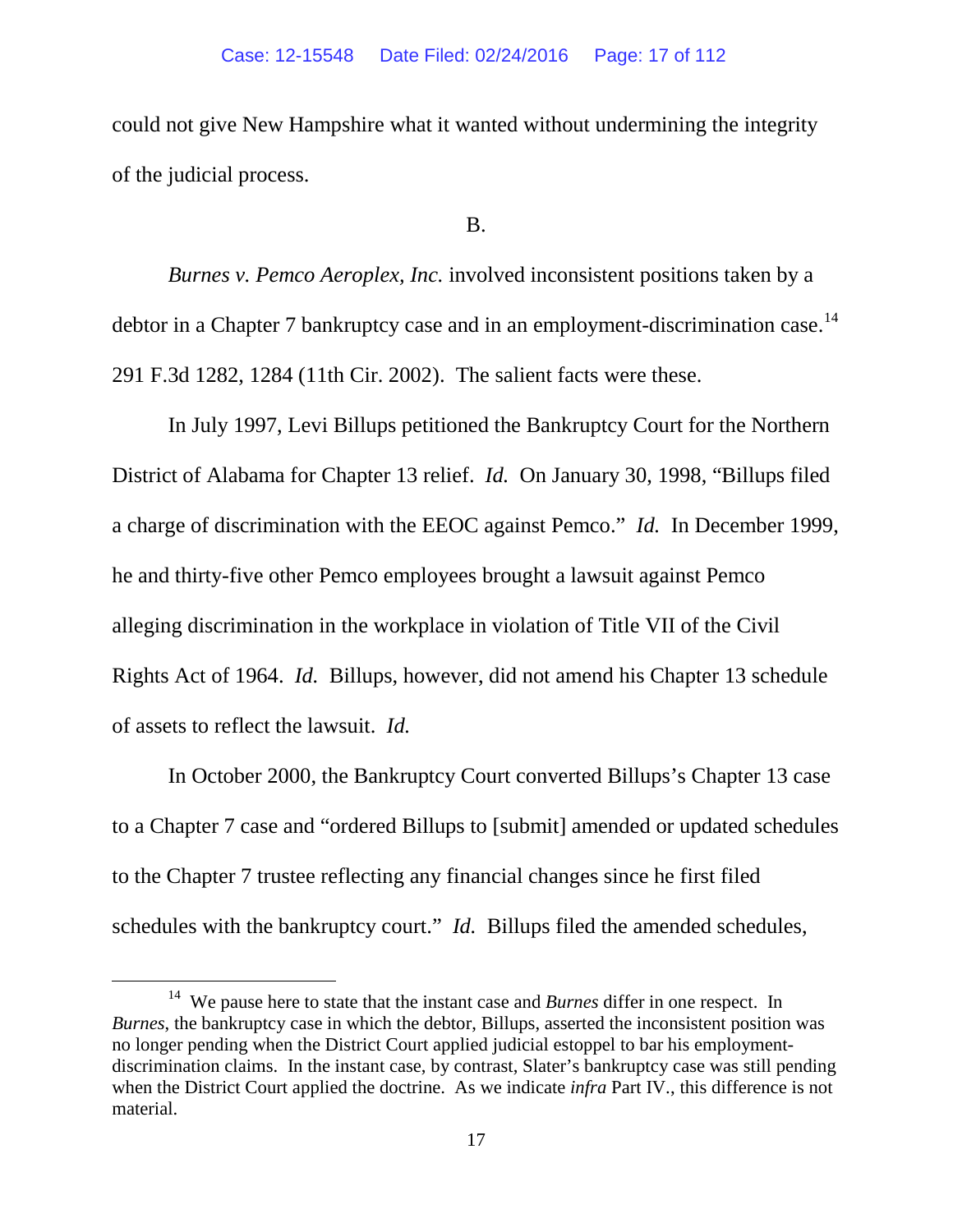could not give New Hampshire what it wanted without undermining the integrity of the judicial process.

B.

*Burnes v. Pemco Aeroplex, Inc.* involved inconsistent positions taken by a debtor in a Chapter 7 bankruptcy case and in an employment-discrimination case.<sup>14</sup> 291 F.3d 1282, 1284 (11th Cir. 2002). The salient facts were these.

In July 1997, Levi Billups petitioned the Bankruptcy Court for the Northern District of Alabama for Chapter 13 relief. *Id.* On January 30, 1998, "Billups filed a charge of discrimination with the EEOC against Pemco." *Id.* In December 1999, he and thirty-five other Pemco employees brought a lawsuit against Pemco alleging discrimination in the workplace in violation of Title VII of the Civil Rights Act of 1964. *Id.* Billups, however, did not amend his Chapter 13 schedule of assets to reflect the lawsuit. *Id.* 

In October 2000, the Bankruptcy Court converted Billups's Chapter 13 case to a Chapter 7 case and "ordered Billups to [submit] amended or updated schedules to the Chapter 7 trustee reflecting any financial changes since he first filed schedules with the bankruptcy court." *Id.* Billups filed the amended schedules,

<span id="page-16-0"></span> <sup>14</sup> We pause here to state that the instant case and *Burnes* differ in one respect. In *Burnes*, the bankruptcy case in which the debtor, Billups, asserted the inconsistent position was no longer pending when the District Court applied judicial estoppel to bar his employmentdiscrimination claims. In the instant case, by contrast, Slater's bankruptcy case was still pending when the District Court applied the doctrine. As we indicate *infra* Part IV., this difference is not material.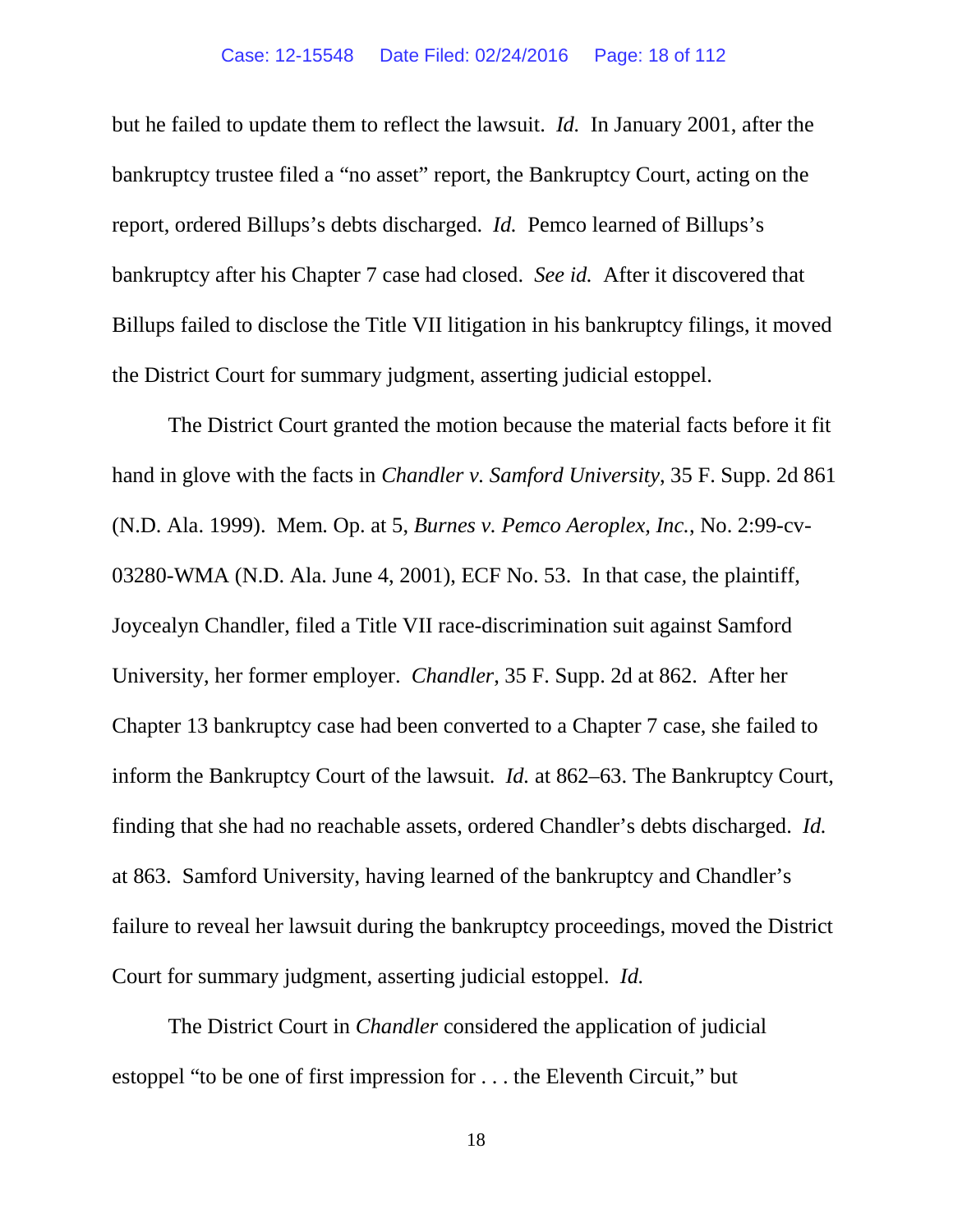but he failed to update them to reflect the lawsuit. *Id.* In January 2001, after the bankruptcy trustee filed a "no asset" report, the Bankruptcy Court, acting on the report, ordered Billups's debts discharged. *Id.* Pemco learned of Billups's bankruptcy after his Chapter 7 case had closed. *See id.* After it discovered that Billups failed to disclose the Title VII litigation in his bankruptcy filings, it moved the District Court for summary judgment, asserting judicial estoppel.

The District Court granted the motion because the material facts before it fit hand in glove with the facts in *Chandler v. Samford University*, 35 F. Supp. 2d 861 (N.D. Ala. 1999). Mem. Op. at 5, *Burnes v. Pemco Aeroplex, Inc.*, No. 2:99-cv-03280-WMA (N.D. Ala. June 4, 2001), ECF No. 53. In that case*,* the plaintiff, Joycealyn Chandler, filed a Title VII race-discrimination suit against Samford University, her former employer. *Chandler*, 35 F. Supp. 2d at 862. After her Chapter 13 bankruptcy case had been converted to a Chapter 7 case, she failed to inform the Bankruptcy Court of the lawsuit. *Id.* at 862–63. The Bankruptcy Court, finding that she had no reachable assets, ordered Chandler's debts discharged. *Id.* at 863. Samford University, having learned of the bankruptcy and Chandler's failure to reveal her lawsuit during the bankruptcy proceedings, moved the District Court for summary judgment, asserting judicial estoppel. *Id.* 

The District Court in *Chandler* considered the application of judicial estoppel "to be one of first impression for . . . the Eleventh Circuit," but

18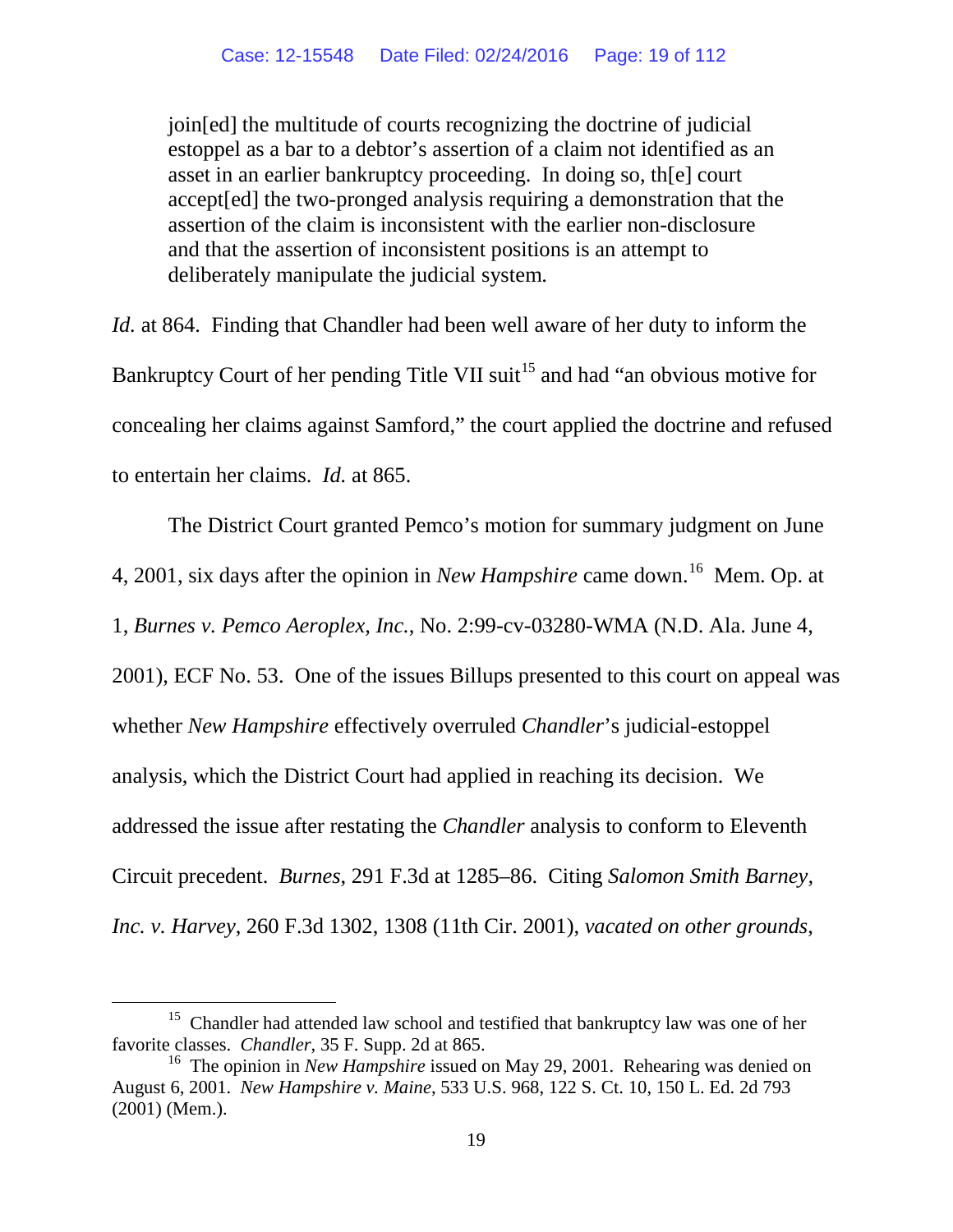join[ed] the multitude of courts recognizing the doctrine of judicial estoppel as a bar to a debtor's assertion of a claim not identified as an asset in an earlier bankruptcy proceeding. In doing so, th[e] court accept[ed] the two-pronged analysis requiring a demonstration that the assertion of the claim is inconsistent with the earlier non-disclosure and that the assertion of inconsistent positions is an attempt to deliberately manipulate the judicial system.

*Id.* at 864. Finding that Chandler had been well aware of her duty to inform the Bankruptcy Court of her pending Title VII suit<sup>[15](#page-18-0)</sup> and had "an obvious motive for concealing her claims against Samford," the court applied the doctrine and refused to entertain her claims. *Id.* at 865.

The District Court granted Pemco's motion for summary judgment on June 4, 2001, six days after the opinion in *New Hampshire* came down.[16](#page-18-1) Mem. Op. at 1, *Burnes v. Pemco Aeroplex, Inc.*, No. 2:99-cv-03280-WMA (N.D. Ala. June 4, 2001), ECF No. 53. One of the issues Billups presented to this court on appeal was whether *New Hampshire* effectively overruled *Chandler*'s judicial-estoppel analysis, which the District Court had applied in reaching its decision. We addressed the issue after restating the *Chandler* analysis to conform to Eleventh Circuit precedent. *Burnes*, 291 F.3d at 1285–86. Citing *Salomon Smith Barney, Inc. v. Harvey*, 260 F.3d 1302, 1308 (11th Cir. 2001), *vacated on other grounds*,

<span id="page-18-0"></span><sup>&</sup>lt;sup>15</sup> Chandler had attended law school and testified that bankruptcy law was one of her favorite classes. *Chandler*, 35 F. Supp. 2d at 865.

<span id="page-18-1"></span><sup>&</sup>lt;sup>16</sup> The opinion in *New Hampshire* issued on May 29, 2001. Rehearing was denied on August 6, 2001. *New Hampshire v. Maine*, 533 U.S. 968, 122 S. Ct. 10, 150 L. Ed. 2d 793 (2001) (Mem.).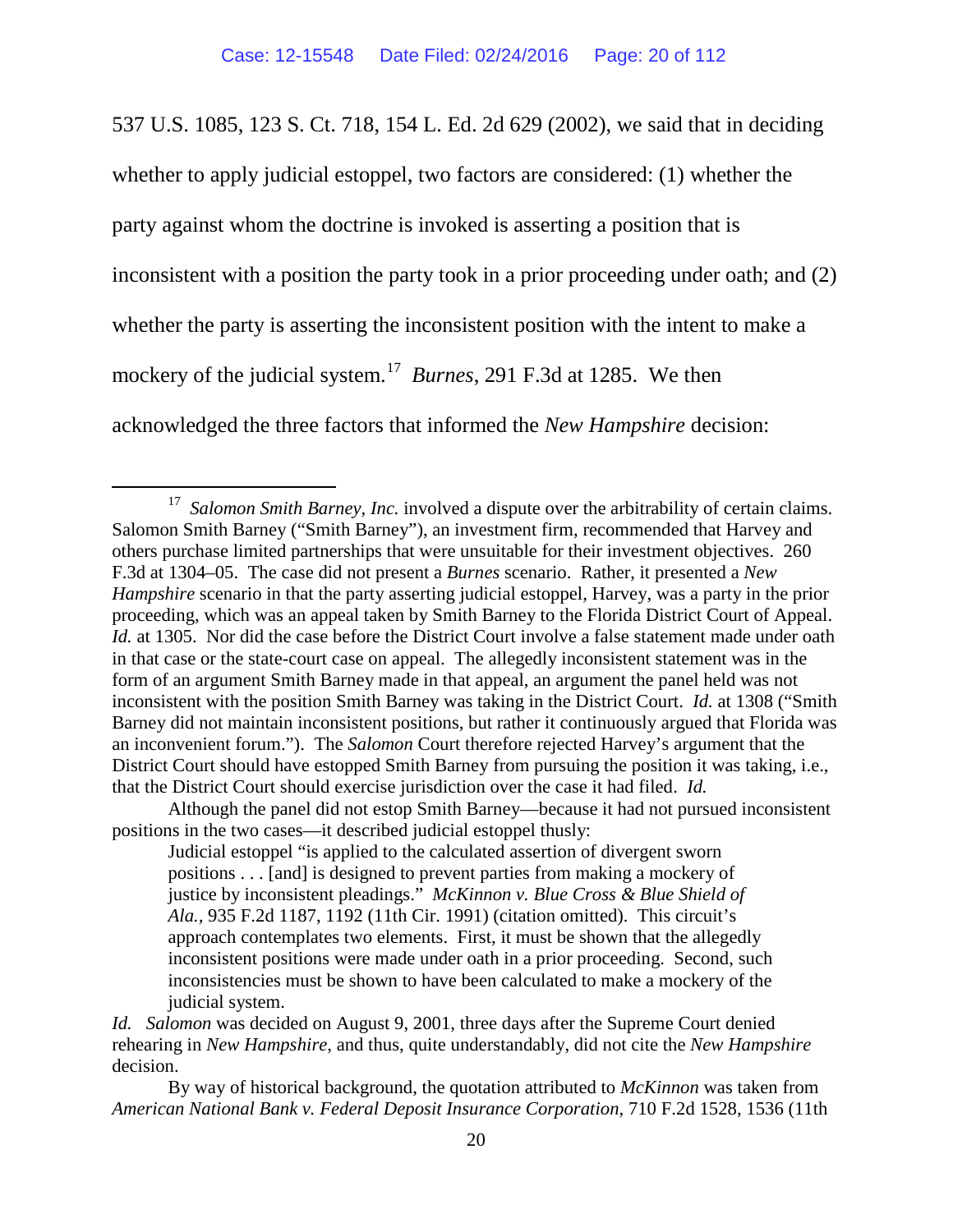537 U.S. 1085, 123 S. Ct. 718, 154 L. Ed. 2d 629 (2002), we said that in deciding whether to apply judicial estoppel, two factors are considered: (1) whether the party against whom the doctrine is invoked is asserting a position that is inconsistent with a position the party took in a prior proceeding under oath; and (2) whether the party is asserting the inconsistent position with the intent to make a mockery of the judicial system.<sup>17</sup> *Burnes*, 291 F.3d at 1285. We then acknowledged the three factors that informed the *New Hampshire* decision:

Although the panel did not estop Smith Barney—because it had not pursued inconsistent positions in the two cases—it described judicial estoppel thusly:

<span id="page-19-0"></span><sup>&</sup>lt;sup>17</sup> *Salomon Smith Barney, Inc.* involved a dispute over the arbitrability of certain claims. Salomon Smith Barney ("Smith Barney"), an investment firm, recommended that Harvey and others purchase limited partnerships that were unsuitable for their investment objectives. 260 F.3d at 1304–05. The case did not present a *Burnes* scenario. Rather, it presented a *New Hampshire* scenario in that the party asserting judicial estoppel, Harvey, was a party in the prior proceeding, which was an appeal taken by Smith Barney to the Florida District Court of Appeal. *Id.* at 1305. Nor did the case before the District Court involve a false statement made under oath in that case or the state-court case on appeal. The allegedly inconsistent statement was in the form of an argument Smith Barney made in that appeal, an argument the panel held was not inconsistent with the position Smith Barney was taking in the District Court. *Id.* at 1308 ("Smith Barney did not maintain inconsistent positions, but rather it continuously argued that Florida was an inconvenient forum."). The *Salomon* Court therefore rejected Harvey's argument that the District Court should have estopped Smith Barney from pursuing the position it was taking, i.e., that the District Court should exercise jurisdiction over the case it had filed. *Id.* 

Judicial estoppel "is applied to the calculated assertion of divergent sworn positions . . . [and] is designed to prevent parties from making a mockery of justice by inconsistent pleadings." *McKinnon v. Blue Cross & Blue Shield of Ala.,* 935 F.2d 1187, 1192 (11th Cir. 1991) (citation omitted). This circuit's approach contemplates two elements. First, it must be shown that the allegedly inconsistent positions were made under oath in a prior proceeding. Second, such inconsistencies must be shown to have been calculated to make a mockery of the judicial system.

*Id. Salomon* was decided on August 9, 2001, three days after the Supreme Court denied rehearing in *New Hampshire*, and thus, quite understandably, did not cite the *New Hampshire*  decision.

By way of historical background, the quotation attributed to *McKinnon* was taken from *American National Bank v. Federal Deposit Insurance Corporation,* 710 F.2d 1528, 1536 (11th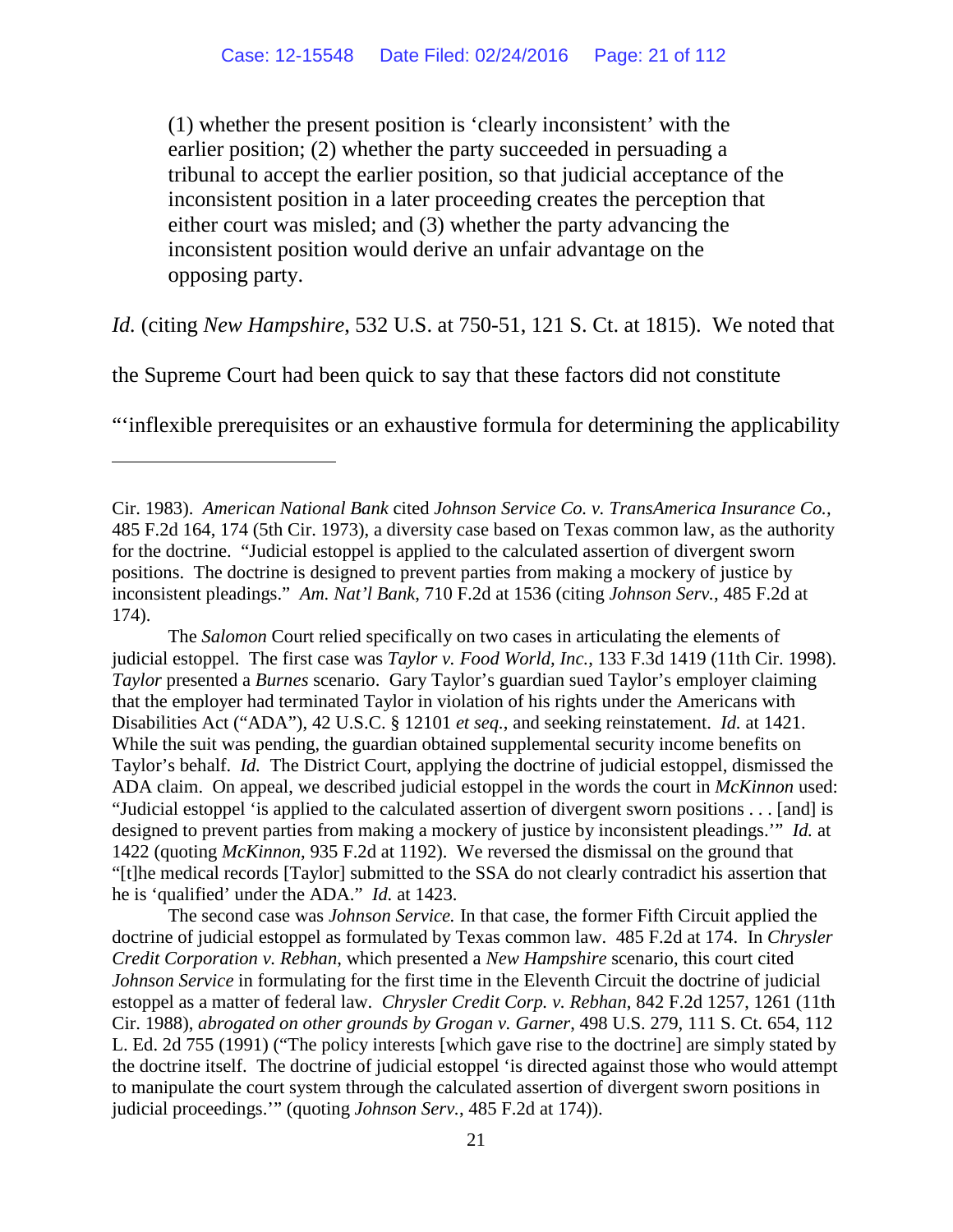(1) whether the present position is 'clearly inconsistent' with the earlier position; (2) whether the party succeeded in persuading a tribunal to accept the earlier position, so that judicial acceptance of the inconsistent position in a later proceeding creates the perception that either court was misled; and (3) whether the party advancing the inconsistent position would derive an unfair advantage on the opposing party.

*Id.* (citing *New Hampshire*, 532 U.S. at 750-51, 121 S. Ct. at 1815).We noted that

the Supreme Court had been quick to say that these factors did not constitute

 $\overline{a}$ 

"'inflexible prerequisites or an exhaustive formula for determining the applicability

The *Salomon* Court relied specifically on two cases in articulating the elements of judicial estoppel. The first case was *Taylor v. Food World, Inc.*, 133 F.3d 1419 (11th Cir. 1998). *Taylor* presented a *Burnes* scenario. Gary Taylor's guardian sued Taylor's employer claiming that the employer had terminated Taylor in violation of his rights under the Americans with Disabilities Act ("ADA"), 42 U.S.C. § 12101 *et seq.*, and seeking reinstatement. *Id.* at 1421. While the suit was pending, the guardian obtained supplemental security income benefits on Taylor's behalf. *Id.* The District Court, applying the doctrine of judicial estoppel, dismissed the ADA claim. On appeal, we described judicial estoppel in the words the court in *McKinnon* used: "Judicial estoppel 'is applied to the calculated assertion of divergent sworn positions . . . [and] is designed to prevent parties from making a mockery of justice by inconsistent pleadings.'" *Id.* at 1422 (quoting *McKinnon*, 935 F.2d at 1192). We reversed the dismissal on the ground that "[t]he medical records [Taylor] submitted to the SSA do not clearly contradict his assertion that he is 'qualified' under the ADA." *Id.* at 1423.

The second case was *Johnson Service.* In that case, the former Fifth Circuit applied the doctrine of judicial estoppel as formulated by Texas common law. 485 F.2d at 174. In *Chrysler Credit Corporation v. Rebhan*, which presented a *New Hampshire* scenario, this court cited *Johnson Service* in formulating for the first time in the Eleventh Circuit the doctrine of judicial estoppel as a matter of federal law. *Chrysler Credit Corp. v. Rebhan*, 842 F.2d 1257, 1261 (11th Cir. 1988), *abrogated on other grounds by Grogan v. Garner*, 498 U.S. 279, 111 S. Ct. 654, 112 L. Ed. 2d 755 (1991) ("The policy interests [which gave rise to the doctrine] are simply stated by the doctrine itself. The doctrine of judicial estoppel 'is directed against those who would attempt to manipulate the court system through the calculated assertion of divergent sworn positions in judicial proceedings.'" (quoting *Johnson Serv.*, [485 F.2d at 174\)\).](https://web2.westlaw.com/find/default.wl?mt=Westlaw&db=350&tc=-1&rp=%2ffind%2fdefault.wl&findtype=Y&ordoc=1988044711&serialnum=1973111686&vr=2.0&fn=_top&sv=Split&tf=-1&referencepositiontype=S&pbc=04CDE1ED&referenceposition=174&rs=WLW15.04) 

Cir. 1983). *American National Bank* cited *Johnson Service Co. v. TransAmerica Insurance Co.,* 485 F.2d 164, 174 (5th Cir. 1973), a diversity case based on Texas common law, as the authority for the doctrine. "Judicial estoppel is applied to the calculated assertion of divergent sworn positions. The doctrine is designed to prevent parties from making a mockery of justice by inconsistent pleadings." *Am. Nat'l Bank*, 710 F.2d at 1536 (citing *Johnson Serv.*, 485 F.2d at 174).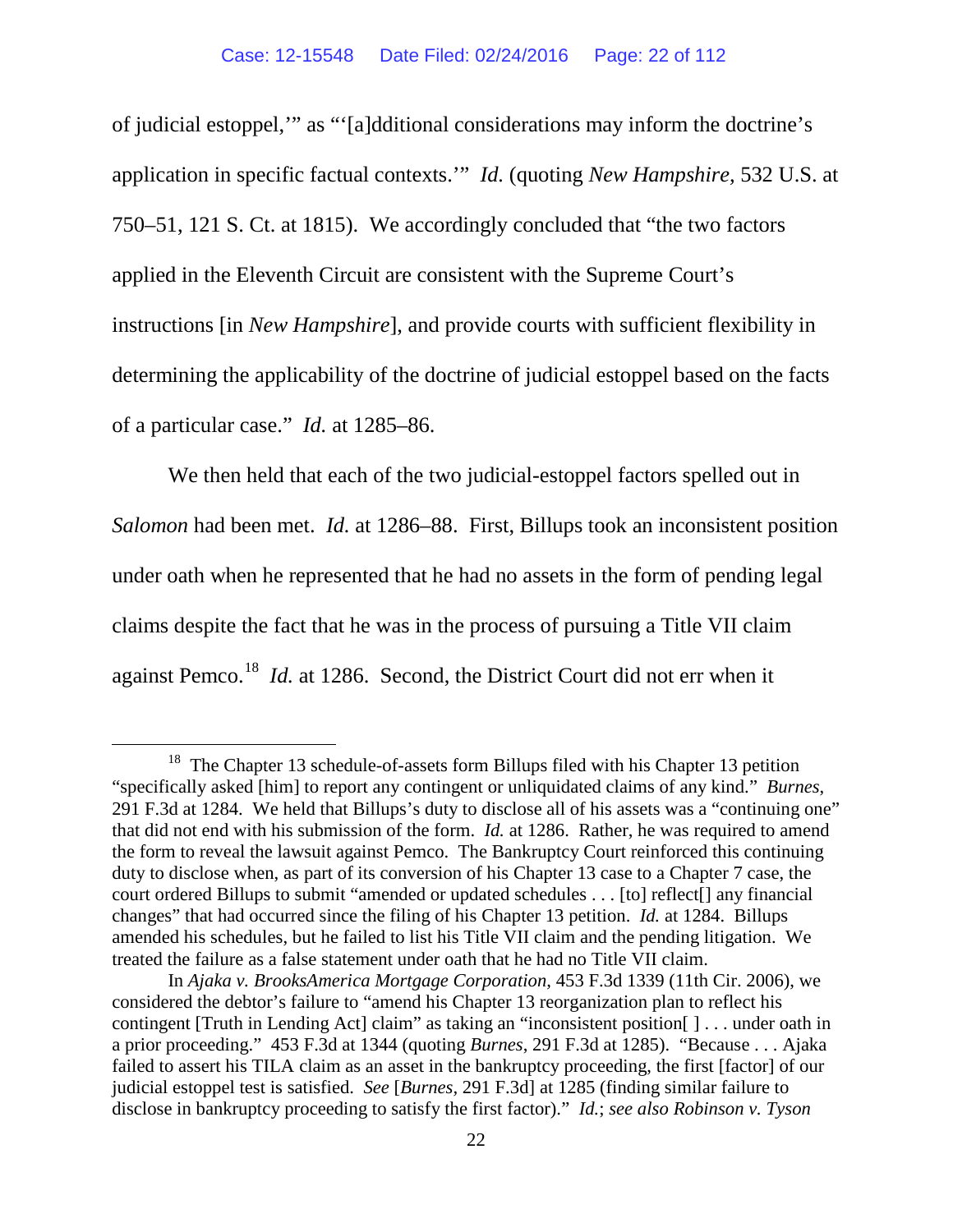of judicial estoppel,'" as "'[a]dditional considerations may inform the doctrine's application in specific factual contexts.'" *Id.* (quoting *New Hampshire,* 532 U.S. at 750–51, 121 S. Ct. at 1815). We accordingly concluded that "the two factors applied in the Eleventh Circuit are consistent with the Supreme Court's instructions [in *New Hampshire*], and provide courts with sufficient flexibility in determining the applicability of the doctrine of judicial estoppel based on the facts of a particular case." *Id.* at 1285–86.

We then held that each of the two judicial-estoppel factors spelled out in *Salomon* had been met. *Id.* at 1286–88.First, Billups took an inconsistent position under oath when he represented that he had no assets in the form of pending legal claims despite the fact that he was in the process of pursuing a Title VII claim against Pemco.[18](#page-21-0) *Id.* at 1286. Second, the District Court did not err when it

<span id="page-21-0"></span><sup>&</sup>lt;sup>18</sup> The Chapter 13 schedule-of-assets form Billups filed with his Chapter 13 petition "specifically asked [him] to report any contingent or unliquidated claims of any kind." *Burnes*, 291 F.3d at 1284. We held that Billups's duty to disclose all of his assets was a "continuing one" that did not end with his submission of the form. *Id.* at 1286. Rather, he was required to amend the form to reveal the lawsuit against Pemco. The Bankruptcy Court reinforced this continuing duty to disclose when, as part of its conversion of his Chapter 13 case to a Chapter 7 case, the court ordered Billups to submit "amended or updated schedules . . . [to] reflect[] any financial changes" that had occurred since the filing of his Chapter 13 petition. *Id.* at 1284. Billups amended his schedules, but he failed to list his Title VII claim and the pending litigation. We treated the failure as a false statement under oath that he had no Title VII claim.

In *Ajaka v. BrooksAmerica Mortgage Corporation*, 453 F.3d 1339 (11th Cir. 2006), we considered the debtor's failure to "amend his Chapter 13 reorganization plan to reflect his contingent [Truth in Lending Act] claim" as taking an "inconsistent position[ ] . . . under oath in a prior proceeding." 453 F.3d at 1344 (quoting *Burnes*, 291 F.3d at 1285). "Because . . . Ajaka failed to assert his TILA claim as an asset in the bankruptcy proceeding, the first [factor] of our judicial estoppel test is satisfied. *See* [*Burnes,* 291 F.3d] at 1285 (finding similar failure to disclose in bankruptcy proceeding to satisfy the first factor)." *Id.*; *see also Robinson v. Tyson*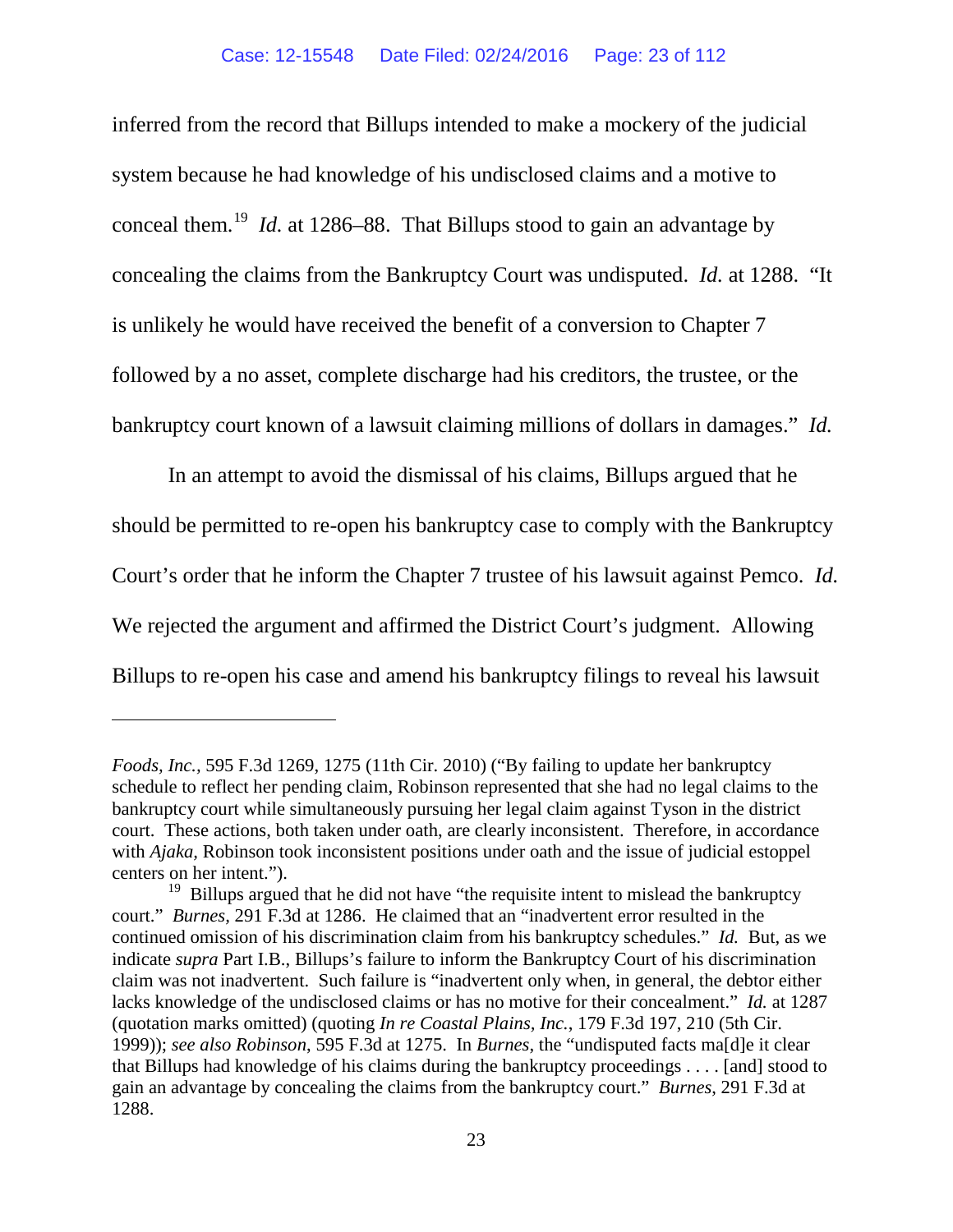inferred from the record that Billups intended to make a mockery of the judicial system because he had knowledge of his undisclosed claims and a motive to conceal them.[19](#page-22-0) *Id.* at 1286–88. That Billups stood to gain an advantage by concealing the claims from the Bankruptcy Court was undisputed. *Id.* at 1288. "It is unlikely he would have received the benefit of a conversion to Chapter 7 followed by a no asset, complete discharge had his creditors, the trustee, or the bankruptcy court known of a lawsuit claiming millions of dollars in damages." *Id.*

In an attempt to avoid the dismissal of his claims, Billups argued that he should be permitted to re-open his bankruptcy case to comply with the Bankruptcy Court's order that he inform the Chapter 7 trustee of his lawsuit against Pemco. *Id.* We rejected the argument and affirmed the District Court's judgment. Allowing Billups to re-open his case and amend his bankruptcy filings to reveal his lawsuit

 $\overline{a}$ 

*Foods, Inc.,* 595 F.3d 1269, 1275 (11th Cir. 2010) ("By failing to update her bankruptcy schedule to reflect her pending claim, Robinson represented that she had no legal claims to the bankruptcy court while simultaneously pursuing her legal claim against Tyson in the district court. These actions, both taken under oath, are clearly inconsistent. Therefore, in accordance with *Ajaka,* Robinson took inconsistent positions under oath and the issue of judicial estoppel centers on her intent.").

<span id="page-22-0"></span> $19$  Billups argued that he did not have "the requisite intent to mislead the bankruptcy court." *Burnes,* 291 F.3d at 1286. He claimed that an "inadvertent error resulted in the continued omission of his discrimination claim from his bankruptcy schedules." *Id.* But, as we indicate *supra* Part I.B., Billups's failure to inform the Bankruptcy Court of his discrimination claim was not inadvertent. Such failure is "inadvertent only when, in general, the debtor either lacks knowledge of the undisclosed claims or has no motive for their concealment." *Id.* at 1287 (quotation marks omitted) (quoting *In re Coastal Plains, Inc.*, 179 F.3d 197, 210 (5th Cir. 1999)); *see also Robinson*, 595 F.3d at 1275. In *Burnes*, the "undisputed facts ma[d]e it clear that Billups had knowledge of his claims during the bankruptcy proceedings . . . . [and] stood to gain an advantage by concealing the claims from the bankruptcy court." *Burnes*, 291 F.3d at 1288.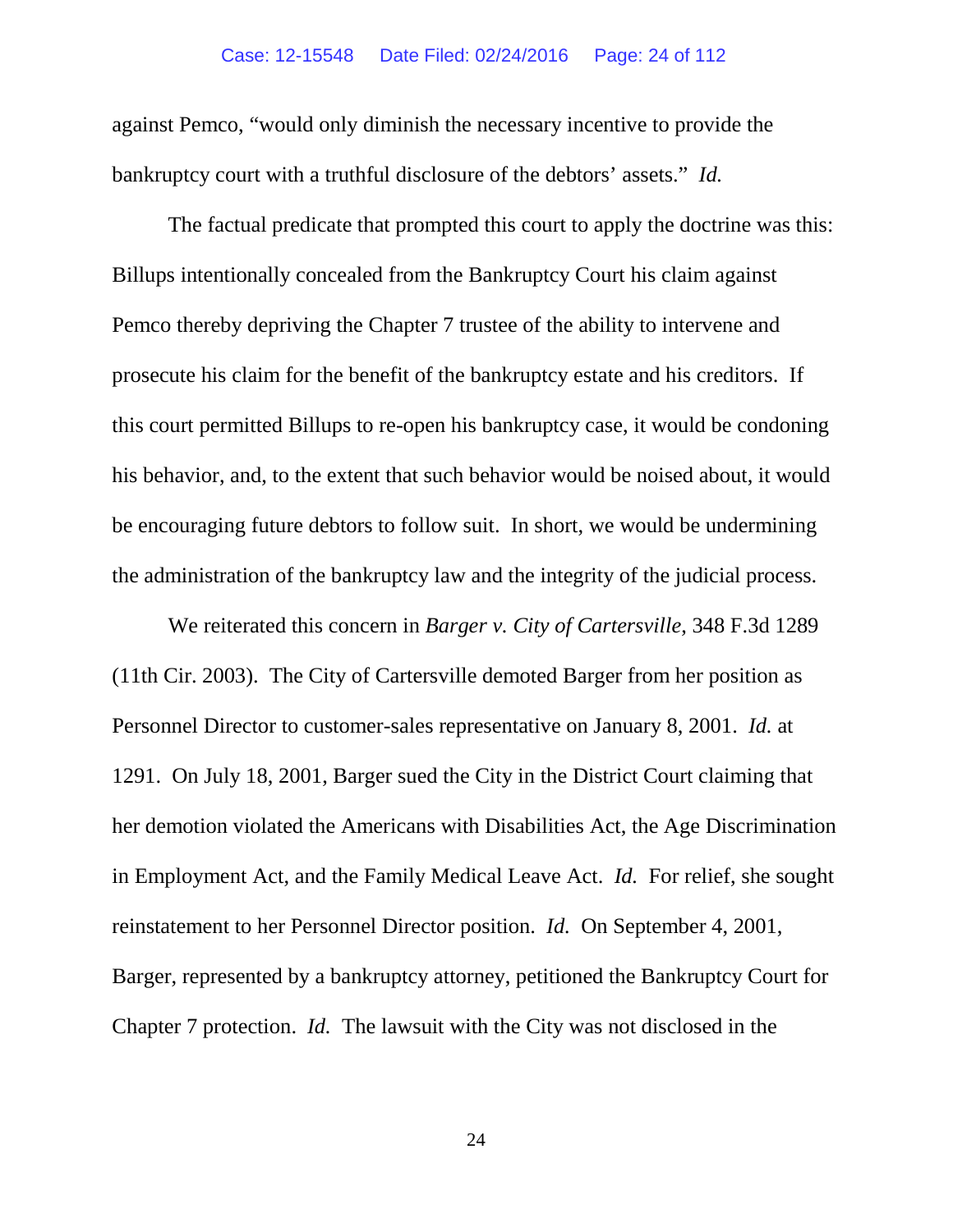against Pemco, "would only diminish the necessary incentive to provide the bankruptcy court with a truthful disclosure of the debtors' assets." *Id.*

The factual predicate that prompted this court to apply the doctrine was this: Billups intentionally concealed from the Bankruptcy Court his claim against Pemco thereby depriving the Chapter 7 trustee of the ability to intervene and prosecute his claim for the benefit of the bankruptcy estate and his creditors. If this court permitted Billups to re-open his bankruptcy case, it would be condoning his behavior, and, to the extent that such behavior would be noised about, it would be encouraging future debtors to follow suit. In short, we would be undermining the administration of the bankruptcy law and the integrity of the judicial process.

We reiterated this concern in *Barger v. City of Cartersville*, 348 F.3d 1289 (11th Cir. 2003). The City of Cartersville demoted Barger from her position as Personnel Director to customer-sales representative on January 8, 2001. *Id.* at 1291. On July 18, 2001, Barger sued the City in the District Court claiming that her demotion violated the Americans with Disabilities Act, the Age Discrimination in Employment Act, and the Family Medical Leave Act. *Id.* For relief, she sought reinstatement to her Personnel Director position. *Id.* On September 4, 2001, Barger, represented by a bankruptcy attorney, petitioned the Bankruptcy Court for Chapter 7 protection. *Id.* The lawsuit with the City was not disclosed in the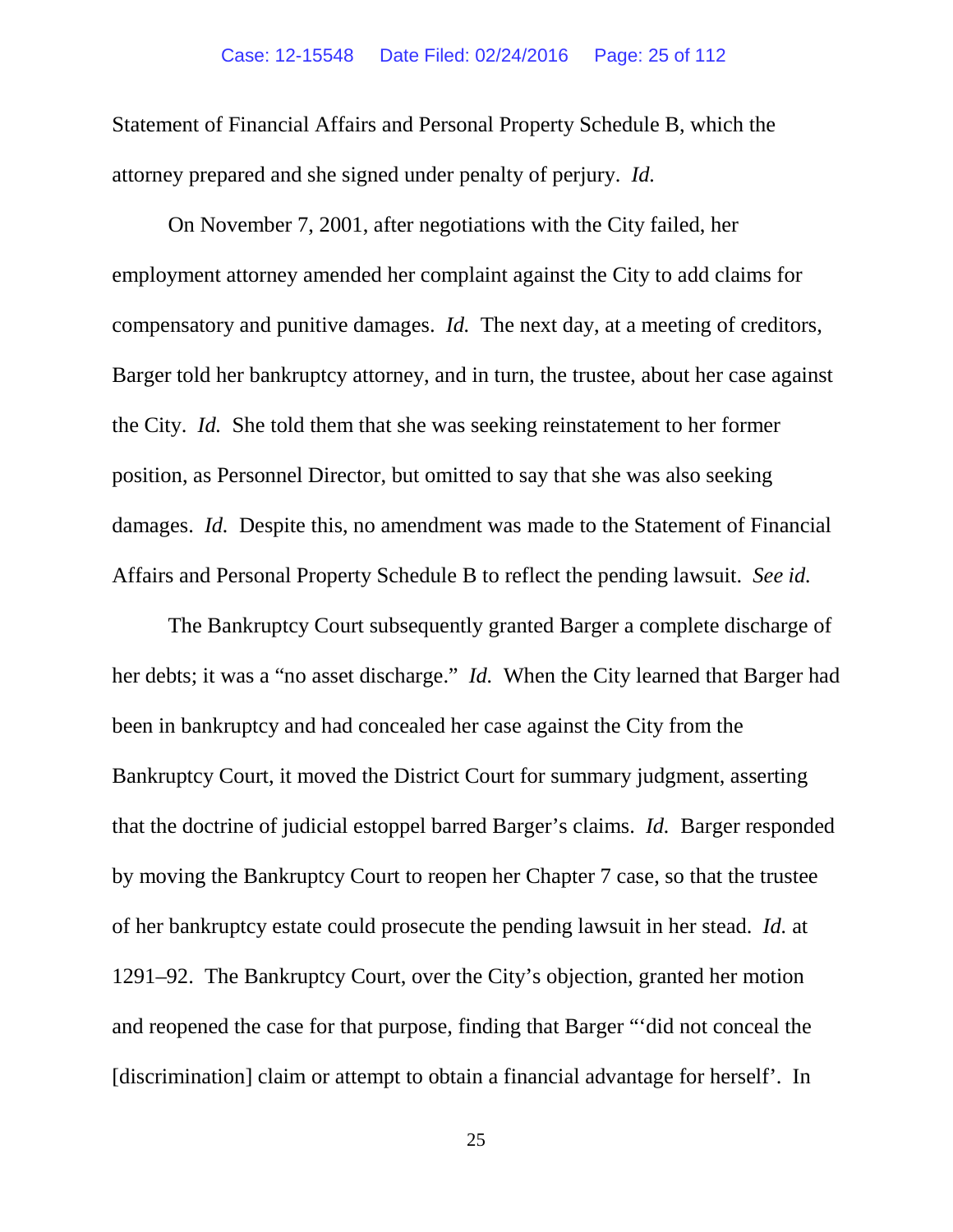Statement of Financial Affairs and Personal Property Schedule B, which the attorney prepared and she signed under penalty of perjury. *Id.*

On November 7, 2001, after negotiations with the City failed, her employment attorney amended her complaint against the City to add claims for compensatory and punitive damages. *Id.* The next day, at a meeting of creditors, Barger told her bankruptcy attorney, and in turn, the trustee, about her case against the City. *Id.* She told them that she was seeking reinstatement to her former position, as Personnel Director, but omitted to say that she was also seeking damages. *Id.* Despite this, no amendment was made to the Statement of Financial Affairs and Personal Property Schedule B to reflect the pending lawsuit. *See id.*

The Bankruptcy Court subsequently granted Barger a complete discharge of her debts; it was a "no asset discharge." *Id.* When the City learned that Barger had been in bankruptcy and had concealed her case against the City from the Bankruptcy Court, it moved the District Court for summary judgment, asserting that the doctrine of judicial estoppel barred Barger's claims. *Id.* Barger responded by moving the Bankruptcy Court to reopen her Chapter 7 case, so that the trustee of her bankruptcy estate could prosecute the pending lawsuit in her stead. *Id.* at 1291–92.The Bankruptcy Court, over the City's objection, granted her motion and reopened the case for that purpose, finding that Barger "'did not conceal the [discrimination] claim or attempt to obtain a financial advantage for herself'. In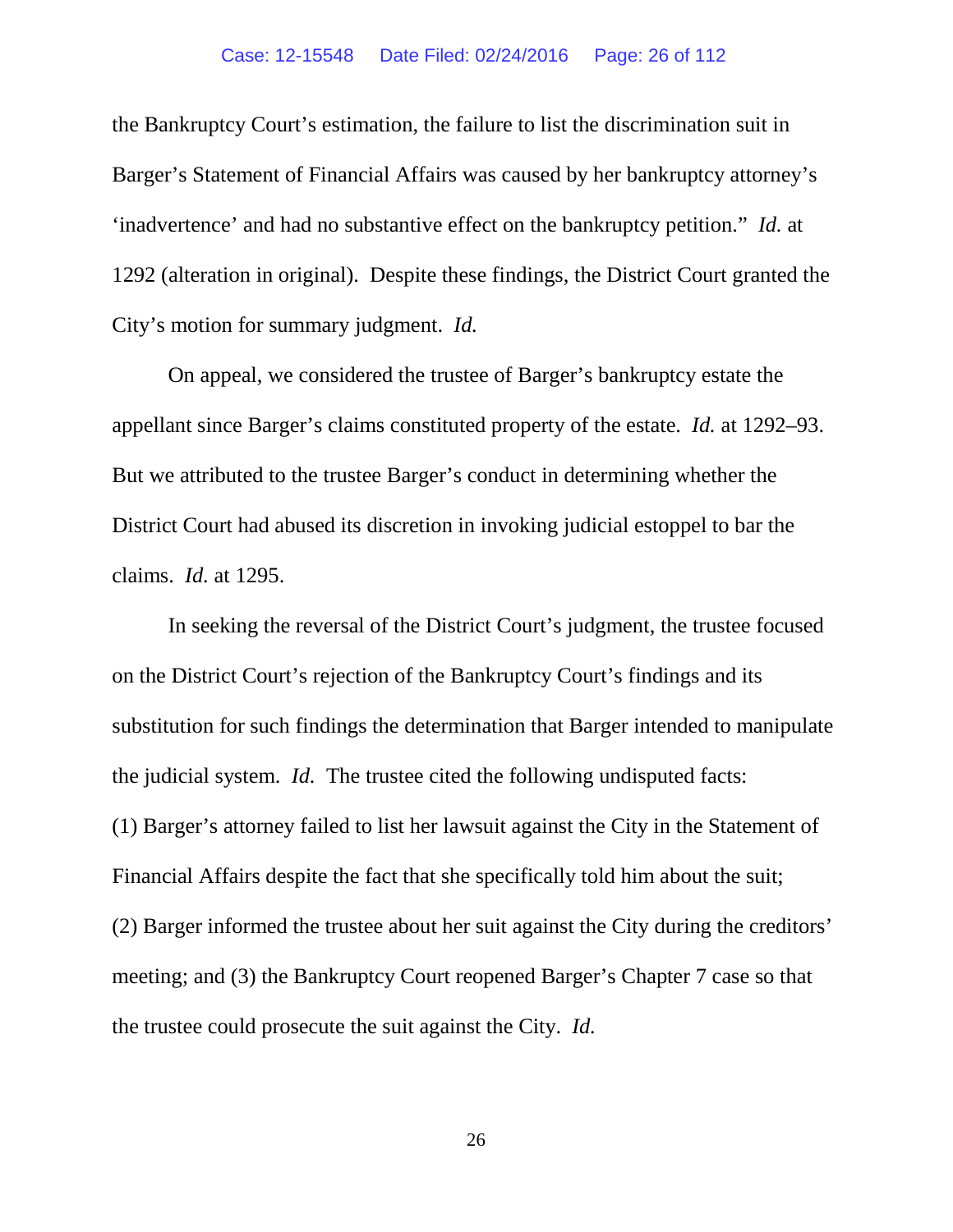the Bankruptcy Court's estimation, the failure to list the discrimination suit in Barger's Statement of Financial Affairs was caused by her bankruptcy attorney's 'inadvertence' and had no substantive effect on the bankruptcy petition." *Id.* at 1292 (alteration in original).Despite these findings, the District Court granted the City's motion for summary judgment. *Id.* 

On appeal, we considered the trustee of Barger's bankruptcy estate the appellant since Barger's claims constituted property of the estate. *Id.* at 1292–93. But we attributed to the trustee Barger's conduct in determining whether the District Court had abused its discretion in invoking judicial estoppel to bar the claims. *Id.* at 1295.

In seeking the reversal of the District Court's judgment, the trustee focused on the District Court's rejection of the Bankruptcy Court's findings and its substitution for such findings the determination that Barger intended to manipulate the judicial system. *Id.* The trustee cited the following undisputed facts: (1) Barger's attorney failed to list her lawsuit against the City in the Statement of Financial Affairs despite the fact that she specifically told him about the suit; (2) Barger informed the trustee about her suit against the City during the creditors' meeting; and (3) the Bankruptcy Court reopened Barger's Chapter 7 case so that the trustee could prosecute the suit against the City. *Id.*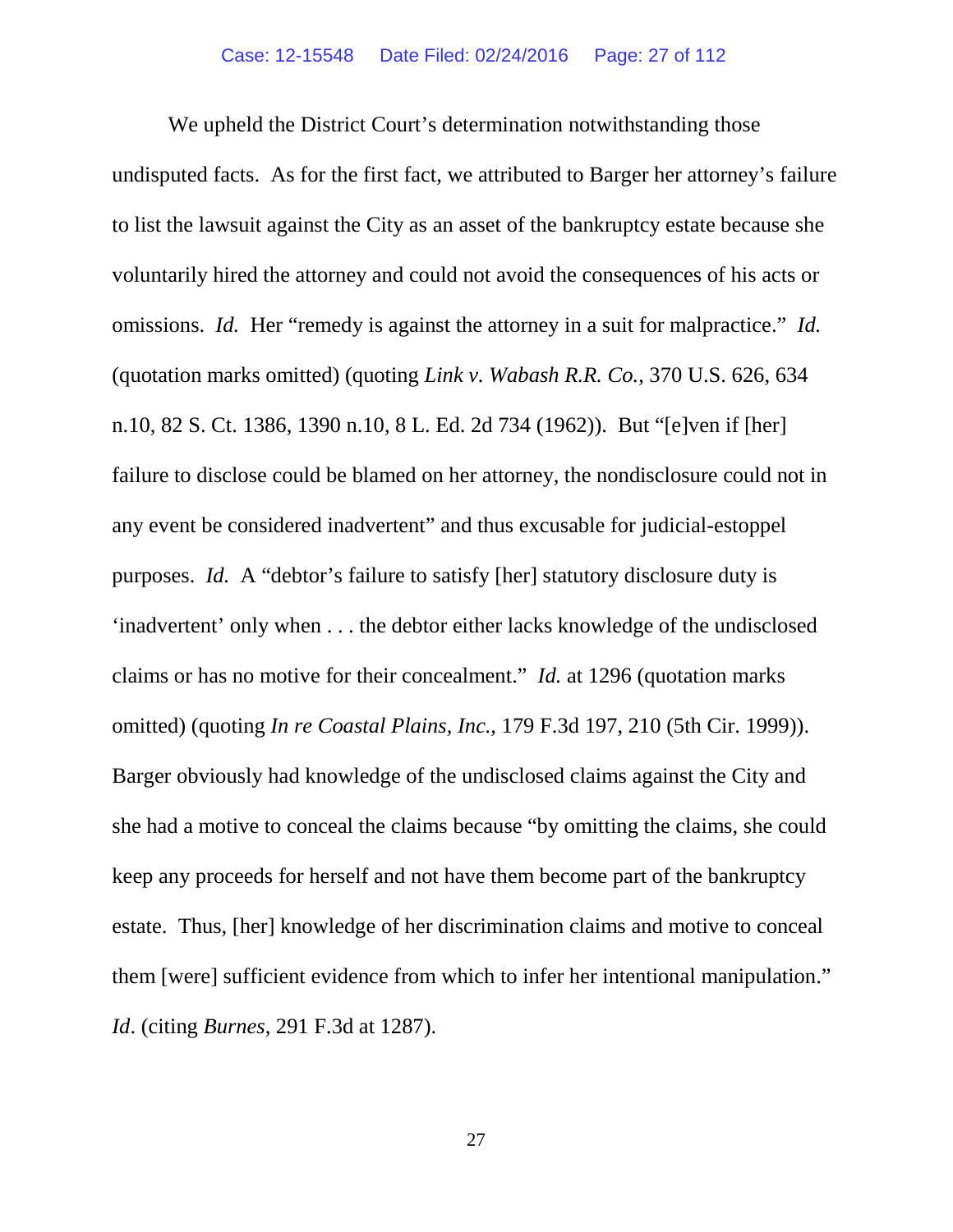We upheld the District Court's determination not with standing those undisputed facts. As for the first fact, we attributed to Barger her attorney's failure to list the lawsuit against the City as an asset of the bankruptcy estate because she voluntarily hired the attorney and could not avoid the consequences of his acts or omissions. *Id.* Her "remedy is against the attorney in a suit for malpractice." *Id.* (quotation marks omitted) (quoting *Link v. Wabash R.R. Co.*, 370 U.S. 626, 634 n.10, 82 S. Ct. 1386, 1390 n.10, 8 L. Ed. 2d 734 (1962)). But "[e]ven if [her] failure to disclose could be blamed on her attorney, the nondisclosure could not in any event be considered inadvertent" and thus excusable for judicial-estoppel purposes. *Id.* A "debtor's failure to satisfy [her] statutory disclosure duty is 'inadvertent' only when . . . the debtor either lacks knowledge of the undisclosed claims or has no motive for their concealment." *Id.* at 1296 (quotation marks omitted) (quoting *In re Coastal Plains, Inc.*[, 179 F.3d 197, 210 \(5th Cir. 1999\)\).](https://web2.westlaw.com/find/default.wl?mt=Westlaw&db=506&tc=-1&rp=%2ffind%2fdefault.wl&findtype=Y&ordoc=2003728952&serialnum=2002315504&vr=2.0&fn=_top&sv=Split&tf=-1&referencepositiontype=S&pbc=517F2C47&referenceposition=1287&rs=WLW15.07)  Barger obviously had knowledge of the undisclosed claims against the City and she had a motive to conceal the claims because "by omitting the claims, she could keep any proceeds for herself and not have them become part of the bankruptcy estate. Thus, [her] knowledge of her discrimination claims and motive to conceal them [were] sufficient evidence from which to infer her intentional manipulation." *Id*. (citing *Burnes*, 291 F.3d at 1287).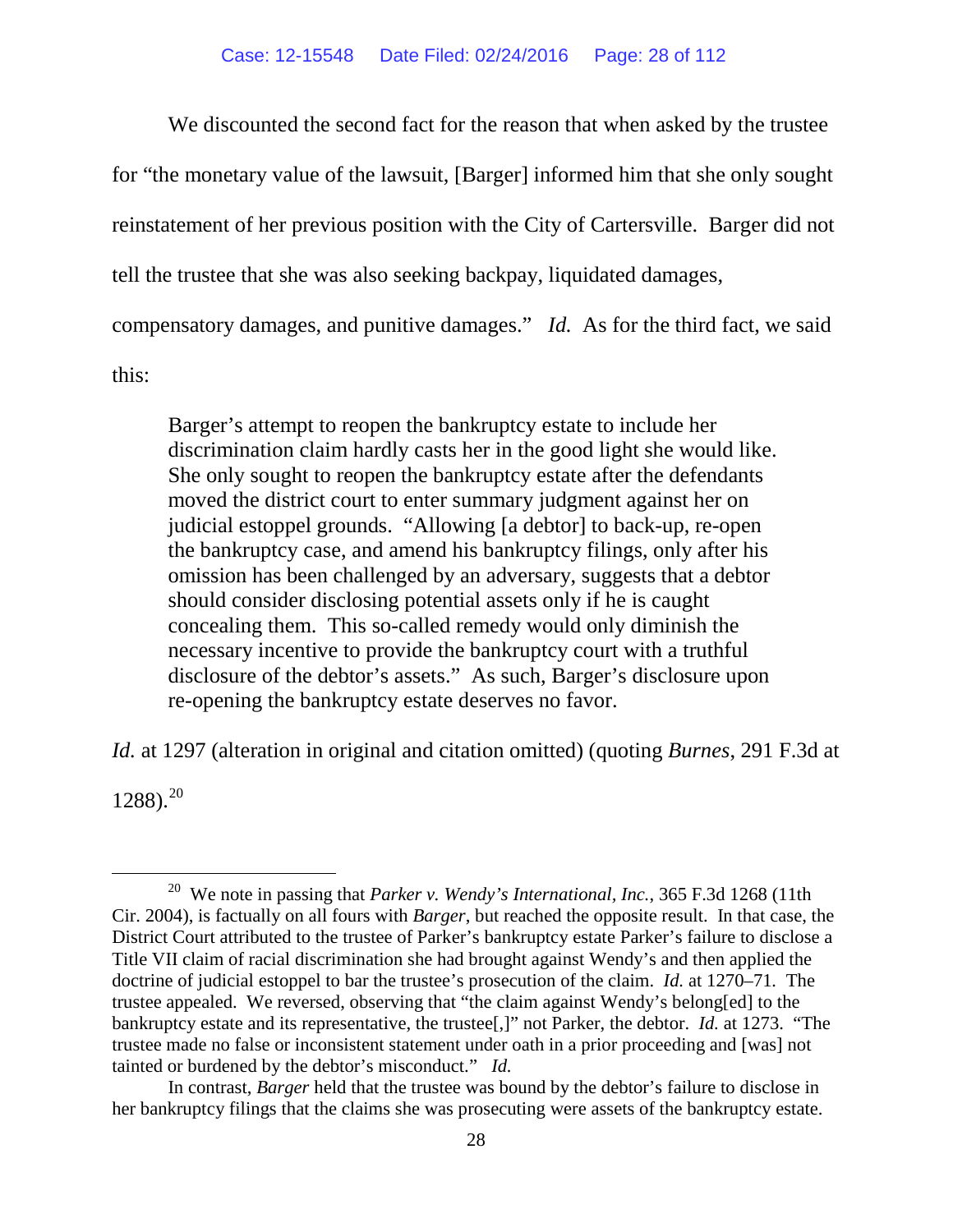We discounted the second fact for the reason that when asked by the trustee for "the monetary value of the lawsuit, [Barger] informed him that she only sought reinstatement of her previous position with the City of Cartersville. Barger did not tell the trustee that she was also seeking backpay, liquidated damages, compensatory damages, and punitive damages." *Id.* As for the third fact, we said this:

Barger's attempt to reopen the bankruptcy estate to include her discrimination claim hardly casts her in the good light she would like. She only sought to reopen the bankruptcy estate after the defendants moved the district court to enter summary judgment against her on judicial estoppel grounds. "Allowing [a debtor] to back-up, re-open the bankruptcy case, and amend his bankruptcy filings, only after his omission has been challenged by an adversary, suggests that a debtor should consider disclosing potential assets only if he is caught concealing them. This so-called remedy would only diminish the necessary incentive to provide the bankruptcy court with a truthful disclosure of the debtor's assets." As such, Barger's disclosure upon re-opening the bankruptcy estate deserves no favor.

*Id.* at 1297 (alteration in original and citation omitted) (quoting *Burnes*, 291 F.3d at

 $1288$ ).<sup>20</sup>

<span id="page-27-0"></span> <sup>20</sup> We note in passing that *Parker v. Wendy's International, Inc.*, 365 F.3d 1268 (11th Cir. 2004), is factually on all fours with *Barger*, but reached the opposite result. In that case, the District Court attributed to the trustee of Parker's bankruptcy estate Parker's failure to disclose a Title VII claim of racial discrimination she had brought against Wendy's and then applied the doctrine of judicial estoppel to bar the trustee's prosecution of the claim. *Id.* at 1270–71*.* The trustee appealed. We reversed, observing that "the claim against Wendy's belong[ed] to the bankruptcy estate and its representative, the trustee[,]" not Parker, the debtor. *Id.* at 1273. "The trustee made no false or inconsistent statement under oath in a prior proceeding and [was] not tainted or burdened by the debtor's misconduct." *Id.* 

In contrast, *Barger* held that the trustee was bound by the debtor's failure to disclose in her bankruptcy filings that the claims she was prosecuting were assets of the bankruptcy estate.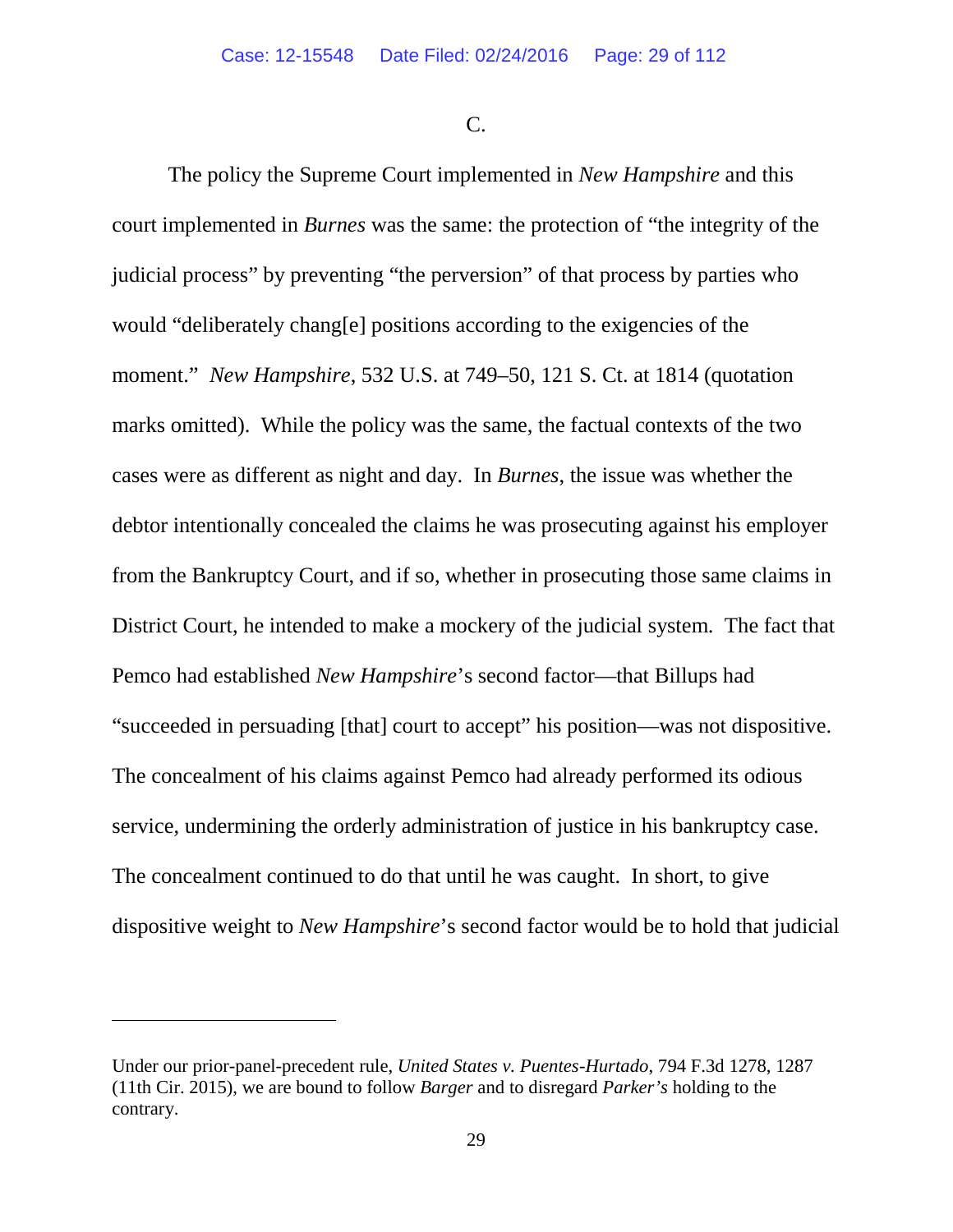C.

The policy the Supreme Court implemented in *New Hampshire* and this court implemented in *Burnes* was the same: the protection of "the integrity of the judicial process" by preventing "the perversion" of that process by parties who would "deliberately chang[e] positions according to the exigencies of the moment." *New Hampshire*, 532 U.S. at 749–50, 121 S. Ct. at 1814 (quotation marks omitted). While the policy was the same, the factual contexts of the two cases were as different as night and day. In *Burnes*, the issue was whether the debtor intentionally concealed the claims he was prosecuting against his employer from the Bankruptcy Court, and if so, whether in prosecuting those same claims in District Court, he intended to make a mockery of the judicial system. The fact that Pemco had established *New Hampshire*'s second factor—that Billups had "succeeded in persuading [that] court to accept" his position—was not dispositive. The concealment of his claims against Pemco had already performed its odious service, undermining the orderly administration of justice in his bankruptcy case. The concealment continued to do that until he was caught. In short, to give dispositive weight to *New Hampshire*'s second factor would be to hold that judicial

 $\overline{a}$ 

Under our prior-panel-precedent rule, *United States v. Puentes-Hurtado*, 794 F.3d 1278, 1287 (11th Cir. 2015), we are bound to follow *Barger* and to disregard *Parker's* holding to the contrary.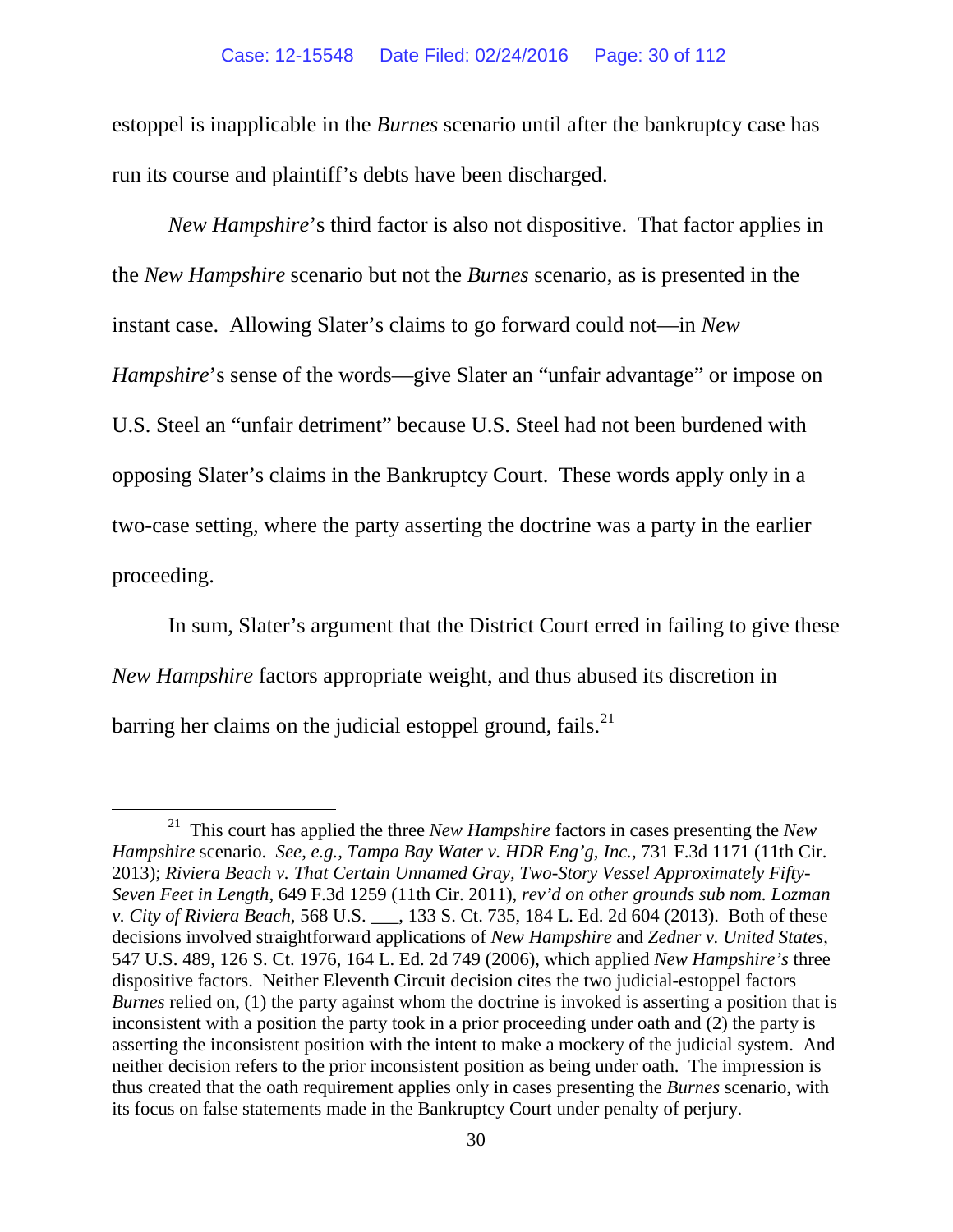estoppel is inapplicable in the *Burnes* scenario until after the bankruptcy case has run its course and plaintiff's debts have been discharged.

*New Hampshire*'s third factor is also not dispositive. That factor applies in the *New Hampshire* scenario but not the *Burnes* scenario, as is presented in the instant case. Allowing Slater's claims to go forward could not—in *New Hampshire*'s sense of the words—give Slater an "unfair advantage" or impose on U.S. Steel an "unfair detriment" because U.S. Steel had not been burdened with opposing Slater's claims in the Bankruptcy Court. These words apply only in a two-case setting, where the party asserting the doctrine was a party in the earlier proceeding.

In sum, Slater's argument that the District Court erred in failing to give these *New Hampshire* factors appropriate weight, and thus abused its discretion in barring her claims on the judicial estoppel ground, fails.<sup>[21](#page-29-0)</sup>

<span id="page-29-0"></span> <sup>21</sup> This court has applied the three *New Hampshire* factors in cases presenting the *New Hampshire* scenario. *See*, *e.g., Tampa Bay Water v. HDR Eng'g, Inc.,* 731 F.3d 1171 (11th Cir. 2013); *Riviera Beach v. That Certain Unnamed Gray, Two-Story Vessel Approximately Fifty-Seven Feet in Length*, 649 F.3d 1259 (11th Cir. 2011), *rev'd on other grounds sub nom. Lozman v. City of Riviera Beach*, 568 U.S. \_\_\_, 133 S. Ct. 735, 184 L. Ed. 2d 604 (2013). Both of these decisions involved straightforward applications of *New Hampshire* and *Zedner v. United States*, 547 U.S. 489, 126 S. Ct. 1976, 164 L. Ed. 2d 749 (2006), which applied *New Hampshire's* three dispositive factors. Neither Eleventh Circuit decision cites the two judicial-estoppel factors *Burnes* relied on, (1) the party against whom the doctrine is invoked is asserting a position that is inconsistent with a position the party took in a prior proceeding under oath and (2) the party is asserting the inconsistent position with the intent to make a mockery of the judicial system. And neither decision refers to the prior inconsistent position as being under oath. The impression is thus created that the oath requirement applies only in cases presenting the *Burnes* scenario, with its focus on false statements made in the Bankruptcy Court under penalty of perjury.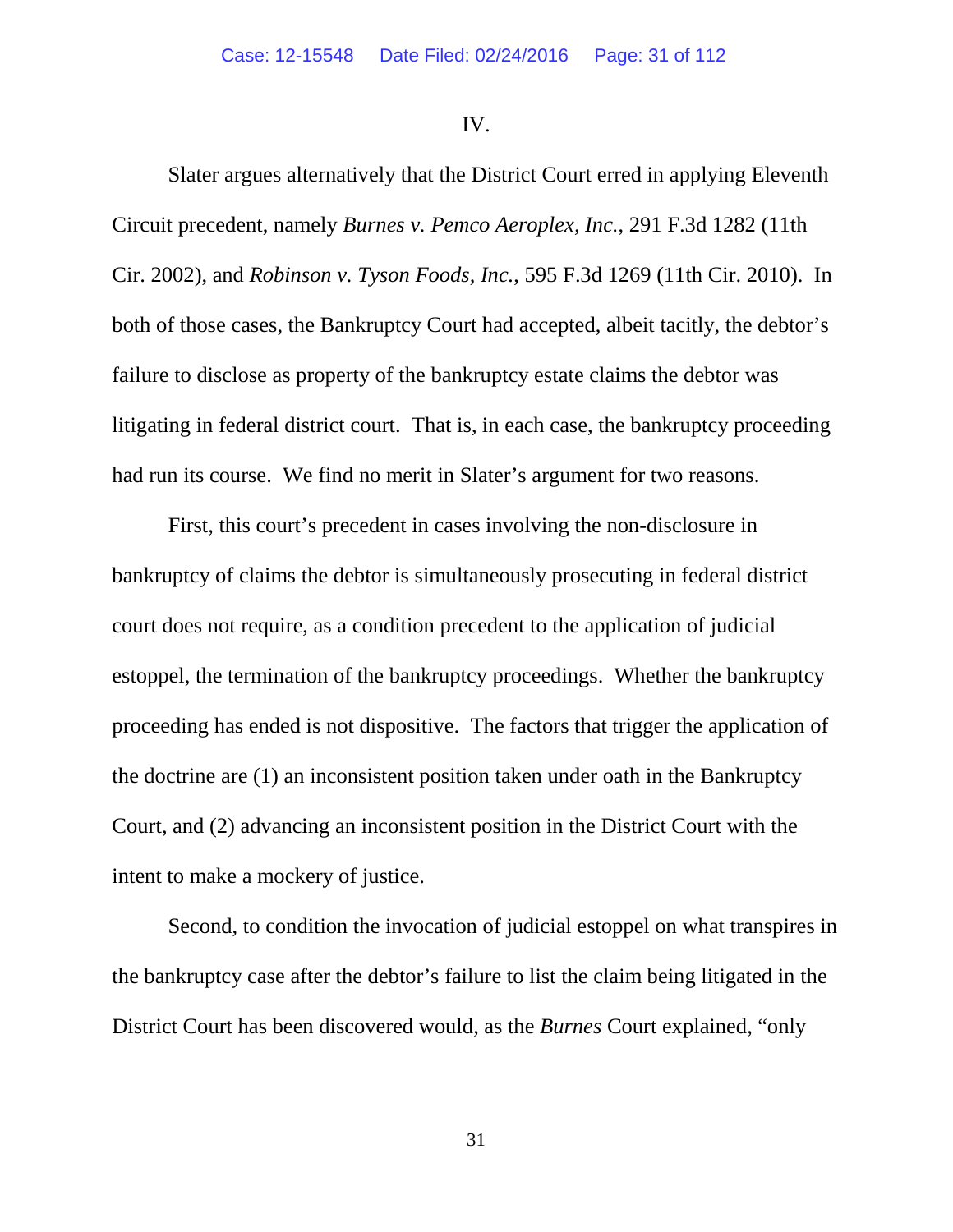### IV.

Slater argues alternatively that the District Court erred in applying Eleventh Circuit precedent, namely *Burnes v. Pemco Aeroplex, Inc.*, 291 F.3d 1282 (11th Cir. 2002), and *Robinson v. Tyson Foods, Inc.*, 595 F.3d 1269 (11th Cir. 2010). In both of those cases, the Bankruptcy Court had accepted, albeit tacitly, the debtor's failure to disclose as property of the bankruptcy estate claims the debtor was litigating in federal district court. That is, in each case, the bankruptcy proceeding had run its course. We find no merit in Slater's argument for two reasons.

First, this court's precedent in cases involving the non-disclosure in bankruptcy of claims the debtor is simultaneously prosecuting in federal district court does not require, as a condition precedent to the application of judicial estoppel, the termination of the bankruptcy proceedings. Whether the bankruptcy proceeding has ended is not dispositive. The factors that trigger the application of the doctrine are (1) an inconsistent position taken under oath in the Bankruptcy Court, and (2) advancing an inconsistent position in the District Court with the intent to make a mockery of justice.

Second, to condition the invocation of judicial estoppel on what transpires in the bankruptcy case after the debtor's failure to list the claim being litigated in the District Court has been discovered would, as the *Burnes* Court explained, "only

31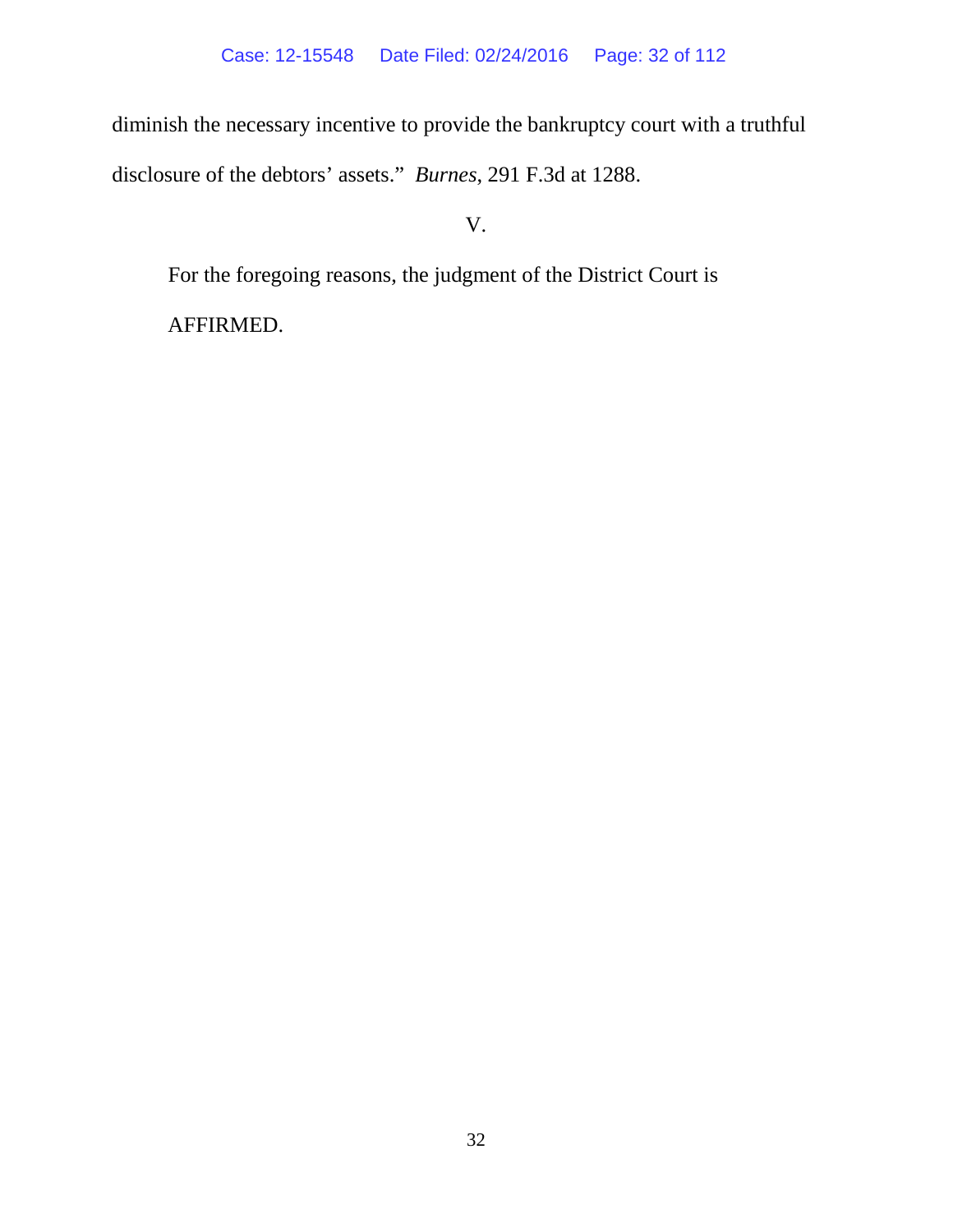diminish the necessary incentive to provide the bankruptcy court with a truthful disclosure of the debtors' assets." *Burnes*, 291 F.3d at 1288.

V.

For the foregoing reasons, the judgment of the District Court is

AFFIRMED.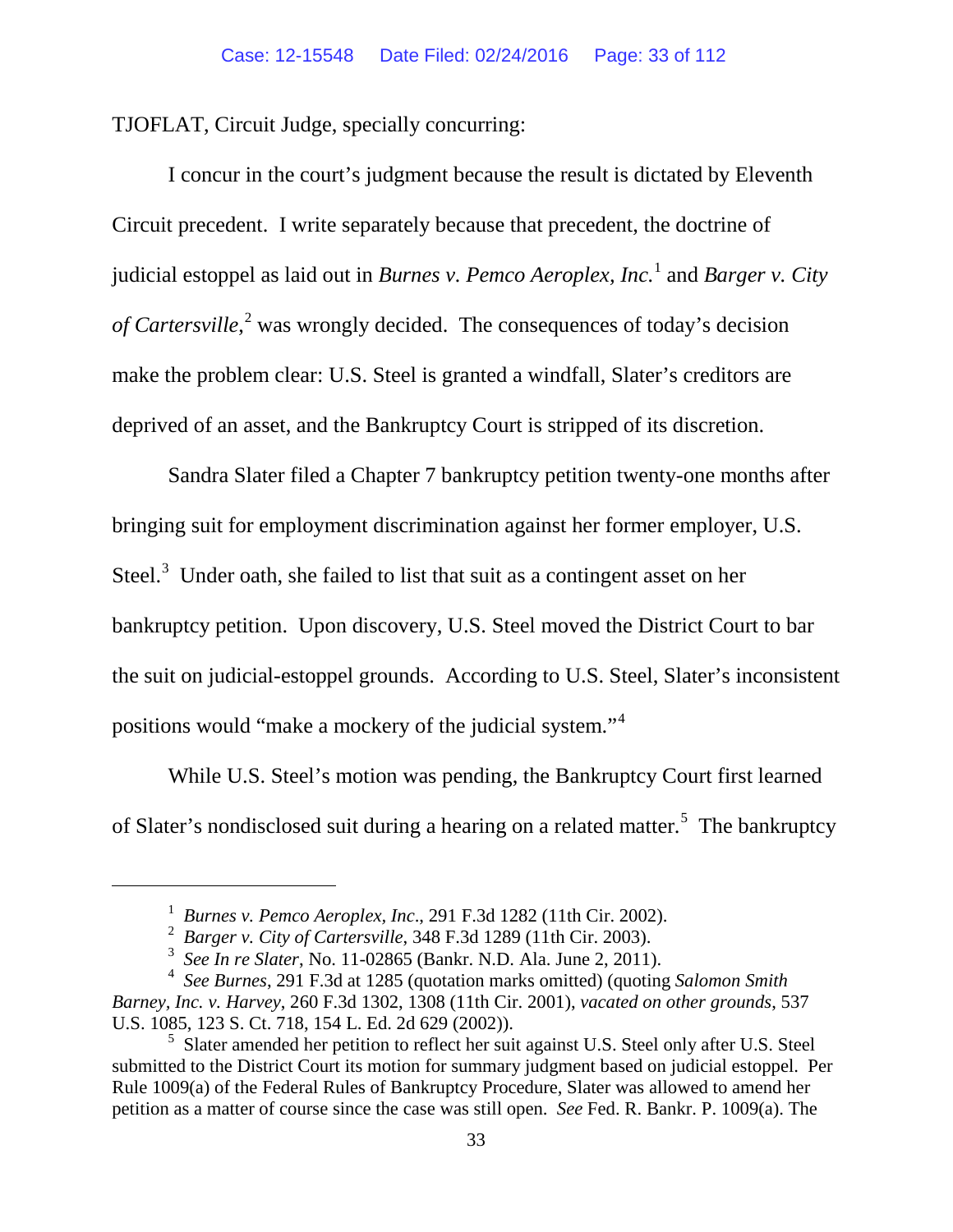TJOFLAT, Circuit Judge, specially concurring:

I concur in the court's judgment because the result is dictated by Eleventh Circuit precedent. I write separately because that precedent, the doctrine of judicial estoppel as laid out in *Burnes v. Pemco Aeroplex, Inc.* [1](#page-32-0) and *Barger v. City of Cartersville*, [2](#page-32-1) was wrongly decided. The consequences of today's decision make the problem clear: U.S. Steel is granted a windfall, Slater's creditors are deprived of an asset, and the Bankruptcy Court is stripped of its discretion.

Sandra Slater filed a Chapter 7 bankruptcy petition twenty-one months after bringing suit for employment discrimination against her former employer, U.S. Steel. $3$  Under oath, she failed to list that suit as a contingent asset on her bankruptcy petition. Upon discovery, U.S. Steel moved the District Court to bar the suit on judicial-estoppel grounds. According to U.S. Steel, Slater's inconsistent positions would "make a mockery of the judicial system."<sup>[4](#page-32-3)</sup>

While U.S. Steel's motion was pending, the Bankruptcy Court first learned of Slater's nondisclosed suit during a hearing on a related matter.<sup>[5](#page-32-4)</sup> The bankruptcy

<span id="page-32-0"></span> $\overline{a}$ 

<sup>1</sup> *Burnes v. Pemco Aeroplex, Inc*., 291 F.3d 1282 (11th Cir. 2002).

<sup>2</sup> *Barger v. City of Cartersville*, 348 F.3d 1289 (11th Cir. 2003).

<sup>3</sup> *See In re Slater*, No. 11-02865 (Bankr. N.D. Ala. June 2, 2011).

<span id="page-32-3"></span><span id="page-32-2"></span><span id="page-32-1"></span><sup>4</sup> *See Burnes*, 291 F.3d at 1285 (quotation marks omitted) (quoting *Salomon Smith Barney, Inc. v. Harvey*, 260 F.3d 1302, 1308 (11th Cir. 2001), *vacated on other grounds*, 537 U.S. 1085, 123 S. Ct. 718, 154 L. Ed. 2d 629 (2002)).

<span id="page-32-4"></span><sup>&</sup>lt;sup>5</sup> Slater amended her petition to reflect her suit against U.S. Steel only after U.S. Steel submitted to the District Court its motion for summary judgment based on judicial estoppel.Per Rule 1009(a) of the Federal Rules of Bankruptcy Procedure, Slater was allowed to amend her petition as a matter of course since the case was still open. *See* Fed. R. Bankr. P. 1009(a). The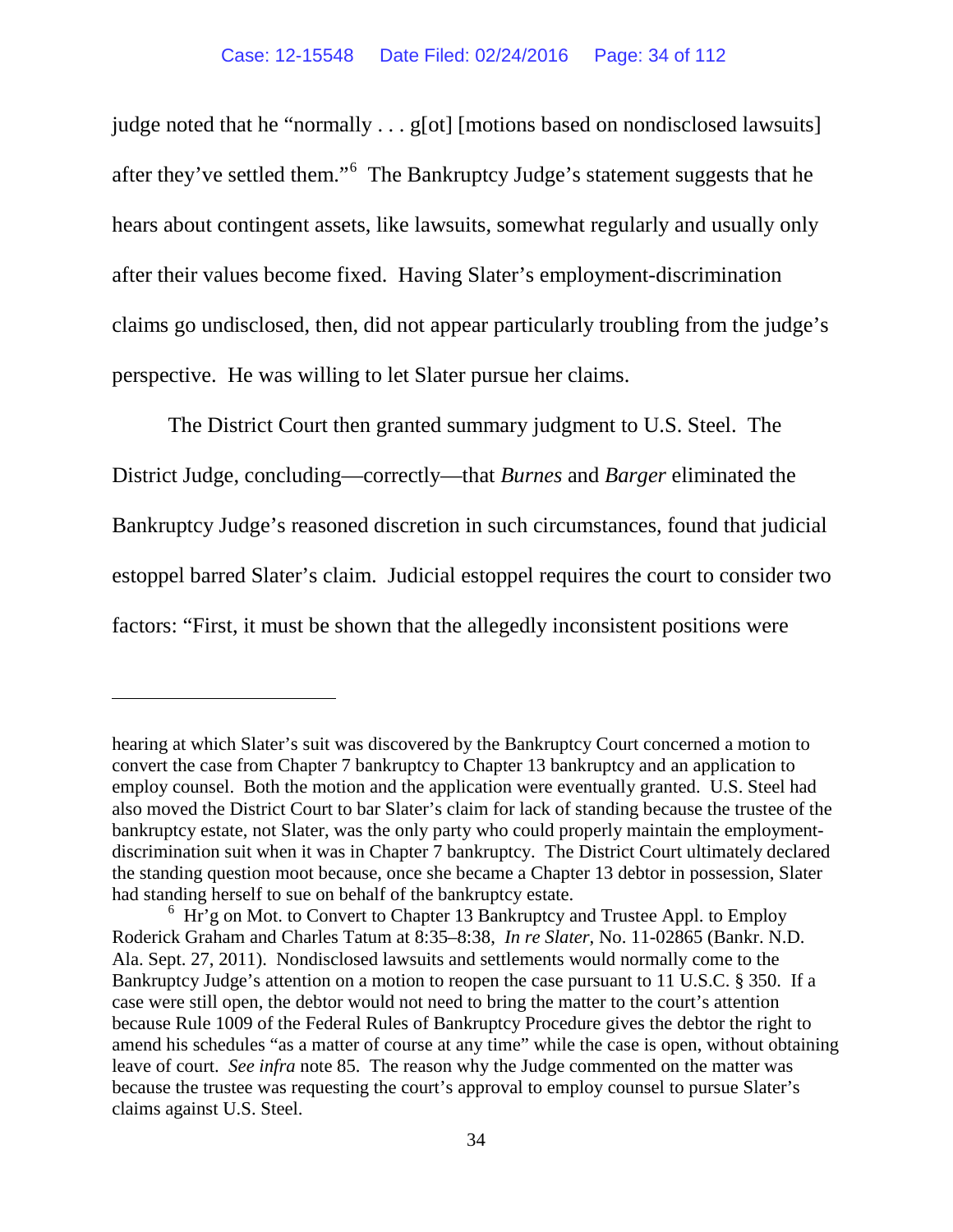judge noted that he "normally . . . g[ot] [motions based on nondisclosed lawsuits] after they've settled them."<sup>[6](#page-33-0)</sup> The Bankruptcy Judge's statement suggests that he hears about contingent assets, like lawsuits, somewhat regularly and usually only after their values become fixed. Having Slater's employment-discrimination claims go undisclosed, then, did not appear particularly troubling from the judge's perspective. He was willing to let Slater pursue her claims.

The District Court then granted summary judgment to U.S. Steel. The District Judge, concluding—correctly—that *Burnes* and *Barger* eliminated the Bankruptcy Judge's reasoned discretion in such circumstances, found that judicial estoppel barred Slater's claim. Judicial estoppel requires the court to consider two factors: "First, it must be shown that the allegedly inconsistent positions were

 $\overline{a}$ 

hearing at which Slater's suit was discovered by the Bankruptcy Court concerned a motion to convert the case from Chapter 7 bankruptcy to Chapter 13 bankruptcy and an application to employ counsel. Both the motion and the application were eventually granted. U.S. Steel had also moved the District Court to bar Slater's claim for lack of standing because the trustee of the bankruptcy estate, not Slater, was the only party who could properly maintain the employmentdiscrimination suit when it was in Chapter 7 bankruptcy. The District Court ultimately declared the standing question moot because, once she became a Chapter 13 debtor in possession, Slater had standing herself to sue on behalf of the bankruptcy estate.

<span id="page-33-0"></span><sup>&</sup>lt;sup>6</sup> Hr'g on Mot. to Convert to Chapter 13 Bankruptcy and Trustee Appl. to Employ Roderick Graham and Charles Tatum at 8:35–8:38, *In re Slater*, No. 11-02865 (Bankr. N.D. Ala. Sept. 27, 2011). Nondisclosed lawsuits and settlements would normally come to the Bankruptcy Judge's attention on a motion to reopen the case pursuant to 11 U.S.C. § 350. If a case were still open, the debtor would not need to bring the matter to the court's attention because Rule 1009 of the Federal Rules of Bankruptcy Procedure gives the debtor the right to amend his schedules "as a matter of course at any time" while the case is open, without obtaining leave of court. *See infra* note [85.](#page-59-0) The reason why the Judge commented on the matter was because the trustee was requesting the court's approval to employ counsel to pursue Slater's claims against U.S. Steel.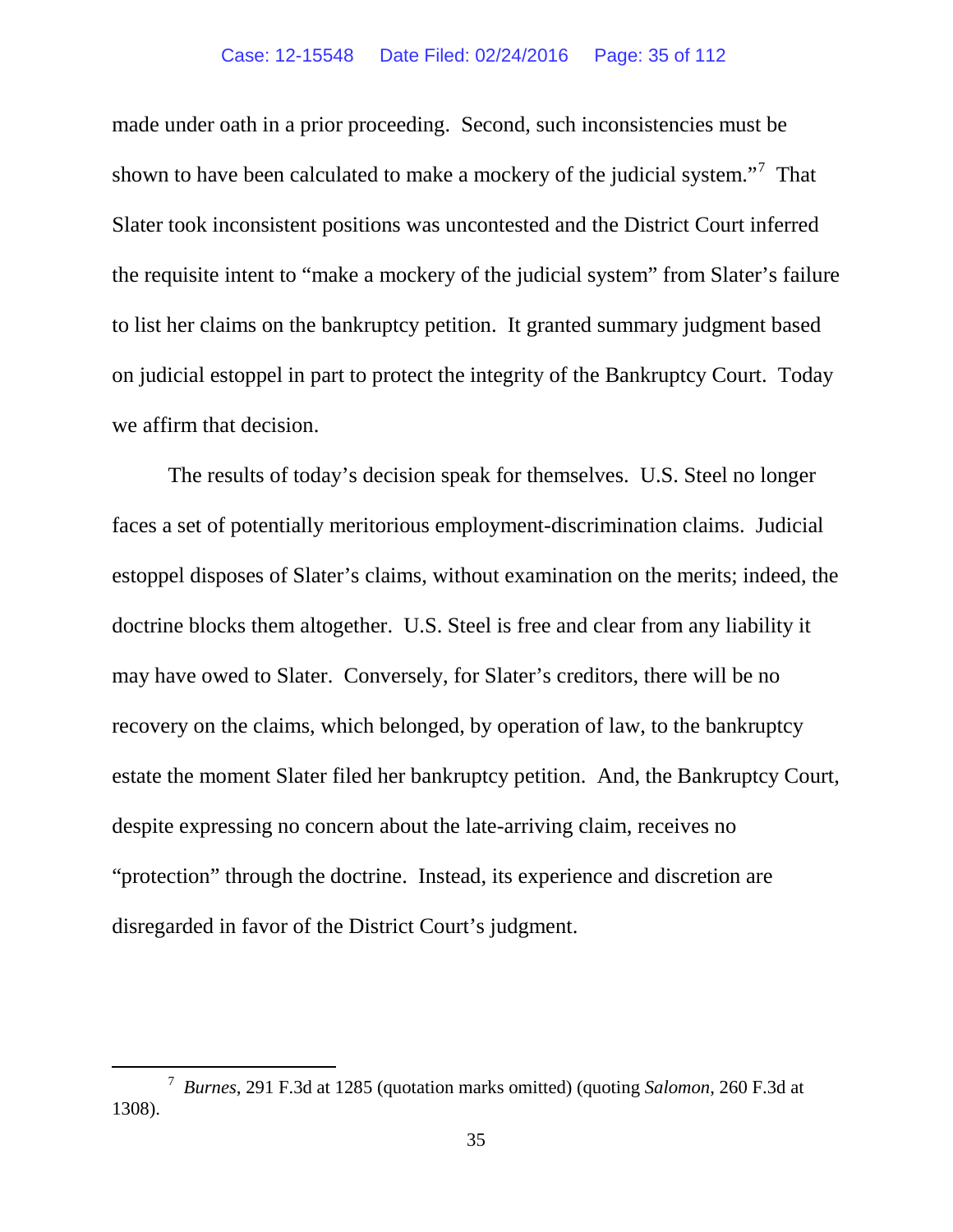made under oath in a prior proceeding. Second, such inconsistencies must be shown to have been calculated to make a mockery of the judicial system."<sup>[7](#page-34-0)</sup> That Slater took inconsistent positions was uncontested and the District Court inferred the requisite intent to "make a mockery of the judicial system" from Slater's failure to list her claims on the bankruptcy petition. It granted summary judgment based on judicial estoppel in part to protect the integrity of the Bankruptcy Court. Today we affirm that decision.

The results of today's decision speak for themselves. U.S. Steel no longer faces a set of potentially meritorious employment-discrimination claims. Judicial estoppel disposes of Slater's claims, without examination on the merits; indeed, the doctrine blocks them altogether. U.S. Steel is free and clear from any liability it may have owed to Slater. Conversely, for Slater's creditors, there will be no recovery on the claims, which belonged, by operation of law, to the bankruptcy estate the moment Slater filed her bankruptcy petition. And, the Bankruptcy Court, despite expressing no concern about the late-arriving claim, receives no "protection" through the doctrine. Instead, its experience and discretion are disregarded in favor of the District Court's judgment.

<span id="page-34-0"></span> <sup>7</sup> *Burnes*, 291 F.3d at 1285 (quotation marks omitted) (quoting *Salomon*, 260 F.3d at 1308).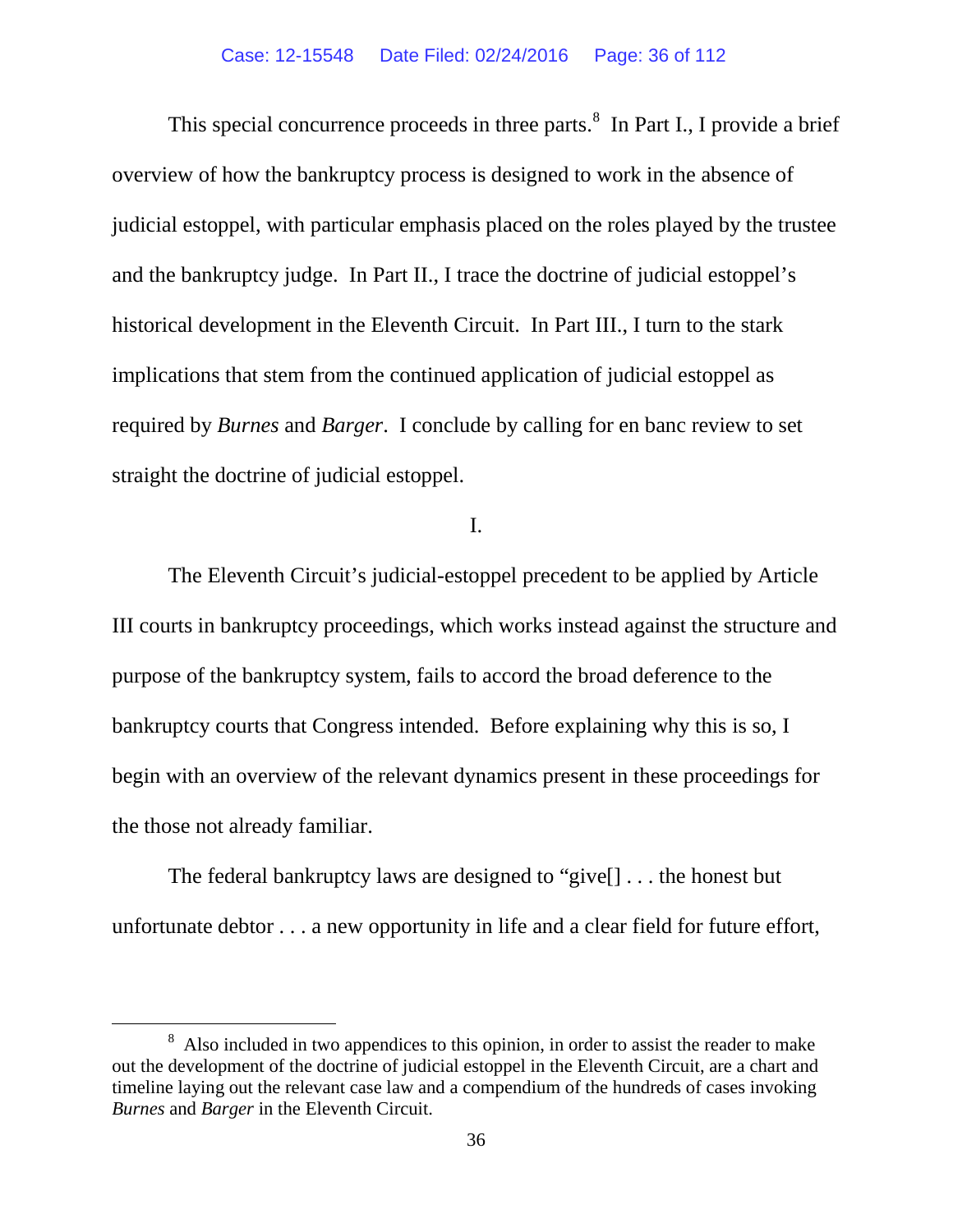This special concurrence proceeds in three parts.<sup>[8](#page-35-0)</sup> In Part I., I provide a brief overview of how the bankruptcy process is designed to work in the absence of judicial estoppel, with particular emphasis placed on the roles played by the trustee and the bankruptcy judge. In Part II., I trace the doctrine of judicial estoppel's historical development in the Eleventh Circuit. In Part III., I turn to the stark implications that stem from the continued application of judicial estoppel as required by *Burnes* and *Barger*. I conclude by calling for en banc review to set straight the doctrine of judicial estoppel.

I.

The Eleventh Circuit's judicial-estoppel precedent to be applied by Article III courts in bankruptcy proceedings, which works instead against the structure and purpose of the bankruptcy system, fails to accord the broad deference to the bankruptcy courts that Congress intended. Before explaining why this is so, I begin with an overview of the relevant dynamics present in these proceedings for the those not already familiar.

The federal bankruptcy laws are designed to "give[] . . . the honest but unfortunate debtor . . . a new opportunity in life and a clear field for future effort,

<span id="page-35-0"></span> <sup>8</sup> <sup>8</sup> Also included in two appendices to this opinion, in order to assist the reader to make out the development of the doctrine of judicial estoppel in the Eleventh Circuit, are a chart and timeline laying out the relevant case law and a compendium of the hundreds of cases invoking *Burnes* and *Barger* in the Eleventh Circuit.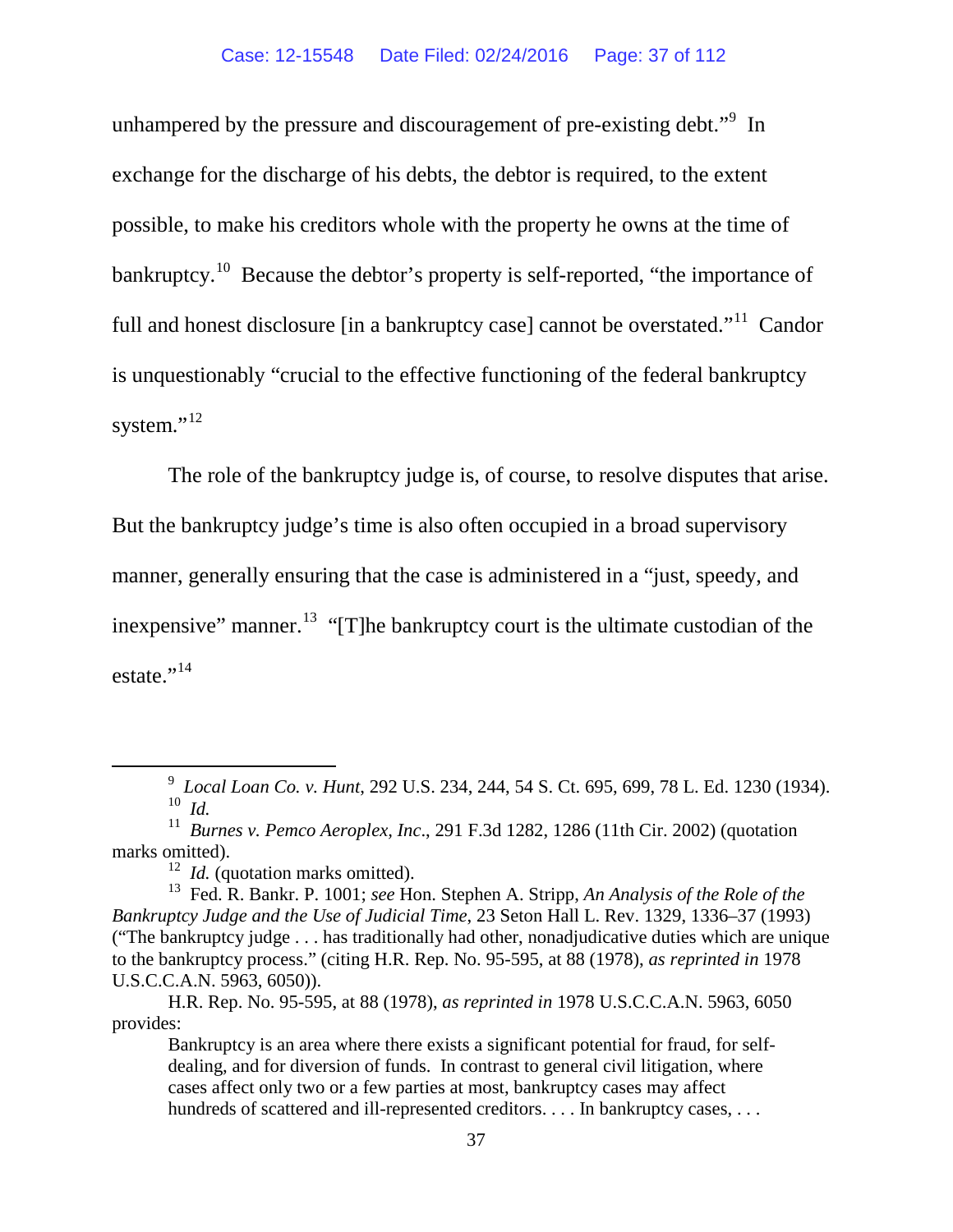unhampered by the pressure and discouragement of pre-existing debt."<sup>[9](#page-36-0)</sup> In exchange for the discharge of his debts, the debtor is required, to the extent possible, to make his creditors whole with the property he owns at the time of bankruptcy.<sup>[10](#page-36-1)</sup> Because the debtor's property is self-reported, "the importance of full and honest disclosure [in a bankruptcy case] cannot be overstated."<sup>11</sup> Candor is unquestionably "crucial to the effective functioning of the federal bankruptcy system."<sup>[12](#page-36-3)</sup>

The role of the bankruptcy judge is, of course, to resolve disputes that arise.

But the bankruptcy judge's time is also often occupied in a broad supervisory

manner, generally ensuring that the case is administered in a "just, speedy, and

inexpensive" manner.<sup>13</sup> "[T]he bankruptcy court is the ultimate custodian of the estate."<sup>[14](#page-36-5)</sup>

<span id="page-36-0"></span> <sup>9</sup> *Local Loan Co. v. Hunt*, 292 U.S. 234, 244, 54 S. Ct. 695, 699, 78 L. Ed. 1230 (1934). 10 *Id.*

<span id="page-36-5"></span><span id="page-36-2"></span><span id="page-36-1"></span><sup>11</sup> *Burnes v. Pemco Aeroplex, Inc*., 291 F.3d 1282, 1286 (11th Cir. 2002) (quotation marks omitted).

<sup>&</sup>lt;sup>12</sup> *Id.* (quotation marks omitted).

<span id="page-36-4"></span><span id="page-36-3"></span><sup>13</sup> Fed. R. Bankr. P. 1001; *see* Hon. Stephen A. Stripp, *An Analysis of the Role of the Bankruptcy Judge and the Use of Judicial Time*, 23 Seton Hall L. Rev. 1329, 1336–37 (1993) ("The bankruptcy judge . . . has traditionally had other, nonadjudicative duties which are unique to the bankruptcy process." (citing H.R. Rep. No. 95-595, at 88 (1978), *as reprinted in* 1978 U.S.C.C.A.N. 5963, 6050)).

H.R. Rep. No. 95-595, at 88 (1978), *as reprinted in* 1978 U.S.C.C.A.N. 5963, 6050 provides:

Bankruptcy is an area where there exists a significant potential for fraud, for selfdealing, and for diversion of funds. In contrast to general civil litigation, where cases affect only two or a few parties at most, bankruptcy cases may affect hundreds of scattered and ill-represented creditors. . . . In bankruptcy cases, . . .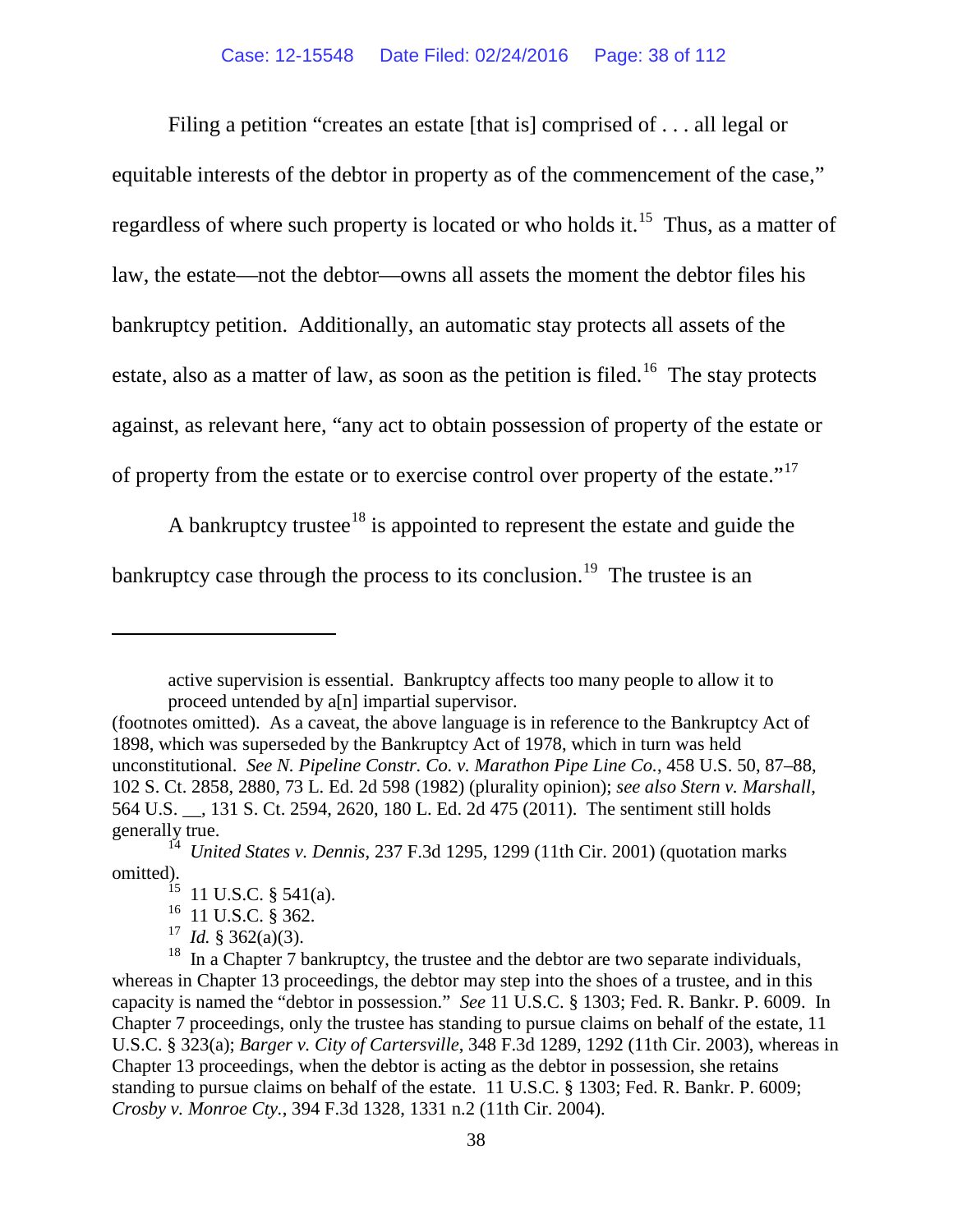Filing a petition "creates an estate [that is] comprised of . . . all legal or equitable interests of the debtor in property as of the commencement of the case," regardless of where such property is located or who holds it.<sup>15</sup> Thus, as a matter of law, the estate—not the debtor—owns all assets the moment the debtor files his bankruptcy petition. Additionally, an automatic stay protects all assets of the estate, also as a matter of law, as soon as the petition is filed.<sup>[16](#page-37-1)</sup> The stay protects against, as relevant here, "any act to obtain possession of property of the estate or of property from the estate or to exercise control over property of the estate."<sup>[17](#page-37-2)</sup>

A bankruptcy trustee<sup>[18](#page-37-3)</sup> is appointed to represent the estate and guide the bankruptcy case through the process to its conclusion.<sup>[19](#page-37-3)</sup> The trustee is an

active supervision is essential. Bankruptcy affects too many people to allow it to proceed untended by a[n] impartial supervisor.

 $\overline{a}$ 

<sup>(</sup>footnotes omitted). As a caveat, the above language is in reference to the Bankruptcy Act of 1898, which was superseded by the Bankruptcy Act of 1978, which in turn was held unconstitutional. *See N. Pipeline Constr. Co. v. Marathon Pipe Line Co.*, 458 U.S. 50, 87–88, 102 S. Ct. 2858, 2880, 73 L. Ed. 2d 598 (1982) (plurality opinion); *see also Stern v. Marshall*, 564 U.S. \_\_, 131 S. Ct. 2594, 2620, 180 L. Ed. 2d 475 (2011). The sentiment still holds generally true.

<span id="page-37-0"></span><sup>14</sup> *United States v. Dennis*, 237 F.3d 1295, 1299 (11th Cir. 2001) (quotation marks omitted).

 $15$  11 U.S.C. § 541(a).

<sup>&</sup>lt;sup>16</sup> 11 U.S.C. § 362.

<sup>17</sup> *Id.* § 362(a)(3).

<span id="page-37-3"></span><span id="page-37-2"></span><span id="page-37-1"></span><sup>&</sup>lt;sup>18</sup> In a Chapter  $\tilde{7}$  bankruptcy, the trustee and the debtor are two separate individuals, whereas in Chapter 13 proceedings, the debtor may step into the shoes of a trustee, and in this capacity is named the "debtor in possession." *See* 11 U.S.C. § 1303; Fed. R. Bankr. P. 6009. In Chapter 7 proceedings, only the trustee has standing to pursue claims on behalf of the estate, 11 U.S.C. § 323(a); *Barger v. City of Cartersville*, 348 F.3d 1289, 1292 (11th Cir. 2003), whereas in Chapter 13 proceedings, when the debtor is acting as the debtor in possession, she retains standing to pursue claims on behalf of the estate. 11 U.S.C. § 1303; Fed. R. Bankr. P. 6009; *Crosby v. Monroe Cty.*, 394 F.3d 1328, 1331 n.2 (11th Cir. 2004).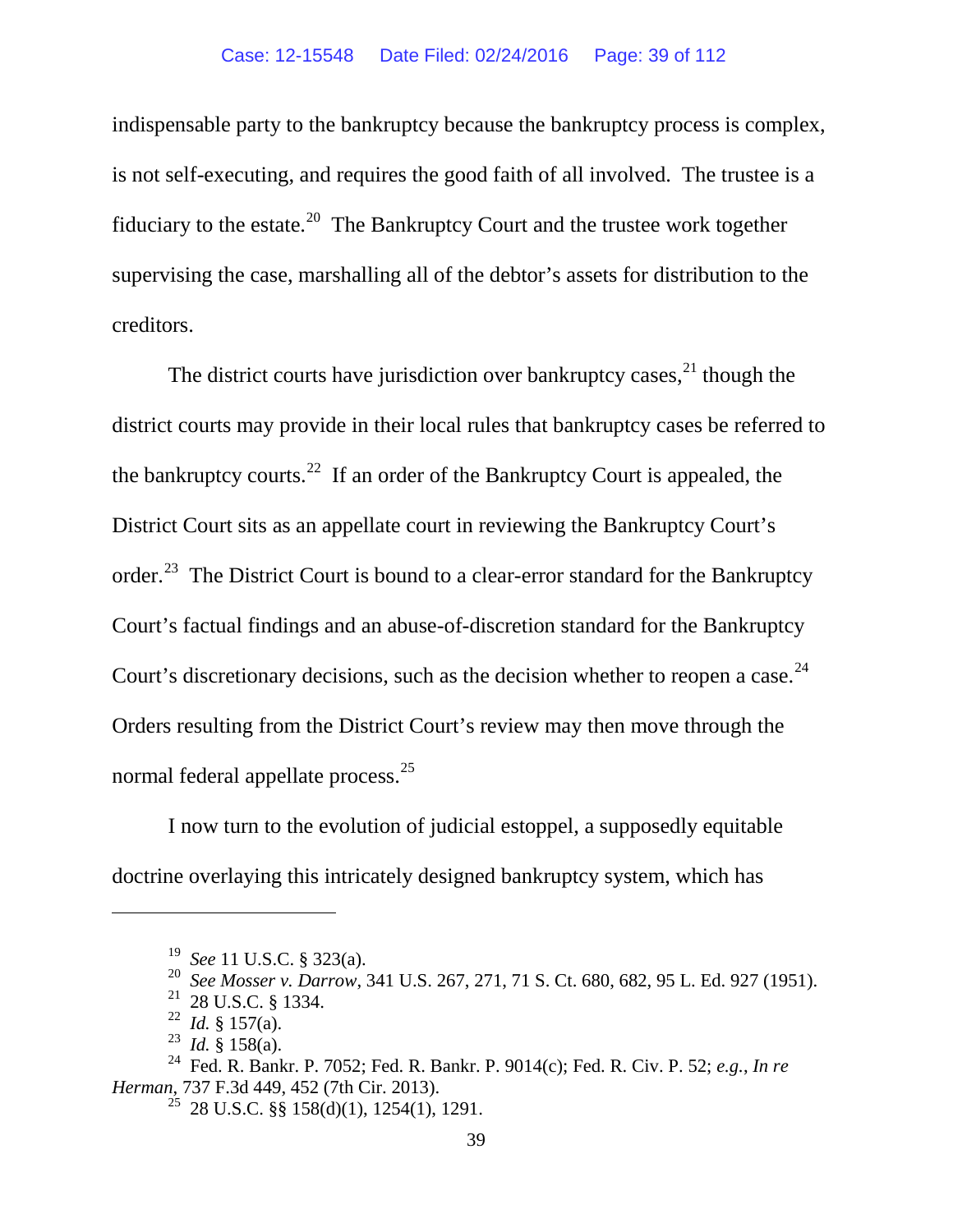indispensable party to the bankruptcy because the bankruptcy process is complex, is not self-executing, and requires the good faith of all involved. The trustee is a fiduciary to the estate.<sup>[20](#page-38-0)</sup> The Bankruptcy Court and the trustee work together supervising the case, marshalling all of the debtor's assets for distribution to the creditors.

The district courts have jurisdiction over bankruptcy cases,  $2<sup>1</sup>$  though the district courts may provide in their local rules that bankruptcy cases be referred to the bankruptcy courts.<sup>[22](#page-38-2)</sup> If an order of the Bankruptcy Court is appealed, the District Court sits as an appellate court in reviewing the Bankruptcy Court's order.<sup>23</sup> The District Court is bound to a clear-error standard for the Bankruptcy Court's factual findings and an abuse-of-discretion standard for the Bankruptcy Court's discretionary decisions, such as the decision whether to reopen a case.  $24$ Orders resulting from the District Court's review may then move through the normal federal appellate process.<sup>[25](#page-38-5)</sup>

I now turn to the evolution of judicial estoppel, a supposedly equitable doctrine overlaying this intricately designed bankruptcy system, which has

<span id="page-38-0"></span> $\overline{a}$ 

<sup>19</sup> *See* 11 U.S.C. § 323(a).

<sup>20</sup> *See Mosser v. Darrow*, 341 U.S. 267, 271, 71 S. Ct. 680, 682, 95 L. Ed. 927 (1951).

<sup>21 28</sup> U.S.C. § 1334.

<sup>&</sup>lt;sup>22</sup> *Id.* § 157(a).

<sup>23</sup> *Id.* § 158(a).

<span id="page-38-5"></span><span id="page-38-4"></span><span id="page-38-3"></span><span id="page-38-2"></span><span id="page-38-1"></span><sup>24</sup> Fed. R. Bankr. P. 7052; Fed. R. Bankr. P. 9014(c); Fed. R. Civ. P. 52; *e.g.*, *In re Herman*, 737 F.3d 449, 452 (7th Cir. 2013).

<sup>&</sup>lt;sup>25</sup> 28 U.S.C. §§ 158(d)(1), 1254(1), 1291.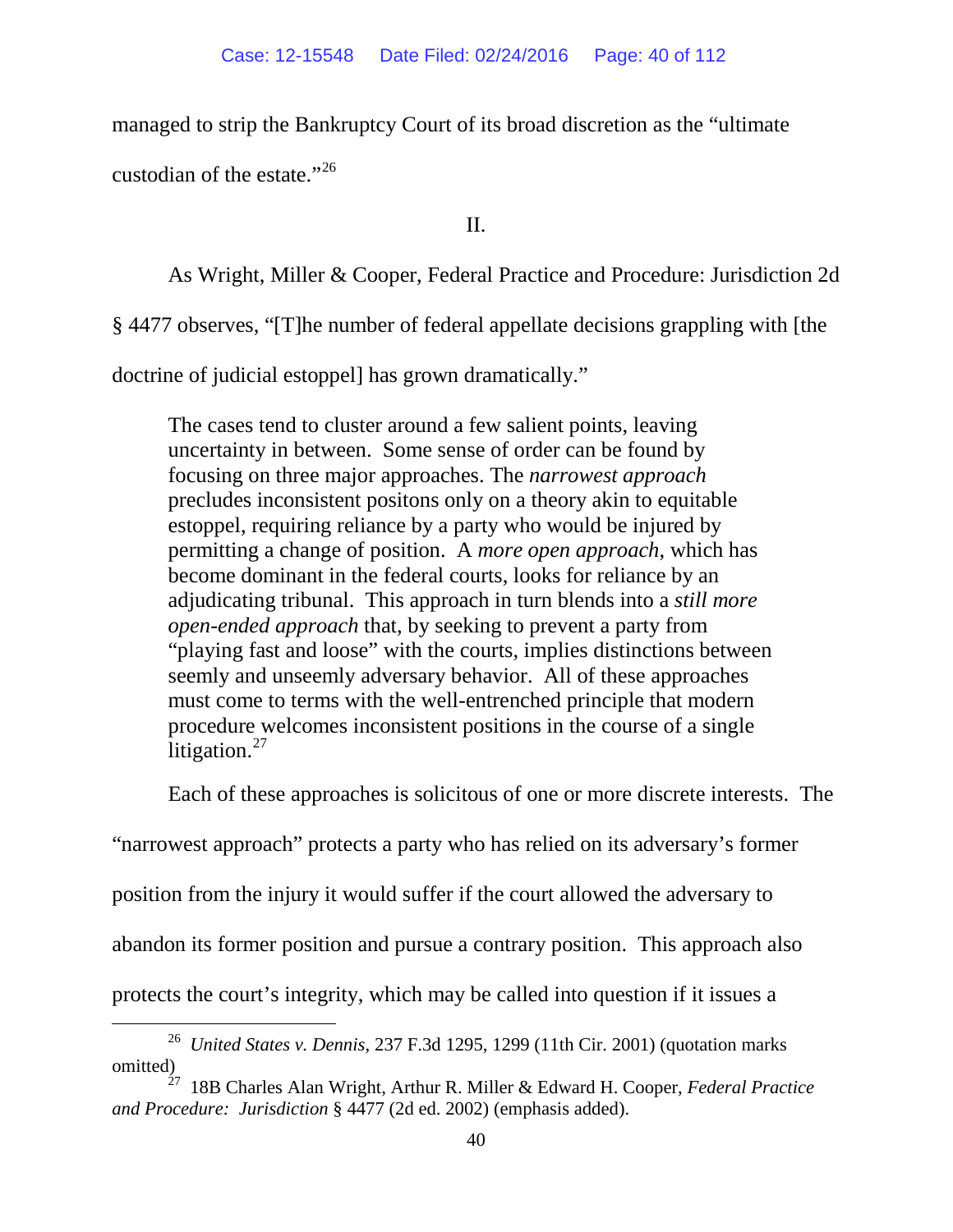managed to strip the Bankruptcy Court of its broad discretion as the "ultimate custodian of the estate."<sup>[26](#page-39-0)</sup>

II.

As Wright, Miller & Cooper, Federal Practice and Procedure: Jurisdiction 2d

§ 4477 observes, "[T]he number of federal appellate decisions grappling with [the

doctrine of judicial estoppel] has grown dramatically."

The cases tend to cluster around a few salient points, leaving uncertainty in between. Some sense of order can be found by focusing on three major approaches. The *narrowest approach* precludes inconsistent positons only on a theory akin to equitable estoppel, requiring reliance by a party who would be injured by permitting a change of position. A *more open approach*, which has become dominant in the federal courts, looks for reliance by an adjudicating tribunal. This approach in turn blends into a *still more open-ended approach* that, by seeking to prevent a party from "playing fast and loose" with the courts, implies distinctions between seemly and unseemly adversary behavior. All of these approaches must come to terms with the well-entrenched principle that modern procedure welcomes inconsistent positions in the course of a single litigation. $27$ 

Each of these approaches is solicitous of one or more discrete interests. The

"narrowest approach" protects a party who has relied on its adversary's former

position from the injury it would suffer if the court allowed the adversary to

abandon its former position and pursue a contrary position. This approach also

protects the court's integrity, which may be called into question if it issues a

<span id="page-39-0"></span> <sup>26</sup> *United States v. Dennis*, 237 F.3d 1295, 1299 (11th Cir. 2001) (quotation marks omitted)

<span id="page-39-1"></span><sup>27 18</sup>B Charles Alan Wright, Arthur R. Miller & Edward H. Cooper, *Federal Practice and Procedure: Jurisdiction* § 4477 (2d ed. 2002) (emphasis added).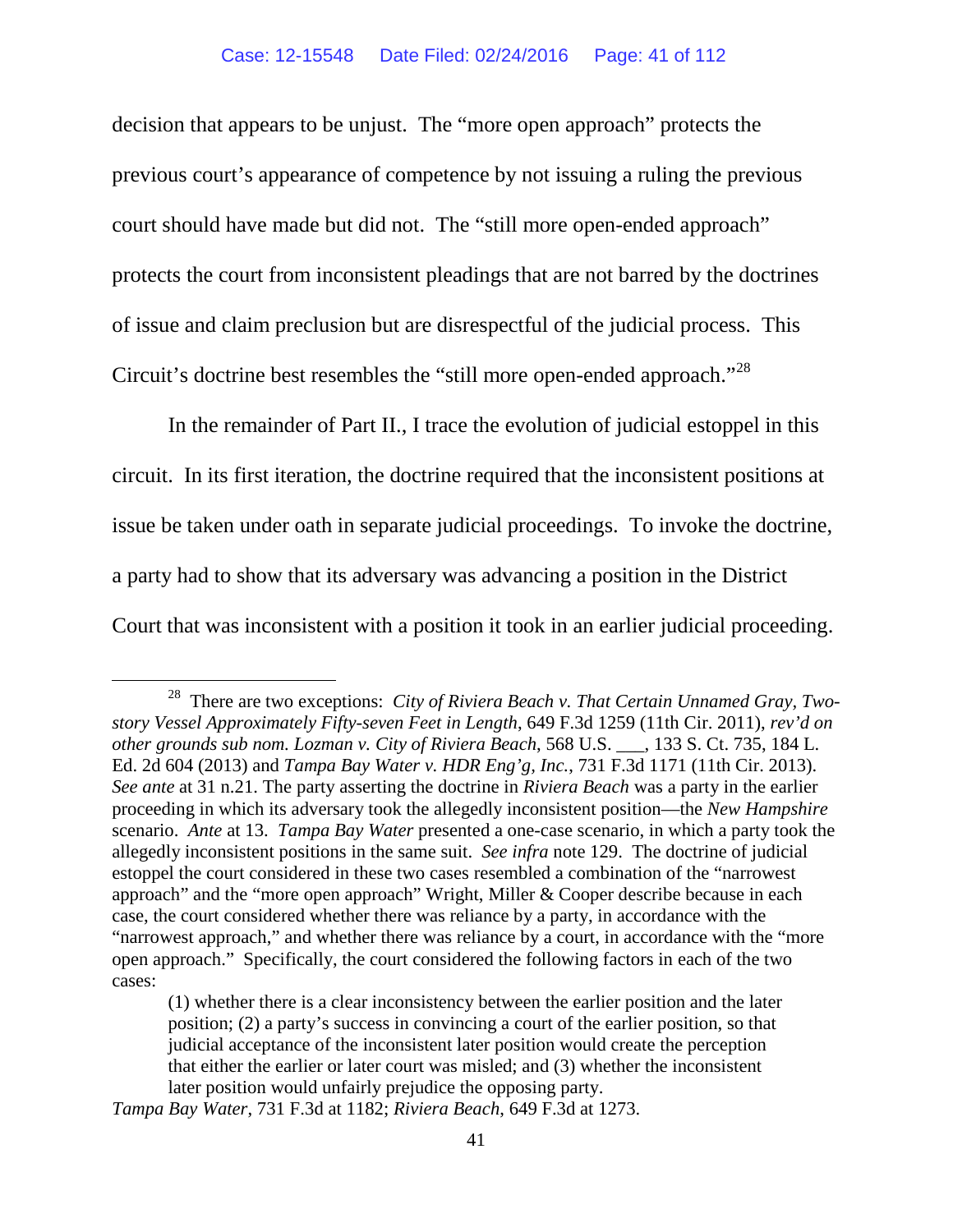decision that appears to be unjust. The "more open approach" protects the previous court's appearance of competence by not issuing a ruling the previous court should have made but did not. The "still more open-ended approach" protects the court from inconsistent pleadings that are not barred by the doctrines of issue and claim preclusion but are disrespectful of the judicial process. This Circuit's doctrine best resembles the "still more open-ended approach."[28](#page-40-0)

<span id="page-40-1"></span>In the remainder of Part II., I trace the evolution of judicial estoppel in this circuit. In its first iteration, the doctrine required that the inconsistent positions at issue be taken under oath in separate judicial proceedings. To invoke the doctrine, a party had to show that its adversary was advancing a position in the District Court that was inconsistent with a position it took in an earlier judicial proceeding.

<span id="page-40-0"></span> <sup>28</sup> There are two exceptions: *City of Riviera Beach v. That Certain Unnamed Gray, Twostory Vessel Approximately Fifty-seven Feet in Length*, 649 F.3d 1259 (11th Cir. 2011), *rev'd on other grounds sub nom. Lozman v. City of Riviera Beach*, 568 U.S. \_\_\_, 133 S. Ct. 735, 184 L. Ed. 2d 604 (2013) and *Tampa Bay Water v. HDR Eng'g, Inc.*, 731 F.3d 1171 (11th Cir. 2013). *See ante* at 31 n.21. The party asserting the doctrine in *Riviera Beach* was a party in the earlier proceeding in which its adversary took the allegedly inconsistent position—the *New Hampshire*  scenario. *Ante* at 13. *Tampa Bay Water* presented a one-case scenario, in which a party took the allegedly inconsistent positions in the same suit. *See infra* note [129.](#page-71-0) The doctrine of judicial estoppel the court considered in these two cases resembled a combination of the "narrowest approach" and the "more open approach" Wright, Miller & Cooper describe because in each case, the court considered whether there was reliance by a party, in accordance with the "narrowest approach," and whether there was reliance by a court, in accordance with the "more open approach." Specifically, the court considered the following factors in each of the two cases:

<sup>(1)</sup> whether there is a clear inconsistency between the earlier position and the later position; (2) a party's success in convincing a court of the earlier position, so that judicial acceptance of the inconsistent later position would create the perception that either the earlier or later court was misled; and (3) whether the inconsistent later position would unfairly prejudice the opposing party.

*Tampa Bay Water*, 731 F.3d at 1182; *Riviera Beach*, 649 F.3d at 1273.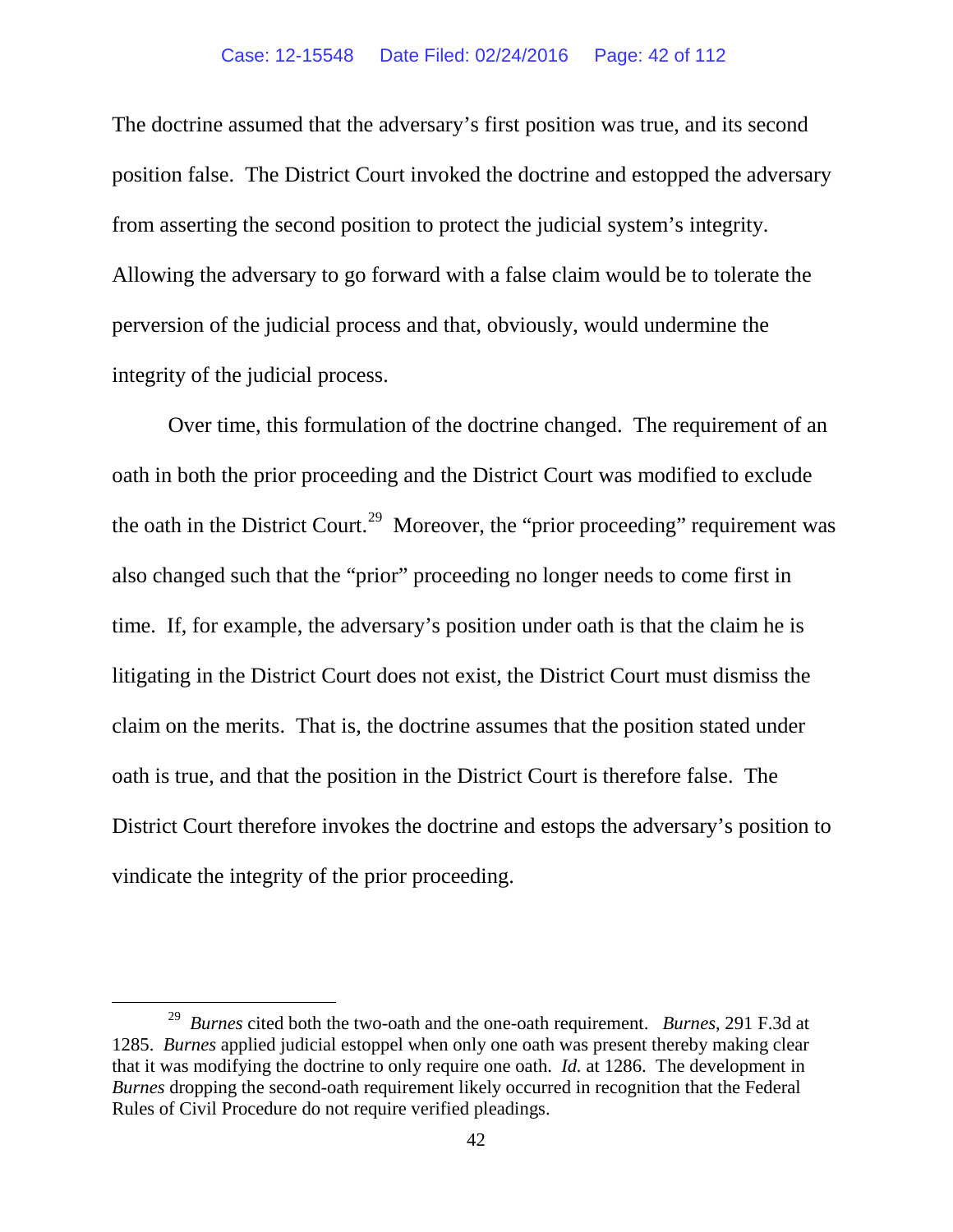The doctrine assumed that the adversary's first position was true, and its second position false. The District Court invoked the doctrine and estopped the adversary from asserting the second position to protect the judicial system's integrity. Allowing the adversary to go forward with a false claim would be to tolerate the perversion of the judicial process and that, obviously, would undermine the integrity of the judicial process.

Over time, this formulation of the doctrine changed. The requirement of an oath in both the prior proceeding and the District Court was modified to exclude the oath in the District Court.<sup>29</sup> Moreover, the "prior proceeding" requirement was also changed such that the "prior" proceeding no longer needs to come first in time. If, for example, the adversary's position under oath is that the claim he is litigating in the District Court does not exist, the District Court must dismiss the claim on the merits. That is, the doctrine assumes that the position stated under oath is true, and that the position in the District Court is therefore false. The District Court therefore invokes the doctrine and estops the adversary's position to vindicate the integrity of the prior proceeding.

<span id="page-41-0"></span> <sup>29</sup> *Burnes* cited both the two-oath and the one-oath requirement. *Burnes*, 291 F.3d at 1285. *Burnes* applied judicial estoppel when only one oath was present thereby making clear that it was modifying the doctrine to only require one oath. *Id.* at 1286. The development in *Burnes* dropping the second-oath requirement likely occurred in recognition that the Federal Rules of Civil Procedure do not require verified pleadings.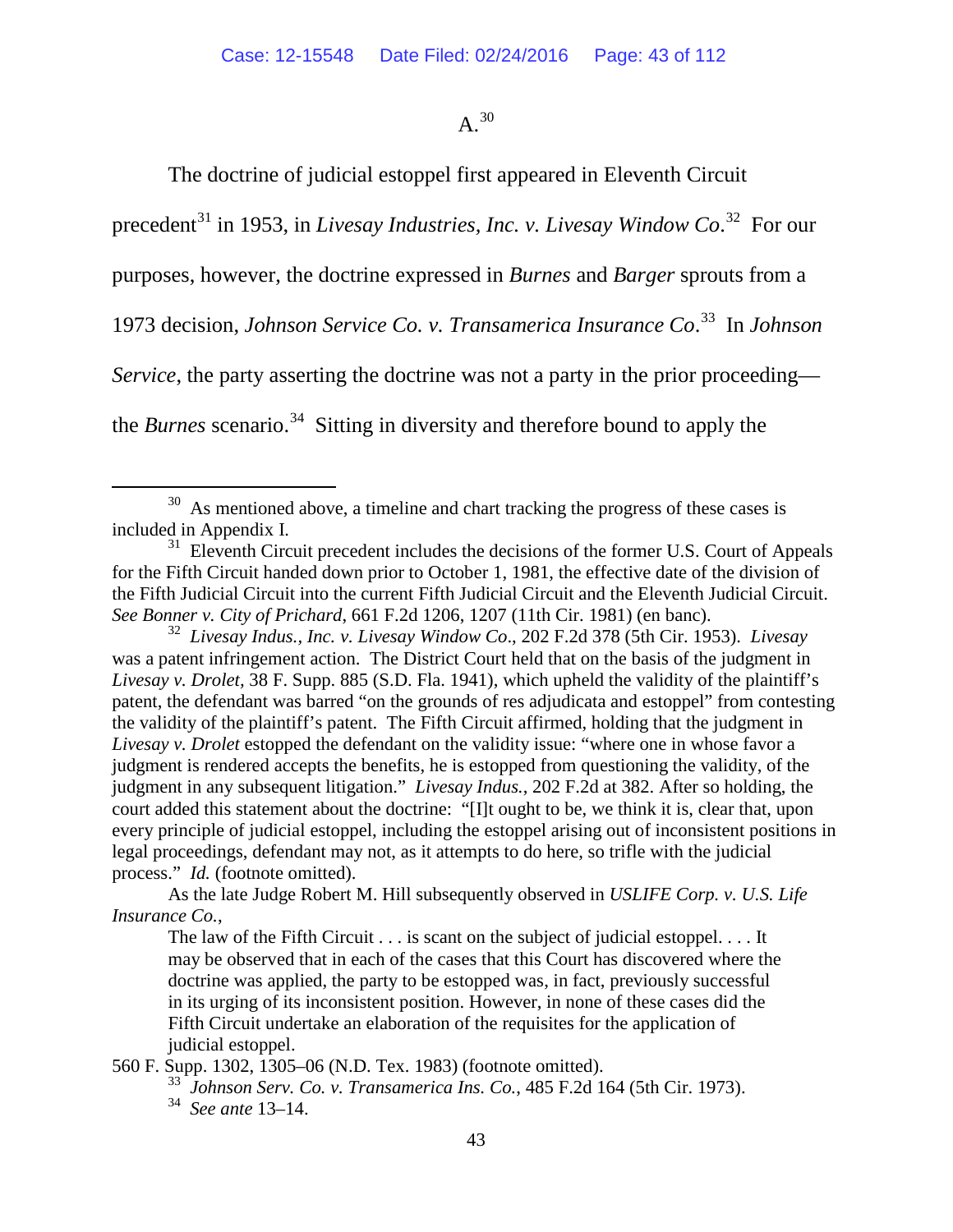## $A<sup>30</sup>$  $A<sup>30</sup>$  $A<sup>30</sup>$

The doctrine of judicial estoppel first appeared in Eleventh Circuit

precedent<sup>[31](#page-42-1)</sup> in 1953, in *Livesay Industries, Inc. v. Livesay Window Co.*<sup>32</sup> For our

purposes, however, the doctrine expressed in *Burnes* and *Barger* sprouts from a

1973 decision, *Johnson Service Co. v. Transamerica Insurance Co*. [33](#page-42-3) In *Johnson* 

*Service*, the party asserting the doctrine was not a party in the prior proceeding—

the *Burnes* scenario.<sup>34</sup> Sitting in diversity and therefore bound to apply the

<span id="page-42-4"></span><span id="page-42-3"></span>560 F. Supp. 1302, 1305–06 (N.D. Tex. 1983) (footnote omitted).

<span id="page-42-0"></span> $30$  As mentioned above, a timeline and chart tracking the progress of these cases is included in Appendix I.

<span id="page-42-1"></span> $31$  Eleventh Circuit precedent includes the decisions of the former U.S. Court of Appeals for the Fifth Circuit handed down prior to October 1, 1981, the effective date of the division of the Fifth Judicial Circuit into the current Fifth Judicial Circuit and the Eleventh Judicial Circuit. *See Bonner v. City of Prichard*, 661 F.2d 1206, 1207 (11th Cir. 1981) (en banc).

<span id="page-42-2"></span><sup>32</sup> *Livesay Indus., Inc. v. Livesay Window Co*., 202 F.2d 378 (5th Cir. 1953). *Livesay*  was a patent infringement action. The District Court held that on the basis of the judgment in *Livesay v. Drolet,* 38 F. Supp. 885 (S.D. Fla. 1941), which upheld the validity of the plaintiff's patent, the defendant was barred "on the grounds of res adjudicata and estoppel" from contesting the validity of the plaintiff's patent. The Fifth Circuit affirmed, holding that the judgment in *Livesay v. Drolet* estopped the defendant on the validity issue: "where one in whose favor a judgment is rendered accepts the benefits, he is estopped from questioning the validity, of the judgment in any subsequent litigation." *Livesay Indus.*, 202 F.2d at 382. After so holding, the court added this statement about the doctrine: "[I]t ought to be, we think it is, clear that, upon every principle of judicial estoppel, including the estoppel arising out of inconsistent positions in legal proceedings, defendant may not, as it attempts to do here, so trifle with the judicial process." *Id.* (footnote omitted).

As the late Judge Robert M. Hill subsequently observed in *USLIFE Corp. v. U.S. Life Insurance Co.*,

The law of the Fifth Circuit . . . is scant on the subject of judicial estoppel. . . . It may be observed that in each of the cases that this Court has discovered where the doctrine was applied, the party to be estopped was, in fact, previously successful in its urging of its inconsistent position. However, in none of these cases did the Fifth Circuit undertake an elaboration of the requisites for the application of judicial estoppel.

<sup>33</sup> *Johnson Serv. Co. v. Transamerica Ins. Co.*, 485 F.2d 164 (5th Cir. 1973). 34 *See ante* 13–14.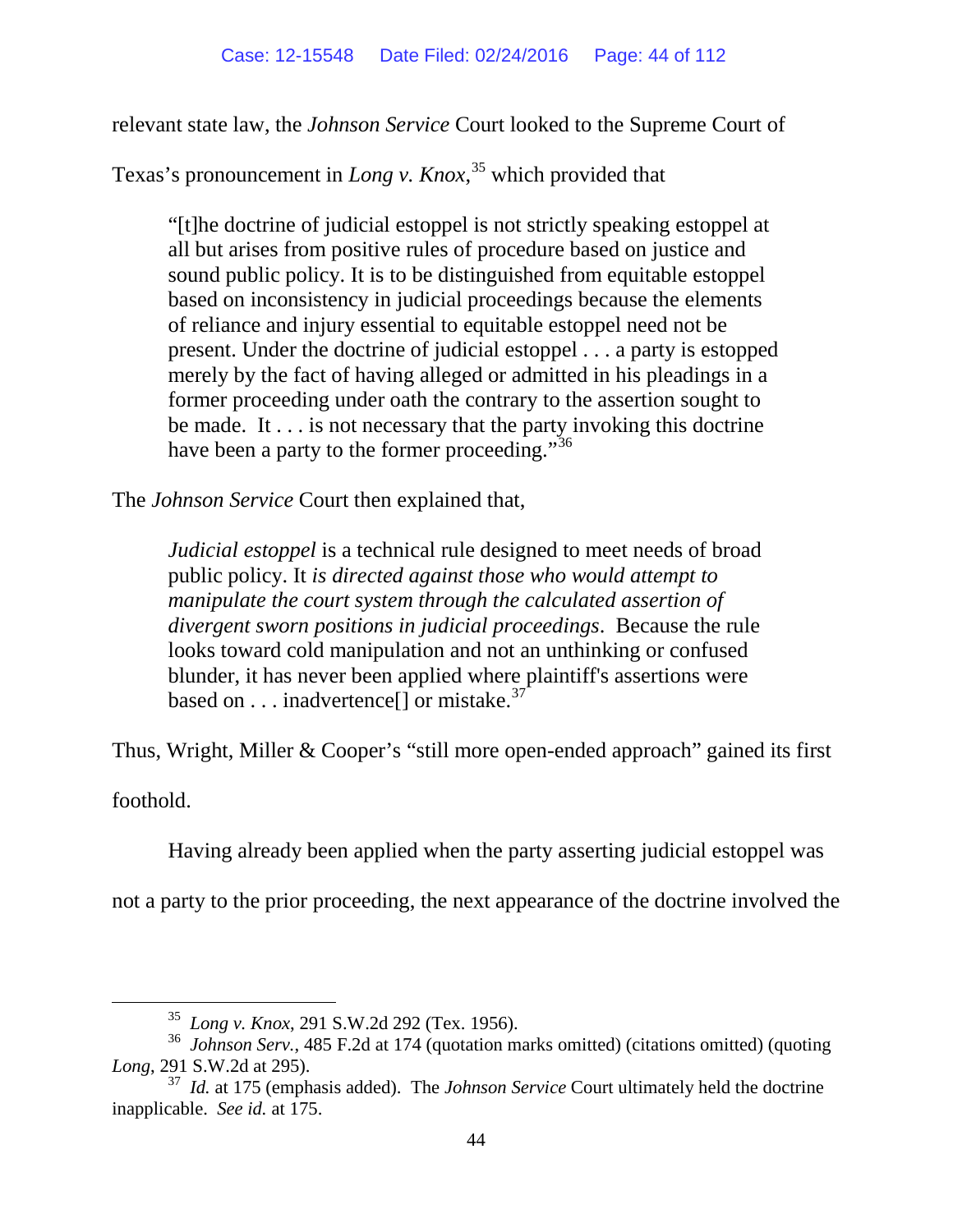relevant state law, the *Johnson Service* Court looked to the Supreme Court of

Texas's pronouncement in *Long v. Knox*, [35](#page-43-0) which provided that

"[t]he doctrine of judicial estoppel is not strictly speaking estoppel at all but arises from positive rules of procedure based on justice and sound public policy. It is to be distinguished from equitable estoppel based on inconsistency in judicial proceedings because the elements of reliance and injury essential to equitable estoppel need not be present. Under the doctrine of judicial estoppel . . . a party is estopped merely by the fact of having alleged or admitted in his pleadings in a former proceeding under oath the contrary to the assertion sought to be made. It . . . is not necessary that the party invoking this doctrine have been a party to the former proceeding."<sup>[36](#page-43-1)</sup>

The *Johnson Service* Court then explained that,

*Judicial estoppel* is a technical rule designed to meet needs of broad public policy. It *is directed against those who would attempt to manipulate the court system through the calculated assertion of divergent sworn positions in judicial proceedings*. Because the rule looks toward cold manipulation and not an unthinking or confused blunder, it has never been applied where plaintiff's assertions were based on  $\dots$  inadvertence<sup>[]</sup> or mistake.<sup>[37](#page-43-2)</sup>

Thus, Wright, Miller & Cooper's "still more open-ended approach" gained its first

foothold.

Having already been applied when the party asserting judicial estoppel was

not a party to the prior proceeding, the next appearance of the doctrine involved the

 <sup>35</sup> *Long v. Knox*, 291 S.W.2d 292 (Tex. 1956).

<span id="page-43-1"></span><span id="page-43-0"></span><sup>36</sup> *Johnson Serv.*, 485 F.2d at 174 (quotation marks omitted) (citations omitted) (quoting *Long*, 291 S.W.2d at 295).

<span id="page-43-2"></span><sup>37</sup> *Id.* at 175 (emphasis added). The *Johnson Service* Court ultimately held the doctrine inapplicable. *See id.* at 175.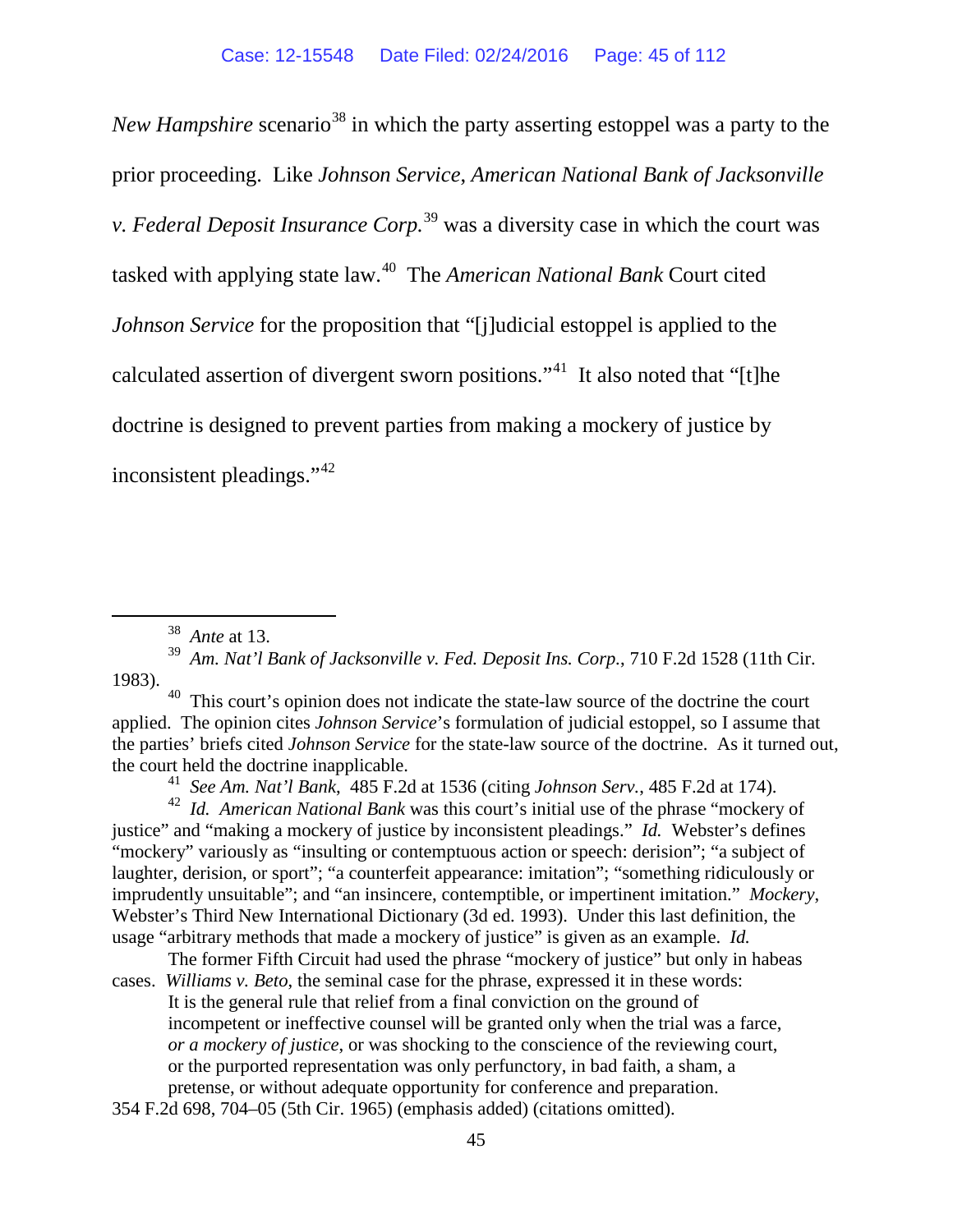*New Hampshire* scenario<sup>[38](#page-44-0)</sup> in which the party asserting estoppel was a party to the prior proceeding. Like *Johnson Service*, *American National Bank of Jacksonville v. Federal Deposit Insurance Corp.* [39](#page-44-1) was a diversity case in which the court was tasked with applying state law.[40](#page-44-2) The *American National Bank* Court cited *Johnson Service* for the proposition that "[j]udicial estoppel is applied to the calculated assertion of divergent sworn positions."[41](#page-44-3) It also noted that "[t]he doctrine is designed to prevent parties from making a mockery of justice by inconsistent pleadings."[42](#page-44-4)

<span id="page-44-2"></span><sup>40</sup> This court's opinion does not indicate the state-law source of the doctrine the court applied. The opinion cites *Johnson Service*'s formulation of judicial estoppel*,* so I assume that the parties' briefs cited *Johnson Service* for the state-law source of the doctrine. As it turned out, the court held the doctrine inapplicable.<br><sup>41</sup> See Am. Nat'l Bank, 485 F.2d at 1536 (citing Johnson Serv., 485 F.2d at 174).

<span id="page-44-4"></span><span id="page-44-3"></span><sup>42</sup> Id. American National Bank was this court's initial use of the phrase "mockery of justice" and "making a mockery of justice by inconsistent pleadings." *Id.* Webster's defines "mockery" variously as "insulting or contemptuous action or speech: derision"; "a subject of laughter, derision, or sport"; "a counterfeit appearance: imitation"; "something ridiculously or imprudently unsuitable"; and "an insincere, contemptible, or impertinent imitation." *Mockery*, Webster's Third New International Dictionary (3d ed. 1993). Under this last definition, the usage "arbitrary methods that made a mockery of justice" is given as an example. *Id.*

The former Fifth Circuit had used the phrase "mockery of justice" but only in habeas cases. *Williams v. Beto*, the seminal case for the phrase, expressed it in these words: It is the general rule that relief from a final conviction on the ground of incompetent or ineffective counsel will be granted only when the trial was a farce, *or a mockery of justice*, or was shocking to the conscience of the reviewing court, or the purported representation was only perfunctory, in bad faith, a sham, a pretense, or without adequate opportunity for conference and preparation.

<span id="page-44-1"></span><span id="page-44-0"></span><sup>38</sup>*Ante* at 13. <sup>39</sup>*Am. Nat'l Bank of Jacksonville v. Fed. Deposit Ins. Corp.*, 710 F.2d 1528 (11th Cir. 1983).

<sup>354</sup> F.2d 698, 704–05 (5th Cir. 1965) (emphasis added) (citations omitted).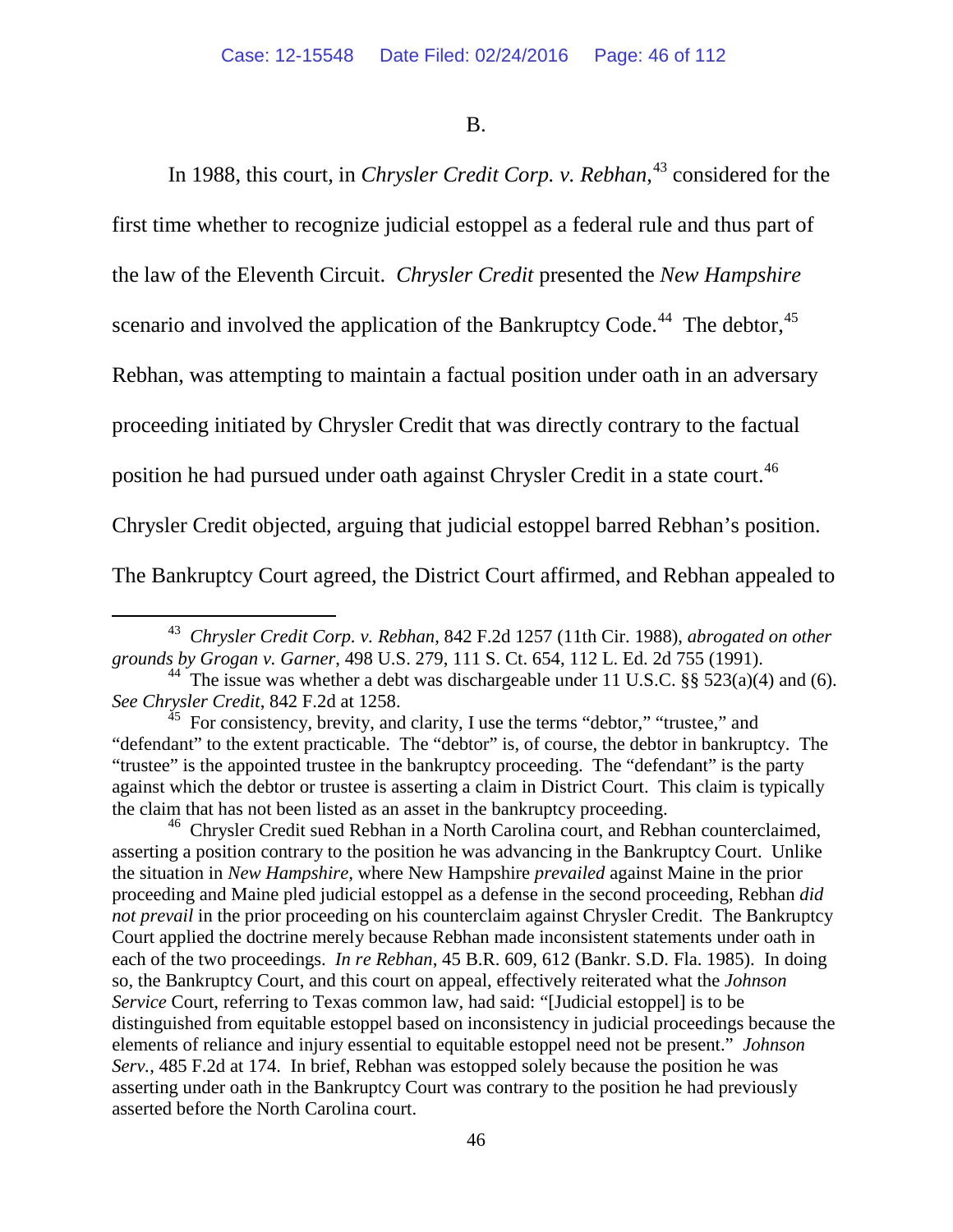B.

In 1988, this court, in *Chrysler Credit Corp. v. Rebhan*, [43](#page-45-0) considered for the first time whether to recognize judicial estoppel as a federal rule and thus part of the law of the Eleventh Circuit. *Chrysler Credit* presented the *New Hampshire*  scenario and involved the application of the Bankruptcy Code.<sup>[44](#page-45-1)</sup> The debtor,  $45$ Rebhan, was attempting to maintain a factual position under oath in an adversary proceeding initiated by Chrysler Credit that was directly contrary to the factual position he had pursued under oath against Chrysler Credit in a state court.<sup>[46](#page-45-3)</sup> Chrysler Credit objected, arguing that judicial estoppel barred Rebhan's position. The Bankruptcy Court agreed, the District Court affirmed, and Rebhan appealed to

<span id="page-45-3"></span><sup>46</sup> Chrysler Credit sued Rebhan in a North Carolina court, and Rebhan counterclaimed, asserting a position contrary to the position he was advancing in the Bankruptcy Court. Unlike the situation in *New Hampshire,* where New Hampshire *prevailed* against Maine in the prior proceeding and Maine pled judicial estoppel as a defense in the second proceeding, Rebhan *did not prevail* in the prior proceeding on his counterclaim against Chrysler Credit. The Bankruptcy Court applied the doctrine merely because Rebhan made inconsistent statements under oath in each of the two proceedings. *In re Rebhan*, 45 B.R. 609, 612 (Bankr. S.D. Fla. 1985). In doing so, the Bankruptcy Court, and this court on appeal, effectively reiterated what the *Johnson Service* Court, referring to Texas common law, had said: "[Judicial estoppel] is to be distinguished from equitable estoppel based on inconsistency in judicial proceedings because the elements of reliance and injury essential to equitable estoppel need not be present." *Johnson Serv.*, 485 F.2d at 174. In brief, Rebhan was estopped solely because the position he was asserting under oath in the Bankruptcy Court was contrary to the position he had previously asserted before the North Carolina court.

<span id="page-45-0"></span> <sup>43</sup> *Chrysler Credit Corp. v. Rebhan*, 842 F.2d 1257 (11th Cir. 1988), *abrogated on other grounds by Grogan v. Garner*, 498 U.S. 279, 111 S. Ct. 654, 112 L. Ed. 2d 755 (1991).

<span id="page-45-1"></span><sup>&</sup>lt;sup>44</sup> The issue was whether a debt was dischargeable under 11 U.S.C. §§ 523(a)(4) and (6). See Chrysler Credit, 842 F.2d at 1258.

<span id="page-45-2"></span><sup>&</sup>lt;sup>45</sup> For consistency, brevity, and clarity, I use the terms "debtor," "trustee," and "defendant" to the extent practicable. The "debtor" is, of course, the debtor in bankruptcy. The "trustee" is the appointed trustee in the bankruptcy proceeding. The "defendant" is the party against which the debtor or trustee is asserting a claim in District Court. This claim is typically the claim that has not been listed as an asset in the bankruptcy proceeding.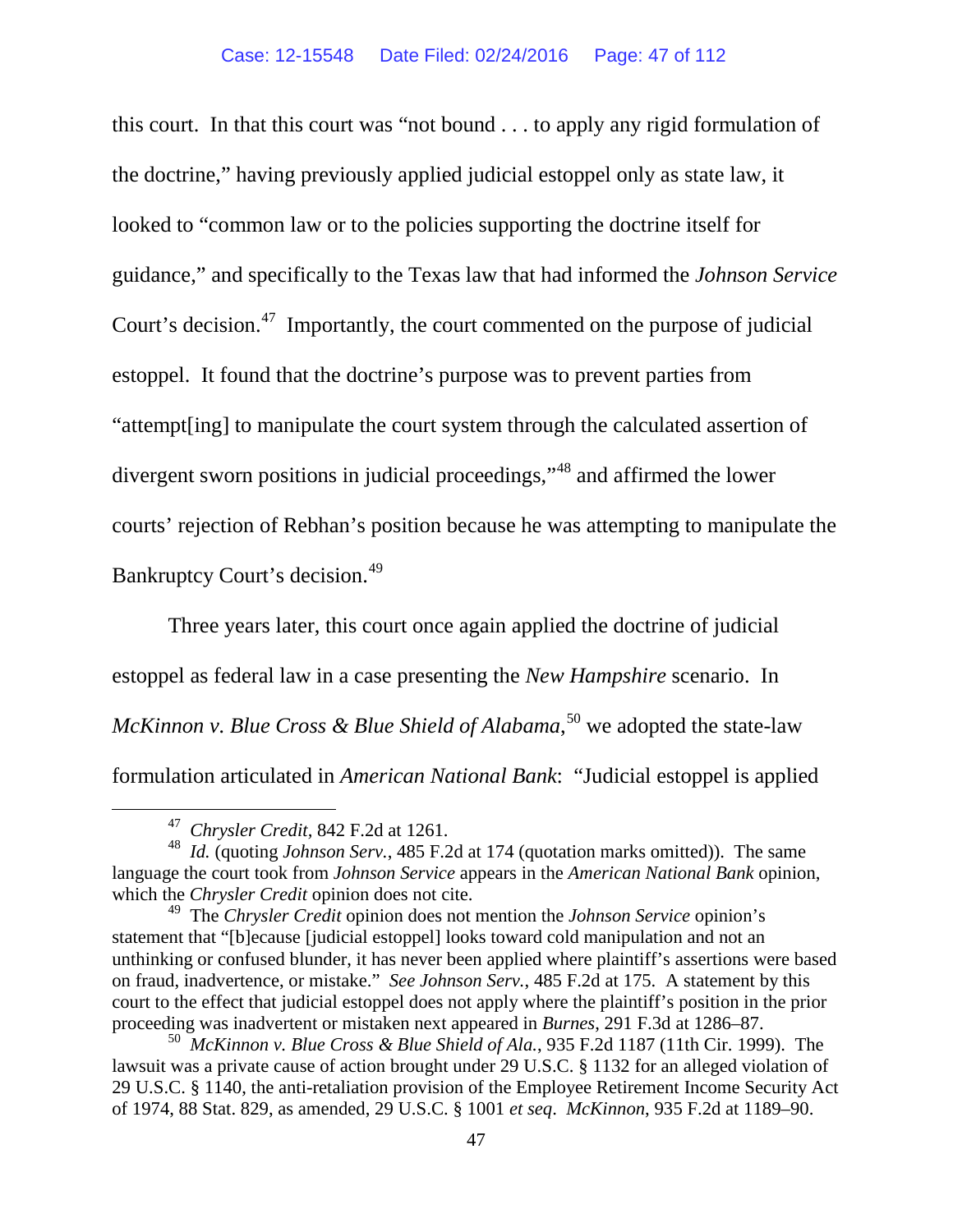this court. In that this court was "not bound . . . to apply any rigid formulation of the doctrine," having previously applied judicial estoppel only as state law, it looked to "common law or to the policies supporting the doctrine itself for guidance," and specifically to the Texas law that had informed the *Johnson Service*  Court's decision.<sup>[47](#page-46-0)</sup> Importantly, the court commented on the purpose of judicial estoppel. It found that the doctrine's purpose was to prevent parties from "attempt[ing] to manipulate the court system through the calculated assertion of divergent sworn positions in judicial proceedings,"[48](#page-46-1) and affirmed the lower courts' rejection of Rebhan's position because he was attempting to manipulate the Bankruptcy Court's decision.<sup>[49](#page-46-2)</sup>

Three years later, this court once again applied the doctrine of judicial estoppel as federal law in a case presenting the *New Hampshire* scenario. In *McKinnon v. Blue Cross & Blue Shield of Alabama*, [50](#page-46-3) we adopted the state-law formulation articulated in *American National Bank*: "Judicial estoppel is applied

 <sup>47</sup> *Chrysler Credit,* 842 F.2d at 1261.

<span id="page-46-1"></span><span id="page-46-0"></span><sup>48</sup> *Id.* (quoting *Johnson Serv.*, 485 F.2d at 174 (quotation marks omitted)). The same language the court took from *Johnson Service* appears in the *American National Bank* opinion, which the *Chrysler Credit* opinion does not cite.

<span id="page-46-2"></span><sup>49</sup> The *Chrysler Credit* opinion does not mention the *Johnson Service* opinion's statement that "[b]ecause [judicial estoppel] looks toward cold manipulation and not an unthinking or confused blunder, it has never been applied where plaintiff's assertions were based on fraud, inadvertence, or mistake." *See Johnson Serv.*, 485 F.2d at 175. A statement by this court to the effect that judicial estoppel does not apply where the plaintiff's position in the prior proceeding was inadvertent or mistaken next appeared in *Burnes*, 291 F.3d at 1286–87.

<span id="page-46-3"></span><sup>50</sup> *McKinnon v. Blue Cross & Blue Shield of Ala.*, 935 F.2d 1187 (11th Cir. 1999). The lawsuit was a private cause of action brought under 29 U.S.C. § 1132 for an alleged violation of 29 U.S.C. § 1140, the anti-retaliation provision of the Employee Retirement Income Security Act of 1974, 88 Stat. 829, as amended, 29 U.S.C. § 1001 *et seq*. *McKinnon*, 935 F.2d at 1189–90.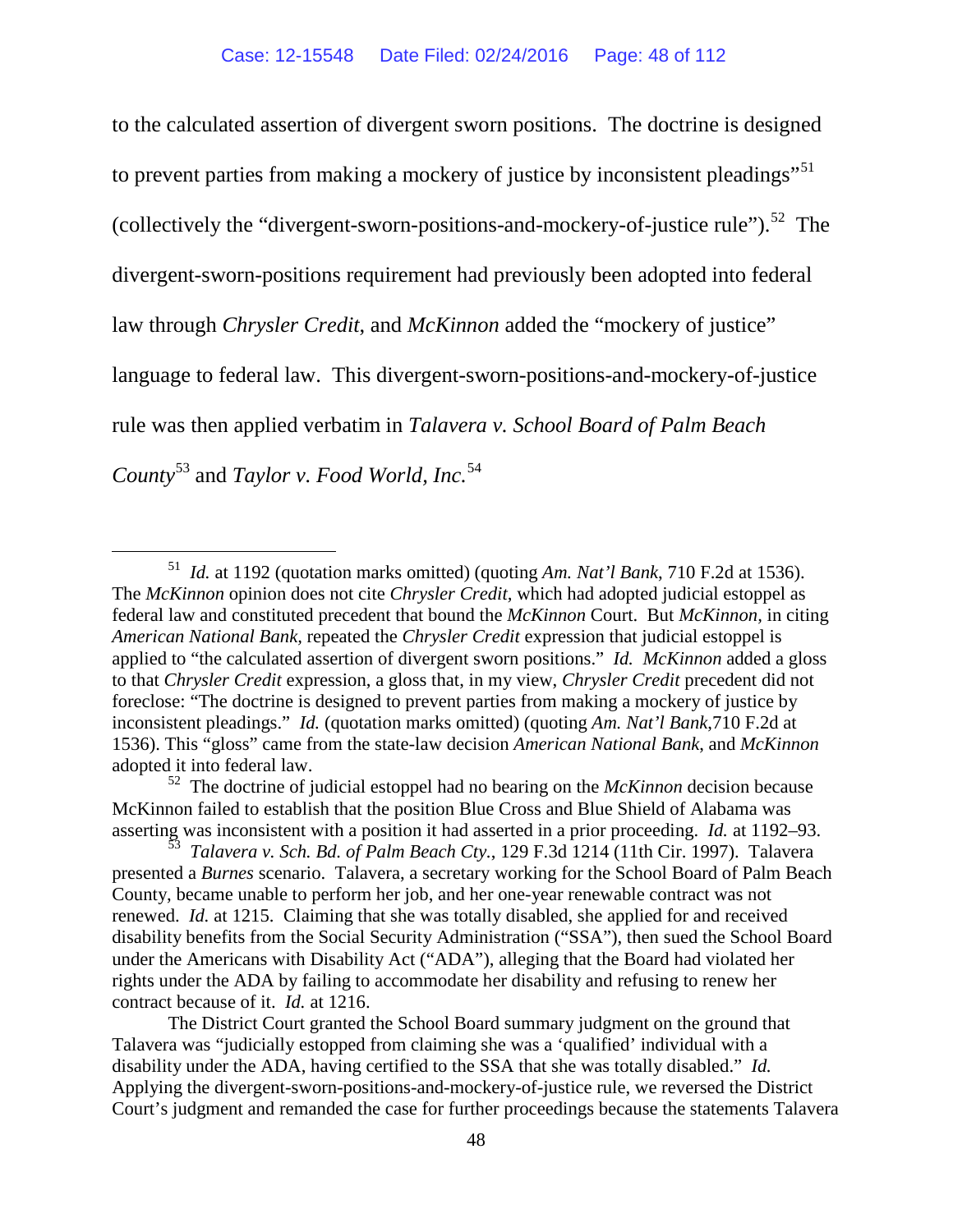to the calculated assertion of divergent sworn positions. The doctrine is designed to prevent parties from making a mockery of justice by inconsistent pleadings"<sup>[51](#page-47-0)</sup> (collectively the "divergent-sworn-positions-and-mockery-of-justice rule").<sup>52</sup> The divergent-sworn-positions requirement had previously been adopted into federal law through *Chrysler Credit*, and *McKinnon* added the "mockery of justice" language to federal law. This divergent-sworn-positions-and-mockery-of-justice rule was then applied verbatim in *Talavera v. School Board of Palm Beach County*[53](#page-47-2) and *Taylor v. Food World, Inc.*[54](#page-47-3)

<span id="page-47-3"></span><span id="page-47-0"></span> <sup>51</sup> *Id.* at 1192 (quotation marks omitted) (quoting *Am. Nat'l Bank*, 710 F.2d at 1536). The *McKinnon* opinion does not cite *Chrysler Credit,* which had adopted judicial estoppel as federal law and constituted precedent that bound the *McKinnon* Court. But *McKinnon,* in citing *American National Bank,* repeated the *Chrysler Credit* expression that judicial estoppel is applied to "the calculated assertion of divergent sworn positions." *Id. McKinnon* added a gloss to that *Chrysler Credit* expression, a gloss that, in my view, *Chrysler Credit* precedent did not foreclose: "The doctrine is designed to prevent parties from making a mockery of justice by inconsistent pleadings." *Id.* (quotation marks omitted) (quoting *Am. Nat'l Bank*,710 F.2d at 1536). This "gloss" came from the state-law decision *American National Bank*, and *McKinnon* adopted it into federal law.

<span id="page-47-1"></span><sup>52</sup> The doctrine of judicial estoppel had no bearing on the *McKinnon* decision because McKinnon failed to establish that the position Blue Cross and Blue Shield of Alabama was asserting was inconsistent with a position it had asserted in a prior proceeding. *Id.* at 1192–93.

<span id="page-47-2"></span><sup>53</sup> *Talavera v. Sch. Bd. of Palm Beach Cty.*, 129 F.3d 1214 (11th Cir. 1997). Talavera presented a *Burnes* scenario. Talavera, a secretary working for the School Board of Palm Beach County, became unable to perform her job, and her one-year renewable contract was not renewed. *Id.* at 1215. Claiming that she was totally disabled, she applied for and received disability benefits from the Social Security Administration ("SSA"), then sued the School Board under the Americans with Disability Act ("ADA"), alleging that the Board had violated her rights under the ADA by failing to accommodate her disability and refusing to renew her contract because of it. *Id.* at 1216.

The District Court granted the School Board summary judgment on the ground that Talavera was "judicially estopped from claiming she was a 'qualified' individual with a disability under the ADA, having certified to the SSA that she was totally disabled." *Id.* Applying the divergent-sworn-positions-and-mockery-of-justice rule, we reversed the District Court's judgment and remanded the case for further proceedings because the statements Talavera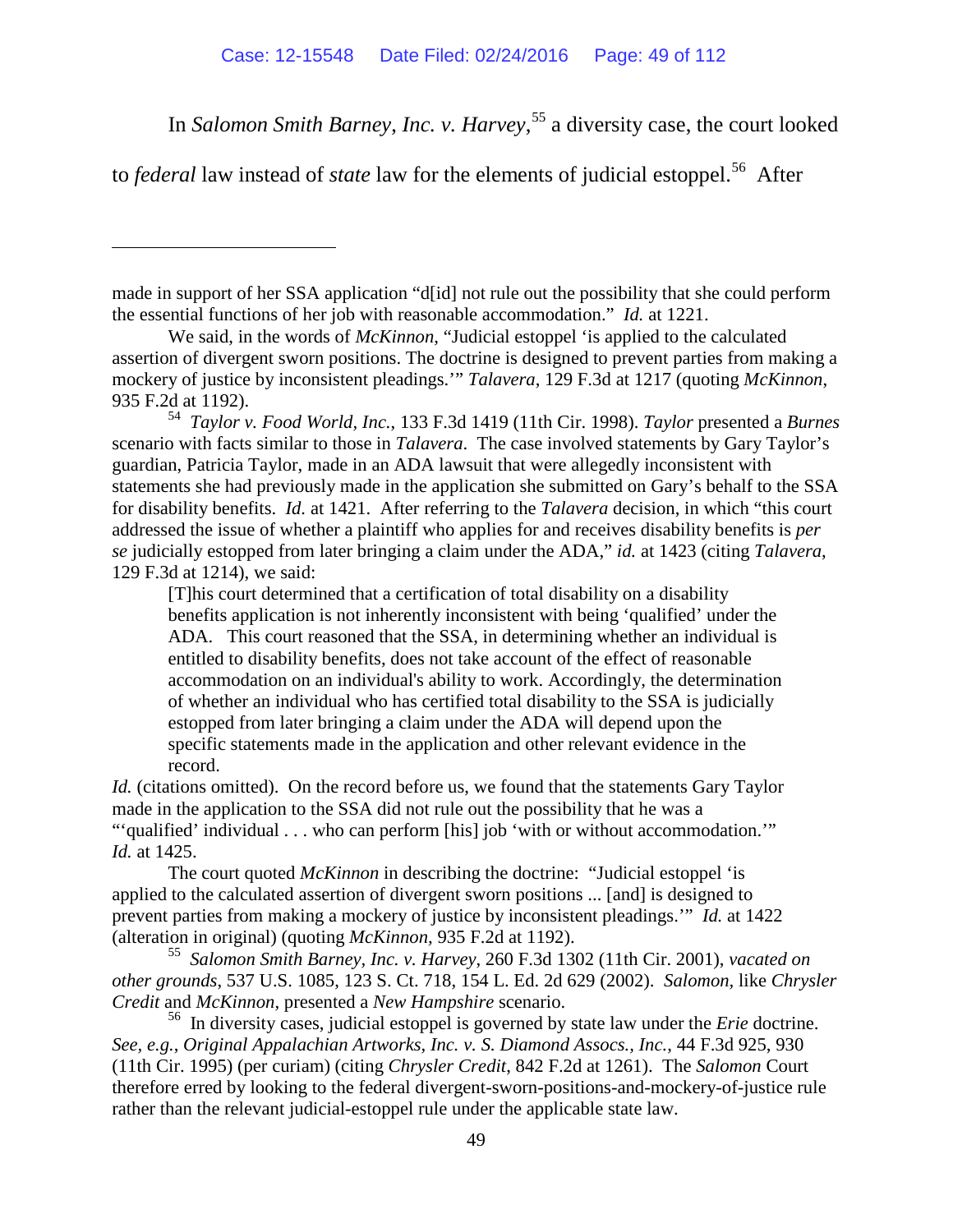In *Salomon Smith Barney*, *Inc. v. Harvey*, [55](#page-48-0) a diversity case, the court looked

to *federal* law instead of *state* law for the elements of judicial estoppel.<sup>[56](#page-48-1)</sup> After

 $\overline{a}$ 

made in support of her SSA application "d[id] not rule out the possibility that she could perform the essential functions of her job with reasonable accommodation." *Id.* at 1221.

We said, in the words of *McKinnon*, "Judicial estoppel 'is applied to the calculated assertion of divergent sworn positions. The doctrine is designed to prevent parties from making a mockery of justice by inconsistent pleadings.'" *Talavera*, 129 F.3d at 1217 (quoting *McKinnon*, 935 F.2d at 1192).

54 *Taylor v. Food World, Inc.*, 133 F.3d 1419 (11th Cir. 1998). *Taylor* presented a *Burnes*  scenario with facts similar to those in *Talavera*. The case involved statements by Gary Taylor's guardian, Patricia Taylor, made in an ADA lawsuit that were allegedly inconsistent with statements she had previously made in the application she submitted on Gary's behalf to the SSA for disability benefits. *Id.* at 1421. After referring to the *Talavera* decision, in which "this court addressed the issue of whether a plaintiff who applies for and receives disability benefits is *per se* judicially estopped from later bringing a claim under the ADA," *id.* at 1423 (citing *Talavera*, 129 F.3d at 1214), we said:

[T]his court determined that a certification of total disability on a disability benefits application is not inherently inconsistent with being 'qualified' under the ADA. This court reasoned that the SSA, in determining whether an individual is entitled to disability benefits, does not take account of the effect of reasonable accommodation on an individual's ability to work. Accordingly, the determination of whether an individual who has certified total disability to the SSA is judicially estopped from later bringing a claim under the ADA will depend upon the specific statements made in the application and other relevant evidence in the record.

*Id.* (citations omitted). On the record before us, we found that the statements Gary Taylor made in the application to the SSA did not rule out the possibility that he was a "'qualified' individual . . . who can perform [his] job 'with or without accommodation.'" *Id.* at 1425.

The court quoted *McKinnon* in describing the doctrine: "Judicial estoppel 'is applied to the calculated assertion of divergent sworn positions ... [and] is designed to prevent parties from making a mockery of justice by inconsistent pleadings.'" *Id.* at 1422 (alteration in original) (quoting *McKinnon,* 935 F.2d at 1192). 55 *Salomon Smith Barney, Inc. v. Harvey*, 260 F.3d 1302 (11th Cir. 2001), *vacated on* 

<span id="page-48-0"></span>*other grounds*, 537 U.S. 1085, 123 S. Ct. 718, 154 L. Ed. 2d 629 (2002). *Salomon,* like *Chrysler Credit* and *McKinnon*, presented a *New Hampshire* scenario.

<span id="page-48-1"></span>56 In diversity cases, judicial estoppel is governed by state law under the *Erie* doctrine. *See, e.g.*, *Original Appalachian Artworks, Inc. v. S. Diamond Assocs., Inc.*, 44 F.3d 925, 930 (11th Cir. 1995) (per curiam) (citing *Chrysler Credit*, 842 F.2d at 1261). The *Salomon* Court therefore erred by looking to the federal divergent-sworn-positions-and-mockery-of-justice rule rather than the relevant judicial-estoppel rule under the applicable state law.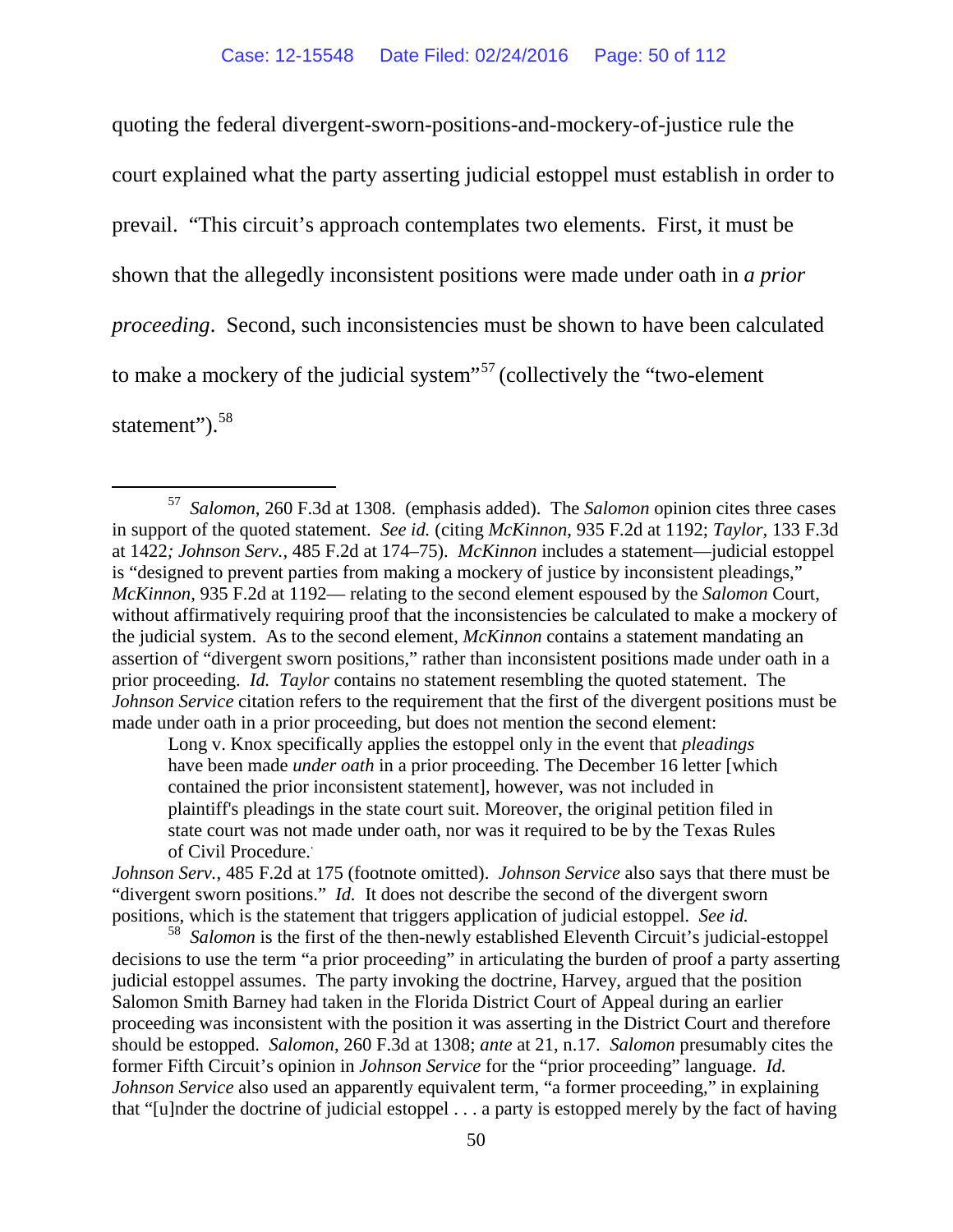quoting the federal divergent-sworn-positions-and-mockery-of-justice rule the court explained what the party asserting judicial estoppel must establish in order to prevail. "This circuit's approach contemplates two elements. First, it must be shown that the allegedly inconsistent positions were made under oath in *a prior proceeding*. Second, such inconsistencies must be shown to have been calculated to make a mockery of the judicial system<sup>"[57](#page-49-0)</sup> (collectively the "two-element" statement").<sup>58</sup>

Long v. Knox specifically applies the estoppel only in the event that *pleadings* have been made *under oath* in a prior proceeding. The December 16 letter [which contained the prior inconsistent statement], however, was not included in plaintiff's pleadings in the state court suit. Moreover, the original petition filed in state court was not made under oath, nor was it required to be by the Texas Rules of Civil Procedure[..](https://a.next.westlaw.com/Document/I4c587cf4901911d9bc61beebb95be672/View/FullText.html?transitionType=UniqueDocItem&contextData=(sc.Default)&userEnteredCitation=485+f2d+174%23co_footnote_B00771973111686)

*Johnson Serv.*, 485 F.2d at 175 (footnote omitted). *Johnson Service* also says that there must be "divergent sworn positions." *Id.* It does not describe the second of the divergent sworn positions, which is the statement that triggers application of judicial estoppel. *See id.*  $58$  *Salomon* is the first of the then-newly established Eleventh Circuit's judicial-estoppel

<span id="page-49-1"></span>decisions to use the term "a prior proceeding" in articulating the burden of proof a party asserting judicial estoppel assumes. The party invoking the doctrine, Harvey, argued that the position Salomon Smith Barney had taken in the Florida District Court of Appeal during an earlier proceeding was inconsistent with the position it was asserting in the District Court and therefore should be estopped. *Salomon*, 260 F.3d at 1308; *ante* at 21, n.17. *Salomon* presumably cites the former Fifth Circuit's opinion in *Johnson Service* for the "prior proceeding" language. *Id. Johnson Service* also used an apparently equivalent term, "a former proceeding," in explaining that "[u]nder the doctrine of judicial estoppel . . . a party is estopped merely by the fact of having

<span id="page-49-0"></span> <sup>57</sup> *Salomon*, 260 F.3d at 1308. (emphasis added). The *Salomon* opinion cites three cases in support of the quoted statement. *See id.* (citing *McKinnon*, 935 F.2d at 1192; *Taylor,* 133 F.3d at 1422*; Johnson Serv.,* 485 F.2d at 174–75). *McKinnon* includes a statement—judicial estoppel is "designed to prevent parties from making a mockery of justice by inconsistent pleadings," *McKinnon*, 935 F.2d at 1192— relating to the second element espoused by the *Salomon* Court, without affirmatively requiring proof that the inconsistencies be calculated to make a mockery of the judicial system. As to the second element, *McKinnon* contains a statement mandating an assertion of "divergent sworn positions," rather than inconsistent positions made under oath in a prior proceeding. *Id. Taylor* contains no statement resembling the quoted statement. The *Johnson Service* citation refers to the requirement that the first of the divergent positions must be made under oath in a prior proceeding, but does not mention the second element: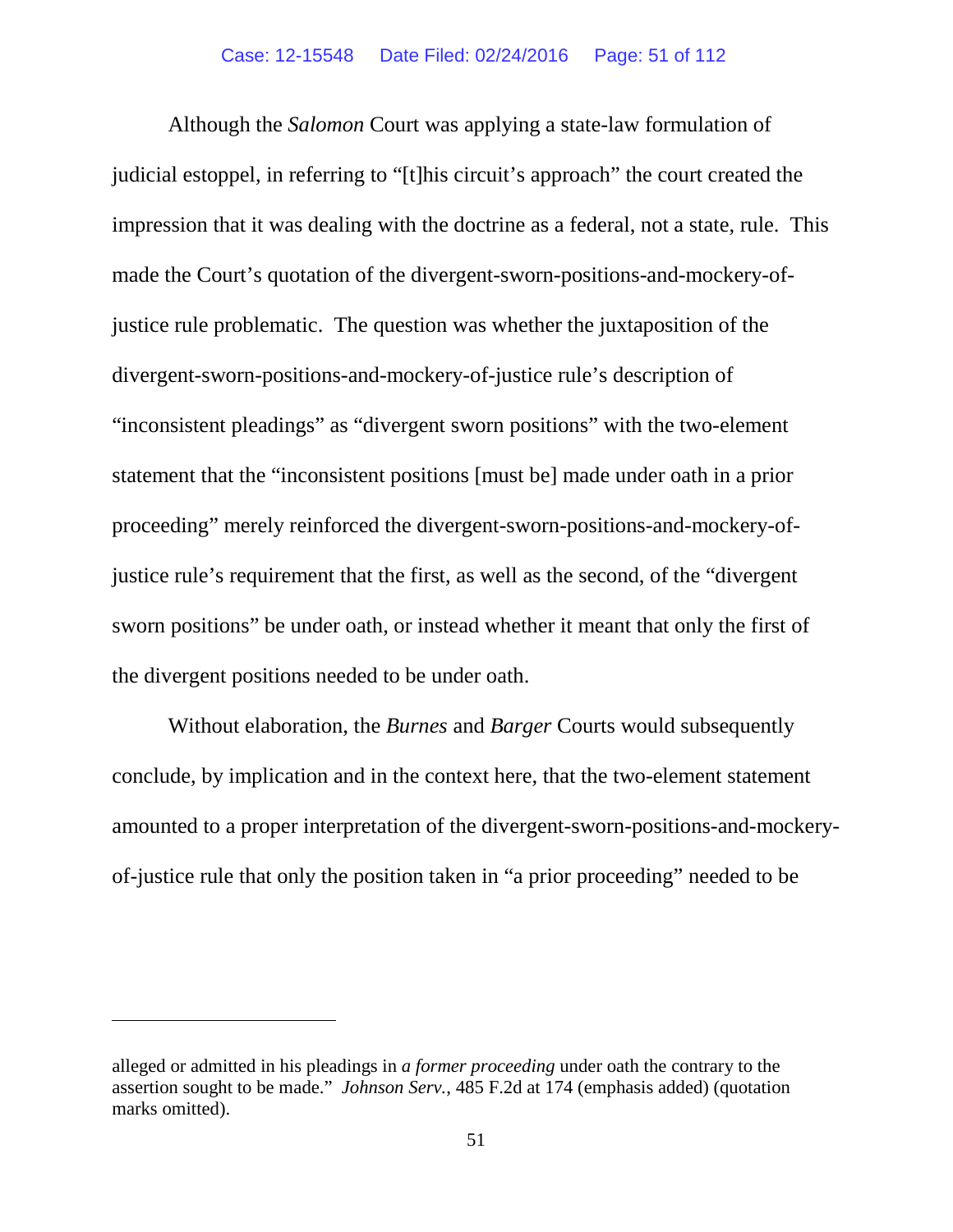Although the *Salomon* Court was applying a state-law formulation of judicial estoppel, in referring to "[t]his circuit's approach" the court created the impression that it was dealing with the doctrine as a federal, not a state, rule. This made the Court's quotation of the divergent-sworn-positions-and-mockery-ofjustice rule problematic. The question was whether the juxtaposition of the divergent-sworn-positions-and-mockery-of-justice rule's description of "inconsistent pleadings" as "divergent sworn positions" with the two-element statement that the "inconsistent positions [must be] made under oath in a prior proceeding" merely reinforced the divergent-sworn-positions-and-mockery-ofjustice rule's requirement that the first, as well as the second, of the "divergent sworn positions" be under oath, or instead whether it meant that only the first of the divergent positions needed to be under oath.

Without elaboration, the *Burnes* and *Barger* Courts would subsequently conclude, by implication and in the context here, that the two-element statement amounted to a proper interpretation of the divergent-sworn-positions-and-mockeryof-justice rule that only the position taken in "a prior proceeding" needed to be

 $\overline{a}$ 

alleged or admitted in his pleadings in *a former proceeding* under oath the contrary to the assertion sought to be made." *Johnson Serv.*, 485 F.2d at 174 (emphasis added) (quotation marks omitted).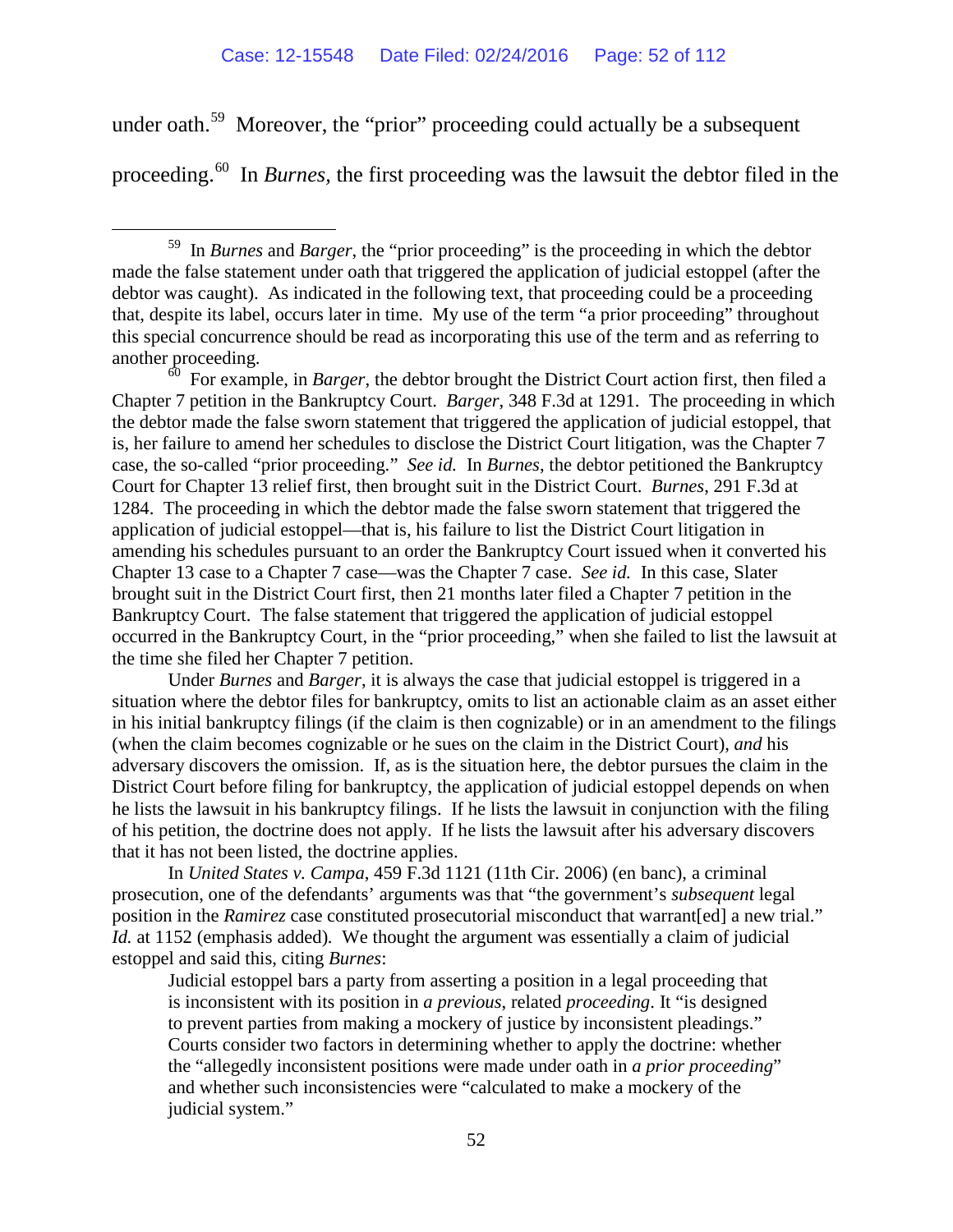under oath.<sup>59</sup> Moreover, the "prior" proceeding could actually be a subsequent

<span id="page-51-2"></span>proceeding.[60](#page-51-1) In *Burnes,* the first proceeding was the lawsuit the debtor filed in the

<span id="page-51-1"></span>60 For example, in *Barger*, the debtor brought the District Court action first, then filed a Chapter 7 petition in the Bankruptcy Court. *Barger*, 348 F.3d at 1291. The proceeding in which the debtor made the false sworn statement that triggered the application of judicial estoppel, that is, her failure to amend her schedules to disclose the District Court litigation, was the Chapter 7 case, the so-called "prior proceeding." *See id.* In *Burnes*, the debtor petitioned the Bankruptcy Court for Chapter 13 relief first, then brought suit in the District Court. *Burnes*, 291 F.3d at 1284. The proceeding in which the debtor made the false sworn statement that triggered the application of judicial estoppel—that is, his failure to list the District Court litigation in amending his schedules pursuant to an order the Bankruptcy Court issued when it converted his Chapter 13 case to a Chapter 7 case—was the Chapter 7 case. *See id.* In this case, Slater brought suit in the District Court first, then 21 months later filed a Chapter 7 petition in the Bankruptcy Court. The false statement that triggered the application of judicial estoppel occurred in the Bankruptcy Court, in the "prior proceeding," when she failed to list the lawsuit at the time she filed her Chapter 7 petition.

Under *Burnes* and *Barger*, it is always the case that judicial estoppel is triggered in a situation where the debtor files for bankruptcy, omits to list an actionable claim as an asset either in his initial bankruptcy filings (if the claim is then cognizable) or in an amendment to the filings (when the claim becomes cognizable or he sues on the claim in the District Court), *and* his adversary discovers the omission. If, as is the situation here, the debtor pursues the claim in the District Court before filing for bankruptcy, the application of judicial estoppel depends on when he lists the lawsuit in his bankruptcy filings. If he lists the lawsuit in conjunction with the filing of his petition, the doctrine does not apply. If he lists the lawsuit after his adversary discovers that it has not been listed, the doctrine applies.

In *United States v. Campa*, 459 F.3d 1121 (11th Cir. 2006) (en banc), a criminal prosecution, one of the defendants' arguments was that "the government's *subsequent* legal position in the *Ramirez* case constituted prosecutorial misconduct that warrant[ed] a new trial." *Id.* at 1152 (emphasis added)*.* We thought the argument was essentially a claim of judicial estoppel and said this, citing *Burnes*:

Judicial estoppel bars a party from asserting a position in a legal proceeding that is inconsistent with its position in *a previous*, related *proceeding*. It "is designed to prevent parties from making a mockery of justice by inconsistent pleadings." Courts consider two factors in determining whether to apply the doctrine: whether the "allegedly inconsistent positions were made under oath in *a prior proceeding*" and whether such inconsistencies were "calculated to make a mockery of the judicial system."

<span id="page-51-0"></span> <sup>59</sup> In *Burnes* and *Barger*, the "prior proceeding" is the proceeding in which the debtor made the false statement under oath that triggered the application of judicial estoppel (after the debtor was caught). As indicated in the following text, that proceeding could be a proceeding that, despite its label, occurs later in time. My use of the term "a prior proceeding" throughout this special concurrence should be read as incorporating this use of the term and as referring to another proceeding.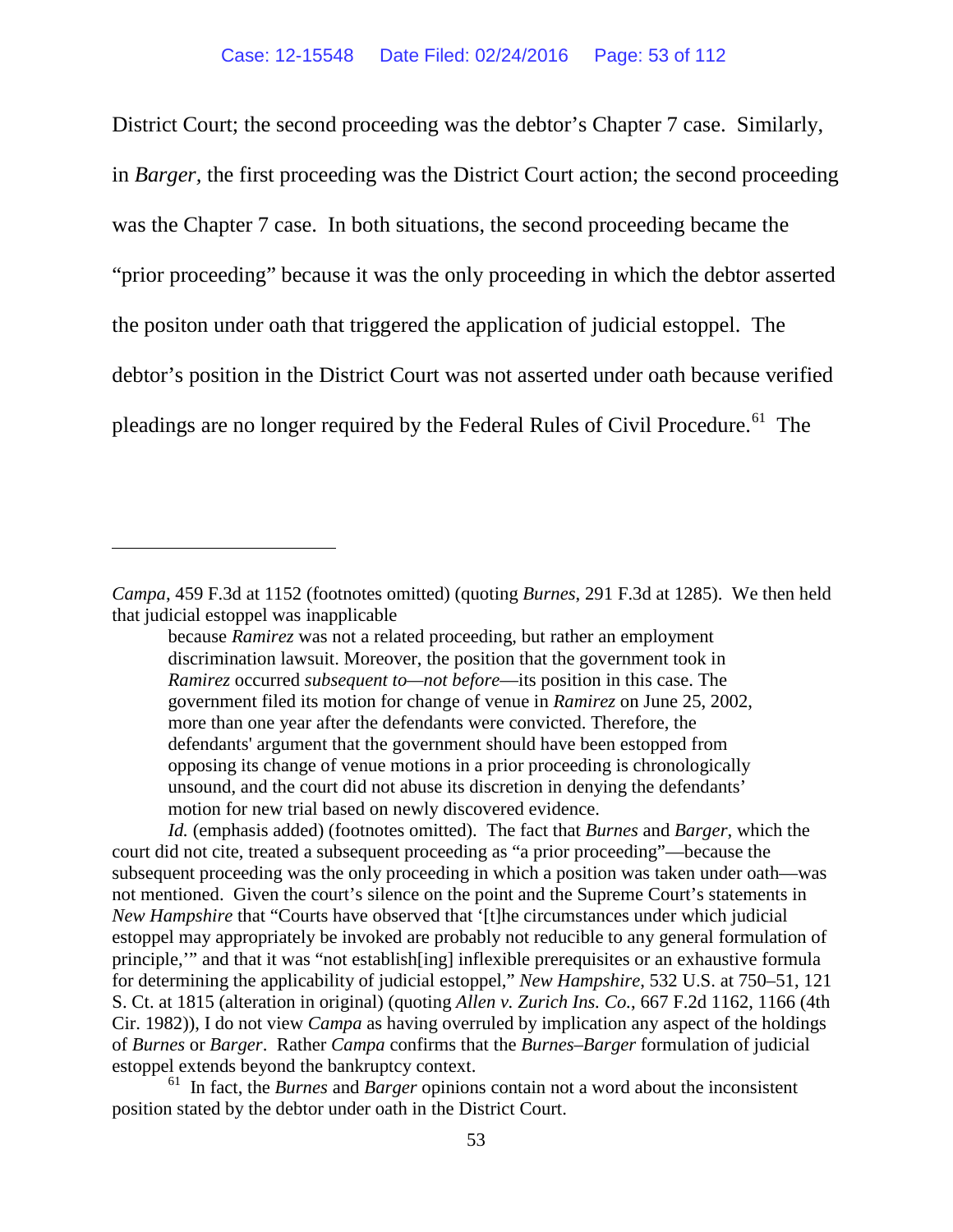District Court; the second proceeding was the debtor's Chapter 7 case. Similarly, in *Barger,* the first proceeding was the District Court action; the second proceeding was the Chapter 7 case. In both situations, the second proceeding became the "prior proceeding" because it was the only proceeding in which the debtor asserted the positon under oath that triggered the application of judicial estoppel. The debtor's position in the District Court was not asserted under oath because verified pleadings are no longer required by the Federal Rules of Civil Procedure.<sup>[61](#page-52-0)</sup> The

 $\overline{a}$ 

<span id="page-52-0"></span>61 In fact, the *Burnes* and *Barger* opinions contain not a word about the inconsistent position stated by the debtor under oath in the District Court.

*Campa*, 459 F.3d at 1152 (footnotes omitted) (quoting *Burnes*, 291 F.3d at 1285). We then held that judicial estoppel was inapplicable

because *Ramirez* was not a related proceeding, but rather an employment discrimination lawsuit. Moreover, the position that the government took in *Ramirez* occurred *subsequent to—not before*—its position in this case. The government filed its motion for change of venue in *Ramirez* on June 25, 2002, more than one year after the defendants were convicted. Therefore, the defendants' argument that the government should have been estopped from opposing its change of venue motions in a prior proceeding is chronologically unsound, and the court did not abuse its discretion in denying the defendants' motion for new trial based on newly discovered evidence.

*Id.* (emphasis added) (footnotes omitted). The fact that *Burnes* and *Barger*, which the court did not cite, treated a subsequent proceeding as "a prior proceeding"—because the subsequent proceeding was the only proceeding in which a position was taken under oath—was not mentioned. Given the court's silence on the point and the Supreme Court's statements in *New Hampshire* that "Courts have observed that '[t]he circumstances under which judicial estoppel may appropriately be invoked are probably not reducible to any general formulation of principle,'" and that it was "not establish[ing] inflexible prerequisites or an exhaustive formula for determining the applicability of judicial estoppel," *New Hampshire*, 532 U.S. at 750–51, 121 S. Ct. at 1815 (alteration in original) (quoting *Allen v. Zurich Ins. Co.*, 667 F.2d 1162, 1166 (4th Cir. 1982)), I do not view *Campa* as having overruled by implication any aspect of the holdings of *Burnes* or *Barger*. Rather *Campa* confirms that the *Burnes*–*Barger* formulation of judicial estoppel extends beyond the bankruptcy context.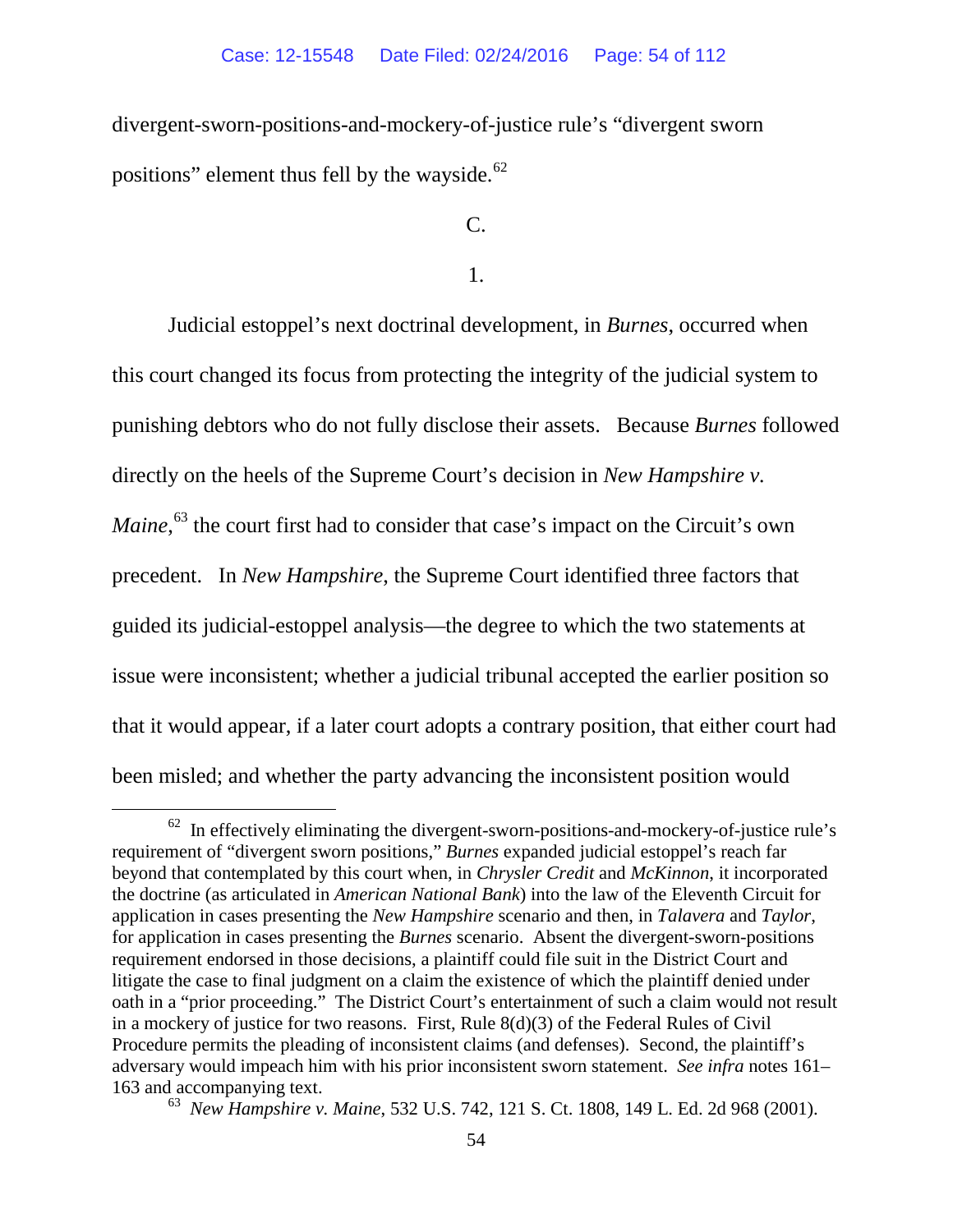divergent-sworn-positions-and-mockery-of-justice rule's "divergent sworn positions" element thus fell by the wayside.<sup>[62](#page-53-0)</sup>

 $C_{\cdot}$ 

1.

Judicial estoppel's next doctrinal development, in *Burnes*, occurred when this court changed its focus from protecting the integrity of the judicial system to punishing debtors who do not fully disclose their assets. Because *Burnes* followed directly on the heels of the Supreme Court's decision in *New Hampshire v. Maine*,<sup>[63](#page-53-1)</sup> the court first had to consider that case's impact on the Circuit's own precedent. In *New Hampshire*, the Supreme Court identified three factors that guided its judicial-estoppel analysis—the degree to which the two statements at issue were inconsistent; whether a judicial tribunal accepted the earlier position so that it would appear, if a later court adopts a contrary position, that either court had been misled; and whether the party advancing the inconsistent position would

<span id="page-53-0"></span> $62$  In effectively eliminating the divergent-sworn-positions-and-mockery-of-justice rule's requirement of "divergent sworn positions," *Burnes* expanded judicial estoppel's reach far beyond that contemplated by this court when, in *Chrysler Credit* and *McKinnon*, it incorporated the doctrine (as articulated in *American National Bank*) into the law of the Eleventh Circuit for application in cases presenting the *New Hampshire* scenario and then, in *Talavera* and *Taylor*, for application in cases presenting the *Burnes* scenario. Absent the divergent-sworn-positions requirement endorsed in those decisions, a plaintiff could file suit in the District Court and litigate the case to final judgment on a claim the existence of which the plaintiff denied under oath in a "prior proceeding." The District Court's entertainment of such a claim would not result in a mockery of justice for two reasons. First, Rule 8(d)(3) of the Federal Rules of Civil Procedure permits the pleading of inconsistent claims (and defenses). Second, the plaintiff's adversary would impeach him with his prior inconsistent sworn statement. *See infra* notes [161–](#page-81-0) [163](#page-82-0) and accompanying text.

<span id="page-53-1"></span><sup>63</sup> *New Hampshire v. Maine*, 532 U.S. 742, 121 S. Ct. 1808, 149 L. Ed. 2d 968 (2001).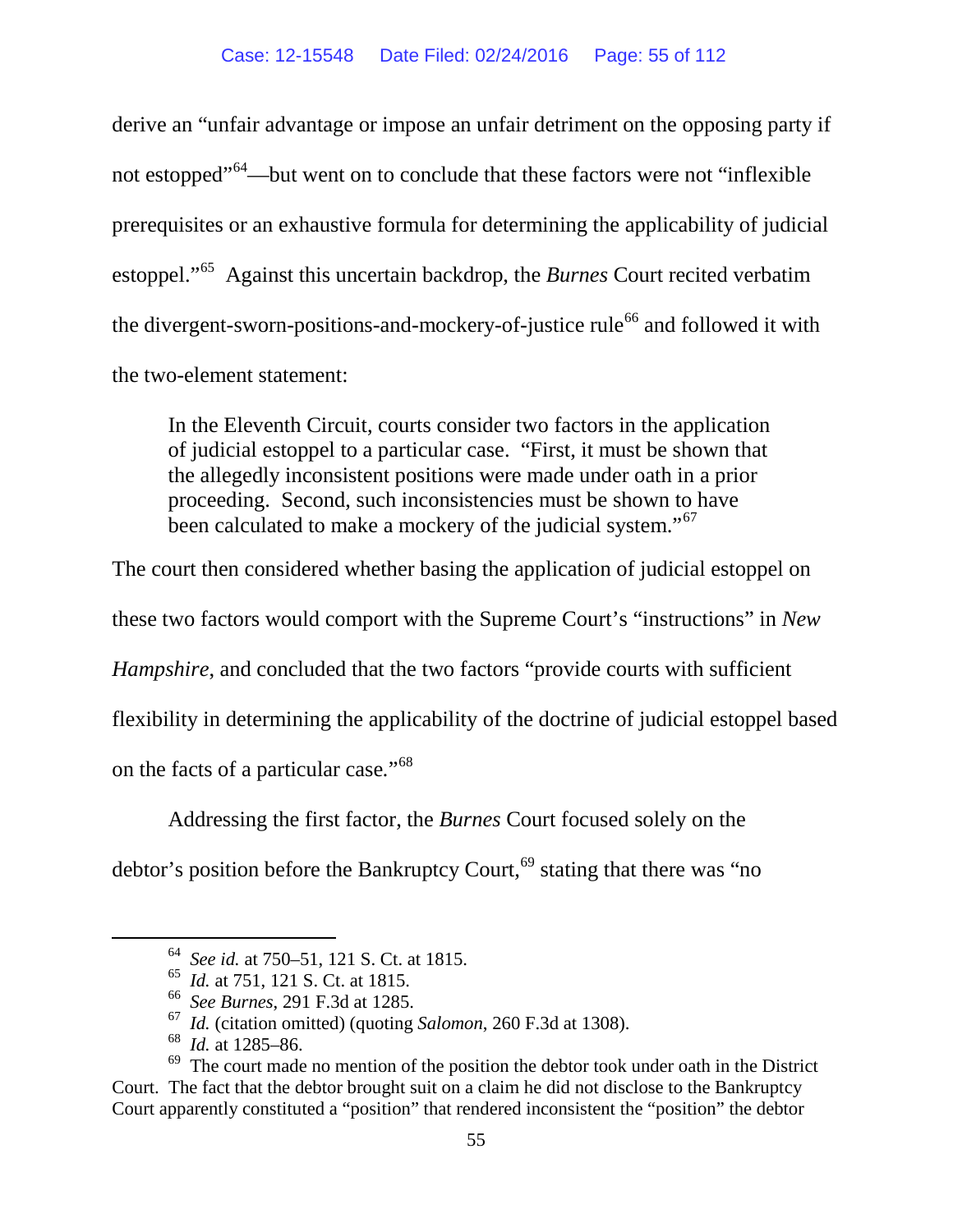derive an "unfair advantage or impose an unfair detriment on the opposing party if not estopped<sup>"[64](#page-54-0)</sup>—but went on to conclude that these factors were not "inflexible" prerequisites or an exhaustive formula for determining the applicability of judicial estoppel."[65](#page-54-1) Against this uncertain backdrop, the *Burnes* Court recited verbatim the divergent-sworn-positions-and-mockery-of-justice rule<sup>[66](#page-54-2)</sup> and followed it with the two-element statement:

In the Eleventh Circuit, courts consider two factors in the application of judicial estoppel to a particular case. "First, it must be shown that the allegedly inconsistent positions were made under oath in a prior proceeding. Second, such inconsistencies must be shown to have been calculated to make a mockery of the judicial system."<sup>[67](#page-54-3)</sup>

The court then considered whether basing the application of judicial estoppel on

these two factors would comport with the Supreme Court's "instructions" in *New* 

*Hampshire*, and concluded that the two factors "provide courts with sufficient

flexibility in determining the applicability of the doctrine of judicial estoppel based

on the facts of a particular case*.*"[68](#page-54-4)

Addressing the first factor, the *Burnes* Court focused solely on the

<span id="page-54-0"></span>debtor's position before the Bankruptcy Court,<sup>[69](#page-54-5)</sup> stating that there was "no

 <sup>64</sup> *See id.* at 750–51, 121 S. Ct. at 1815.

<sup>65</sup> *Id.* at 751, 121 S. Ct. at 1815.

<sup>66</sup> *See Burnes*, 291 F.3d at 1285.

<sup>67</sup> *Id.* (citation omitted) (quoting *Salomon*, 260 F.3d at 1308).

<sup>68</sup> *Id.* at 1285–86.

<span id="page-54-5"></span><span id="page-54-4"></span><span id="page-54-3"></span><span id="page-54-2"></span><span id="page-54-1"></span> $69$  The court made no mention of the position the debtor took under oath in the District Court. The fact that the debtor brought suit on a claim he did not disclose to the Bankruptcy Court apparently constituted a "position" that rendered inconsistent the "position" the debtor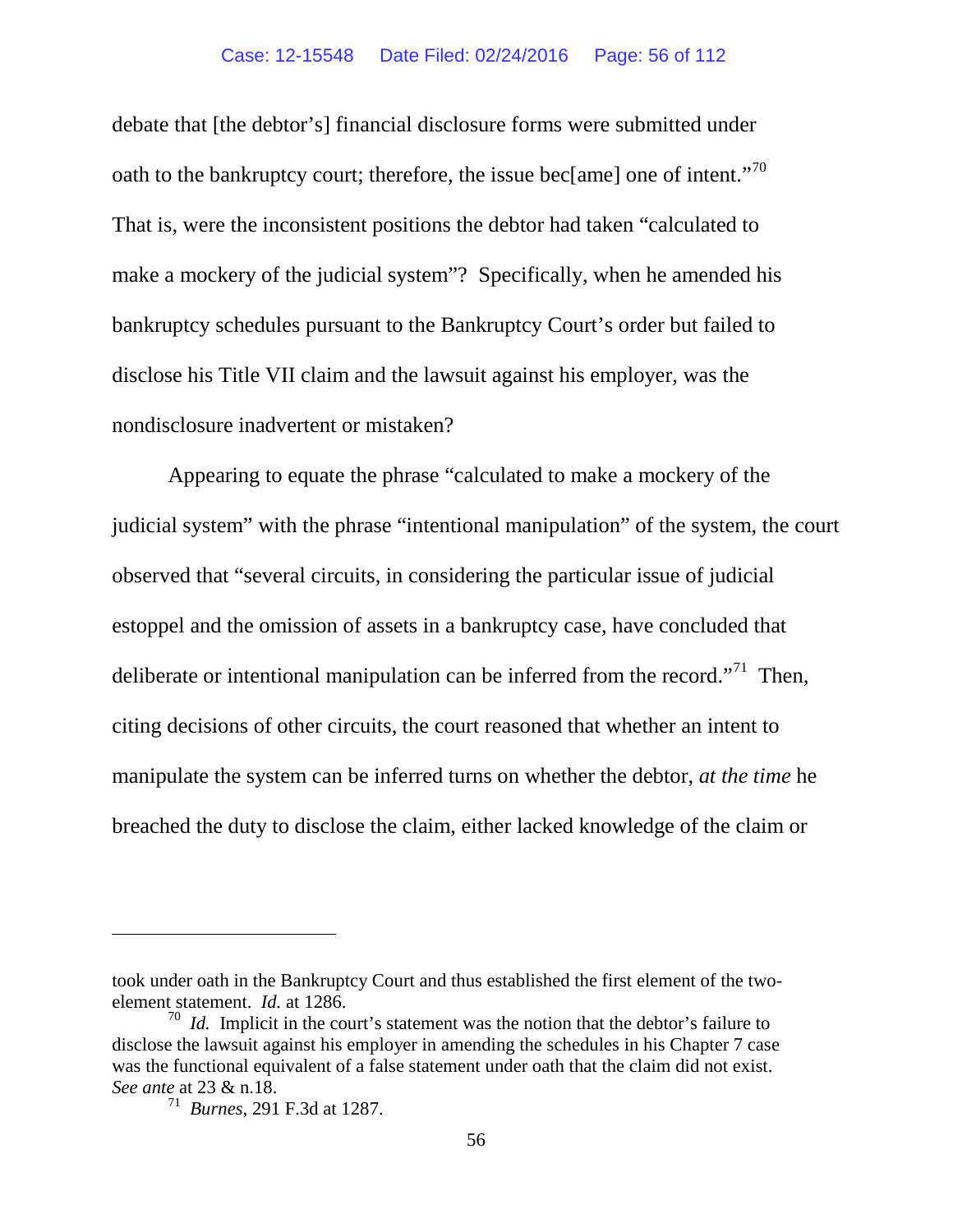<span id="page-55-2"></span>debate that [the debtor's] financial disclosure forms were submitted under oath to the bankruptcy court; therefore, the issue bec[ame] one of intent."<sup>70</sup> That is, were the inconsistent positions the debtor had taken "calculated to make a mockery of the judicial system"? Specifically, when he amended his bankruptcy schedules pursuant to the Bankruptcy Court's order but failed to disclose his Title VII claim and the lawsuit against his employer, was the nondisclosure inadvertent or mistaken?

Appearing to equate the phrase "calculated to make a mockery of the judicial system" with the phrase "intentional manipulation" of the system, the court observed that "several circuits, in considering the particular issue of judicial estoppel and the omission of assets in a bankruptcy case, have concluded that deliberate or intentional manipulation can be inferred from the record."<sup>[71](#page-55-1)</sup> Then, citing decisions of other circuits, the court reasoned that whether an intent to manipulate the system can be inferred turns on whether the debtor, *at the time* he breached the duty to disclose the claim, either lacked knowledge of the claim or

 $\overline{a}$ 

took under oath in the Bankruptcy Court and thus established the first element of the twoelement statement. *Id.* at 1286.

<span id="page-55-1"></span><span id="page-55-0"></span><sup>&</sup>lt;sup>70</sup> *Id.* Implicit in the court's statement was the notion that the debtor's failure to disclose the lawsuit against his employer in amending the schedules in his Chapter 7 case was the functional equivalent of a false statement under oath that the claim did not exist. *See ante* at 23 & n.18.<br><sup>71</sup> *Burnes*, 291 F.3d at 1287.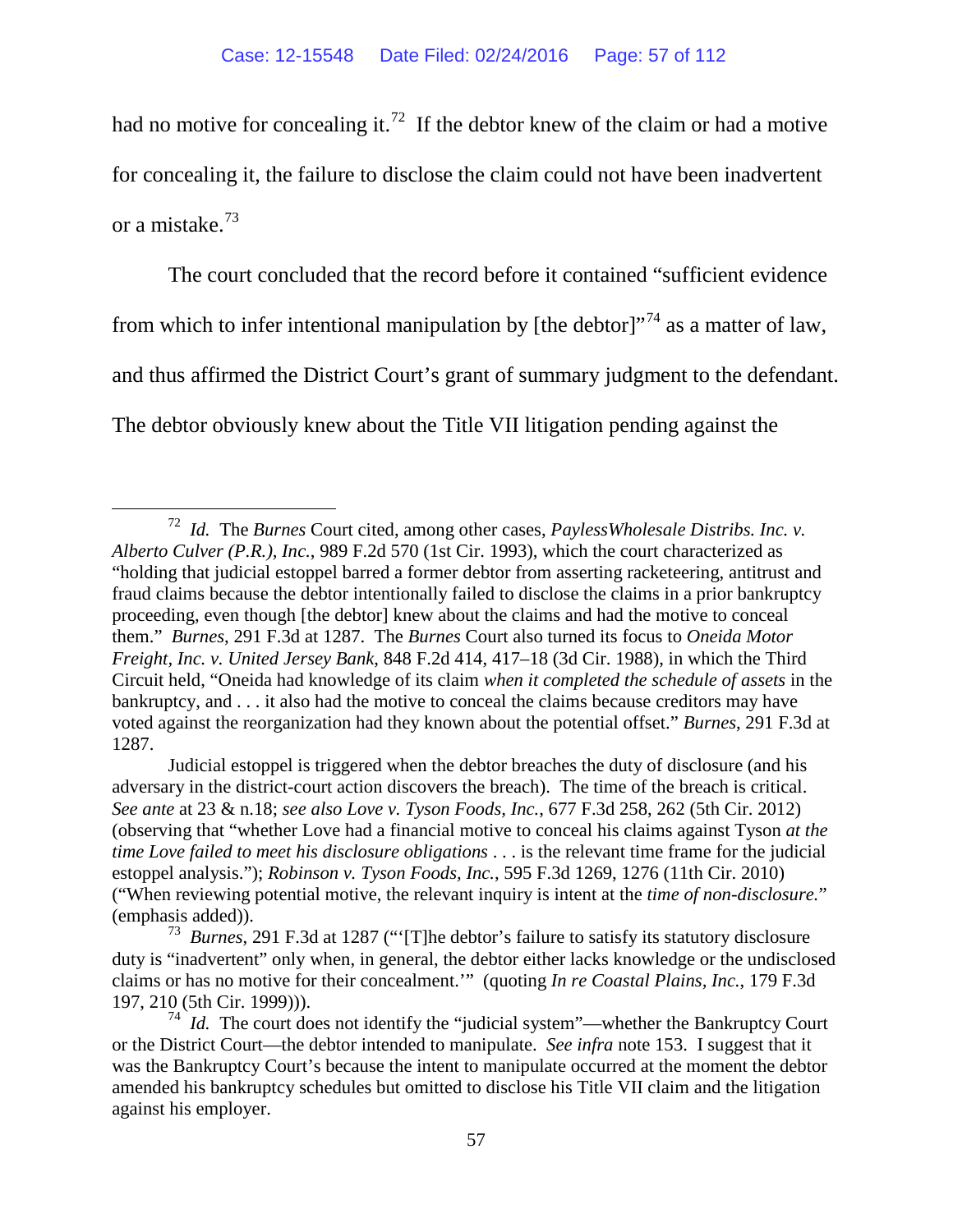had no motive for concealing it.<sup>72</sup> If the debtor knew of the claim or had a motive for concealing it, the failure to disclose the claim could not have been inadvertent or a mistake.[73](#page-56-1) 

The court concluded that the record before it contained "sufficient evidence from which to infer intentional manipulation by [the debtor]<sup> $17<sup>74</sup>$  $17<sup>74</sup>$  $17<sup>74</sup>$ </sup> as a matter of law, and thus affirmed the District Court's grant of summary judgment to the defendant. The debtor obviously knew about the Title VII litigation pending against the

<span id="page-56-0"></span> <sup>72</sup> *Id.* The *Burnes* Court cited, among other cases, *PaylessWholesale Distribs. Inc. v. Alberto Culver (P.R.), Inc.*, 989 F.2d 570 (1st Cir. 1993), which the court characterized as "holding that judicial estoppel barred a former debtor from asserting racketeering, antitrust and fraud claims because the debtor intentionally failed to disclose the claims in a prior bankruptcy proceeding, even though [the debtor] knew about the claims and had the motive to conceal them." *Burnes*, 291 F.3d at 1287. The *Burnes* Court also turned its focus to *Oneida Motor Freight, Inc. v. United Jersey Bank*, 848 F.2d 414, 417–18 (3d Cir. 1988), in which the Third Circuit held, "Oneida had knowledge of its claim *when it completed the schedule of assets* in the bankruptcy, and . . . it also had the motive to conceal the claims because creditors may have voted against the reorganization had they known about the potential offset." *Burnes*, 291 F.3d at 1287.

Judicial estoppel is triggered when the debtor breaches the duty of disclosure (and his adversary in the district-court action discovers the breach). The time of the breach is critical. *See ante* at 23 & n.18; *see also Love v. Tyson Foods, Inc.*, 677 F.3d 258, 262 (5th Cir. 2012) (observing that "whether Love had a financial motive to conceal his claims against Tyson *at the time Love failed to meet his disclosure obligations* . . . is the relevant time frame for the judicial estoppel analysis."); *Robinson v. Tyson Foods, Inc.*, 595 F.3d 1269, 1276 (11th Cir. 2010) ("When reviewing potential motive, the relevant inquiry is intent at the *time of non-disclosure.*" (emphasis added)).

<span id="page-56-1"></span><sup>73</sup> *Burnes*, 291 F.3d at 1287 ("'[T]he debtor's failure to satisfy its statutory disclosure duty is "inadvertent" only when, in general, the debtor either lacks knowledge or the undisclosed claims or has no motive for their concealment.'" (quoting *In re Coastal Plains, Inc.*, 179 F.3d 197, 210 (5th Cir. 1999))).

<span id="page-56-2"></span><sup>&</sup>lt;sup>74</sup> *Id.* The court does not identify the "judicial system"—whether the Bankruptcy Court or the District Court—the debtor intended to manipulate. *See infra* note [153.](#page-78-0) I suggest that it was the Bankruptcy Court's because the intent to manipulate occurred at the moment the debtor amended his bankruptcy schedules but omitted to disclose his Title VII claim and the litigation against his employer.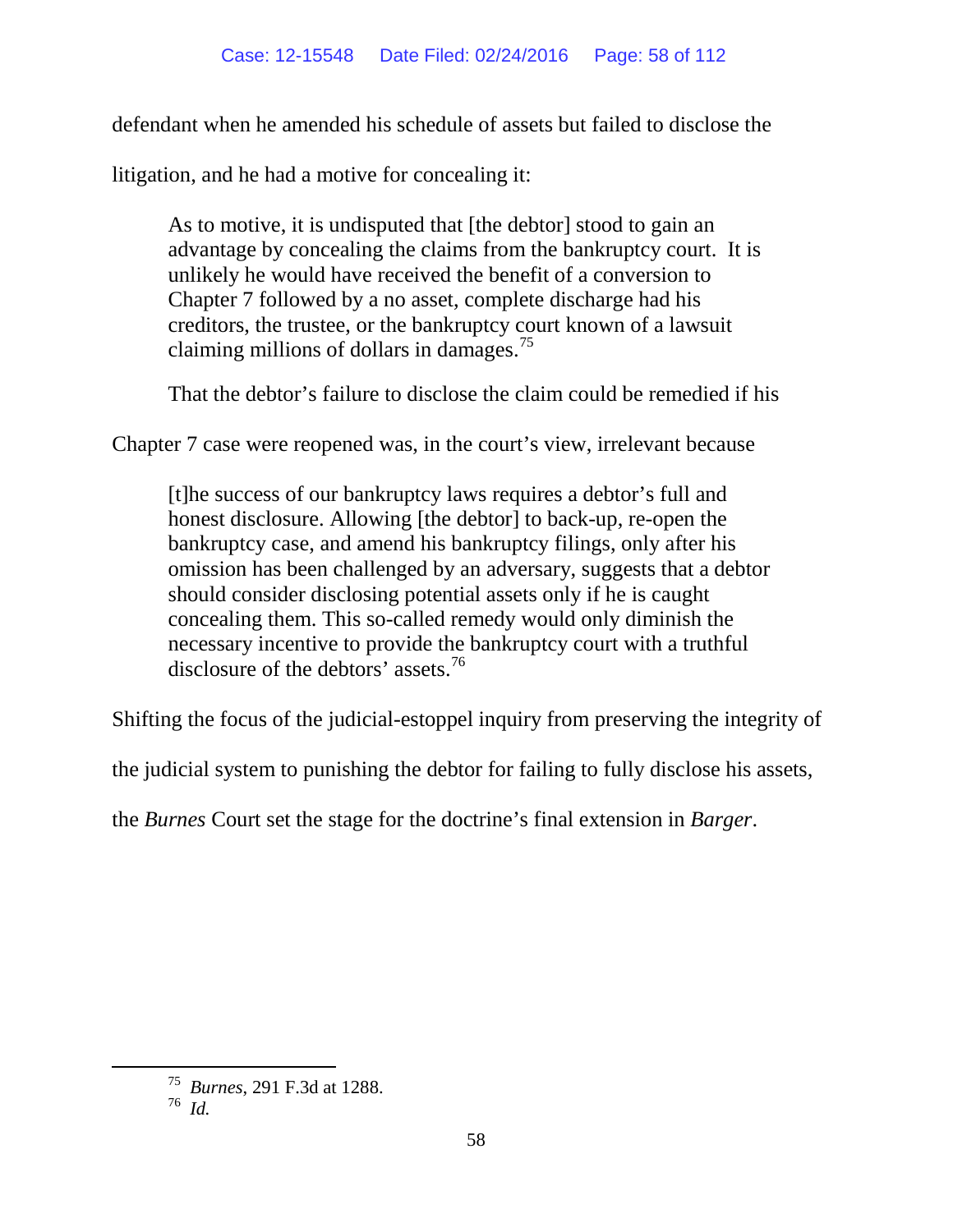defendant when he amended his schedule of assets but failed to disclose the

litigation, and he had a motive for concealing it:

As to motive, it is undisputed that [the debtor] stood to gain an advantage by concealing the claims from the bankruptcy court. It is unlikely he would have received the benefit of a conversion to Chapter 7 followed by a no asset, complete discharge had his creditors, the trustee, or the bankruptcy court known of a lawsuit claiming millions of dollars in damages.<sup>[75](#page-57-0)</sup>

That the debtor's failure to disclose the claim could be remedied if his

Chapter 7 case were reopened was, in the court's view, irrelevant because

[t]he success of our bankruptcy laws requires a debtor's full and honest disclosure. Allowing [the debtor] to back-up, re-open the bankruptcy case, and amend his bankruptcy filings, only after his omission has been challenged by an adversary, suggests that a debtor should consider disclosing potential assets only if he is caught concealing them. This so-called remedy would only diminish the necessary incentive to provide the bankruptcy court with a truthful disclosure of the debtors' assets.<sup>[76](#page-57-1)</sup>

Shifting the focus of the judicial-estoppel inquiry from preserving the integrity of

the judicial system to punishing the debtor for failing to fully disclose his assets,

the *Burnes* Court set the stage for the doctrine's final extension in *Barger*.

<span id="page-57-1"></span><span id="page-57-0"></span> <sup>75</sup> *Burnes*, 291 F.3d at 1288.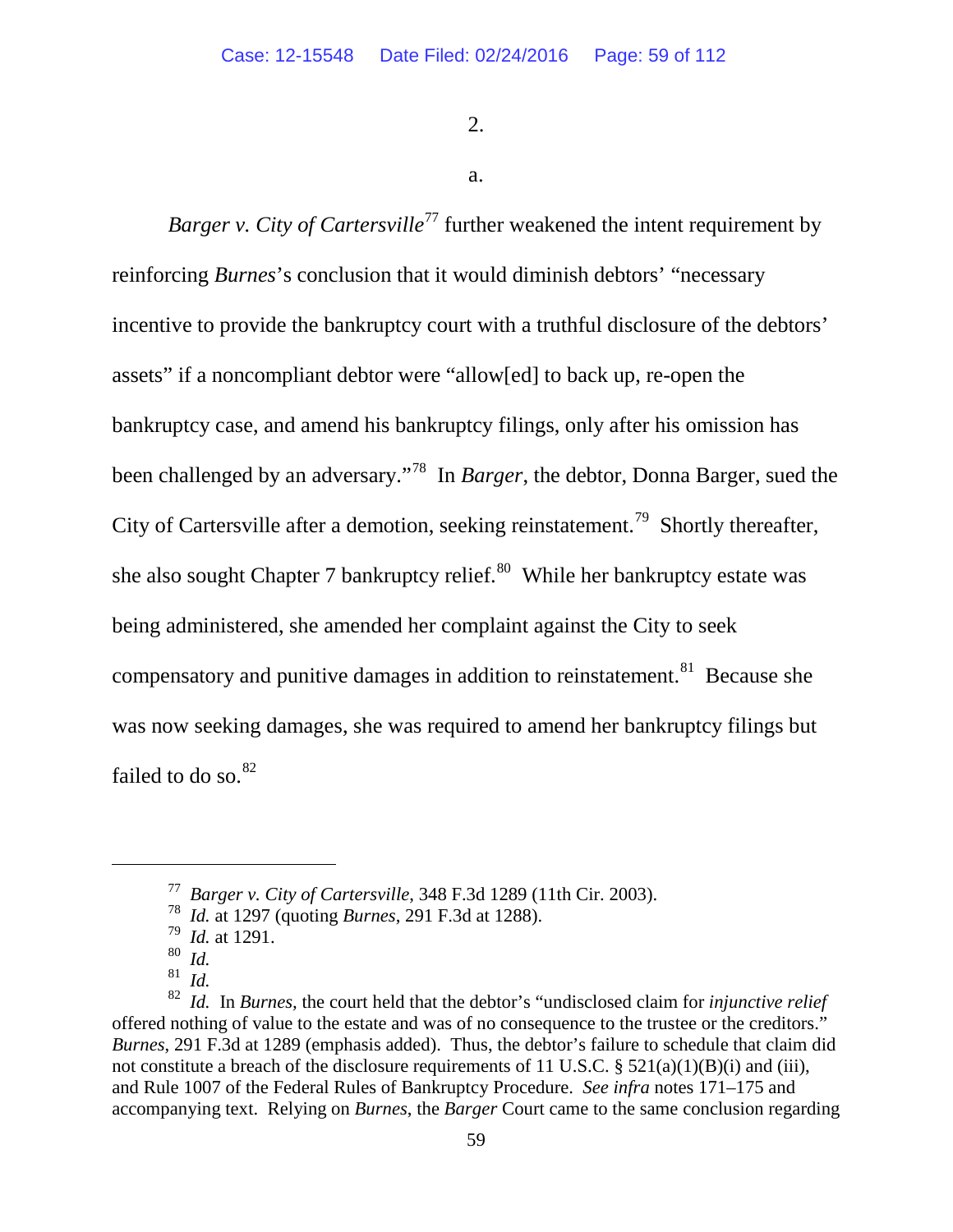2.

a.

*Barger v. City of Cartersville*<sup>[77](#page-58-0)</sup> further weakened the intent requirement by reinforcing *Burnes*'s conclusion that it would diminish debtors' "necessary incentive to provide the bankruptcy court with a truthful disclosure of the debtors' assets" if a noncompliant debtor were "allow[ed] to back up, re-open the bankruptcy case, and amend his bankruptcy filings, only after his omission has been challenged by an adversary."[78](#page-58-1) In *Barger*, the debtor, Donna Barger, sued the City of Cartersville after a demotion, seeking reinstatement.<sup>[79](#page-58-2)</sup> Shortly thereafter, she also sought Chapter 7 bankruptcy relief. $80$  While her bankruptcy estate was being administered, she amended her complaint against the City to seek compensatory and punitive damages in addition to reinstatement.<sup>[81](#page-58-4)</sup> Because she was now seeking damages, she was required to amend her bankruptcy filings but failed to do so. $82$ 

<span id="page-58-1"></span><span id="page-58-0"></span> $\overline{a}$ 

<sup>77</sup> *Barger v. City of Cartersville*, 348 F.3d 1289 (11th Cir. 2003).

<sup>78</sup>*Id.* at 1297 (quoting *Burnes*, 291 F.3d at 1288). <sup>79</sup>*Id.* at 1291.

<sup>80</sup> *Id.*

<sup>81</sup> *Id.*

<span id="page-58-5"></span><span id="page-58-4"></span><span id="page-58-3"></span><span id="page-58-2"></span><sup>82</sup> *Id.* In *Burnes,* the court held that the debtor's "undisclosed claim for *injunctive relief*  offered nothing of value to the estate and was of no consequence to the trustee or the creditors." *Burnes*, 291 F.3d at 1289 (emphasis added). Thus, the debtor's failure to schedule that claim did not constitute a breach of the disclosure requirements of 11 U.S.C.  $\S 521(a)(1)(B)(i)$  and (iii), and Rule 1007 of the Federal Rules of Bankruptcy Procedure. *See infra* notes [171–](#page-86-0)[175](#page-87-0) and accompanying text. Relying on *Burnes*, the *Barger* Court came to the same conclusion regarding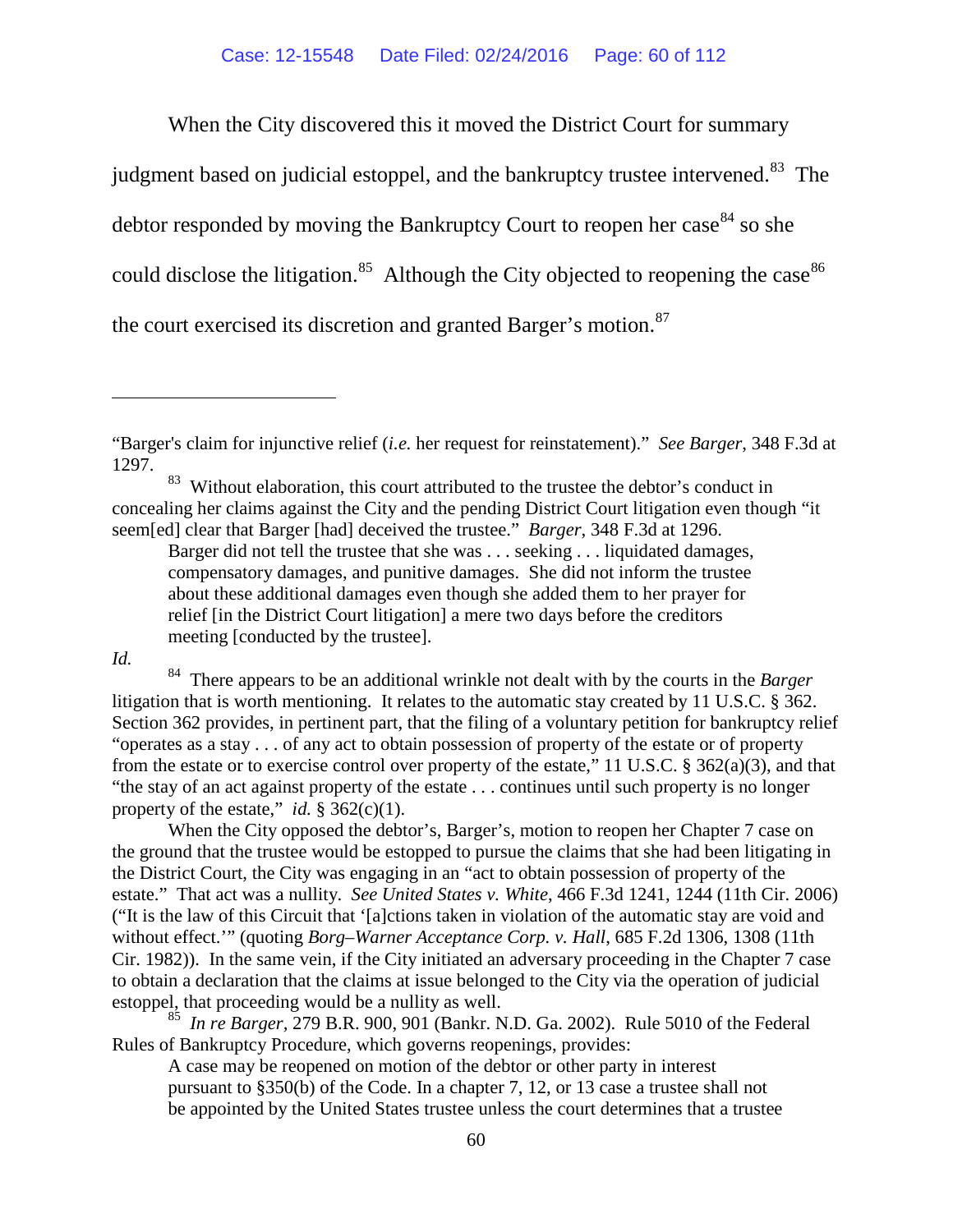When the City discovered this it moved the District Court for summary

judgment based on judicial estoppel, and the bankruptcy trustee intervened.<sup>[83](#page-59-0)</sup> The debtor responded by moving the Bankruptcy Court to reopen her case  $84$  so she could disclose the litigation.<sup>85</sup> Although the City objected to reopening the case<sup>[86](#page-59-3)</sup> the court exercised its discretion and granted Barger's motion.<sup>[87](#page-59-2)</sup>

Barger did not tell the trustee that she was . . . seeking . . . liquidated damages, compensatory damages, and punitive damages. She did not inform the trustee about these additional damages even though she added them to her prayer for relief [in the District Court litigation] a mere two days before the creditors meeting [conducted by the trustee].

*Id.*

 $\overline{a}$ 

<span id="page-59-1"></span>84 There appears to be an additional wrinkle not dealt with by the courts in the *Barger* litigation that is worth mentioning. It relates to the automatic stay created by 11 U.S.C. § 362. Section 362 provides, in pertinent part, that the filing of a voluntary petition for bankruptcy relief "operates as a stay . . . of any act to obtain possession of property of the estate or of property from the estate or to exercise control over property of the estate," 11 U.S.C. § 362(a)(3), and that "the stay of an act against property of the estate . . . continues until such property is no longer property of the estate," *id.*  $\S$  362(c)(1).

When the City opposed the debtor's, Barger's, motion to reopen her Chapter 7 case on the ground that the trustee would be estopped to pursue the claims that she had been litigating in the District Court, the City was engaging in an "act to obtain possession of property of the estate." That act was a nullity. *See United States v. White*, 466 F.3d 1241, 1244 (11th Cir. 2006) ("It is the law of this Circuit that '[a]ctions taken in violation of the automatic stay are void and without effect.'" (quoting *Borg–Warner Acceptance Corp. v. Hall*, 685 F.2d 1306, 1308 (11th Cir. 1982)). In the same vein, if the City initiated an adversary proceeding in the Chapter 7 case to obtain a declaration that the claims at issue belonged to the City via the operation of judicial estoppel, that proceeding would be a nullity as well.

<span id="page-59-3"></span><span id="page-59-2"></span><sup>85</sup>*In re Barger,* 279 B.R. 900, 901 (Bankr. N.D. Ga. 2002). Rule 5010 of the Federal Rules of Bankruptcy Procedure, which governs reopenings, provides:

A case may be reopened on motion of the debtor or other party in interest pursuant to §350(b) of the Code. In a chapter 7, 12, or 13 case a trustee shall not be appointed by the United States trustee unless the court determines that a trustee

<sup>&</sup>quot;Barger's claim for injunctive relief (*i.e.* her request for reinstatement)." *See Barger*, 348 F.3d at 1297.

<span id="page-59-0"></span><sup>&</sup>lt;sup>83</sup> Without elaboration, this court attributed to the trustee the debtor's conduct in concealing her claims against the City and the pending District Court litigation even though "it seem[ed] clear that Barger [had] deceived the trustee." *Barger*, 348 F.3d at 1296.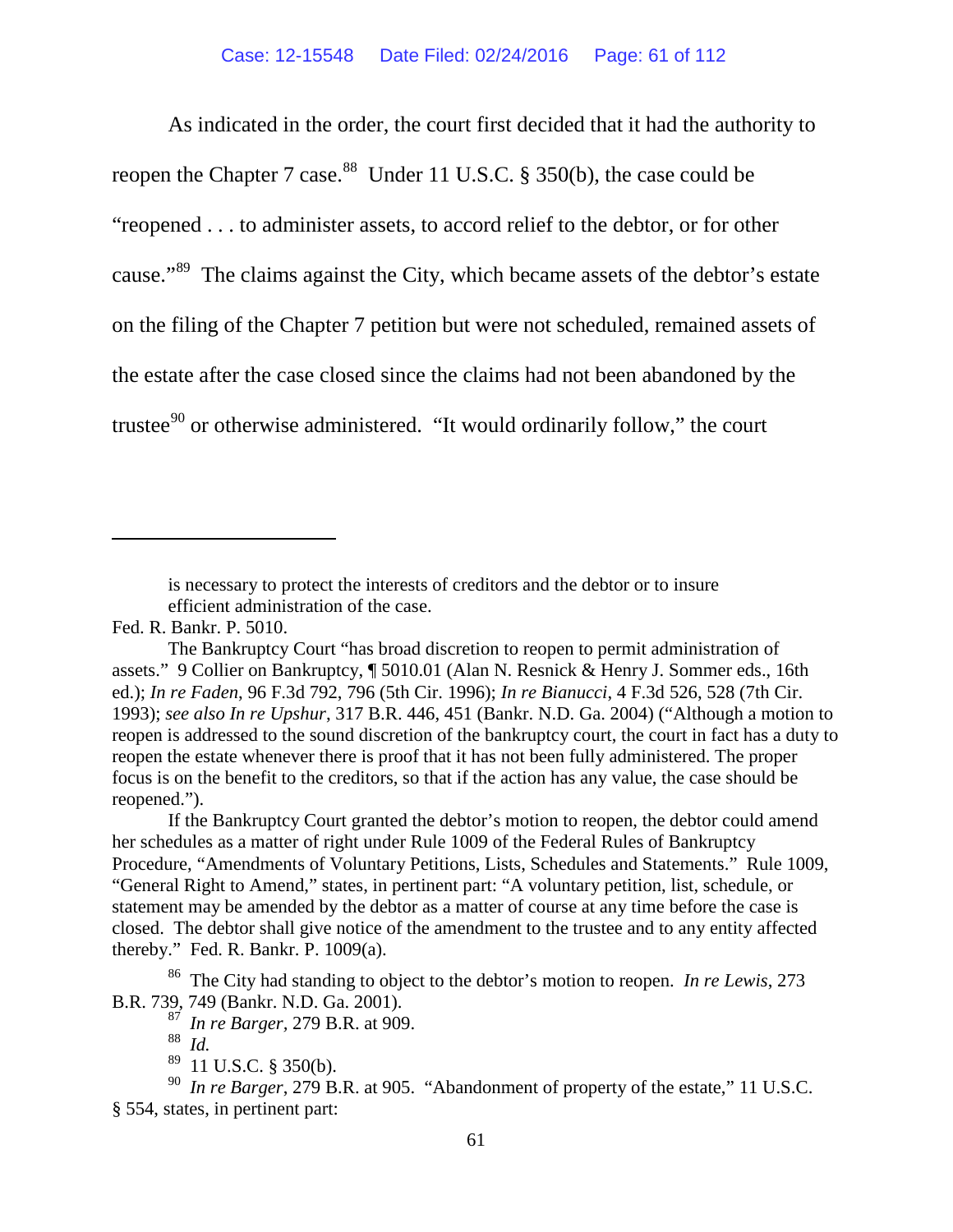As indicated in the order, the court first decided that it had the authority to reopen the Chapter 7 case.<sup>88</sup> Under 11 U.S.C. § 350(b), the case could be "reopened . . . to administer assets, to accord relief to the debtor, or for other cause."[89](#page-60-1) The claims against the City, which became assets of the debtor's estate on the filing of the Chapter 7 petition but were not scheduled, remained assets of the estate after the case closed since the claims had not been abandoned by the trustee<sup>[90](#page-60-2)</sup> or otherwise administered. "It would ordinarily follow," the court

is necessary to protect the interests of creditors and the debtor or to insure efficient administration of the case.

 $\overline{a}$ 

If the Bankruptcy Court granted the debtor's motion to reopen, the debtor could amend her schedules as a matter of right under Rule 1009 of the Federal Rules of Bankruptcy Procedure, "Amendments of Voluntary Petitions, Lists, Schedules and Statements." Rule 1009, "General Right to Amend," states, in pertinent part: "A voluntary petition, list, schedule, or statement may be amended by the debtor as a matter of course at any time before the case is closed. The debtor shall give notice of the amendment to the trustee and to any entity affected thereby." Fed. R. Bankr. P. 1009(a).

86 The City had standing to object to the debtor's motion to reopen. *In re Lewis*, 273 B.R. 739, 749 (Bankr. N.D. Ga. 2001).

87 *In re Barger,* 279 B.R. at 909.

88 *Id.* 

 $89$  11 U.S.C. § 350(b).

<span id="page-60-2"></span><span id="page-60-1"></span><span id="page-60-0"></span>90 *In re Barger*, 279 B.R. at 905. "Abandonment of property of the estate," 11 U.S.C. § 554, states, in pertinent part:

Fed. R. Bankr. P. 5010.

The Bankruptcy Court "has broad discretion to reopen to permit administration of assets." 9 Collier on Bankruptcy, ¶ 5010.01 (Alan N. Resnick & Henry J. Sommer eds., 16th ed.); *In re Faden*, 96 F.3d 792, 796 (5th Cir. 1996); *In re Bianucci*, 4 F.3d 526, 528 (7th Cir. 1993); *see also In re Upshur*, 317 B.R. 446, 451 (Bankr. N.D. Ga. 2004) ("Although a motion to reopen is addressed to the sound discretion of the bankruptcy court, the court in fact has a duty to reopen the estate whenever there is proof that it has not been fully administered. The proper focus is on the benefit to the creditors, so that if the action has any value, the case should be reopened.").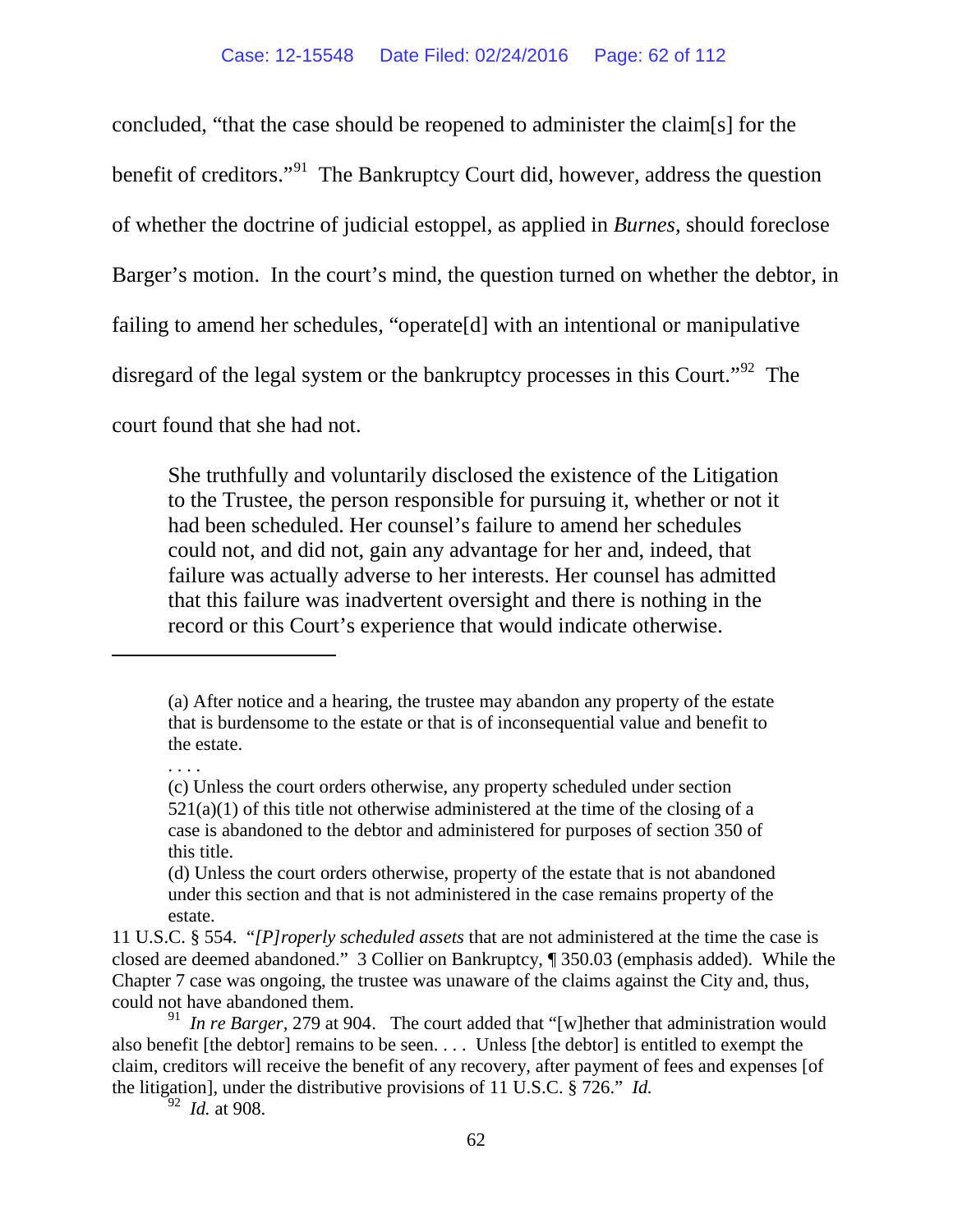concluded, "that the case should be reopened to administer the claim[s] for the benefit of creditors."[91](#page-61-0) The Bankruptcy Court did, however, address the question of whether the doctrine of judicial estoppel, as applied in *Burnes,* should foreclose Barger's motion. In the court's mind, the question turned on whether the debtor, in failing to amend her schedules, "operate[d] with an intentional or manipulative disregard of the legal system or the bankruptcy processes in this Court."<sup>[92](#page-61-1)</sup> The

court found that she had not.

She truthfully and voluntarily disclosed the existence of the Litigation to the Trustee, the person responsible for pursuing it, whether or not it had been scheduled. Her counsel's failure to amend her schedules could not, and did not, gain any advantage for her and, indeed, that failure was actually adverse to her interests. Her counsel has admitted that this failure was inadvertent oversight and there is nothing in the record or this Court's experience that would indicate otherwise.

. . . .

 $\overline{a}$ 

92 *Id.* at 908.

<sup>(</sup>a) After notice and a hearing, the trustee may abandon any property of the estate that is burdensome to the estate or that is of inconsequential value and benefit to the estate.

<sup>(</sup>c) Unless the court orders otherwise, any property scheduled under [section](https://a.next.westlaw.com/Link/Document/FullText?findType=L&pubNum=1000546&cite=11USCAS521&originatingDoc=N9CB34FC029A311E085059313582677B6&refType=RB&originationContext=document&transitionType=DocumentItem&contextData=(sc.UserEnteredCitation)%23co_pp_7b9b000044381)   $521(a)(1)$  of this title not otherwise administered at the time of the closing of a case is abandoned to the debtor and administered for purposes of [section 350](https://a.next.westlaw.com/Link/Document/FullText?findType=L&pubNum=1000546&cite=11USCAS350&originatingDoc=N9CB34FC029A311E085059313582677B6&refType=LQ&originationContext=document&transitionType=DocumentItem&contextData=(sc.UserEnteredCitation)) of this title.

<sup>(</sup>d) Unless the court orders otherwise, property of the estate that is not abandoned under this section and that is not administered in the case remains property of the estate.

<sup>11</sup> U.S.C. § 554. "*[P]roperly scheduled assets* that are not administered at the time the case is closed are deemed abandoned." 3 Collier on Bankruptcy, ¶ 350.03 (emphasis added). While the Chapter 7 case was ongoing, the trustee was unaware of the claims against the City and, thus, could not have abandoned them.

<span id="page-61-1"></span><span id="page-61-0"></span><sup>&</sup>lt;sup>91</sup> *In re Barger*, 279 at 904. The court added that "[w] hether that administration would also benefit [the debtor] remains to be seen. . . . Unless [the debtor] is entitled to exempt the claim, creditors will receive the benefit of any recovery, after payment of fees and expenses [of the litigation], under the distributive provisions of 11 U.S.C. § 726." *Id.*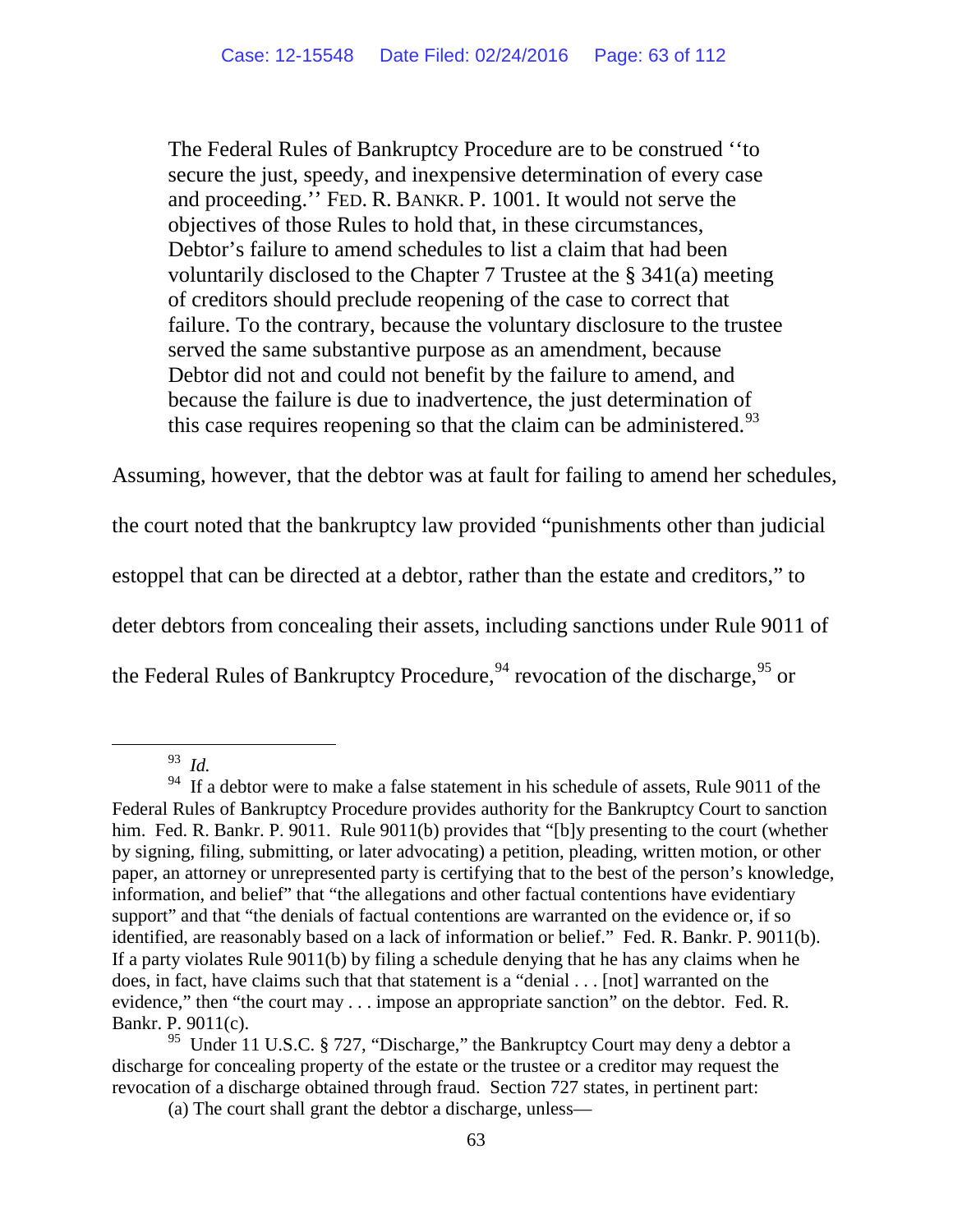The Federal Rules of Bankruptcy Procedure are to be construed ''to secure the just, speedy, and inexpensive determination of every case and proceeding.'' FED. R. BANKR. P. 1001. It would not serve the objectives of those Rules to hold that, in these circumstances, Debtor's failure to amend schedules to list a claim that had been voluntarily disclosed to the Chapter 7 Trustee at the § 341(a) meeting of creditors should preclude reopening of the case to correct that failure. To the contrary, because the voluntary disclosure to the trustee served the same substantive purpose as an amendment, because Debtor did not and could not benefit by the failure to amend, and because the failure is due to inadvertence, the just determination of this case requires reopening so that the claim can be administered.<sup>[93](#page-62-0)</sup>

Assuming, however, that the debtor was at fault for failing to amend her schedules, the court noted that the bankruptcy law provided "punishments other than judicial estoppel that can be directed at a debtor, rather than the estate and creditors," to deter debtors from concealing their assets, including sanctions under Rule 9011 of the Federal Rules of Bankruptcy Procedure,  $94$  revocation of the discharge,  $95$  or

 <sup>93</sup> *Id.*

<span id="page-62-1"></span><span id="page-62-0"></span> $94$  If a debtor were to make a false statement in his schedule of assets, Rule 9011 of the Federal Rules of Bankruptcy Procedure provides authority for the Bankruptcy Court to sanction him. Fed. R. Bankr. P. 9011. Rule 9011(b) provides that "[b]y presenting to the court (whether by signing, filing, submitting, or later advocating) a petition, pleading, written motion, or other paper, an attorney or unrepresented party is certifying that to the best of the person's knowledge, information, and belief" that "the allegations and other factual contentions have evidentiary support" and that "the denials of factual contentions are warranted on the evidence or, if so identified, are reasonably based on a lack of information or belief." Fed. R. Bankr. P. 9011(b). If a party violates Rule 9011(b) by filing a schedule denying that he has any claims when he does, in fact, have claims such that that statement is a "denial . . . [not] warranted on the evidence," then "the court may . . . impose an appropriate sanction" on the debtor. Fed. R. Bankr. P. 9011(c).

<span id="page-62-2"></span><sup>&</sup>lt;sup>95</sup> Under 11 U.S.C. § 727, "Discharge," the Bankruptcy Court may deny a debtor a discharge for concealing property of the estate or the trustee or a creditor may request the revocation of a discharge obtained through fraud. Section 727 states, in pertinent part:

<sup>(</sup>a) The court shall grant the debtor a discharge, unless—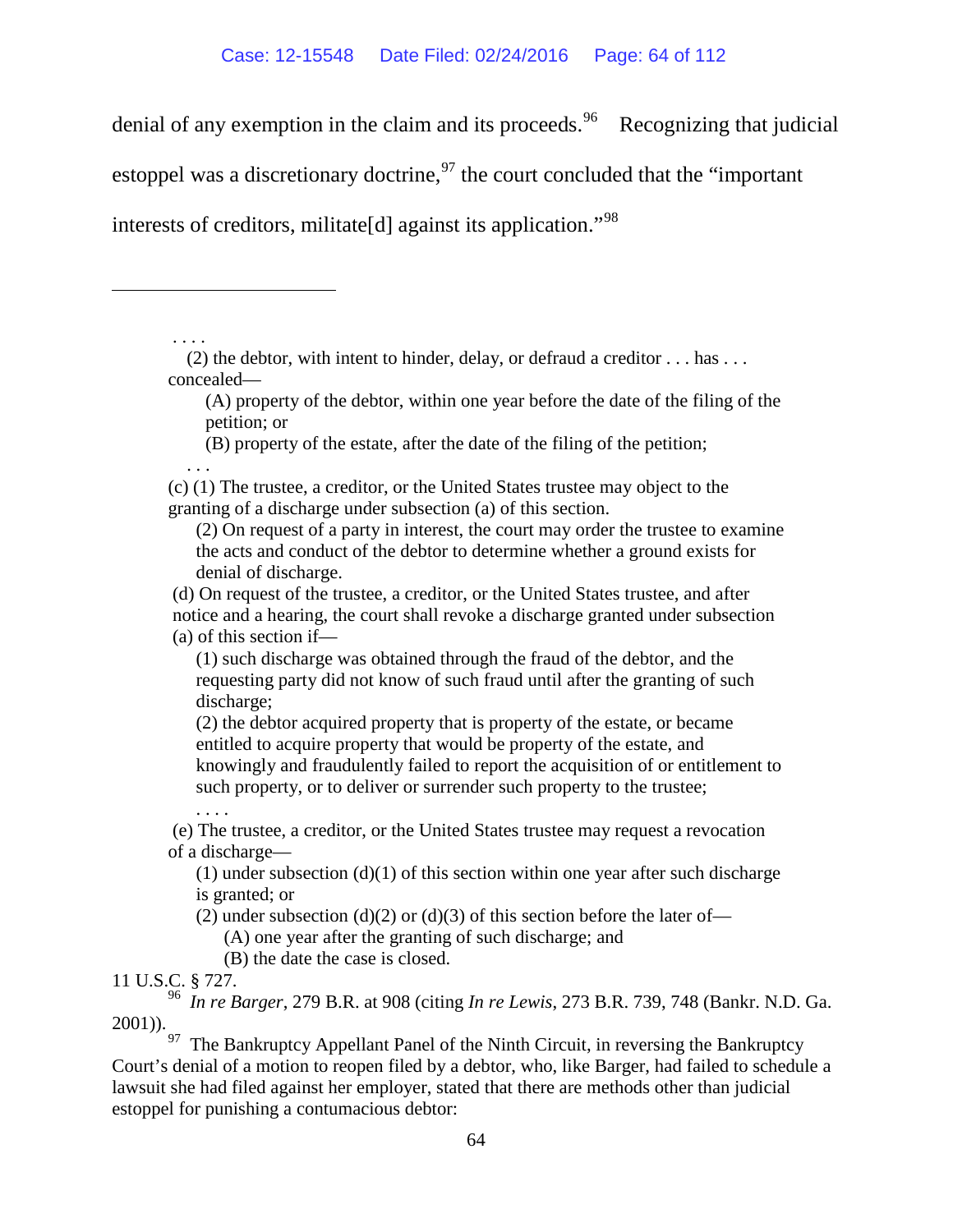denial of any exemption in the claim and its proceeds.<sup>[96](#page-63-0)</sup> Recognizing that judicial

estoppel was a discretionary doctrine,  $^{97}$  $^{97}$  $^{97}$  the court concluded that the "important"

interests of creditors, militate<sup>[d]</sup> against its application.<sup>"[98](#page-63-1)</sup>

. . . . (2) the debtor, with intent to hinder, delay, or defraud a creditor . . . has . . . concealed—

(A) property of the debtor, within one year before the date of the filing of the petition; or

(B) property of the estate, after the date of the filing of the petition;

 . . . (c) (1) The trustee, a creditor, or the United States trustee may object to the granting of a discharge under subsection (a) of this section.

(2) On request of a party in interest, the court may order the trustee to examine the acts and conduct of the debtor to determine whether a ground exists for denial of discharge.

(d) On request of the trustee, a creditor, or the United States trustee, and after

notice and a hearing, the court shall revoke a discharge granted under subsection (a) of this section if—

(1) such discharge was obtained through the fraud of the debtor, and the requesting party did not know of such fraud until after the granting of such discharge;

(2) the debtor acquired property that is property of the estate, or became entitled to acquire property that would be property of the estate, and knowingly and fraudulently failed to report the acquisition of or entitlement to such property, or to deliver or surrender such property to the trustee;

(e) The trustee, a creditor, or the United States trustee may request a revocation of a discharge—

(1) under subsection  $(d)(1)$  of this section within one year after such discharge is granted; or

(2) under subsection (d)(2) or (d)(3) of this section before the later of—

(A) one year after the granting of such discharge; and

(B) the date the case is closed.

11 U.S.C. § 727.

. . . .

 $\overline{a}$ 

<span id="page-63-0"></span>96 *In re Barger*, 279 B.R. at 908 (citing *In re Lewis*, 273 B.R. 739, 748 (Bankr. N.D. Ga. 2001)).

<span id="page-63-1"></span> $97$  The Bankruptcy Appellant Panel of the Ninth Circuit, in reversing the Bankruptcy Court's denial of a motion to reopen filed by a debtor, who, like Barger, had failed to schedule a lawsuit she had filed against her employer, stated that there are methods other than judicial estoppel for punishing a contumacious debtor: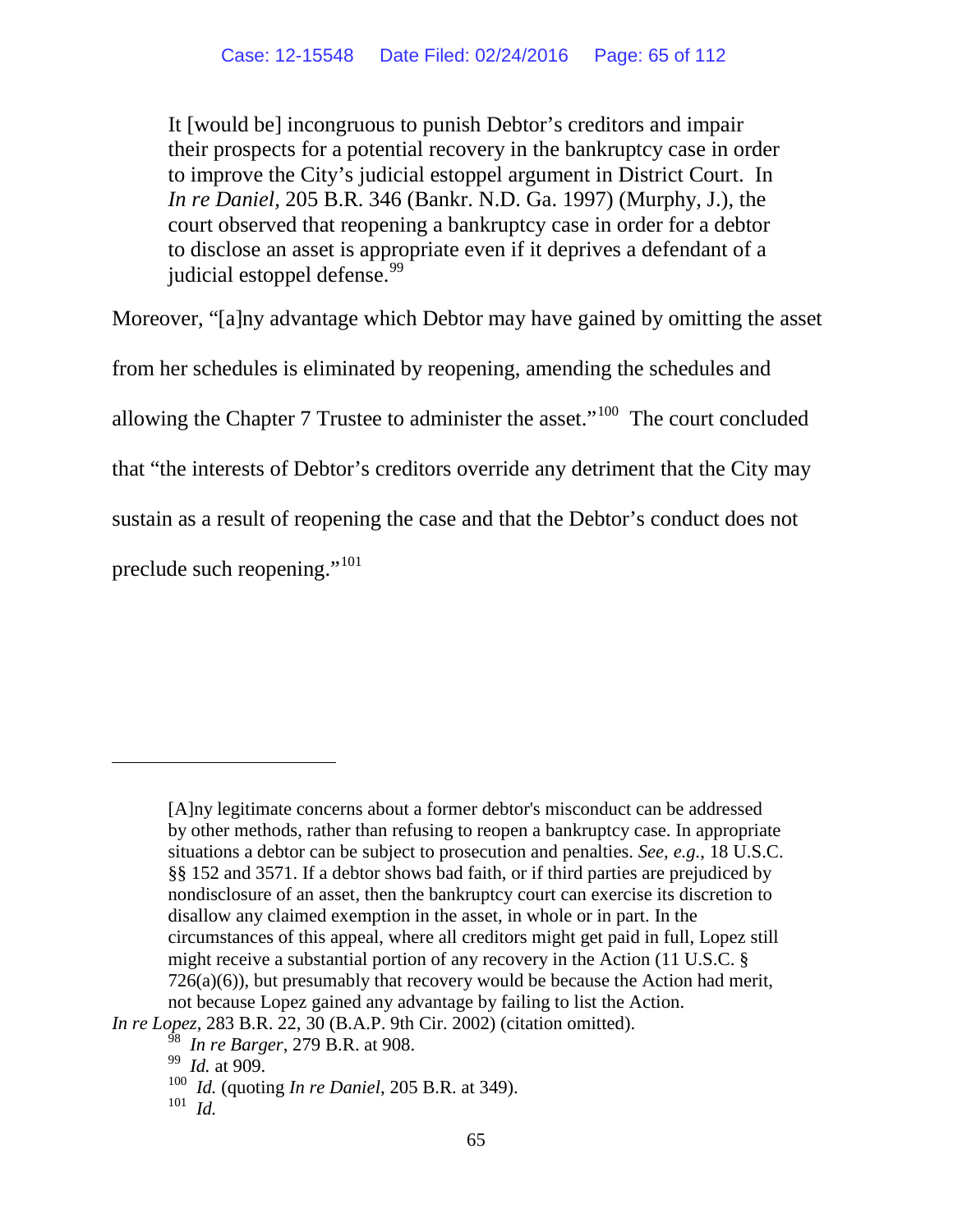It [would be] incongruous to punish Debtor's creditors and impair their prospects for a potential recovery in the bankruptcy case in order to improve the City's judicial estoppel argument in District Court. In *In re Daniel,* 205 B.R. 346 (Bankr. N.D. Ga. 1997) (Murphy, J.), the court observed that reopening a bankruptcy case in order for a debtor to disclose an asset is appropriate even if it deprives a defendant of a judicial estoppel defense.<sup>99</sup>

Moreover, "[a]ny advantage which Debtor may have gained by omitting the asset

from her schedules is eliminated by reopening, amending the schedules and allowing the Chapter 7 Trustee to administer the asset."<sup>100</sup> The court concluded that "the interests of Debtor's creditors override any detriment that the City may sustain as a result of reopening the case and that the Debtor's conduct does not preclude such reopening."[101](#page-64-2)

 $\overline{a}$ 

<sup>[</sup>A]ny legitimate concerns about a former debtor's misconduct can be addressed by other methods, rather than refusing to reopen a bankruptcy case. In appropriate situations a debtor can be subject to prosecution and penalties. *See, e.g.*, 18 U.S.C. §§ 152 and 3571. If a debtor shows bad faith, or if third parties are prejudiced by nondisclosure of an asset, then the bankruptcy court can exercise its discretion to disallow any claimed exemption in the asset, in whole or in part. In the circumstances of this appeal, where all creditors might get paid in full, Lopez still might receive a substantial portion of any recovery in the Action (11 U.S.C. §  $726(a)(6)$ ), but presumably that recovery would be because the Action had merit, not because Lopez gained any advantage by failing to list the Action.

<span id="page-64-2"></span><span id="page-64-1"></span><span id="page-64-0"></span>*In re Lopez*, 283 B.R. 22, 30 (B.A.P. 9th Cir. 2002) (citation omitted).

<sup>98</sup> *In re Barger*, 279 B.R. at 908.

<sup>99</sup> *Id.* at 909.

<sup>100</sup> *Id.* (quoting *In re Daniel*, 205 B.R. at 349).

<sup>101</sup> *Id.*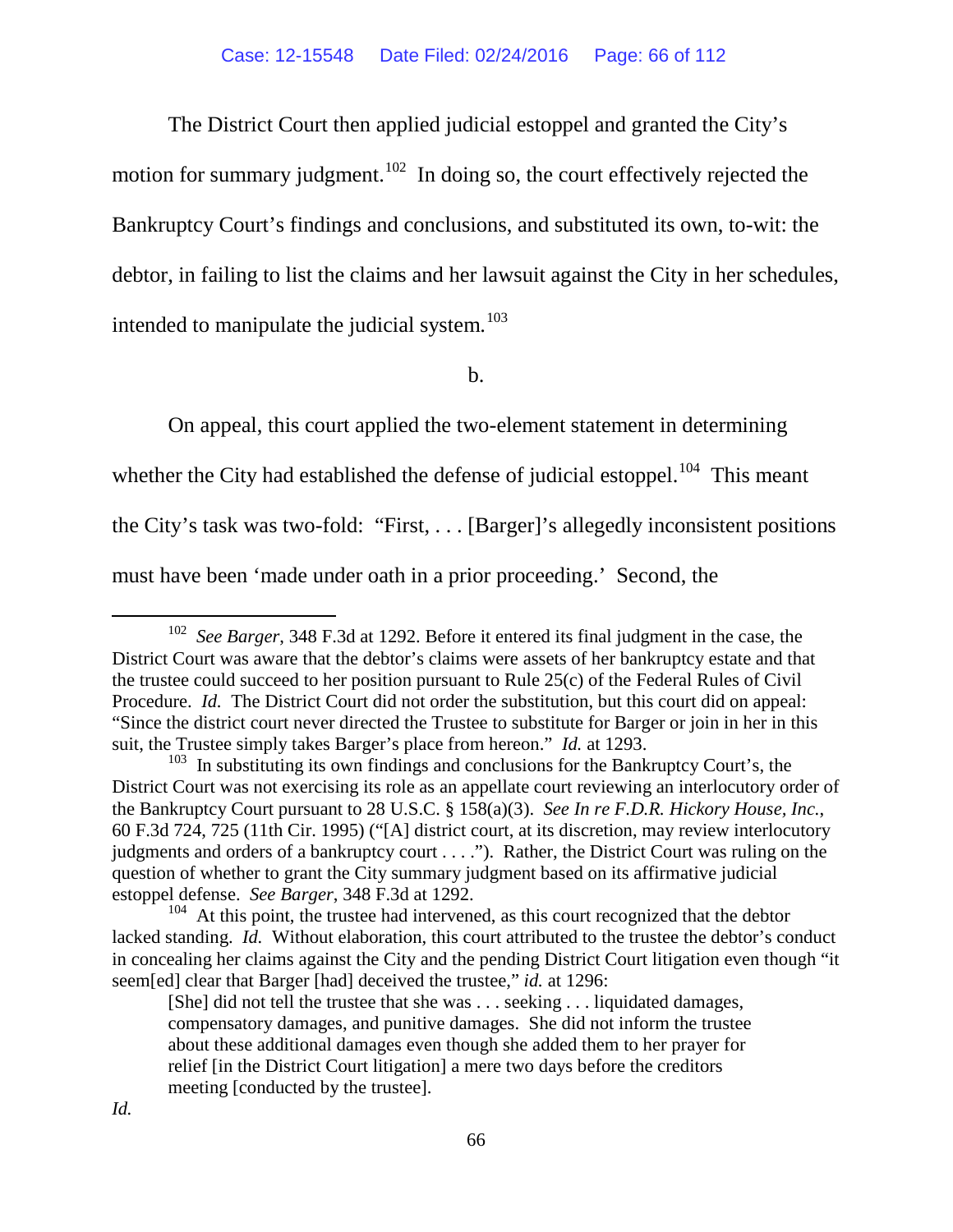The District Court then applied judicial estoppel and granted the City's

motion for summary judgment.<sup>[102](#page-65-0)</sup> In doing so, the court effectively rejected the Bankruptcy Court's findings and conclusions, and substituted its own, to-wit: the debtor, in failing to list the claims and her lawsuit against the City in her schedules, intended to manipulate the judicial system.<sup>[103](#page-65-1)</sup>

b.

On appeal, this court applied the two-element statement in determining whether the City had established the defense of judicial estoppel.<sup>[104](#page-65-2)</sup> This meant the City's task was two-fold: "First, . . . [Barger]'s allegedly inconsistent positions must have been 'made under oath in a prior proceeding.' Second, the

<span id="page-65-0"></span> <sup>102</sup> *See Barger*, 348 F.3d at 1292. Before it entered its final judgment in the case, the District Court was aware that the debtor's claims were assets of her bankruptcy estate and that the trustee could succeed to her position pursuant to Rule 25(c) of the Federal Rules of Civil Procedure. *Id.* The District Court did not order the substitution, but this court did on appeal: "Since the district court never directed the Trustee to substitute for Barger or join in her in this suit, the Trustee simply takes Barger's place from hereon." *Id.* at 1293.

<span id="page-65-1"></span><sup>&</sup>lt;sup>103</sup> In substituting its own findings and conclusions for the Bankruptcy Court's, the District Court was not exercising its role as an appellate court reviewing an interlocutory order of the Bankruptcy Court pursuant to 28 U.S.C. § 158(a)(3). *See In re F.D.R. Hickory House, Inc.*, 60 F.3d 724, 725 (11th Cir. 1995) ("[A] district court, at its discretion, may review interlocutory judgments and orders of a bankruptcy court . . . ."). Rather, the District Court was ruling on the question of whether to grant the City summary judgment based on its affirmative judicial estoppel defense. *See Barger*, 348 F.3d at 1292.

<span id="page-65-2"></span><sup>&</sup>lt;sup>104</sup> At this point, the trustee had intervened, as this court recognized that the debtor lacked standing. *Id.* Without elaboration, this court attributed to the trustee the debtor's conduct in concealing her claims against the City and the pending District Court litigation even though "it seem[ed] clear that Barger [had] deceived the trustee," *id.* at 1296:

<sup>[</sup>She] did not tell the trustee that she was . . . seeking . . . liquidated damages, compensatory damages, and punitive damages. She did not inform the trustee about these additional damages even though she added them to her prayer for relief [in the District Court litigation] a mere two days before the creditors meeting [conducted by the trustee].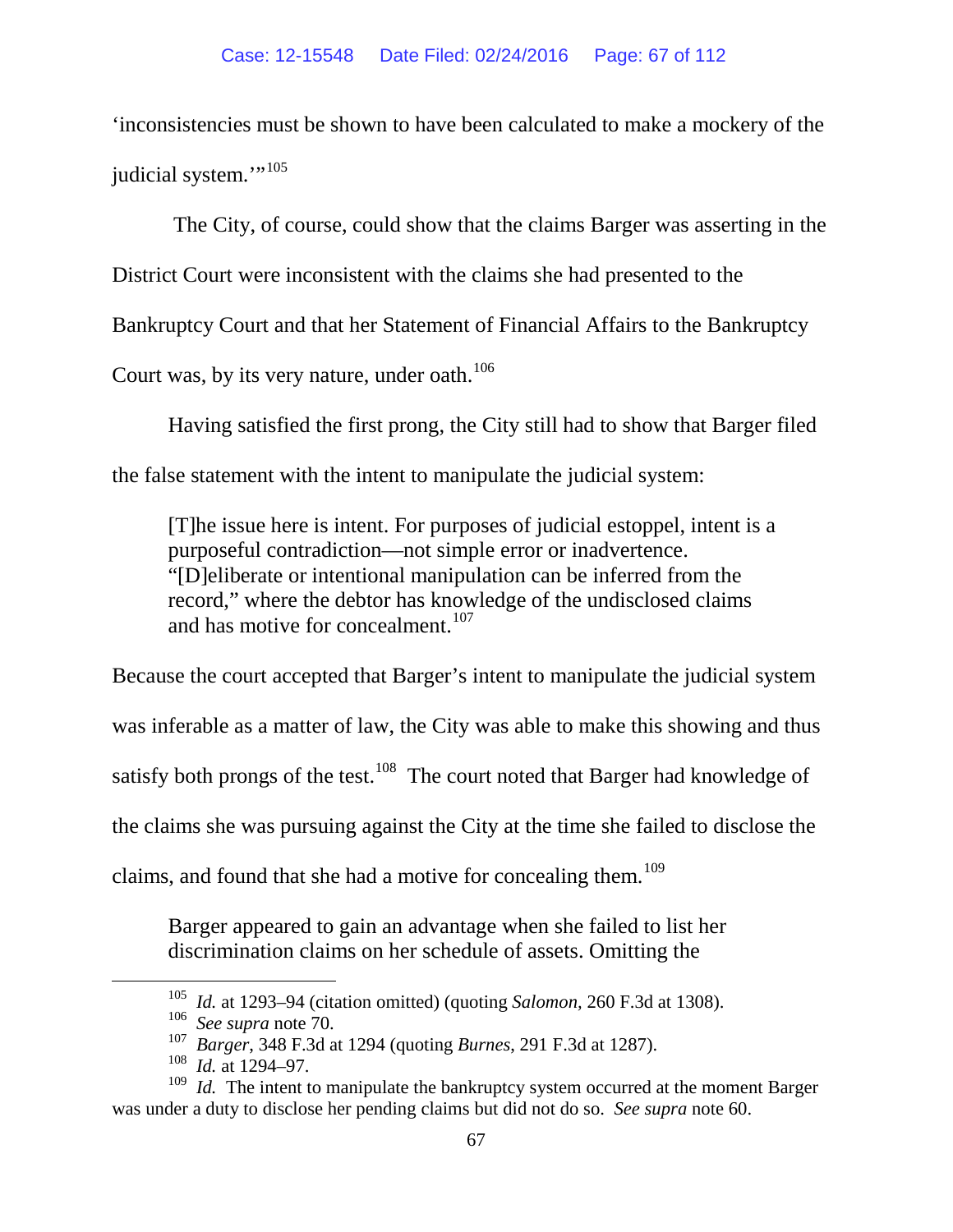'inconsistencies must be shown to have been calculated to make a mockery of the judicial system."<sup>[105](#page-66-0)</sup>

The City, of course, could show that the claims Barger was asserting in the District Court were inconsistent with the claims she had presented to the Bankruptcy Court and that her Statement of Financial Affairs to the Bankruptcy Court was, by its very nature, under oath.<sup>[106](#page-66-1)</sup>

Having satisfied the first prong, the City still had to show that Barger filed the false statement with the intent to manipulate the judicial system:

[T]he issue here is intent. For purposes of judicial estoppel, intent is a purposeful contradiction—not simple error or inadvertence. "[D]eliberate or intentional manipulation can be inferred from the record," where the debtor has knowledge of the undisclosed claims and has motive for concealment.<sup>[107](#page-66-2)</sup>

Because the court accepted that Barger's intent to manipulate the judicial system was inferable as a matter of law, the City was able to make this showing and thus satisfy both prongs of the test.<sup>108</sup> The court noted that Barger had knowledge of the claims she was pursuing against the City at the time she failed to disclose the claims, and found that she had a motive for concealing them.<sup>[109](#page-66-4)</sup>

Barger appeared to gain an advantage when she failed to list her discrimination claims on her schedule of assets. Omitting the

<sup>&</sup>lt;sup>105</sup> *Id.* at 1293–94 (citation omitted) (quoting *Salomon*, 260 F.3d at 1308).<br><sup>106</sup> *See supra* note 70.

<sup>&</sup>lt;sup>107</sup> Barger, 348 F.3d at 1294 (quoting *Burnes*, 291 F.3d at 1287).

<sup>108</sup> *Id.* at 1294–97.

<span id="page-66-4"></span><span id="page-66-3"></span><span id="page-66-2"></span><span id="page-66-1"></span><span id="page-66-0"></span><sup>&</sup>lt;sup>109</sup> *Id.* The intent to manipulate the bankruptcy system occurred at the moment Barger was under a duty to disclose her pending claims but did not do so. *See supra* note [60.](#page-51-2)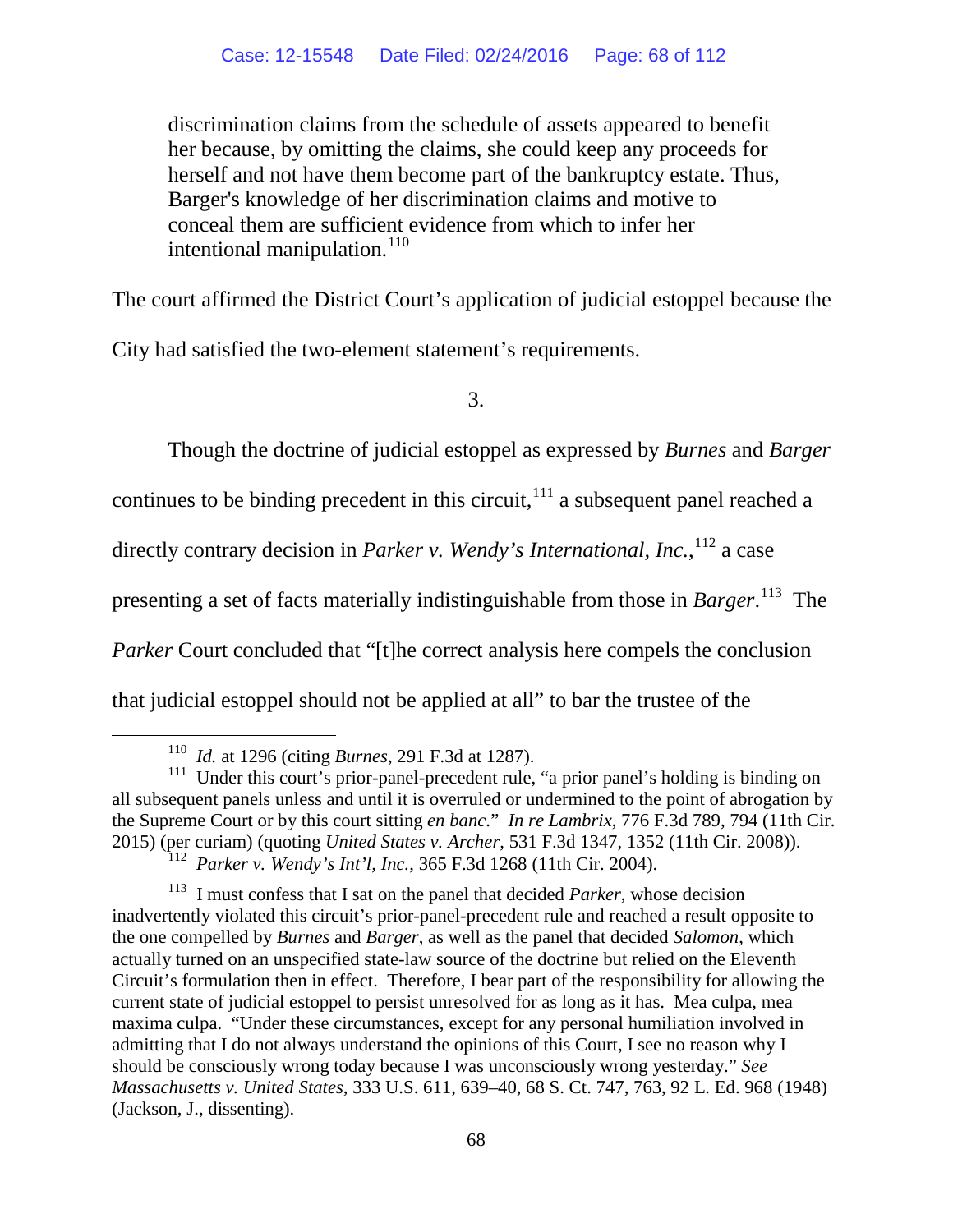discrimination claims from the schedule of assets appeared to benefit her because, by omitting the claims, she could keep any proceeds for herself and not have them become part of the bankruptcy estate. Thus, Barger's knowledge of her discrimination claims and motive to conceal them are sufficient evidence from which to infer her intentional manipulation.<sup>[110](#page-67-0)</sup>

The court affirmed the District Court's application of judicial estoppel because the

City had satisfied the two-element statement's requirements.

3.

Though the doctrine of judicial estoppel as expressed by *Burnes* and *Barger* 

continues to be binding precedent in this circuit,  $111$  a subsequent panel reached a

directly contrary decision in *Parker v. Wendy's International, Inc.*,<sup>[112](#page-67-2)</sup> a case

presenting a set of facts materially indistinguishable from those in *Barger*. [113](#page-67-3) The

*Parker* Court concluded that "[t]he correct analysis here compels the conclusion

that judicial estoppel should not be applied at all" to bar the trustee of the

 <sup>110</sup> *Id.* at 1296 (citing *Burnes*, 291 F.3d at 1287).

<span id="page-67-1"></span><span id="page-67-0"></span><sup>&</sup>lt;sup>111</sup> Under this court's prior-panel-precedent rule, "a prior panel's holding is binding on all subsequent panels unless and until it is overruled or undermined to the point of abrogation by the Supreme Court or by this court sitting *en banc*." *In re Lambrix*, 776 F.3d 789, 794 (11th Cir. 2015) (per curiam) (quoting *United States v. Archer*, 531 F.3d 1347, 1352 (11th Cir. 2008)). 112 *Parker v. Wendy's Int'l, Inc.*, 365 F.3d 1268 (11th Cir. 2004).

<span id="page-67-3"></span><span id="page-67-2"></span><sup>113</sup> I must confess that I sat on the panel that decided *Parker*, whose decision inadvertently violated this circuit's prior-panel-precedent rule and reached a result opposite to the one compelled by *Burnes* and *Barger*, as well as the panel that decided *Salomon*, which actually turned on an unspecified state-law source of the doctrine but relied on the Eleventh Circuit's formulation then in effect. Therefore, I bear part of the responsibility for allowing the current state of judicial estoppel to persist unresolved for as long as it has. Mea culpa, mea maxima culpa. "Under these circumstances, except for any personal humiliation involved in admitting that I do not always understand the opinions of this Court, I see no reason why I should be consciously wrong today because I was unconsciously wrong yesterday." *See Massachusetts v. United States*, 333 U.S. 611, 639–40, 68 S. Ct. 747, 763, 92 L. Ed. 968 (1948) (Jackson, J., dissenting).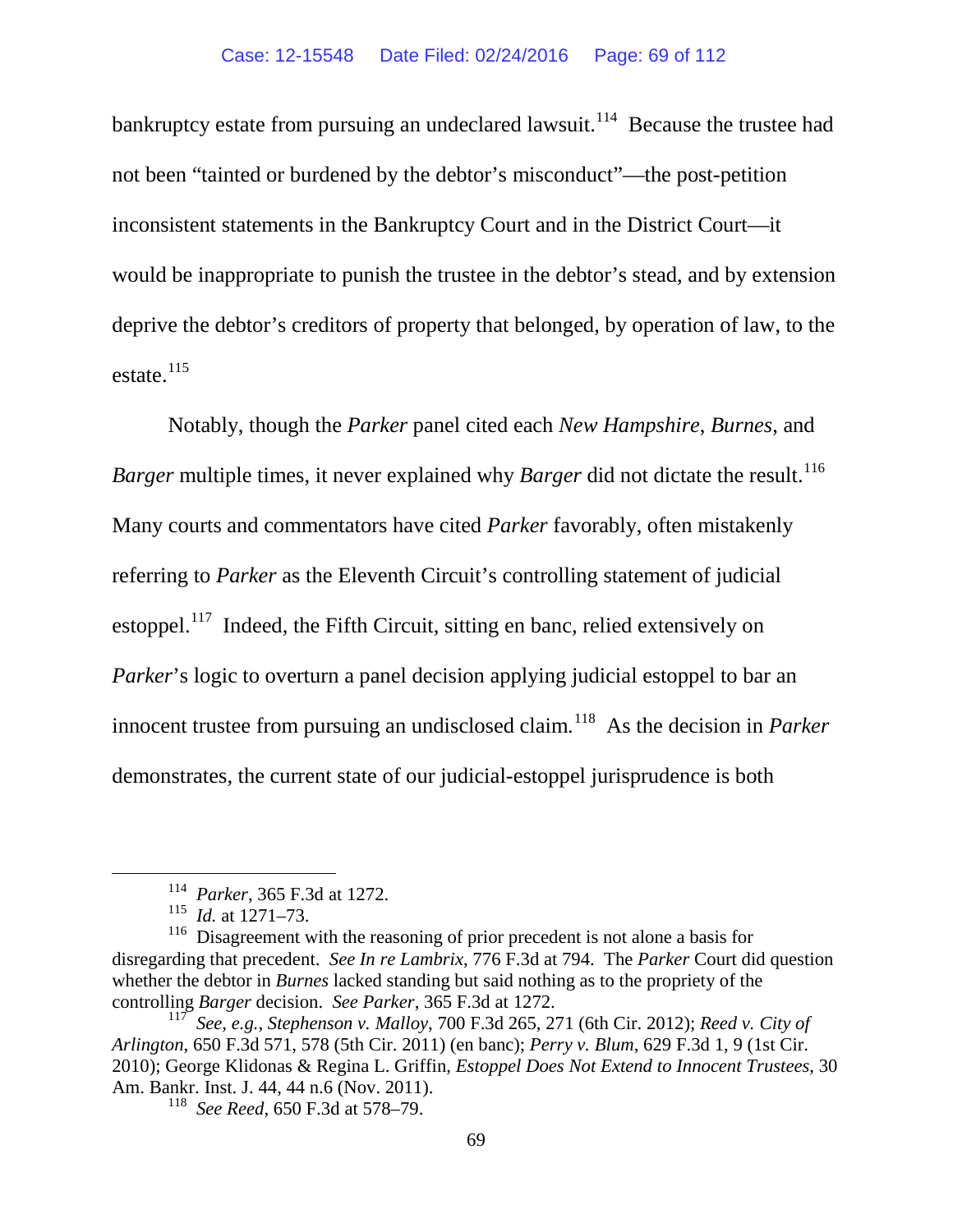bankruptcy estate from pursuing an undeclared lawsuit.<sup>114</sup> Because the trustee had not been "tainted or burdened by the debtor's misconduct"—the post-petition inconsistent statements in the Bankruptcy Court and in the District Court—it would be inappropriate to punish the trustee in the debtor's stead, and by extension deprive the debtor's creditors of property that belonged, by operation of law, to the estate.<sup>[115](#page-68-1)</sup>

Notably, though the *Parker* panel cited each *New Hampshire*, *Burnes*, and *Barger* multiple times, it never explained why *Barger* did not dictate the result.<sup>[116](#page-68-2)</sup> Many courts and commentators have cited *Parker* favorably, often mistakenly referring to *Parker* as the Eleventh Circuit's controlling statement of judicial estoppel.<sup>[117](#page-68-3)</sup> Indeed, the Fifth Circuit, sitting en banc, relied extensively on *Parker*'s logic to overturn a panel decision applying judicial estoppel to bar an innocent trustee from pursuing an undisclosed claim.<sup>118</sup> As the decision in *Parker* demonstrates, the current state of our judicial-estoppel jurisprudence is both

118 *See Reed*, 650 F.3d at 578–79.

 <sup>114</sup> *Parker*, 365 F.3d at 1272.

<sup>115</sup> *Id.* at 1271–73.

<span id="page-68-2"></span><span id="page-68-1"></span><span id="page-68-0"></span><sup>&</sup>lt;sup>116</sup> Disagreement with the reasoning of prior precedent is not alone a basis for disregarding that precedent. *See In re Lambrix*, 776 F.3d at 794. The *Parker* Court did question whether the debtor in *Burnes* lacked standing but said nothing as to the propriety of the controlling *Barger* decision. *See Parker*, 365 F.3d at 1272.

<span id="page-68-4"></span><span id="page-68-3"></span><sup>117</sup> *See, e.g.*, *Stephenson v. Malloy*, 700 F.3d 265, 271 (6th Cir. 2012); *Reed v. City of Arlington*, 650 F.3d 571, 578 (5th Cir. 2011) (en banc); *Perry v. Blum*, 629 F.3d 1, 9 (1st Cir. 2010); George Klidonas & Regina L. Griffin, *Estoppel Does Not Extend to Innocent Trustees*, 30 Am. Bankr. Inst. J. 44, 44 n.6 (Nov. 2011).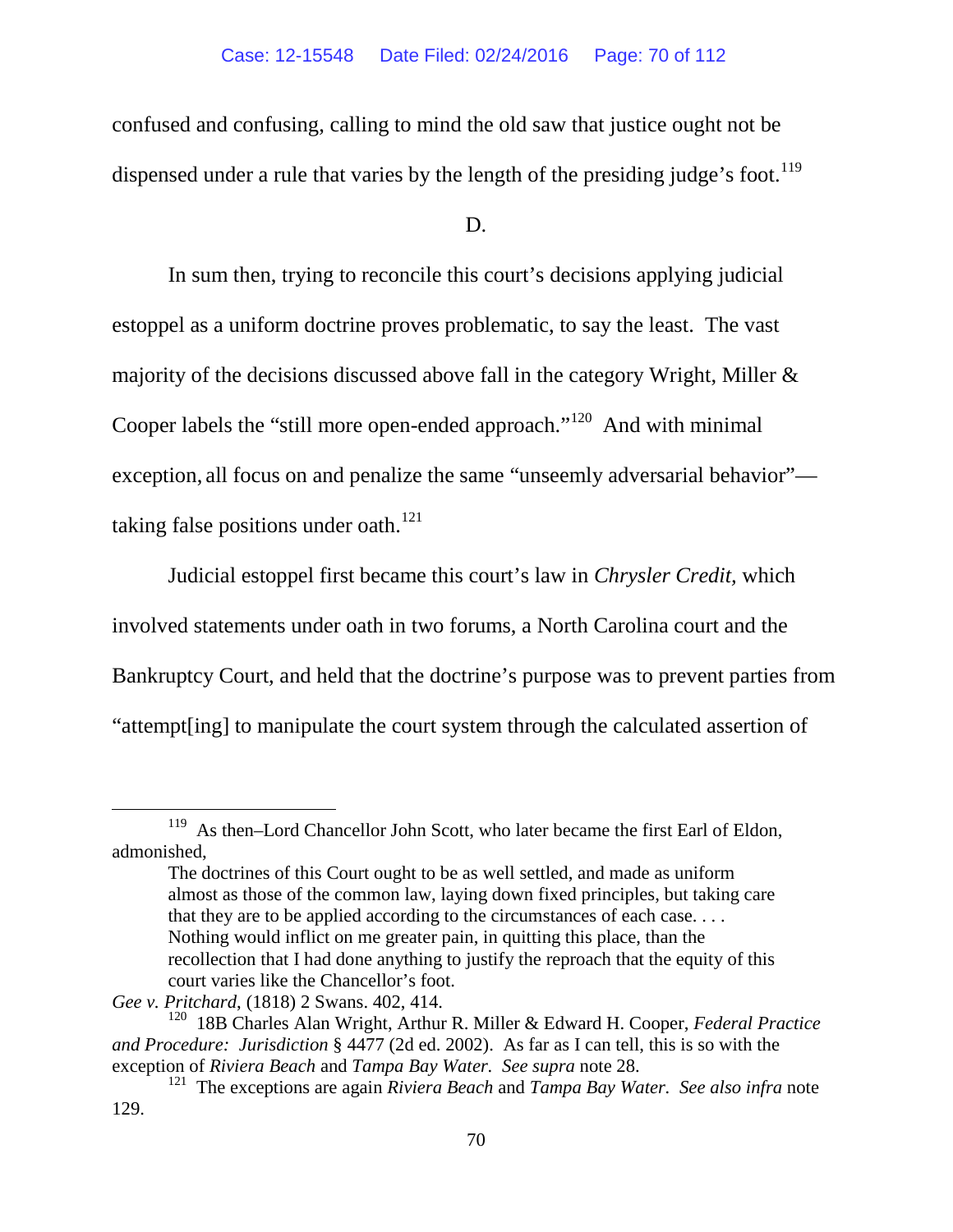confused and confusing, calling to mind the old saw that justice ought not be dispensed under a rule that varies by the length of the presiding judge's foot.<sup>[119](#page-69-0)</sup>

D.

In sum then, trying to reconcile this court's decisions applying judicial estoppel as a uniform doctrine proves problematic, to say the least. The vast majority of the decisions discussed above fall in the category Wright, Miller & Cooper labels the "still more open-ended approach."<sup>120</sup> And with minimal exception, all focus on and penalize the same "unseemly adversarial behavior" taking false positions under oath. $121$ 

Judicial estoppel first became this court's law in *Chrysler Credit,* which involved statements under oath in two forums, a North Carolina court and the Bankruptcy Court, and held that the doctrine's purpose was to prevent parties from "attempt[ing] to manipulate the court system through the calculated assertion of

<span id="page-69-0"></span><sup>&</sup>lt;sup>119</sup> As then–Lord Chancellor John Scott, who later became the first Earl of Eldon, admonished,

The doctrines of this Court ought to be as well settled, and made as uniform almost as those of the common law, laying down fixed principles, but taking care that they are to be applied according to the circumstances of each case. . . . Nothing would inflict on me greater pain, in quitting this place, than the recollection that I had done anything to justify the reproach that the equity of this court varies like the Chancellor's foot.

*Gee v. Pritchard*, (1818) 2 Swans. 402, 414.

<span id="page-69-1"></span><sup>120 18</sup>B Charles Alan Wright, Arthur R. Miller & Edward H. Cooper, *Federal Practice and Procedure: Jurisdiction* § 4477 (2d ed. 2002). As far as I can tell, this is so with the

<span id="page-69-2"></span>exception of *Riviera Beach* and *Tampa Bay Water. See supra* note [28.](#page-40-1) 121 The exceptions are again *Riviera Beach* and *Tampa Bay Water. See also infra* note [129.](#page-71-0)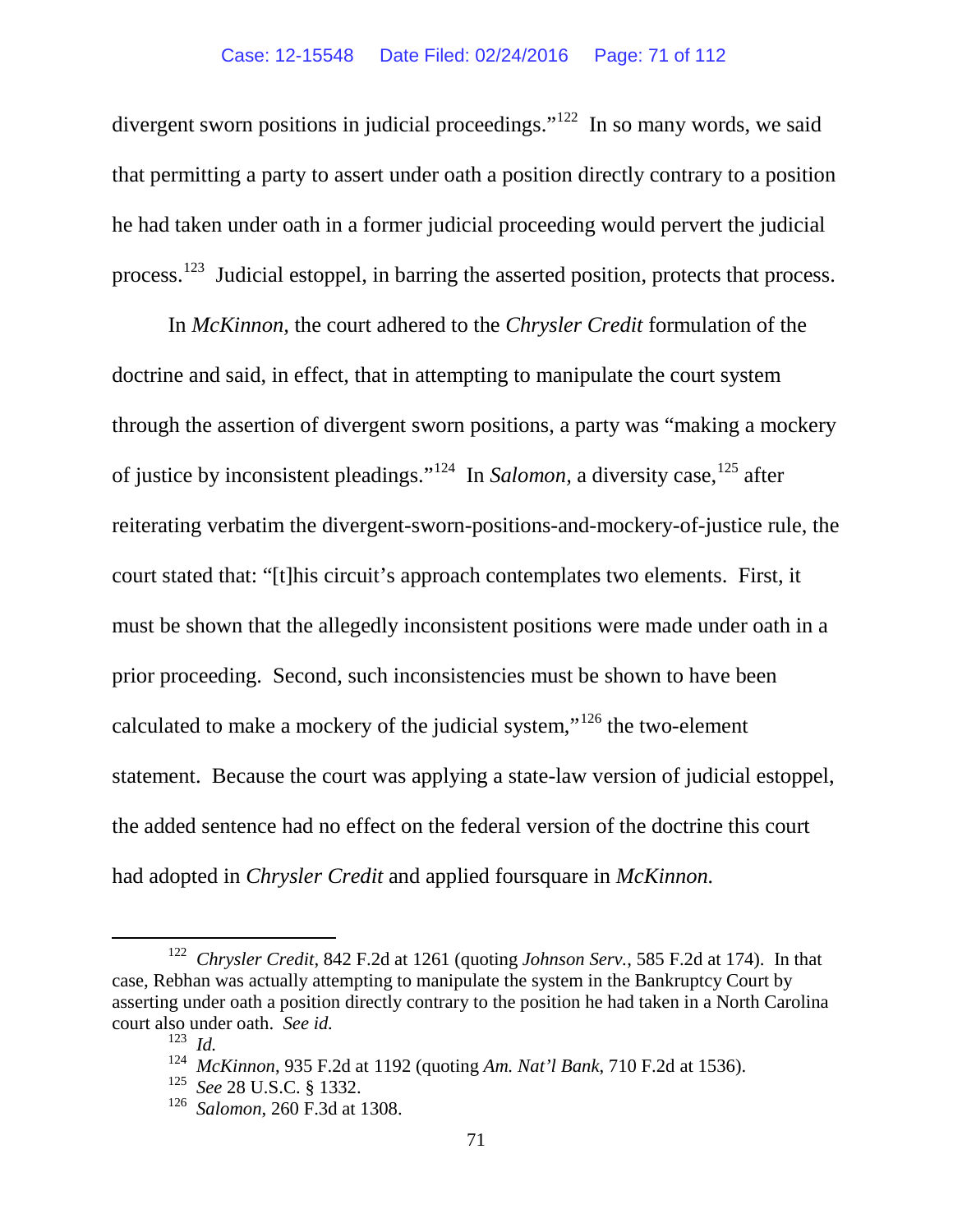divergent sworn positions in judicial proceedings."<sup>122</sup> In so many words, we said that permitting a party to assert under oath a position directly contrary to a position he had taken under oath in a former judicial proceeding would pervert the judicial process.[123](#page-70-1) Judicial estoppel, in barring the asserted position, protects that process.

In *McKinnon,* the court adhered to the *Chrysler Credit* formulation of the doctrine and said, in effect, that in attempting to manipulate the court system through the assertion of divergent sworn positions, a party was "making a mockery of justice by inconsistent pleadings."[124](#page-70-2) In *Salomon,* a diversity case,[125](#page-70-3) after reiterating verbatim the divergent-sworn-positions-and-mockery-of-justice rule, the court stated that: "[t]his circuit's approach contemplates two elements. First, it must be shown that the allegedly inconsistent positions were made under oath in a prior proceeding. Second, such inconsistencies must be shown to have been calculated to make a mockery of the judicial system,"[126](#page-70-4) the two-element statement. Because the court was applying a state-law version of judicial estoppel, the added sentence had no effect on the federal version of the doctrine this court had adopted in *Chrysler Credit* and applied foursquare in *McKinnon.* 

<span id="page-70-2"></span><span id="page-70-1"></span><span id="page-70-0"></span> <sup>122</sup> *Chrysler Credit*, 842 F.2d at 1261 (quoting *Johnson Serv.*, 585 F.2d at 174). In that case, Rebhan was actually attempting to manipulate the system in the Bankruptcy Court by asserting under oath a position directly contrary to the position he had taken in a North Carolina court also under oath. *See id.*

<sup>123</sup> *Id.*

<span id="page-70-3"></span><sup>124</sup>*McKinnon*, 935 F.2d at 1192 (quoting *Am. Nat'l Bank*, 710 F.2d at 1536). 125 *See* 28 U.S.C. § 1332.

<span id="page-70-4"></span><sup>126</sup> *Salomon*, 260 F.3d at 1308.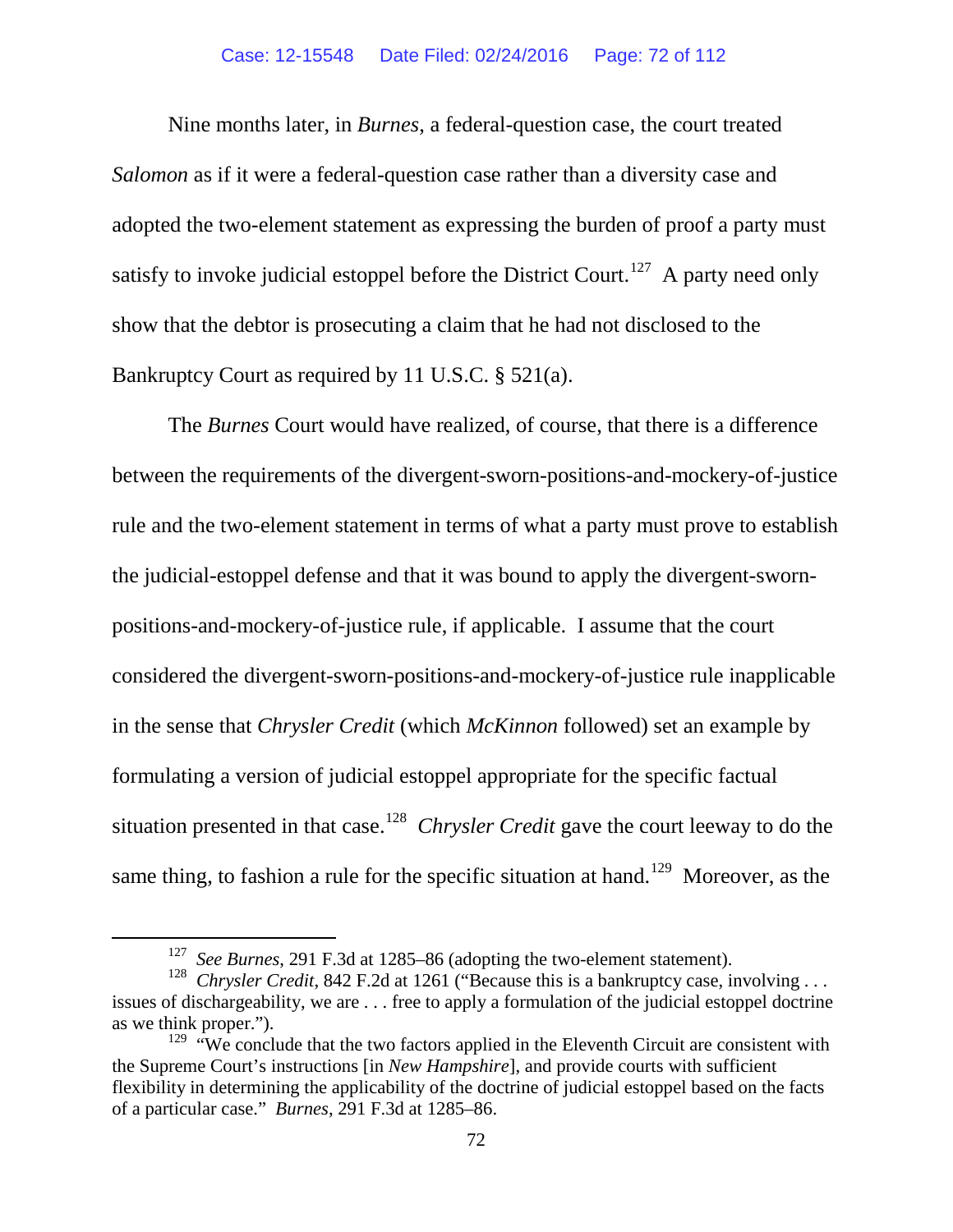Nine months later, in *Burnes*, a federal-question case, the court treated *Salomon* as if it were a federal-question case rather than a diversity case and adopted the two-element statement as expressing the burden of proof a party must satisfy to invoke judicial estoppel before the District Court.<sup>127</sup> A party need only show that the debtor is prosecuting a claim that he had not disclosed to the Bankruptcy Court as required by 11 U.S.C. § 521(a).

The *Burnes* Court would have realized, of course, that there is a difference between the requirements of the divergent-sworn-positions-and-mockery-of-justice rule and the two-element statement in terms of what a party must prove to establish the judicial-estoppel defense and that it was bound to apply the divergent-swornpositions-and-mockery-of-justice rule, if applicable. I assume that the court considered the divergent-sworn-positions-and-mockery-of-justice rule inapplicable in the sense that *Chrysler Credit* (which *McKinnon* followed) set an example by formulating a version of judicial estoppel appropriate for the specific factual situation presented in that case.[128](#page-71-2) *Chrysler Credit* gave the court leeway to do the same thing, to fashion a rule for the specific situation at hand.<sup>129</sup> Moreover, as the

<span id="page-71-0"></span> <sup>127</sup> *See Burnes*, 291 F.3d at 1285–86 (adopting the two-element statement).

<span id="page-71-2"></span><span id="page-71-1"></span><sup>&</sup>lt;sup>128</sup> *Chrysler Credit*, 842 F.2d at 1261 ("Because this is a bankruptcy case, involving . . . issues of dischargeability, we are . . . free to apply a formulation of the judicial estoppel doctrine

<span id="page-71-3"></span>as we think proper.").<br><sup>129</sup> "We conclude that the two factors applied in the Eleventh Circuit are consistent with the Supreme Court's instructions [in *New Hampshire*], and provide courts with sufficient flexibility in determining the applicability of the doctrine of judicial estoppel based on the facts of a particular case." *Burnes*, 291 F.3d at 1285–86.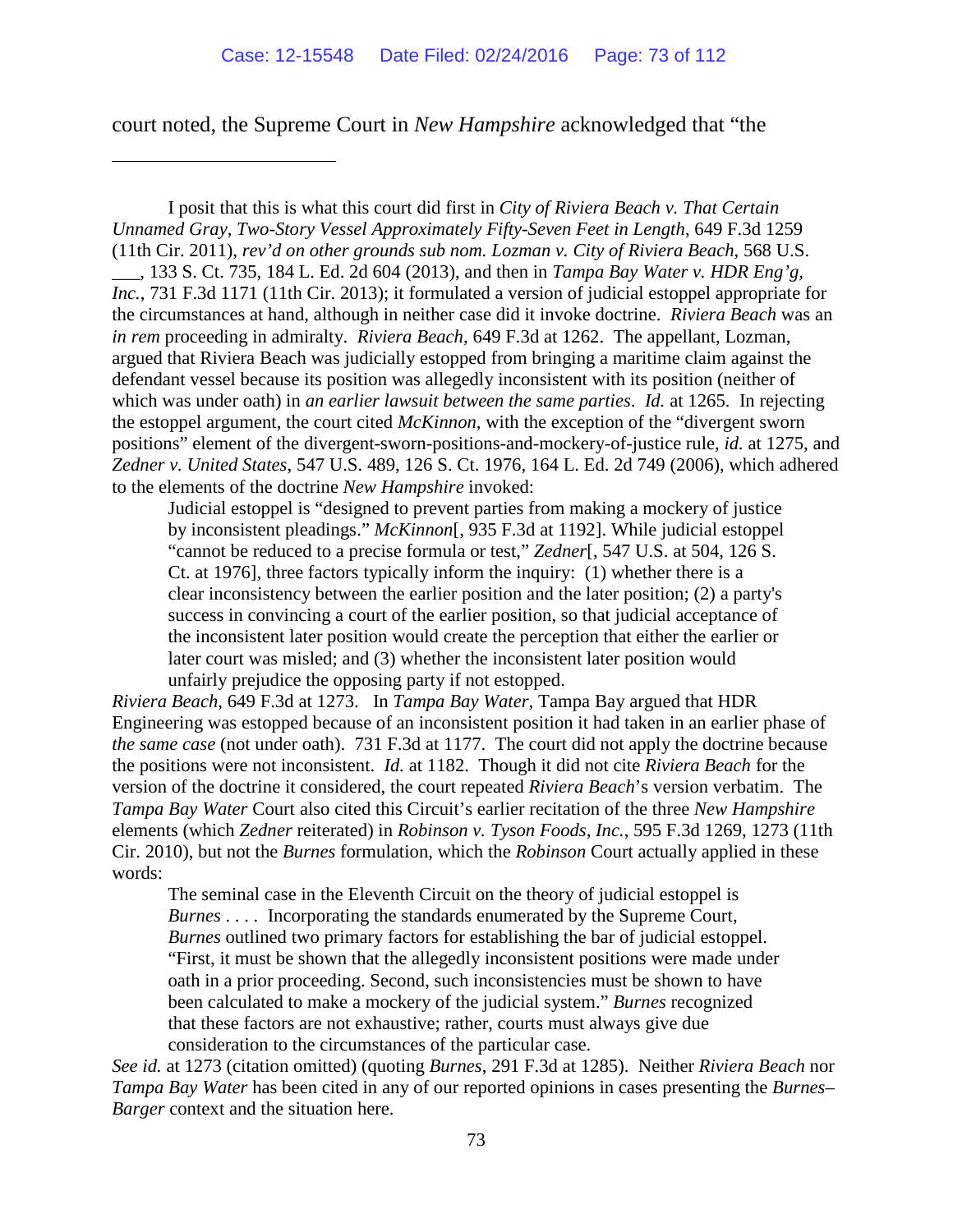court noted, the Supreme Court in *New Hampshire* acknowledged that "the

 $\overline{a}$ 

I posit that this is what this court did first in *City of Riviera Beach v. That Certain Unnamed Gray, Two-Story Vessel Approximately Fifty-Seven Feet in Length*, 649 F.3d 1259 (11th Cir. 2011), *rev'd on other grounds sub nom. Lozman v. City of Riviera Beach*, 568 U.S. \_\_\_, 133 S. Ct. 735, 184 L. Ed. 2d 604 (2013), and then in *Tampa Bay Water v. HDR Eng'g, Inc.*, 731 F.3d 1171 (11th Cir. 2013); it formulated a version of judicial estoppel appropriate for the circumstances at hand, although in neither case did it invoke doctrine. *Riviera Beach* was an *in rem* proceeding in admiralty. *Riviera Beach*, 649 F.3d at 1262. The appellant, Lozman, argued that Riviera Beach was judicially estopped from bringing a maritime claim against the defendant vessel because its position was allegedly inconsistent with its position (neither of which was under oath) in *an earlier lawsuit between the same parties*. *Id.* at 1265. In rejecting the estoppel argument, the court cited *McKinnon*, with the exception of the "divergent sworn positions" element of the divergent-sworn-positions-and-mockery-of-justice rule, *id.* at 1275, and *Zedner v. United States*, 547 U.S. 489, 126 S. Ct. 1976, 164 L. Ed. 2d 749 (2006), which adhered to the elements of the doctrine *New Hampshire* invoked:

Judicial estoppel is "designed to prevent parties from making a mockery of justice by inconsistent pleadings." *McKinnon*[, [935 F.3d at 1192\].](https://a.next.westlaw.com/Link/Document/FullText?findType=Y&serNum=1991116014&pubNum=350&originatingDoc=I2a0e4ef0ca7511e090e590fe1745b4c9&refType=RP&fi=co_pp_sp_350_1192&originationContext=document&transitionType=DocumentItem&contextData=(sc.UserEnteredCitation)%23co_pp_sp_350_1192) While judicial estoppel "cannot be reduced to a precise formula or test," *Zedner*[, 547 U.S. at 504, 126 S. Ct. at 1976], three factors typically inform the inquiry: (1) whether there is a clear inconsistency between the earlier position and the later position; (2) a party's success in convincing a court of the earlier position, so that judicial acceptance of the inconsistent later position would create the perception that either the earlier or later court was misled; and (3) whether the inconsistent later position would unfairly prejudice the opposing party if not estopped.

*Riviera Beach*, 649 F.3d at 1273. In *Tampa Bay Water*, Tampa Bay argued that HDR Engineering was estopped because of an inconsistent position it had taken in an earlier phase of *the same case* (not under oath). 731 F.3d at 1177. The court did not apply the doctrine because the positions were not inconsistent. *Id.* at 1182. Though it did not cite *Riviera Beach* for the version of the doctrine it considered, the court repeated *Riviera Beach*'s version verbatim. The *Tampa Bay Water* Court also cited this Circuit's earlier recitation of the three *New Hampshire*  elements (which *Zedner* reiterated) in *Robinson v. Tyson Foods, Inc.*, 595 F.3d 1269, 1273 (11th Cir. 2010), but not the *Burnes* formulation, which the *Robinson* Court actually applied in these words:

The seminal case in the Eleventh Circuit on the theory of judicial estoppel is *Burnes* . . . . Incorporating the standards enumerated by the Supreme Court, *[Burnes](https://a.next.westlaw.com/Link/Document/FullText?findType=Y&serNum=2002315504&originatingDoc=I13f520d4123611dfa7e0c40c26bf1b92&refType=RP&originationContext=document&transitionType=DocumentItem&contextData=(sc.History*oc.DocLink))* outlined two primary factors for establishing the bar of judicial estoppel. "First, it must be shown that the allegedly inconsistent positions were made under oath in a prior proceeding. Second, such inconsistencies must be shown to have been calculated to make a mockery of the judicial system." *[Burnes](https://a.next.westlaw.com/Link/Document/FullText?findType=Y&serNum=2002315504&originatingDoc=I13f520d4123611dfa7e0c40c26bf1b92&refType=RP&originationContext=document&transitionType=DocumentItem&contextData=(sc.History*oc.DocLink))* recognized that these factors are not exhaustive; rather, courts must always give due consideration to the circumstances of the particular case.

*See id.* at 1273 (citation omitted) (quoting *Burnes*, 291 F.3d at 1285).Neither *Riviera Beach* nor *Tampa Bay Water* has been cited in any of our reported opinions in cases presenting the *Burnes– Barger* context and the situation here.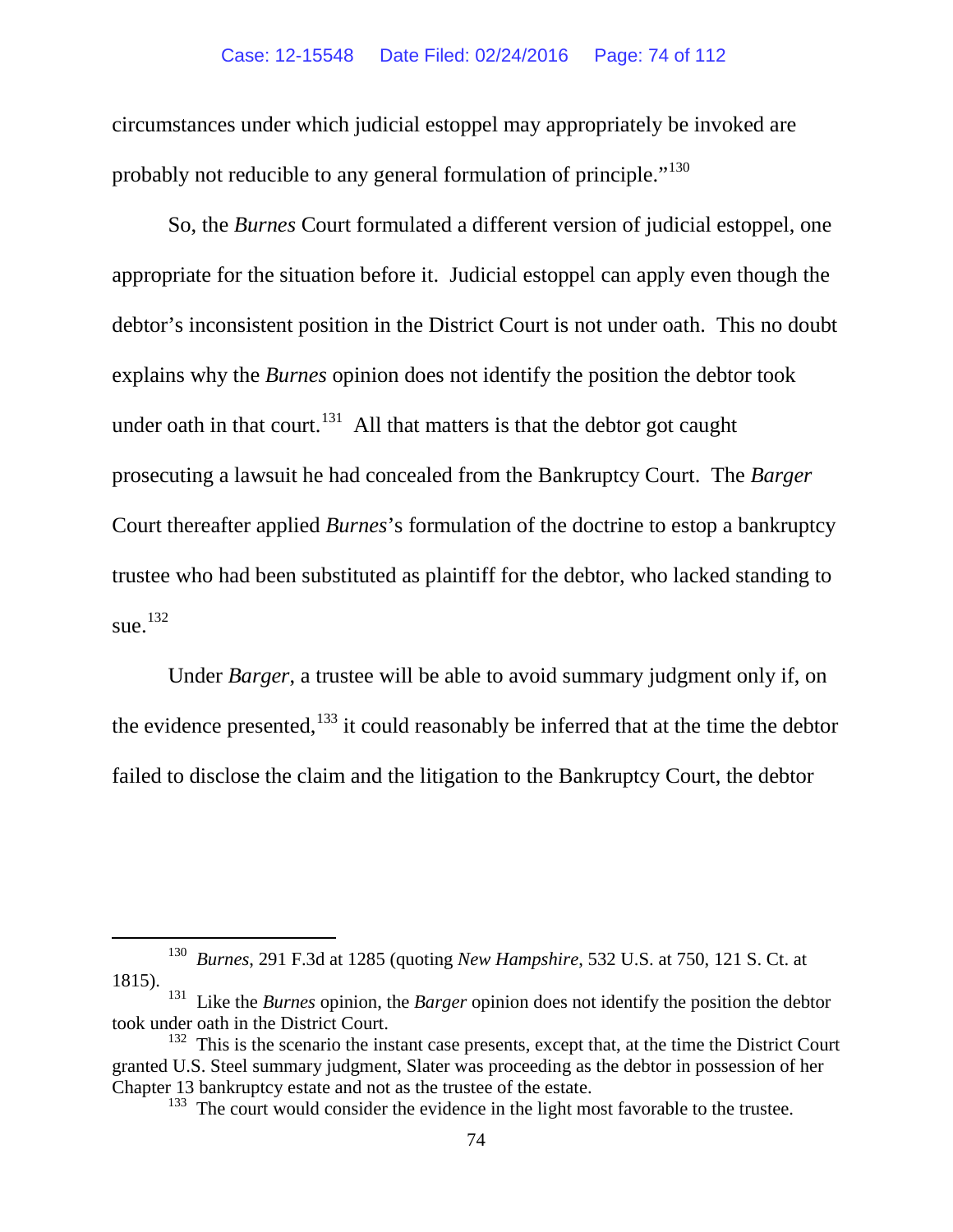### Case: 12-15548 Date Filed: 02/24/2016 Page: 74 of 112

circumstances under which judicial estoppel may appropriately be invoked are probably not reducible to any general formulation of principle."<sup>[130](#page-73-0)</sup>

So, the *Burnes* Court formulated a different version of judicial estoppel, one appropriate for the situation before it. Judicial estoppel can apply even though the debtor's inconsistent position in the District Court is not under oath. This no doubt explains why the *Burnes* opinion does not identify the position the debtor took under oath in that court.<sup>[131](#page-73-1)</sup> All that matters is that the debtor got caught prosecuting a lawsuit he had concealed from the Bankruptcy Court. The *Barger*  Court thereafter applied *Burnes*'s formulation of the doctrine to estop a bankruptcy trustee who had been substituted as plaintiff for the debtor, who lacked standing to sue.<sup>[132](#page-73-2)</sup>

Under *Barger*, a trustee will be able to avoid summary judgment only if, on the evidence presented,  $133$  it could reasonably be inferred that at the time the debtor failed to disclose the claim and the litigation to the Bankruptcy Court, the debtor

<span id="page-73-0"></span> <sup>130</sup> *Burnes*, 291 F.3d at 1285 (quoting *New Hampshire*, 532 U.S. at 750, 121 S. Ct. at 1815).

<span id="page-73-1"></span><sup>&</sup>lt;sup>131</sup> Like the *Burnes* opinion, the *Barger* opinion does not identify the position the debtor took under oath in the District Court.

<span id="page-73-3"></span><span id="page-73-2"></span><sup>&</sup>lt;sup>132</sup> This is the scenario the instant case presents, except that, at the time the District Court granted U.S. Steel summary judgment, Slater was proceeding as the debtor in possession of her Chapter 13 bankruptcy estate and not as the trustee of the estate.

 $133$  The court would consider the evidence in the light most favorable to the trustee.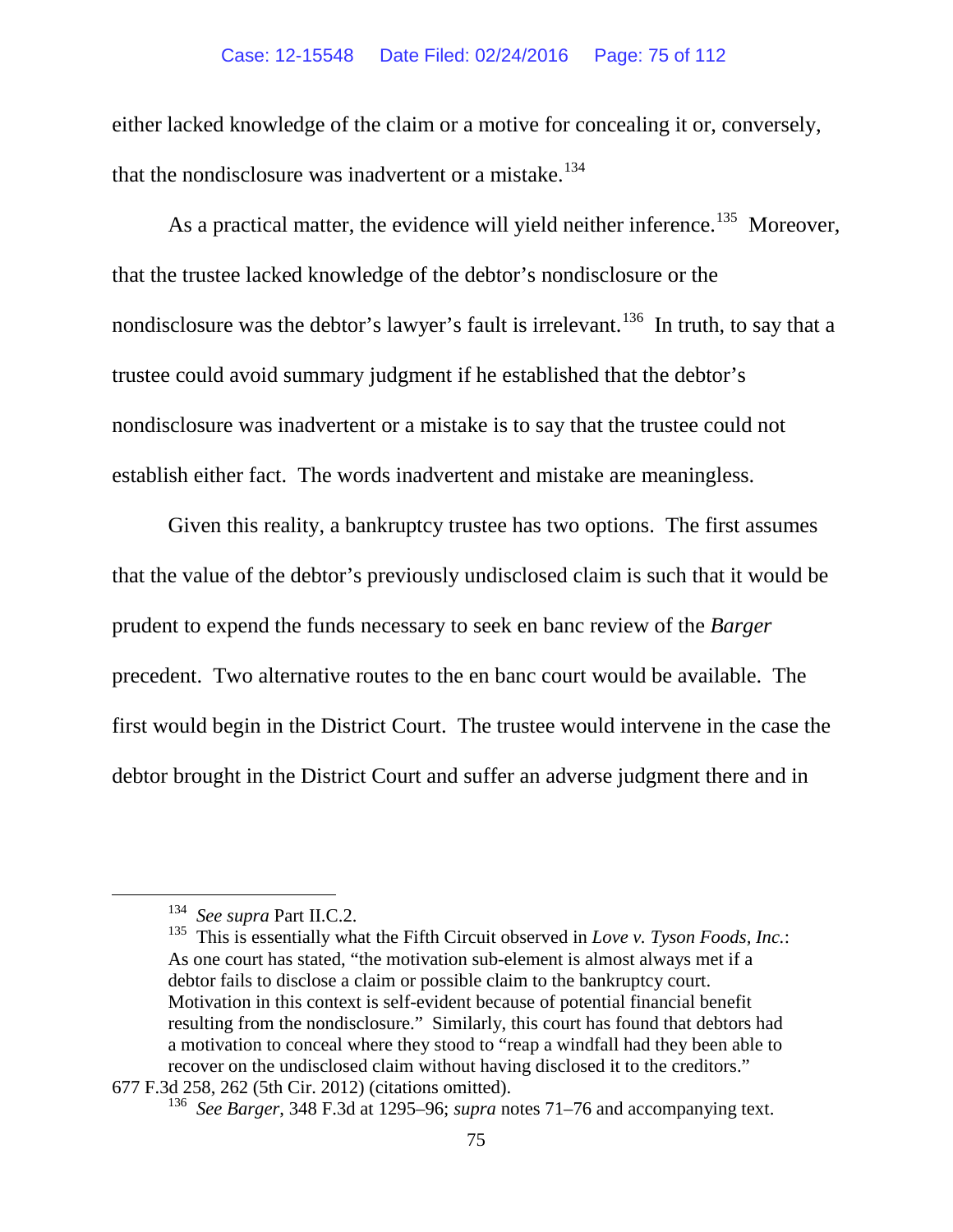#### Case: 12-15548 Date Filed: 02/24/2016 Page: 75 of 112

either lacked knowledge of the claim or a motive for concealing it or, conversely, that the nondisclosure was inadvertent or a mistake. $134$ 

As a practical matter, the evidence will yield neither inference.<sup>[135](#page-74-1)</sup> Moreover, that the trustee lacked knowledge of the debtor's nondisclosure or the nondisclosure was the debtor's lawyer's fault is irrelevant.<sup>136</sup> In truth, to say that a trustee could avoid summary judgment if he established that the debtor's nondisclosure was inadvertent or a mistake is to say that the trustee could not establish either fact. The words inadvertent and mistake are meaningless.

Given this reality, a bankruptcy trustee has two options. The first assumes that the value of the debtor's previously undisclosed claim is such that it would be prudent to expend the funds necessary to seek en banc review of the *Barger*  precedent. Two alternative routes to the en banc court would be available. The first would begin in the District Court. The trustee would intervene in the case the debtor brought in the District Court and suffer an adverse judgment there and in

 <sup>134</sup> *See supra* Part II.C.2.

<span id="page-74-1"></span><span id="page-74-0"></span><sup>&</sup>lt;sup>135</sup> This is essentially what the Fifth Circuit observed in *Love v. Tyson Foods, Inc.*: As one court has stated, "the motivation sub-element is almost always met if a debtor fails to disclose a claim or possible claim to the bankruptcy court. Motivation in this context is self-evident because of potential financial benefit resulting from the nondisclosure." Similarly, this court has found that debtors had a motivation to conceal where they stood to "reap a windfall had they been able to recover on the undisclosed claim without having disclosed it to the creditors."

<span id="page-74-2"></span><sup>677</sup> F.3d 258, 262 (5th Cir. 2012) (citations omitted).

<sup>136</sup> *See Barger*, 348 F.3d at 1295–96; *supra* notes [71](#page-55-0)[–76](#page-57-0) and accompanying text.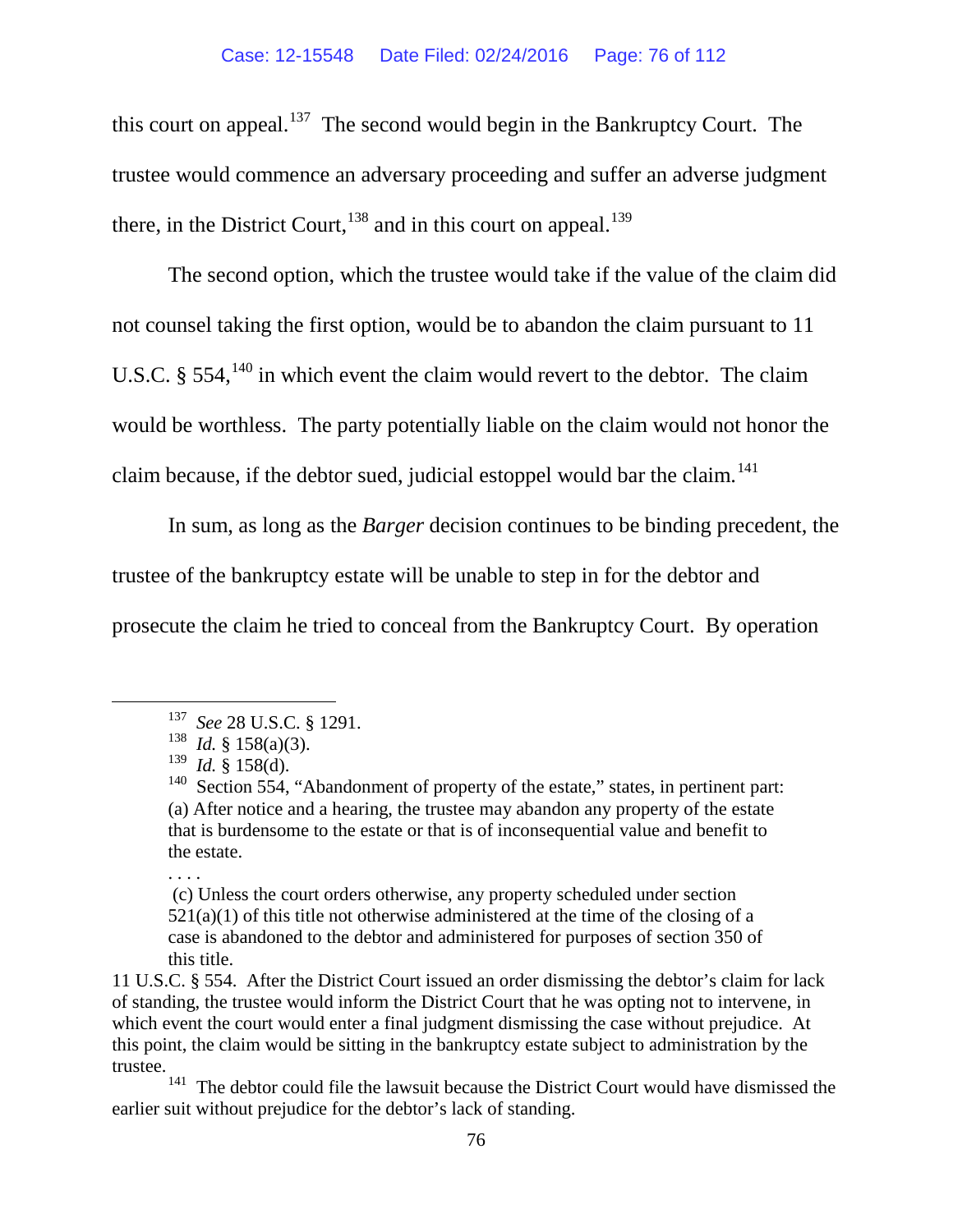this court on appeal.<sup>137</sup> The second would begin in the Bankruptcy Court. The trustee would commence an adversary proceeding and suffer an adverse judgment there, in the District Court,  $^{138}$  $^{138}$  $^{138}$  and in this court on appeal.  $^{139}$  $^{139}$  $^{139}$ 

<span id="page-75-5"></span>The second option, which the trustee would take if the value of the claim did not counsel taking the first option, would be to abandon the claim pursuant to 11 U.S.C.  $\S$  554,<sup>[140](#page-75-3)</sup> in which event the claim would revert to the debtor. The claim would be worthless. The party potentially liable on the claim would not honor the claim because, if the debtor sued, judicial estoppel would bar the claim.<sup>141</sup>

In sum, as long as the *Barger* decision continues to be binding precedent, the trustee of the bankruptcy estate will be unable to step in for the debtor and prosecute the claim he tried to conceal from the Bankruptcy Court. By operation

. . . .

<span id="page-75-0"></span> <sup>137</sup> *See* 28 U.S.C. § 1291.

<span id="page-75-1"></span> $138$  *Id.* § 158(a)(3).

<span id="page-75-2"></span><sup>139</sup> *Id.* § 158(d).

<span id="page-75-3"></span><sup>&</sup>lt;sup>140</sup> Section 554, "Abandonment of property of the estate," states, in pertinent part: (a) After notice and a hearing, the trustee may abandon any property of the estate that is burdensome to the estate or that is of inconsequential value and benefit to the estate.

<sup>(</sup>c) Unless the court orders otherwise, any property scheduled under [section](http://web2.westlaw.com/find/default.wl?mt=Westlaw&db=1000546&docname=11USCAS521&rp=%2ffind%2fdefault.wl&findtype=L&ordoc=1825000&tc=-1&vr=2.0&fn=_top&sv=Split&tf=-1&referencepositiontype=T&pbc=CBF6479E&referenceposition=SP%3b7b9b000044381&rs=WLW15.07)   $521(a)(1)$  of this title not otherwise administered at the time of the closing of a case is abandoned to the debtor and administered for purposes of [section 350](http://web2.westlaw.com/find/default.wl?mt=Westlaw&db=1000546&docname=11USCAS350&rp=%2ffind%2fdefault.wl&findtype=L&ordoc=1825000&tc=-1&vr=2.0&fn=_top&sv=Split&tf=-1&pbc=CBF6479E&rs=WLW15.07) of this title.

<sup>11</sup> U.S.C. § 554. After the District Court issued an order dismissing the debtor's claim for lack of standing, the trustee would inform the District Court that he was opting not to intervene, in which event the court would enter a final judgment dismissing the case without prejudice. At this point, the claim would be sitting in the bankruptcy estate subject to administration by the trustee.

<span id="page-75-4"></span>The debtor could file the lawsuit because the District Court would have dismissed the earlier suit without prejudice for the debtor's lack of standing.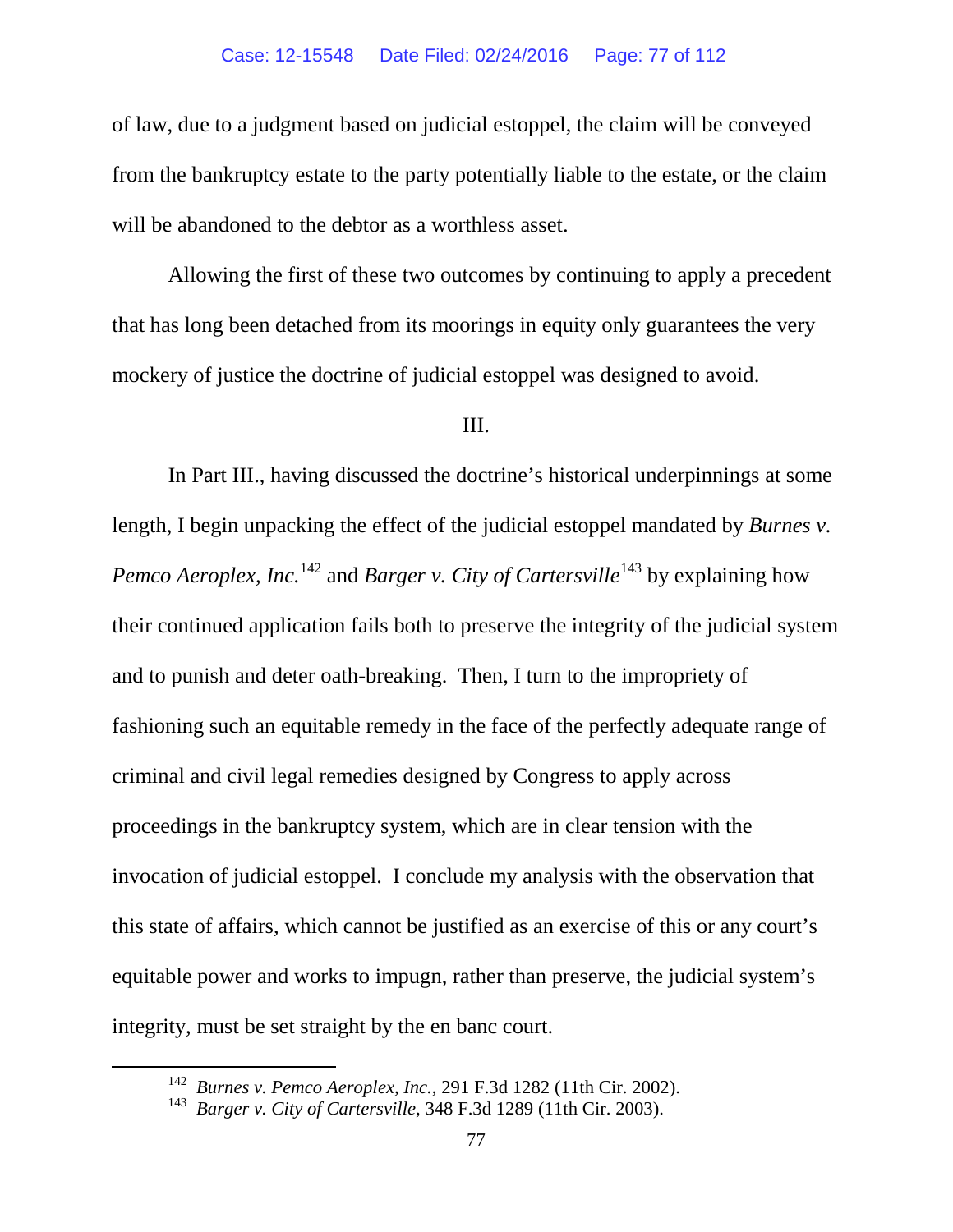of law, due to a judgment based on judicial estoppel, the claim will be conveyed from the bankruptcy estate to the party potentially liable to the estate, or the claim will be abandoned to the debtor as a worthless asset.

Allowing the first of these two outcomes by continuing to apply a precedent that has long been detached from its moorings in equity only guarantees the very mockery of justice the doctrine of judicial estoppel was designed to avoid.

## III.

In Part III., having discussed the doctrine's historical underpinnings at some length, I begin unpacking the effect of the judicial estoppel mandated by *Burnes v. Pemco Aeroplex, Inc.*<sup>[142](#page-76-0)</sup> and *Barger v. City of Cartersville*<sup>[143](#page-76-1)</sup> by explaining how their continued application fails both to preserve the integrity of the judicial system and to punish and deter oath-breaking. Then, I turn to the impropriety of fashioning such an equitable remedy in the face of the perfectly adequate range of criminal and civil legal remedies designed by Congress to apply across proceedings in the bankruptcy system, which are in clear tension with the invocation of judicial estoppel. I conclude my analysis with the observation that this state of affairs, which cannot be justified as an exercise of this or any court's equitable power and works to impugn, rather than preserve, the judicial system's integrity, must be set straight by the en banc court.

<span id="page-76-0"></span> <sup>142</sup> *Burnes v. Pemco Aeroplex, Inc.*, 291 F.3d 1282 (11th Cir. 2002).

<span id="page-76-1"></span><sup>143</sup> *Barger v. City of Cartersville*, 348 F.3d 1289 (11th Cir. 2003).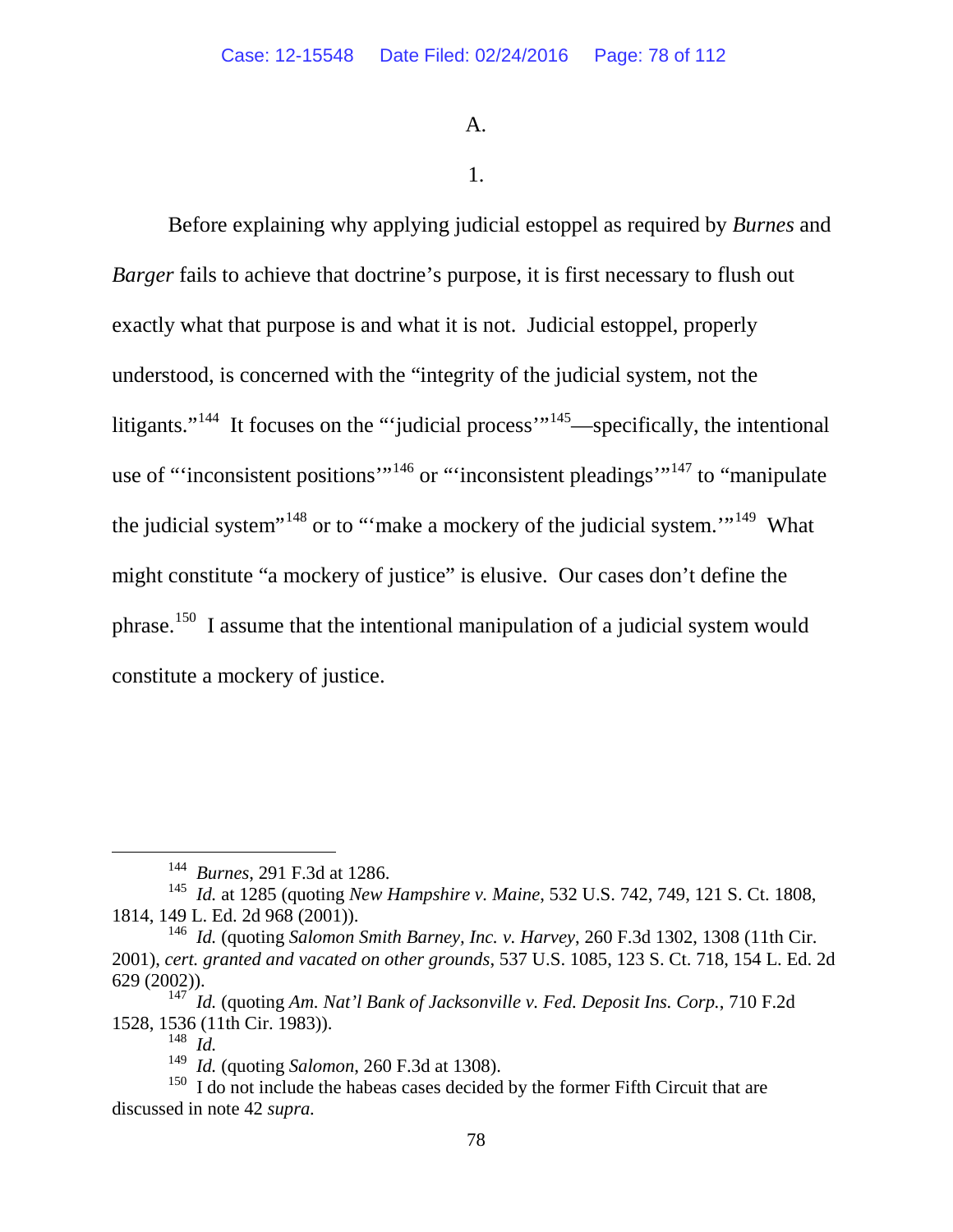A.

## 1.

Before explaining why applying judicial estoppel as required by *Burnes* and *Barger* fails to achieve that doctrine's purpose, it is first necessary to flush out exactly what that purpose is and what it is not. Judicial estoppel, properly understood, is concerned with the "integrity of the judicial system, not the litigants."<sup>[144](#page-77-0)</sup> It focuses on the "'judicial process'"<sup>145</sup>—specifically, the intentional use of "'inconsistent positions'"<sup>[146](#page-77-2)</sup> or "'inconsistent pleadings'<sup>"[147](#page-77-3)</sup> to "manipulate" the judicial system<sup> $148$ </sup> or to "'make a mockery of the judicial system."<sup>[149](#page-77-5)</sup> What might constitute "a mockery of justice" is elusive. Our cases don't define the phrase.[150](#page-77-6) I assume that the intentional manipulation of a judicial system would constitute a mockery of justice.

 <sup>144</sup> *Burnes*, 291 F.3d at 1286.

<span id="page-77-1"></span><span id="page-77-0"></span><sup>145</sup> *Id.* at 1285 (quoting *New Hampshire v. Maine*, 532 U.S. 742, 749, 121 S. Ct. 1808, 1814, 149 L. Ed. 2d 968 (2001)).

<span id="page-77-2"></span><sup>146</sup> *Id.* (quoting *Salomon Smith Barney, Inc. v. Harvey*, 260 F.3d 1302, 1308 (11th Cir. 2001), *cert. granted and vacated on other grounds*, 537 U.S. 1085, 123 S. Ct. 718, 154 L. Ed. 2d 629 (2002)).

<span id="page-77-3"></span><sup>147</sup> *Id.* (quoting *Am. Nat'l Bank of Jacksonville v. Fed. Deposit Ins. Corp.*, 710 F.2d 1528, 1536 (11th Cir. 1983)).<br><sup>148</sup> *Id* 

<sup>148</sup>*Id.* 149 *Id.* (quoting *Salomon*, 260 F.3d at 1308).

<span id="page-77-6"></span><span id="page-77-5"></span><span id="page-77-4"></span> $150$  I do not include the habeas cases decided by the former Fifth Circuit that are discussed in note [42](#page-44-0) *supra.*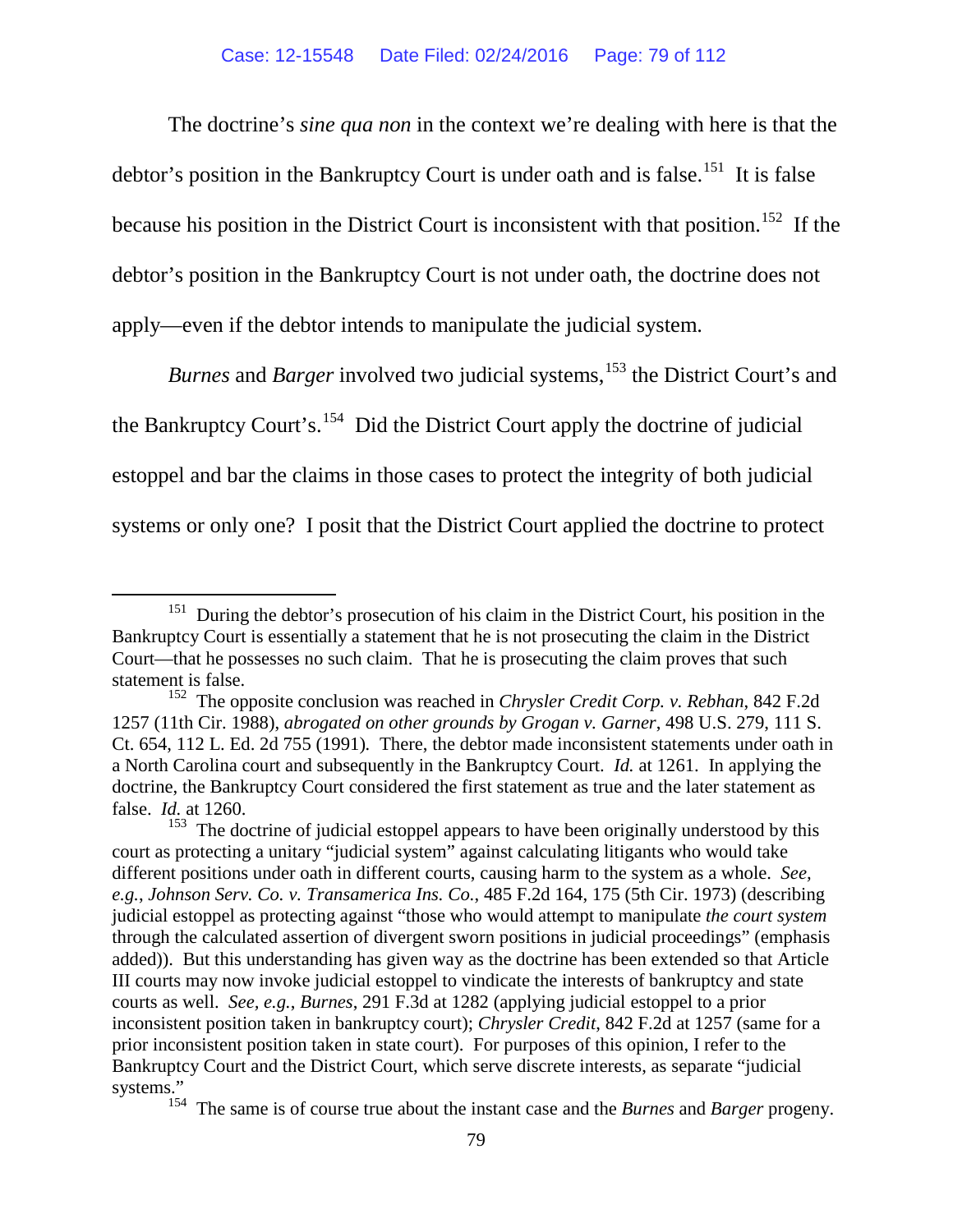The doctrine's *sine qua non* in the context we're dealing with here is that the debtor's position in the Bankruptcy Court is under oath and is false.<sup>151</sup> It is false because his position in the District Court is inconsistent with that position.<sup>[152](#page-78-1)</sup> If the debtor's position in the Bankruptcy Court is not under oath, the doctrine does not apply—even if the debtor intends to manipulate the judicial system.

*Burnes* and *Barger* involved two judicial systems,<sup>[153](#page-78-2)</sup> the District Court's and the Bankruptcy Court's.<sup>[154](#page-78-3)</sup> Did the District Court apply the doctrine of judicial estoppel and bar the claims in those cases to protect the integrity of both judicial systems or only one? I posit that the District Court applied the doctrine to protect

<span id="page-78-0"></span><sup>&</sup>lt;sup>151</sup> During the debtor's prosecution of his claim in the District Court, his position in the Bankruptcy Court is essentially a statement that he is not prosecuting the claim in the District Court—that he possesses no such claim. That he is prosecuting the claim proves that such statement is false.

<span id="page-78-1"></span><sup>&</sup>lt;sup>152</sup> The opposite conclusion was reached in *Chrysler Credit Corp. v. Rebhan*, 842 F.2d 1257 (11th Cir. 1988), *abrogated on other grounds by Grogan v. Garner*, 498 U.S. 279, 111 S. Ct. 654, 112 L. Ed. 2d 755 (1991)*.* There, the debtor made inconsistent statements under oath in a North Carolina court and subsequently in the Bankruptcy Court. *Id.* at 1261. In applying the doctrine, the Bankruptcy Court considered the first statement as true and the later statement as false. *Id.* at 1260.

<span id="page-78-2"></span><sup>&</sup>lt;sup>153</sup> The doctrine of judicial estoppel appears to have been originally understood by this court as protecting a unitary "judicial system" against calculating litigants who would take different positions under oath in different courts, causing harm to the system as a whole. *See, e.g.*, *Johnson Serv. Co. v. Transamerica Ins. Co.*, 485 F.2d 164, 175 (5th Cir. 1973) (describing judicial estoppel as protecting against "those who would attempt to manipulate *the court system* through the calculated assertion of divergent sworn positions in judicial proceedings" (emphasis added)). But this understanding has given way as the doctrine has been extended so that Article III courts may now invoke judicial estoppel to vindicate the interests of bankruptcy and state courts as well. *See, e.g.*, *Burnes*, 291 F.3d at 1282 (applying judicial estoppel to a prior inconsistent position taken in bankruptcy court); *Chrysler Credit*, 842 F.2d at 1257 (same for a prior inconsistent position taken in state court). For purposes of this opinion, I refer to the Bankruptcy Court and the District Court, which serve discrete interests, as separate "judicial systems."

<span id="page-78-3"></span><sup>154</sup> The same is of course true about the instant case and the *Burnes* and *Barger* progeny.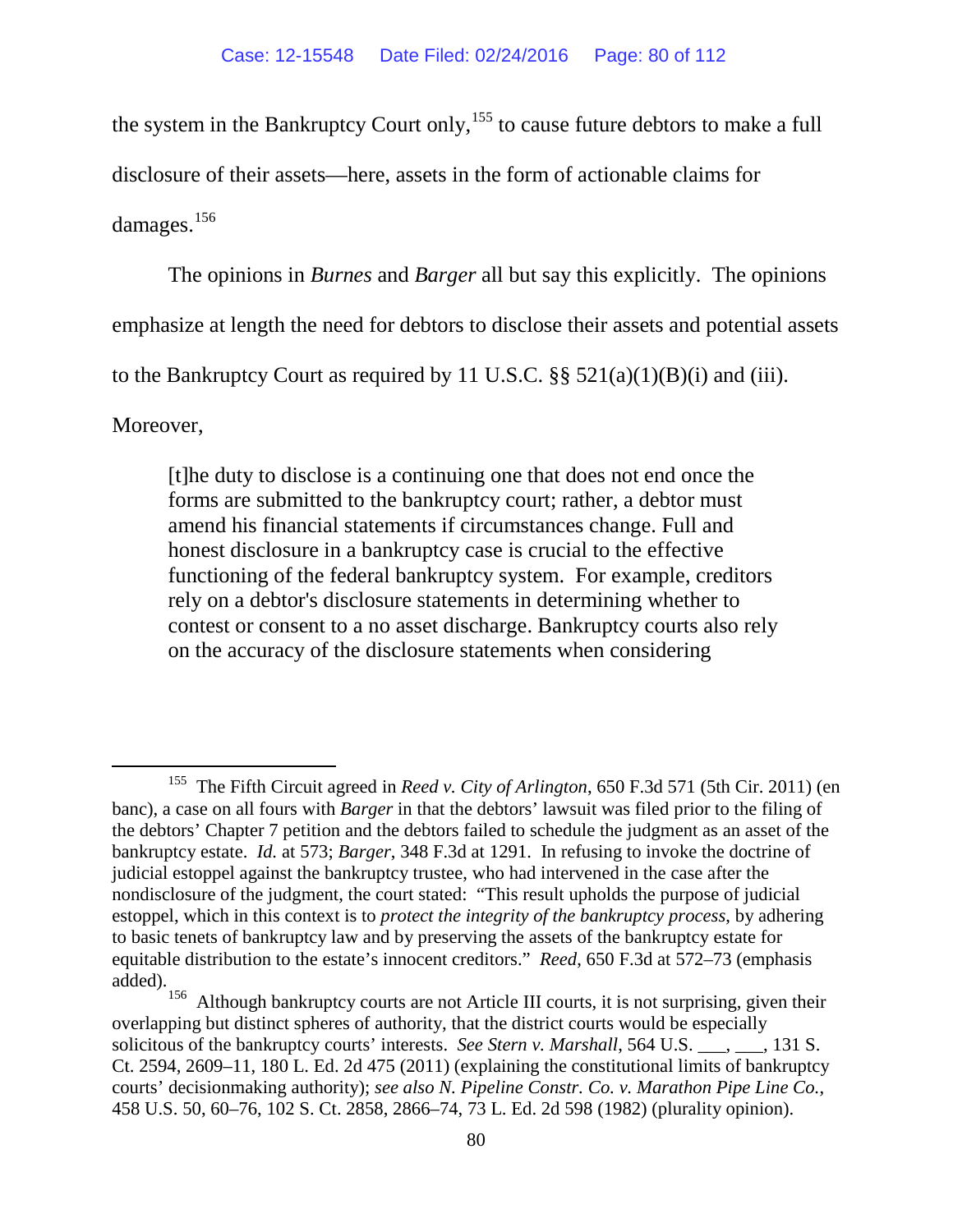the system in the Bankruptcy Court only,<sup>[155](#page-79-0)</sup> to cause future debtors to make a full disclosure of their assets—here, assets in the form of actionable claims for

damages.<sup>[156](#page-79-1)</sup>

The opinions in *Burnes* and *Barger* all but say this explicitly. The opinions

emphasize at length the need for debtors to disclose their assets and potential assets

to the Bankruptcy Court as required by 11 U.S.C.  $\S$  521(a)(1)(B)(i) and (iii).

Moreover,

[t]he duty to disclose is a continuing one that does not end once the forms are submitted to the bankruptcy court; rather, a debtor must amend his financial statements if circumstances change. Full and honest disclosure in a bankruptcy case is crucial to the effective functioning of the federal bankruptcy system. For example, creditors rely on a debtor's disclosure statements in determining whether to contest or consent to a no asset discharge. Bankruptcy courts also rely on the accuracy of the disclosure statements when considering

<span id="page-79-0"></span> <sup>155</sup> The Fifth Circuit agreed in *Reed v. City of Arlington*, 650 F.3d 571 (5th Cir. 2011) (en banc), a case on all fours with *Barger* in that the debtors' lawsuit was filed prior to the filing of the debtors' Chapter 7 petition and the debtors failed to schedule the judgment as an asset of the bankruptcy estate. *Id.* at 573; *Barger*, 348 F.3d at 1291. In refusing to invoke the doctrine of judicial estoppel against the bankruptcy trustee, who had intervened in the case after the nondisclosure of the judgment, the court stated: "This result upholds the purpose of judicial estoppel, which in this context is to *protect the integrity of the bankruptcy process*, by adhering to basic tenets of bankruptcy law and by preserving the assets of the bankruptcy estate for equitable distribution to the estate's innocent creditors." *Reed*, 650 F.3d at 572–73 (emphasis added).

<span id="page-79-1"></span><sup>&</sup>lt;sup>156</sup> Although bankruptcy courts are not Article III courts, it is not surprising, given their overlapping but distinct spheres of authority, that the district courts would be especially solicitous of the bankruptcy courts' interests. *See Stern v. Marshall*, 564 U.S.  $\ldots$ , 131 S. Ct. 2594, 2609–11, 180 L. Ed. 2d 475 (2011) (explaining the constitutional limits of bankruptcy courts' decisionmaking authority); *see also [N. Pipeline Constr. Co. v. Marathon Pipe Line Co.](https://a.next.westlaw.com/Link/Document/FullText?findType=Y&serNum=1982129077&pubNum=0000708&originatingDoc=I62a3f4479d8811e0a34df17ea74c323f&refType=RP&originationContext=document&transitionType=DocumentItem&contextData=(sc.Search))*, [458 U.S. 50, 60–76, 102 S. Ct. 2858, 2866–74, 73 L. Ed. 2d 598 \(1982\)](https://a.next.westlaw.com/Link/Document/FullText?findType=Y&serNum=1982129077&pubNum=0000708&originatingDoc=I62a3f4479d8811e0a34df17ea74c323f&refType=RP&originationContext=document&transitionType=DocumentItem&contextData=(sc.Search)) (plurality opinion).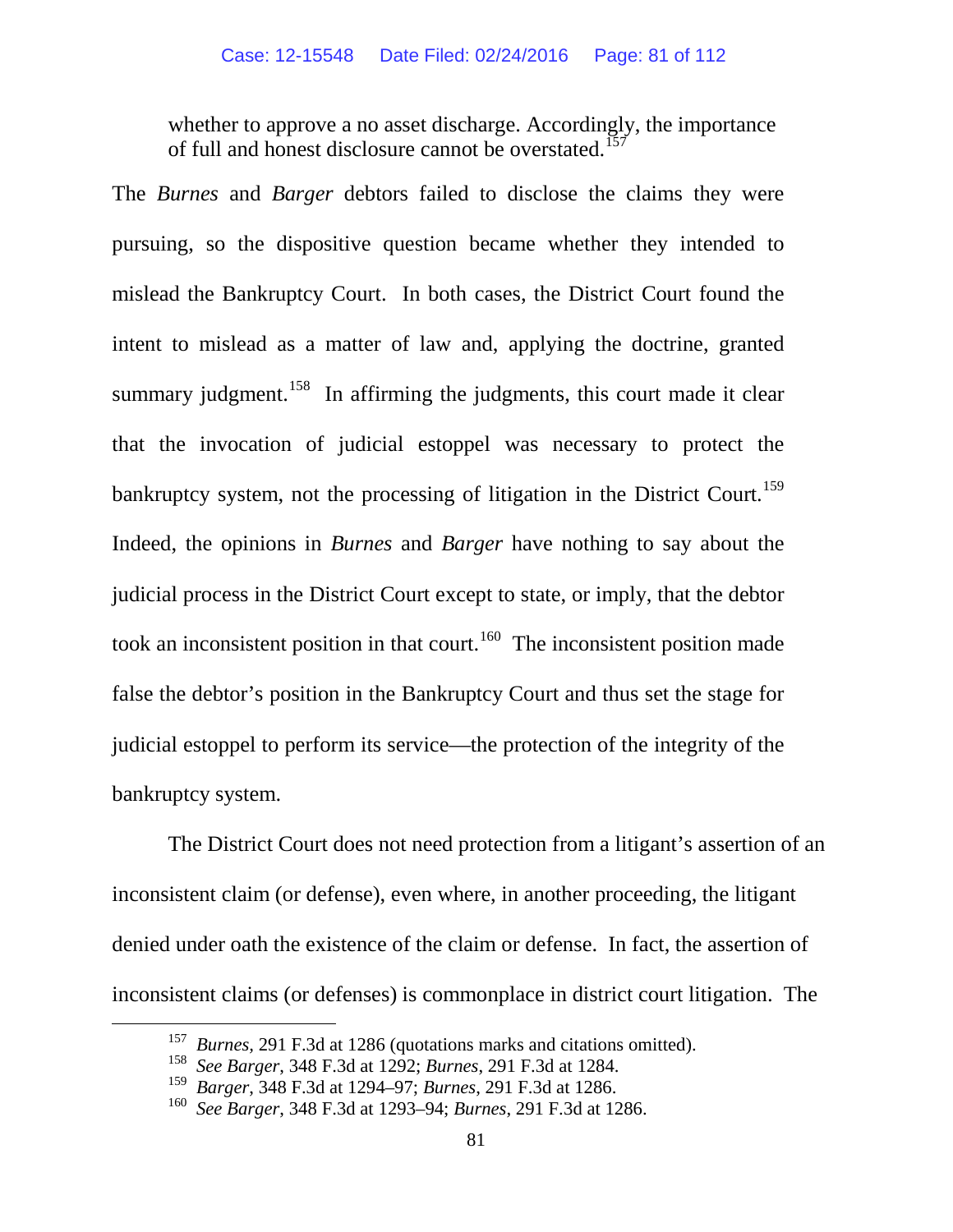whether to approve a no asset discharge. Accordingly, the importance of full and honest disclosure cannot be overstated.<sup>[157](#page-80-0)</sup>

The *Burnes* and *Barger* debtors failed to disclose the claims they were pursuing, so the dispositive question became whether they intended to mislead the Bankruptcy Court. In both cases, the District Court found the intent to mislead as a matter of law and, applying the doctrine, granted summary judgment.<sup>[158](#page-80-1)</sup> In affirming the judgments, this court made it clear that the invocation of judicial estoppel was necessary to protect the bankruptcy system, not the processing of litigation in the District Court.<sup>[159](#page-80-2)</sup> Indeed, the opinions in *Burnes* and *Barger* have nothing to say about the judicial process in the District Court except to state, or imply, that the debtor took an inconsistent position in that court.<sup>[160](#page-80-3)</sup> The inconsistent position made false the debtor's position in the Bankruptcy Court and thus set the stage for judicial estoppel to perform its service—the protection of the integrity of the bankruptcy system.

The District Court does not need protection from a litigant's assertion of an inconsistent claim (or defense), even where, in another proceeding, the litigant denied under oath the existence of the claim or defense. In fact, the assertion of inconsistent claims (or defenses) is commonplace in district court litigation. The

<span id="page-80-0"></span><sup>&</sup>lt;sup>157</sup> *Burnes*, 291 F.3d at 1286 (quotations marks and citations omitted).

<span id="page-80-1"></span><sup>158</sup> *See Barger*, 348 F.3d at 1292; *Burnes*, 291 F.3d at 1284.

<span id="page-80-2"></span><sup>159</sup> *Barger*, 348 F.3d at 1294–97; *Burnes*, 291 F.3d at 1286.

<span id="page-80-3"></span><sup>160</sup> *See Barger*, 348 F.3d at 1293–94; *Burnes*, 291 F.3d at 1286.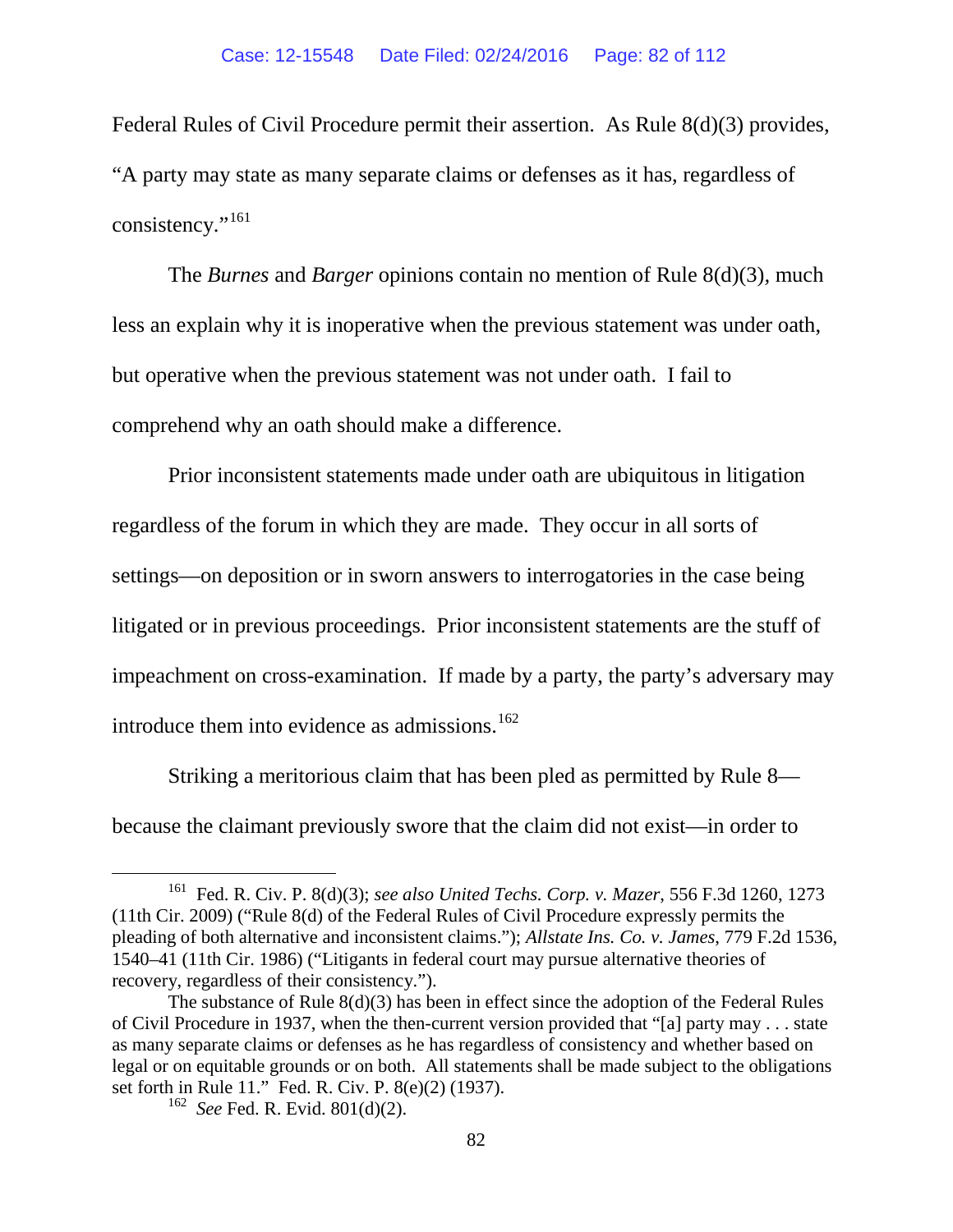Federal Rules of Civil Procedure permit their assertion. As Rule 8(d)(3) provides, "A party may state as many separate claims or defenses as it has, regardless of consistency."<sup>[161](#page-81-0)</sup>

The *Burnes* and *Barger* opinions contain no mention of Rule 8(d)(3)*,* much less an explain why it is inoperative when the previous statement was under oath, but operative when the previous statement was not under oath. I fail to comprehend why an oath should make a difference.

Prior inconsistent statements made under oath are ubiquitous in litigation regardless of the forum in which they are made. They occur in all sorts of settings—on deposition or in sworn answers to interrogatories in the case being litigated or in previous proceedings. Prior inconsistent statements are the stuff of impeachment on cross-examination. If made by a party, the party's adversary may introduce them into evidence as admissions.<sup>162</sup>

Striking a meritorious claim that has been pled as permitted by Rule 8 because the claimant previously swore that the claim did not exist—in order to

<span id="page-81-0"></span> <sup>161</sup> Fed. R. Civ. P. 8(d)(3); *see also United Techs. Corp. v. Mazer*, 556 F.3d 1260, 1273 (11th Cir. 2009) (["Rule 8\(d\) of the Federal Rules of Civil Procedure](https://a.next.westlaw.com/Link/Document/FullText?findType=L&pubNum=1004365&cite=USFRCPR8&originatingDoc=I9b84760bf3c111ddb7e683ba170699a5&refType=LQ&originationContext=document&transitionType=DocumentItem&contextData=(sc.UserEnteredCitation)) expressly permits the pleading of both alternative and inconsistent claims."); *Allstate Ins. Co. v. James*, 779 F.2d 1536, 1540–41 (11th Cir. 1986) ("Litigants in federal court may pursue alternative theories of recovery, regardless of their consistency.").

<span id="page-81-1"></span>The substance of Rule 8(d)(3) has been in effect since the adoption of the Federal Rules of Civil Procedure in 1937, when the then-current version provided that "[a] party may . . . state as many separate claims or defenses as he has regardless of consistency and whether based on legal or on equitable grounds or on both. All statements shall be made subject to the obligations set forth in Rule 11." Fed. R. Civ. P. 8(e)(2) (1937). 162 *See* Fed. R. Evid. 801(d)(2).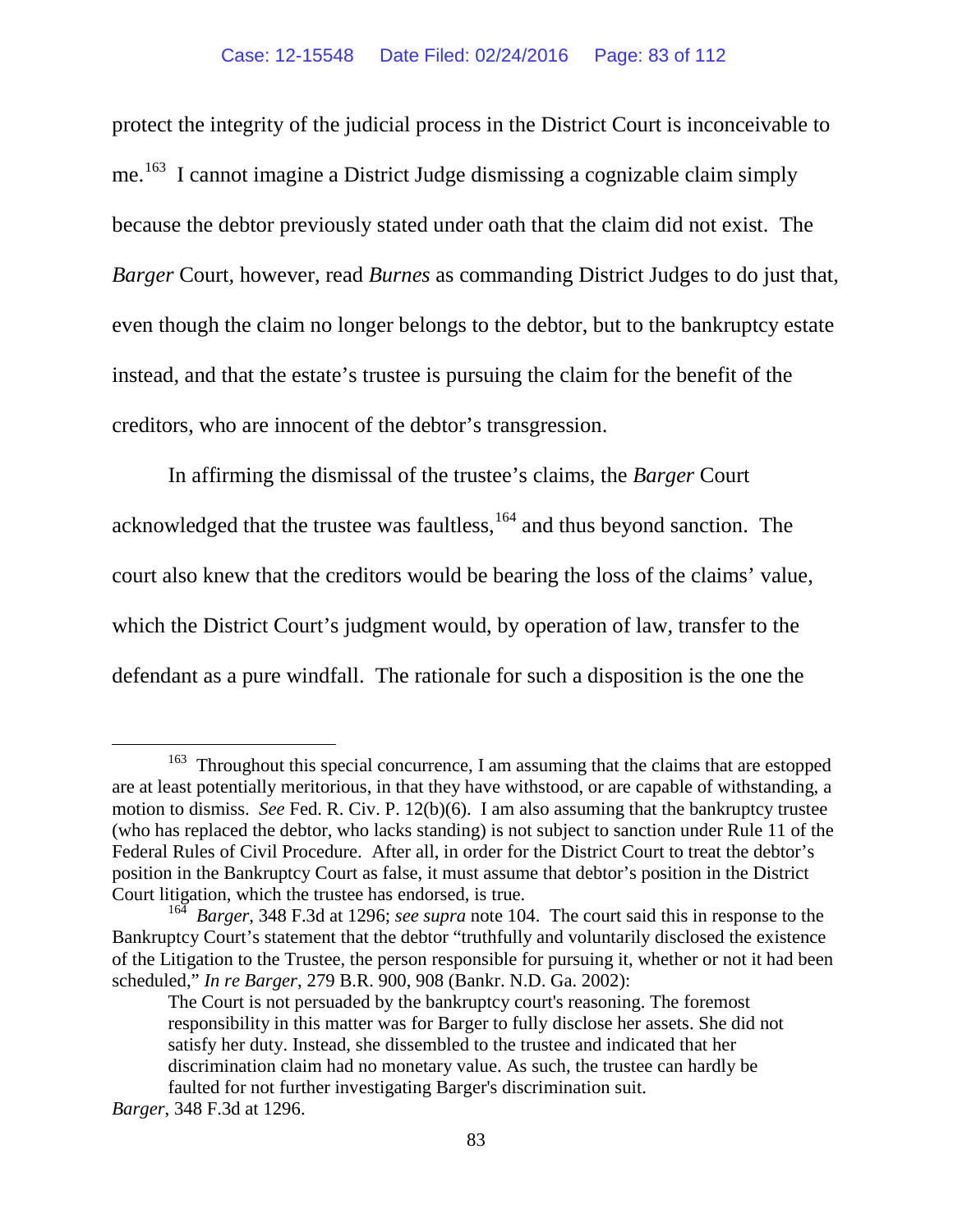protect the integrity of the judicial process in the District Court is inconceivable to me.<sup>163</sup> I cannot imagine a District Judge dismissing a cognizable claim simply because the debtor previously stated under oath that the claim did not exist. The *Barger* Court*,* however, read *Burnes* as commanding District Judges to do just that, even though the claim no longer belongs to the debtor, but to the bankruptcy estate instead, and that the estate's trustee is pursuing the claim for the benefit of the creditors, who are innocent of the debtor's transgression.

In affirming the dismissal of the trustee's claims, the *Barger* Court acknowledged that the trustee was faultless,  $164$  and thus beyond sanction. The court also knew that the creditors would be bearing the loss of the claims' value, which the District Court's judgment would, by operation of law, transfer to the defendant as a pure windfall. The rationale for such a disposition is the one the

<span id="page-82-0"></span><sup>&</sup>lt;sup>163</sup> Throughout this special concurrence, I am assuming that the claims that are estopped are at least potentially meritorious, in that they have withstood, or are capable of withstanding, a motion to dismiss. *See* Fed. R. Civ. P. 12(b)(6). I am also assuming that the bankruptcy trustee (who has replaced the debtor, who lacks standing) is not subject to sanction under Rule 11 of the Federal Rules of Civil Procedure. After all, in order for the District Court to treat the debtor's position in the Bankruptcy Court as false, it must assume that debtor's position in the District Court litigation, which the trustee has endorsed, is true.

<span id="page-82-1"></span><sup>164</sup> *Barger*, 348 F.3d at 1296; *see supra* note [104.](#page-65-0) The court said this in response to the Bankruptcy Court's statement that the debtor "truthfully and voluntarily disclosed the existence of the Litigation to the Trustee, the person responsible for pursuing it, whether or not it had been scheduled," *In re Barger*, 279 B.R. 900, 908 (Bankr. N.D. Ga. 2002):

The Court is not persuaded by the bankruptcy court's reasoning. The foremost responsibility in this matter was for Barger to fully disclose her assets. She did not satisfy her duty. Instead, she dissembled to the trustee and indicated that her discrimination claim had no monetary value. As such, the trustee can hardly be faulted for not further investigating Barger's discrimination suit.

*Barger*, 348 F.3d at 1296.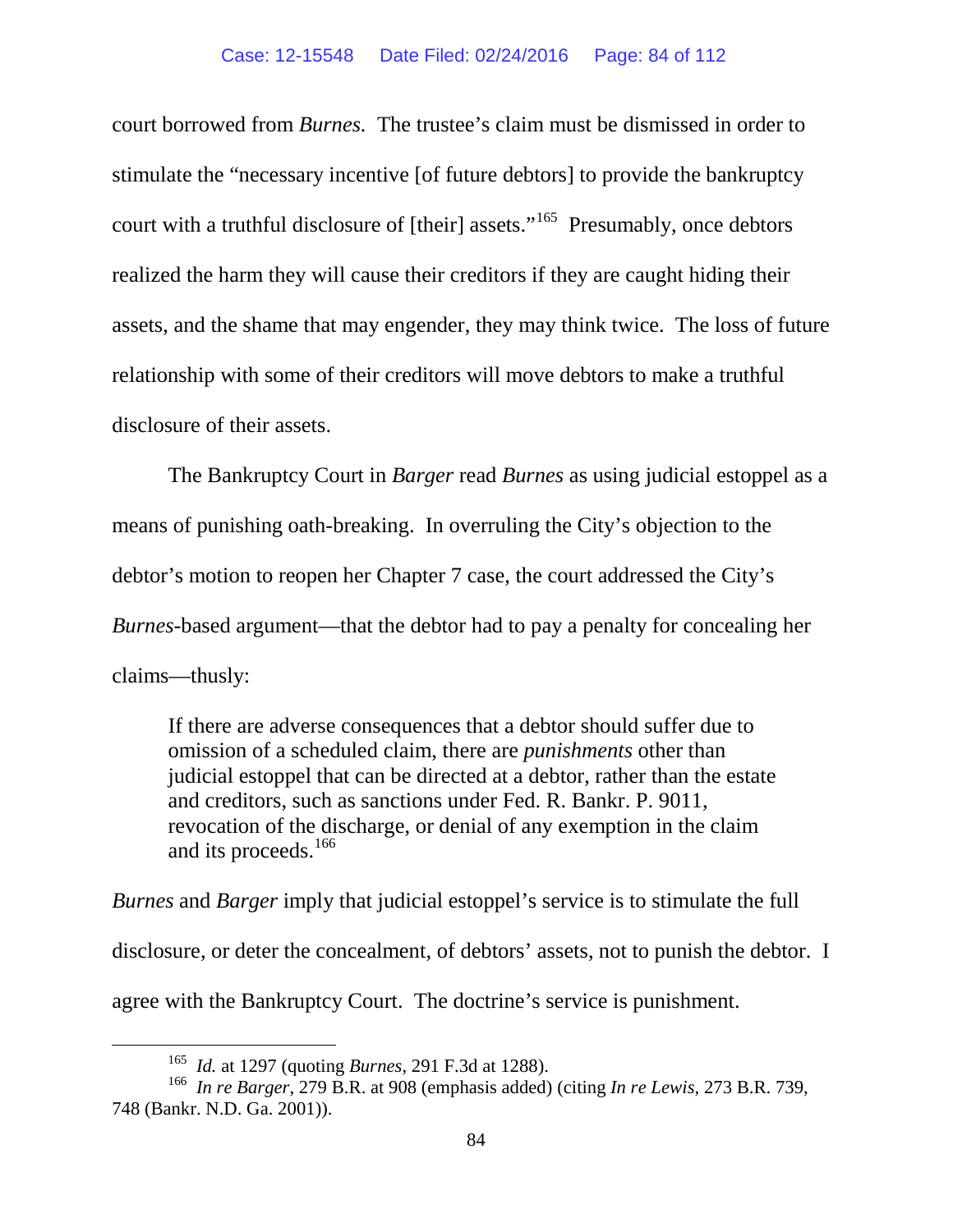court borrowed from *Burnes.* The trustee's claim must be dismissed in order to stimulate the "necessary incentive [of future debtors] to provide the bankruptcy court with a truthful disclosure of [their] assets."<sup>[165](#page-83-0)</sup> Presumably, once debtors realized the harm they will cause their creditors if they are caught hiding their assets, and the shame that may engender, they may think twice. The loss of future relationship with some of their creditors will move debtors to make a truthful disclosure of their assets.

The Bankruptcy Court in *Barger* read *Burnes* as using judicial estoppel as a means of punishing oath-breaking. In overruling the City's objection to the debtor's motion to reopen her Chapter 7 case, the court addressed the City's *Burnes-*based argument—that the debtor had to pay a penalty for concealing her claims—thusly:

If there are adverse consequences that a debtor should suffer due to omission of a scheduled claim, there are *punishments* other than judicial estoppel that can be directed at a debtor, rather than the estate and creditors, such as sanctions under [Fed. R. Bankr. P. 9011,](https://a.next.westlaw.com/Link/Document/FullText?findType=L&pubNum=1004365&cite=USFRBPR9011&originatingDoc=Ie2052b726e5711d98778bd0185d69771&refType=LQ&originationContext=document&transitionType=DocumentItem&contextData=(sc.UserEnteredCitation)) revocation of the discharge, or denial of any exemption in the claim and its proceeds.<sup>[166](#page-83-1)</sup>

*Burnes* and *Barger* imply that judicial estoppel's service is to stimulate the full disclosure, or deter the concealment, of debtors' assets, not to punish the debtor. I agree with the Bankruptcy Court. The doctrine's service is punishment.

 <sup>165</sup> *Id.* at 1297 (quoting *Burnes*, 291 F.3d at 1288).

<span id="page-83-1"></span><span id="page-83-0"></span><sup>166</sup> *In re Barger*, 279 B.R. at 908 (emphasis added) (citing *In re Lewis*, 273 B.R. 739, 748 (Bankr. N.D. Ga. 2001)).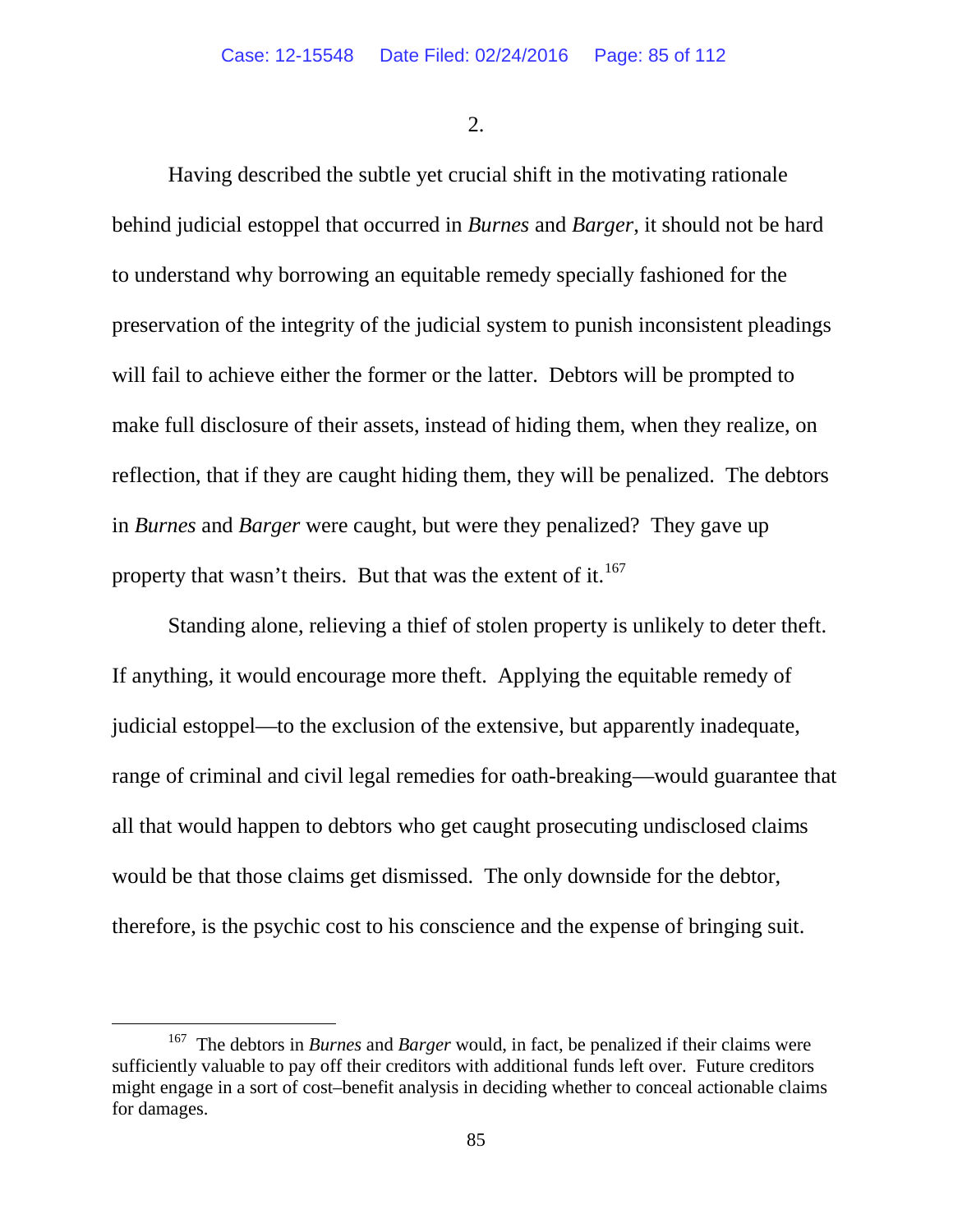2.

Having described the subtle yet crucial shift in the motivating rationale behind judicial estoppel that occurred in *Burnes* and *Barger*, it should not be hard to understand why borrowing an equitable remedy specially fashioned for the preservation of the integrity of the judicial system to punish inconsistent pleadings will fail to achieve either the former or the latter. Debtors will be prompted to make full disclosure of their assets, instead of hiding them, when they realize, on reflection, that if they are caught hiding them, they will be penalized. The debtors in *Burnes* and *Barger* were caught, but were they penalized? They gave up property that wasn't theirs. But that was the extent of it.<sup>[167](#page-84-0)</sup>

Standing alone, relieving a thief of stolen property is unlikely to deter theft. If anything, it would encourage more theft. Applying the equitable remedy of judicial estoppel—to the exclusion of the extensive, but apparently inadequate, range of criminal and civil legal remedies for oath-breaking—would guarantee that all that would happen to debtors who get caught prosecuting undisclosed claims would be that those claims get dismissed. The only downside for the debtor, therefore, is the psychic cost to his conscience and the expense of bringing suit.

<span id="page-84-0"></span> <sup>167</sup> The debtors in *Burnes* and *Barger* would, in fact, be penalized if their claims were sufficiently valuable to pay off their creditors with additional funds left over. Future creditors might engage in a sort of cost–benefit analysis in deciding whether to conceal actionable claims for damages.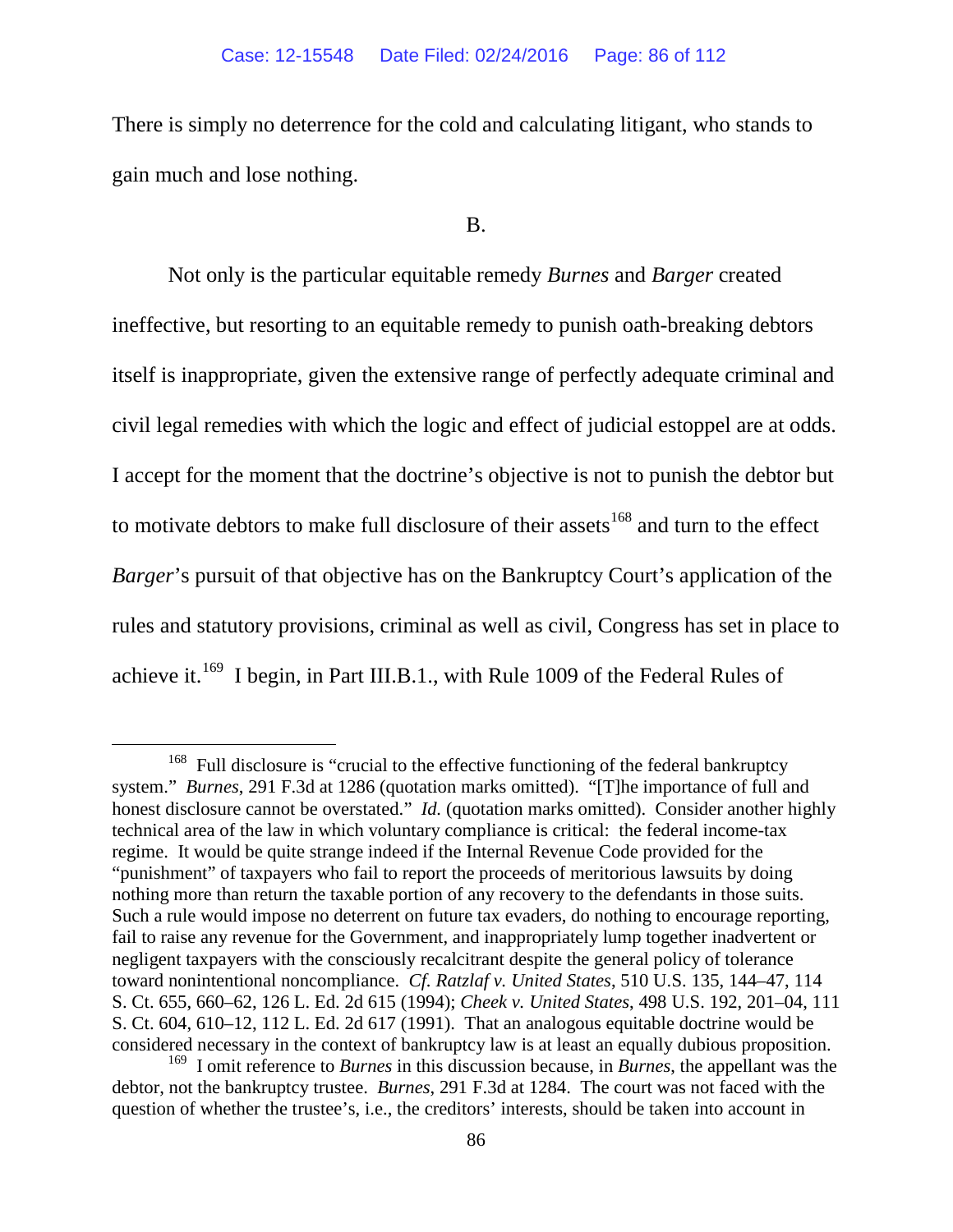There is simply no deterrence for the cold and calculating litigant, who stands to gain much and lose nothing.

## B.

Not only is the particular equitable remedy *Burnes* and *Barger* created ineffective, but resorting to an equitable remedy to punish oath-breaking debtors itself is inappropriate, given the extensive range of perfectly adequate criminal and civil legal remedies with which the logic and effect of judicial estoppel are at odds. I accept for the moment that the doctrine's objective is not to punish the debtor but to motivate debtors to make full disclosure of their assets<sup>[168](#page-85-0)</sup> and turn to the effect *Barger*'s pursuit of that objective has on the Bankruptcy Court's application of the rules and statutory provisions, criminal as well as civil, Congress has set in place to achieve it.<sup>169</sup> I begin, in Part III.B.1., with Rule 1009 of the Federal Rules of

<span id="page-85-0"></span><sup>&</sup>lt;sup>168</sup> Full disclosure is "crucial to the effective functioning of the federal bankruptcy system." *Burnes*, 291 F.3d at 1286 (quotation marks omitted). "[T]he importance of full and honest disclosure cannot be overstated." *Id.* (quotation marks omitted). Consider another highly technical area of the law in which voluntary compliance is critical: the federal income-tax regime. It would be quite strange indeed if the Internal Revenue Code provided for the "punishment" of taxpayers who fail to report the proceeds of meritorious lawsuits by doing nothing more than return the taxable portion of any recovery to the defendants in those suits. Such a rule would impose no deterrent on future tax evaders, do nothing to encourage reporting, fail to raise any revenue for the Government, and inappropriately lump together inadvertent or negligent taxpayers with the consciously recalcitrant despite the general policy of tolerance toward nonintentional noncompliance. *Cf. Ratzlaf v. United States*, 510 U.S. 135, 144–47, 114 S. Ct. 655, 660–62, 126 L. Ed. 2d 615 (1994); *Cheek v. United States*, 498 U.S. 192, 201–04, 111 S. Ct. 604, 610–12, 112 L. Ed. 2d 617 (1991). That an analogous equitable doctrine would be considered necessary in the context of bankruptcy law is at least an equally dubious proposition.

<span id="page-85-1"></span><sup>169</sup> I omit reference to *Burnes* in this discussion because, in *Burnes*, the appellant was the debtor, not the bankruptcy trustee. *Burnes*, 291 F.3d at 1284. The court was not faced with the question of whether the trustee's, i.e., the creditors' interests, should be taken into account in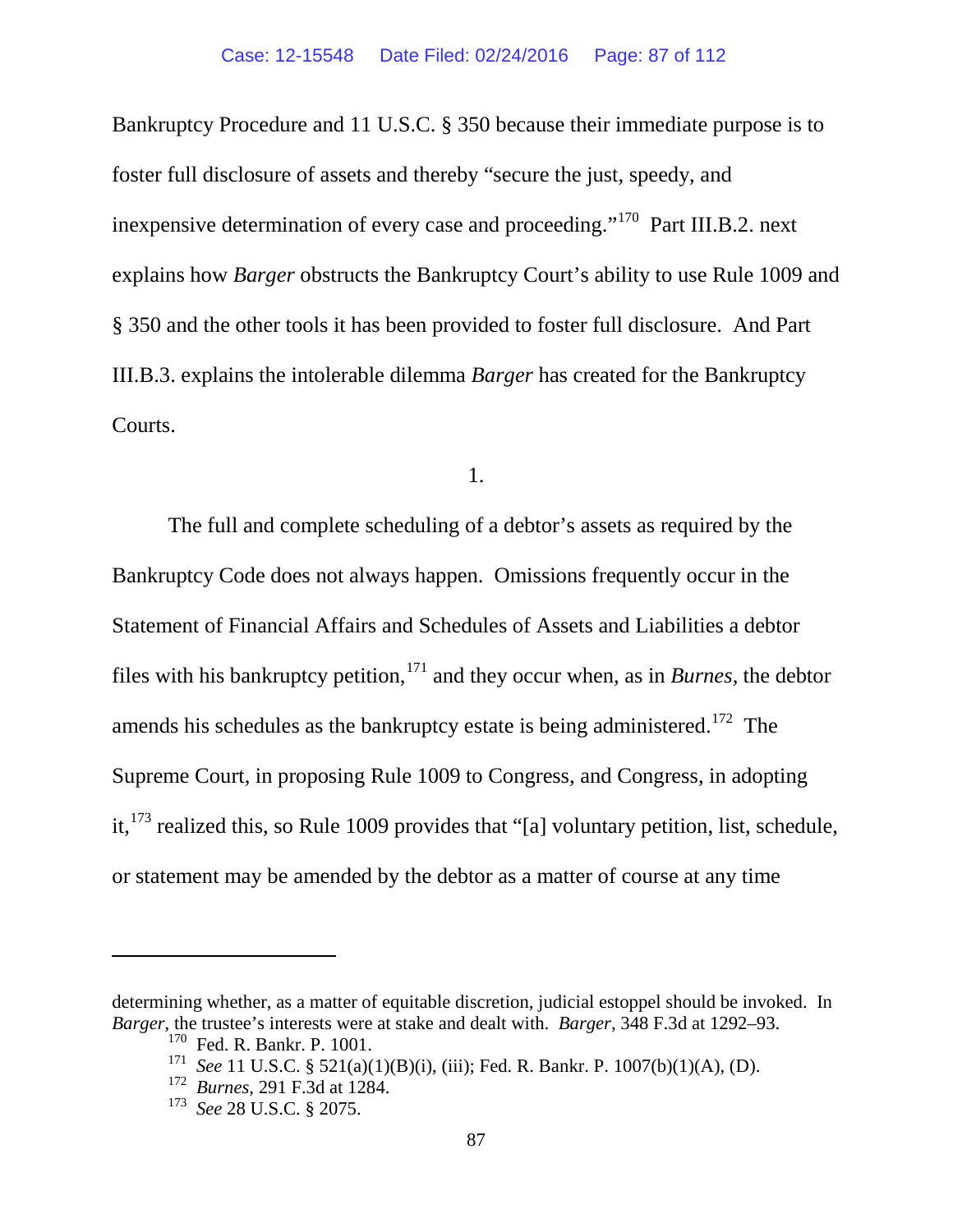Bankruptcy Procedure and 11 U.S.C. § 350 because their immediate purpose is to foster full disclosure of assets and thereby "secure the just, speedy, and inexpensive determination of every case and proceeding."[170](#page-86-0) Part III.B.2. next explains how *Barger* obstructs the Bankruptcy Court's ability to use Rule 1009 and § 350 and the other tools it has been provided to foster full disclosure. And Part III.B.3. explains the intolerable dilemma *Barger* has created for the Bankruptcy Courts.

1.

The full and complete scheduling of a debtor's assets as required by the Bankruptcy Code does not always happen. Omissions frequently occur in the Statement of Financial Affairs and Schedules of Assets and Liabilities a debtor files with his bankruptcy petition,  $171$  and they occur when, as in *Burnes*, the debtor amends his schedules as the bankruptcy estate is being administered.<sup>[172](#page-86-2)</sup> The Supreme Court, in proposing Rule 1009 to Congress, and Congress, in adopting it,  $^{173}$  $^{173}$  $^{173}$  realized this, so Rule 1009 provides that "[a] voluntary petition, list, schedule, or statement may be amended by the debtor as a matter of course at any time

 $\overline{a}$ 

<span id="page-86-3"></span><span id="page-86-2"></span><span id="page-86-1"></span><span id="page-86-0"></span>determining whether, as a matter of equitable discretion, judicial estoppel should be invoked. In *Barger,* the trustee's interests were at stake and dealt with. *Barger*, 348 F.3d at 1292–93.

<sup>&</sup>lt;sup>170</sup> Fed. R. Bankr. P. 1001.

<sup>171</sup> *See* 11 U.S.C. § 521(a)(1)(B)(i), (iii); Fed. R. Bankr. P. 1007(b)(1)(A), (D).

<sup>172</sup> *Burnes*, 291 F.3d at 1284.

<sup>173</sup> *See* 28 U.S.C. § 2075.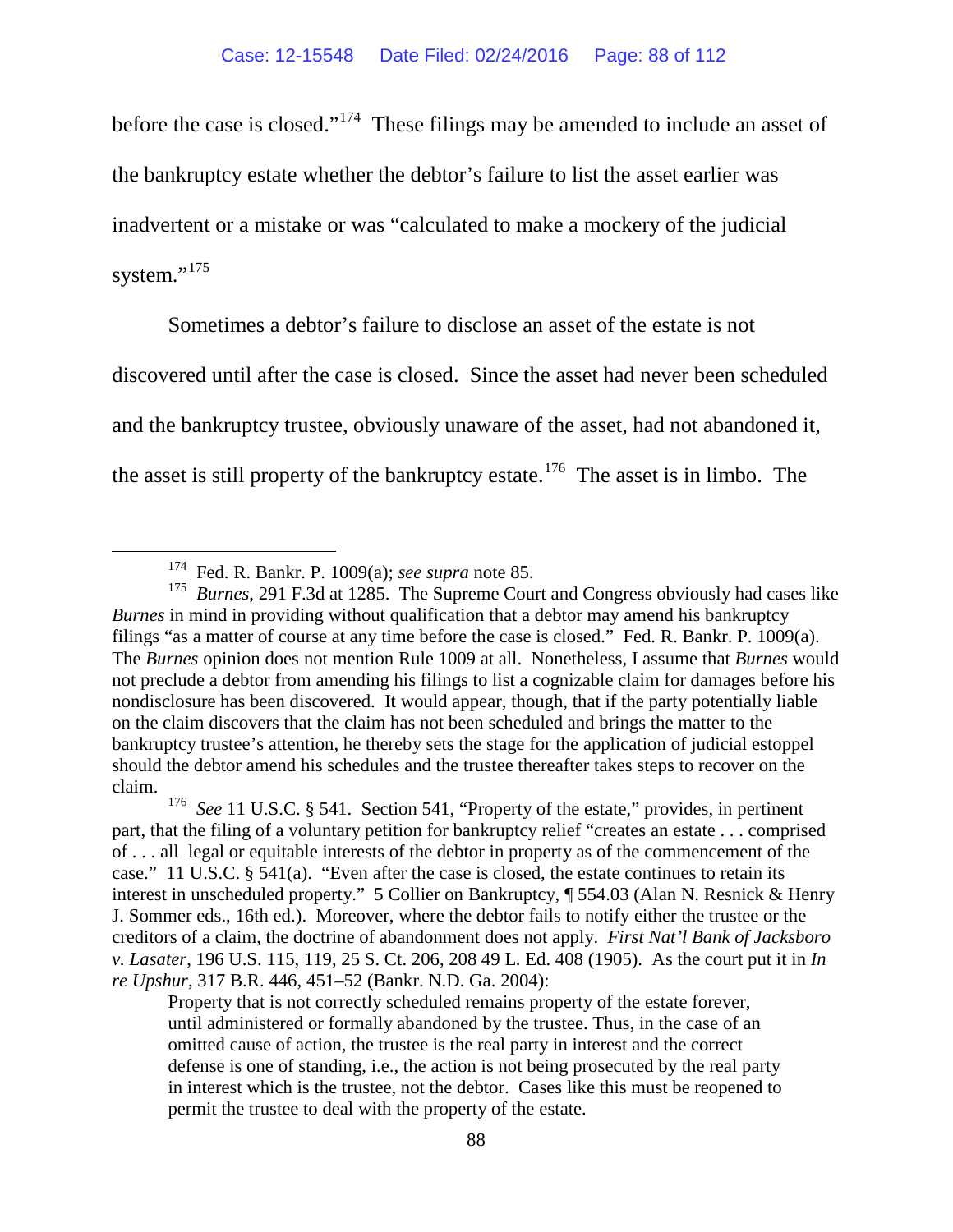before the case is closed."[174](#page-87-0) These filings may be amended to include an asset of the bankruptcy estate whether the debtor's failure to list the asset earlier was inadvertent or a mistake or was "calculated to make a mockery of the judicial system."<sup>175</sup>

Sometimes a debtor's failure to disclose an asset of the estate is not

discovered until after the case is closed. Since the asset had never been scheduled and the bankruptcy trustee, obviously unaware of the asset, had not abandoned it,

the asset is still property of the bankruptcy estate.<sup>[176](#page-87-2)</sup> The asset is in limbo. The

<span id="page-87-1"></span><span id="page-87-0"></span><sup>&</sup>lt;sup>174</sup> Fed. R. Bankr. P. 1009(a); *see supra* note [85.](#page-59-0)<br><sup>175</sup> Burnes, 291 F.3d at 1285. The Supreme Court and Congress obviously had cases like *Burnes* in mind in providing without qualification that a debtor may amend his bankruptcy filings "as a matter of course at any time before the case is closed." Fed. R. Bankr. P. 1009(a). The *Burnes* opinion does not mention Rule 1009 at all. Nonetheless, I assume that *Burnes* would not preclude a debtor from amending his filings to list a cognizable claim for damages before his nondisclosure has been discovered. It would appear, though, that if the party potentially liable on the claim discovers that the claim has not been scheduled and brings the matter to the bankruptcy trustee's attention, he thereby sets the stage for the application of judicial estoppel should the debtor amend his schedules and the trustee thereafter takes steps to recover on the claim.

<span id="page-87-2"></span><sup>&</sup>lt;sup>176</sup> *See* 11 U.S.C. § 541. Section 541, "Property of the estate," provides, in pertinent part, that the filing of a voluntary petition for bankruptcy relief "creates an estate . . . comprised of . . . all legal or equitable interests of the debtor in property as of the commencement of the case." 11 U.S.C. § 541(a). "Even after the case is closed, the estate continues to retain its interest in unscheduled property." 5 Collier on Bankruptcy, ¶ 554.03 (Alan N. Resnick & Henry J. Sommer eds., 16th ed.). Moreover, where the debtor fails to notify either the trustee or the creditors of a claim, the doctrine of abandonment does not apply. *[First Nat'l Bank of Jacksboro](https://a.next.westlaw.com/Link/Document/FullText?findType=Y&serNum=1905100177&pubNum=708&originatingDoc=I7096e721931e11d9bdd1cfdd544ca3a4&refType=RP&originationContext=document&transitionType=DocumentItem&contextData=(sc.DocLink))  v. Lasater*[, 196 U.S. 115, 119, 25 S. Ct. 206, 208 49 L. Ed. 408 \(](https://a.next.westlaw.com/Link/Document/FullText?findType=Y&serNum=1905100177&pubNum=708&originatingDoc=I7096e721931e11d9bdd1cfdd544ca3a4&refType=RP&originationContext=document&transitionType=DocumentItem&contextData=(sc.DocLink))1905). As the court put it in *In re Upshur*, 317 B.R. 446, 451–52 (Bankr. N.D. Ga. 2004):

Property that is not correctly scheduled remains property of the estate forever, until administered or formally abandoned by the trustee. Thus, in the case of an omitted cause of action, the trustee is the real party in interest and the correct defense is one of standing, i.e., the action is not being prosecuted by the real party in interest which is the trustee, not the debtor. Cases like this must be reopened to permit the trustee to deal with the property of the estate.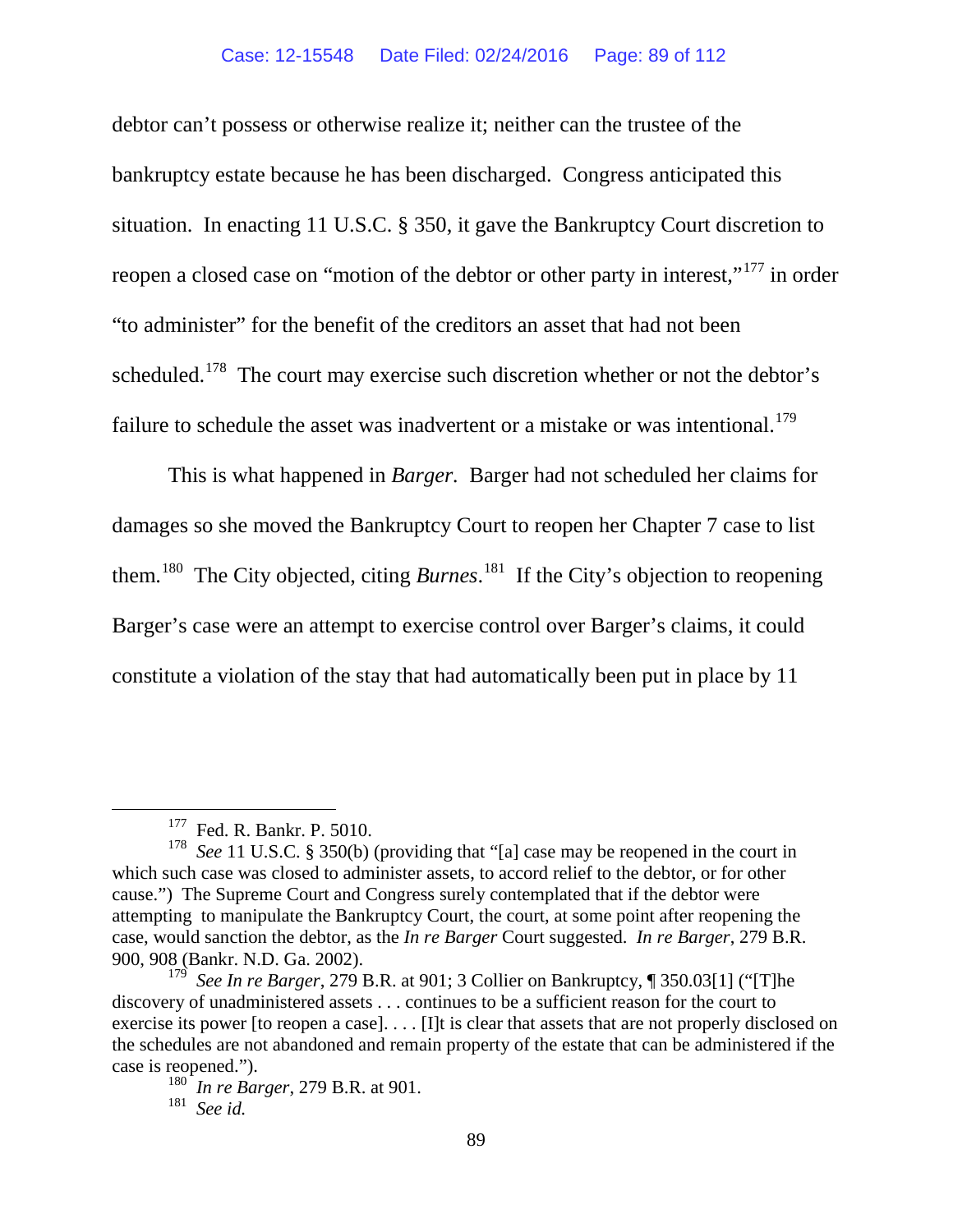debtor can't possess or otherwise realize it; neither can the trustee of the bankruptcy estate because he has been discharged. Congress anticipated this situation. In enacting 11 U.S.C. § 350, it gave the Bankruptcy Court discretion to reopen a closed case on "motion of the debtor or other party in interest,"<sup>[177](#page-88-0)</sup> in order "to administer" for the benefit of the creditors an asset that had not been scheduled.<sup>178</sup> The court may exercise such discretion whether or not the debtor's failure to schedule the asset was inadvertent or a mistake or was intentional.<sup>[179](#page-88-2)</sup>

This is what happened in *Barger.* Barger had not scheduled her claims for damages so she moved the Bankruptcy Court to reopen her Chapter 7 case to list them.[180](#page-88-3) The City objected, citing *Burnes*. [181](#page-88-4) If the City's objection to reopening Barger's case were an attempt to exercise control over Barger's claims, it could constitute a violation of the stay that had automatically been put in place by 11

<sup>&</sup>lt;sup>177</sup> Fed. R. Bankr. P. 5010.

<span id="page-88-1"></span><span id="page-88-0"></span><sup>&</sup>lt;sup>178</sup> *See* 11 U.S.C. § 350(b) (providing that "[a] case may be reopened in the court in which such case was closed to administer assets, to accord relief to the debtor, or for other cause.") The Supreme Court and Congress surely contemplated that if the debtor were attempting to manipulate the Bankruptcy Court, the court, at some point after reopening the case, would sanction the debtor, as the *In re Barger* Court suggested. *In re Barger*, 279 B.R. 900, 908 (Bankr. N.D. Ga. 2002).

<span id="page-88-3"></span><span id="page-88-2"></span><sup>179</sup> *See In re Barger*, 279 B.R. at 901; 3 Collier on Bankruptcy, ¶ 350.03[1] ("[T]he discovery of unadministered assets . . . continues to be a sufficient reason for the court to exercise its power [to reopen a case]. . . . [I]t is clear that assets that are not properly disclosed on the schedules are not abandoned and remain property of the estate that can be administered if the case is reopened.").

<sup>180</sup> *In re Barger*, 279 B.R. at 901.

<span id="page-88-4"></span><sup>181</sup> *See id.*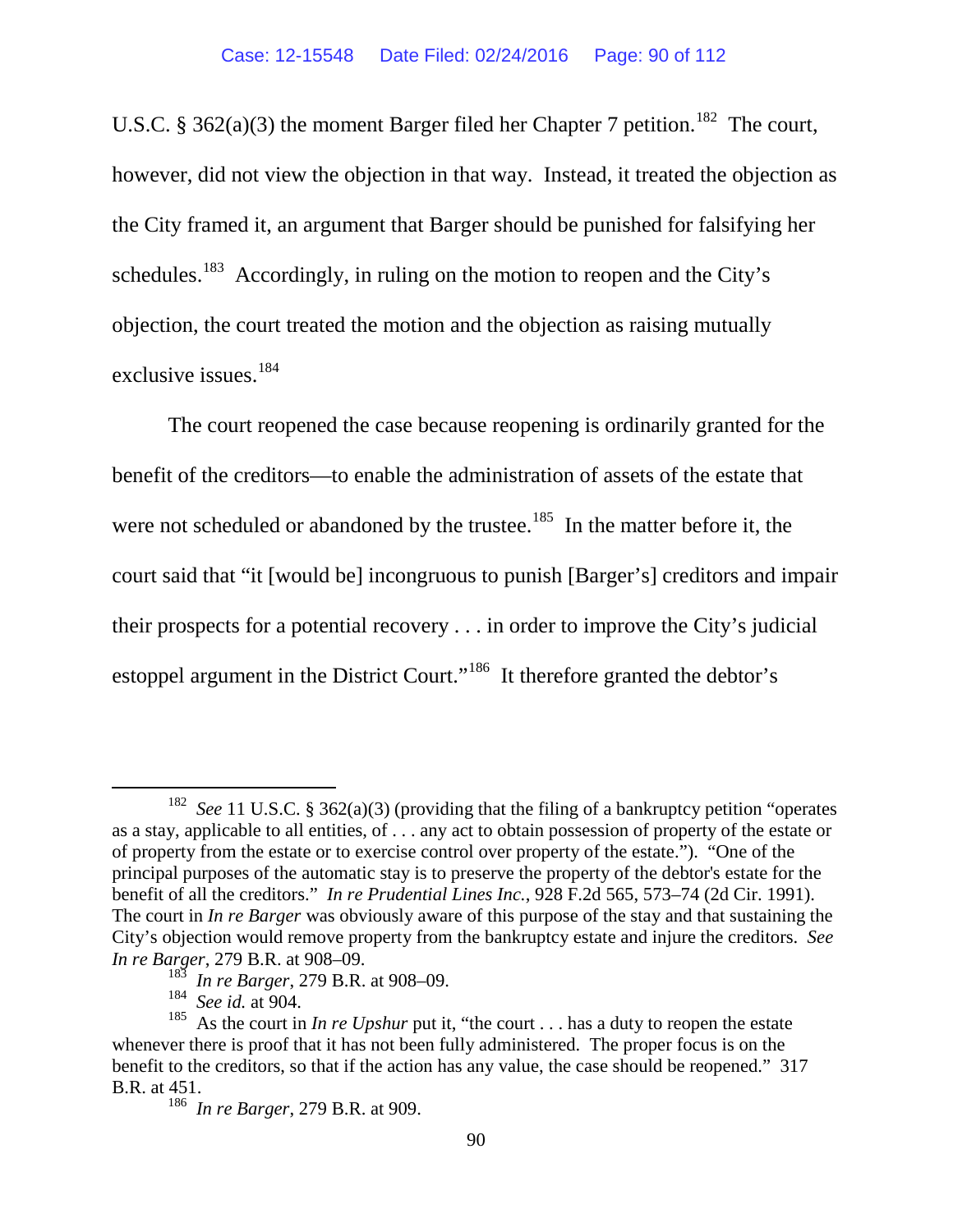U.S.C. § 362(a)(3) the moment Barger filed her Chapter 7 petition.<sup>[182](#page-89-0)</sup> The court, however, did not view the objection in that way. Instead, it treated the objection as the City framed it, an argument that Barger should be punished for falsifying her schedules.<sup>[183](#page-89-1)</sup> Accordingly, in ruling on the motion to reopen and the City's objection, the court treated the motion and the objection as raising mutually exclusive issues.[184](#page-89-2) 

The court reopened the case because reopening is ordinarily granted for the benefit of the creditors—to enable the administration of assets of the estate that were not scheduled or abandoned by the trustee.<sup>185</sup> In the matter before it, the court said that "it [would be] incongruous to punish [Barger's] creditors and impair their prospects for a potential recovery . . . in order to improve the City's judicial estoppel argument in the District Court."<sup>186</sup> It therefore granted the debtor's

<span id="page-89-0"></span> <sup>182</sup> *See* 11 U.S.C. § 362(a)(3) (providing that the filing of a bankruptcy petition "operates as a stay, applicable to all entities, of . . . any act to obtain possession of property of the estate or of property from the estate or to exercise control over property of the estate."). "One of the principal purposes of the automatic stay is to preserve the property of the debtor's estate for the benefit of all the creditors." *In re Prudential Lines Inc.*, 928 F.2d 565, 573–74 (2d Cir. 1991). The court in *In re Barger* was obviously aware of this purpose of the stay and that sustaining the City's objection would remove property from the bankruptcy estate and injure the creditors. *See In re Barger*, 279 B.R. at 908–09.

<sup>183</sup> *In re Barger*, 279 B.R. at 908–09.

<sup>184</sup> *See id.* at 904.

<span id="page-89-4"></span><span id="page-89-3"></span><span id="page-89-2"></span><span id="page-89-1"></span><sup>&</sup>lt;sup>185</sup> As the court in *In re Upshur* put it, "the court . . . has a duty to reopen the estate whenever there is proof that it has not been fully administered. The proper focus is on the benefit to the creditors, so that if the action has any value, the case should be reopened." 317 B.R. at 451.

<sup>186</sup> *In re Barger*, 279 B.R. at 909.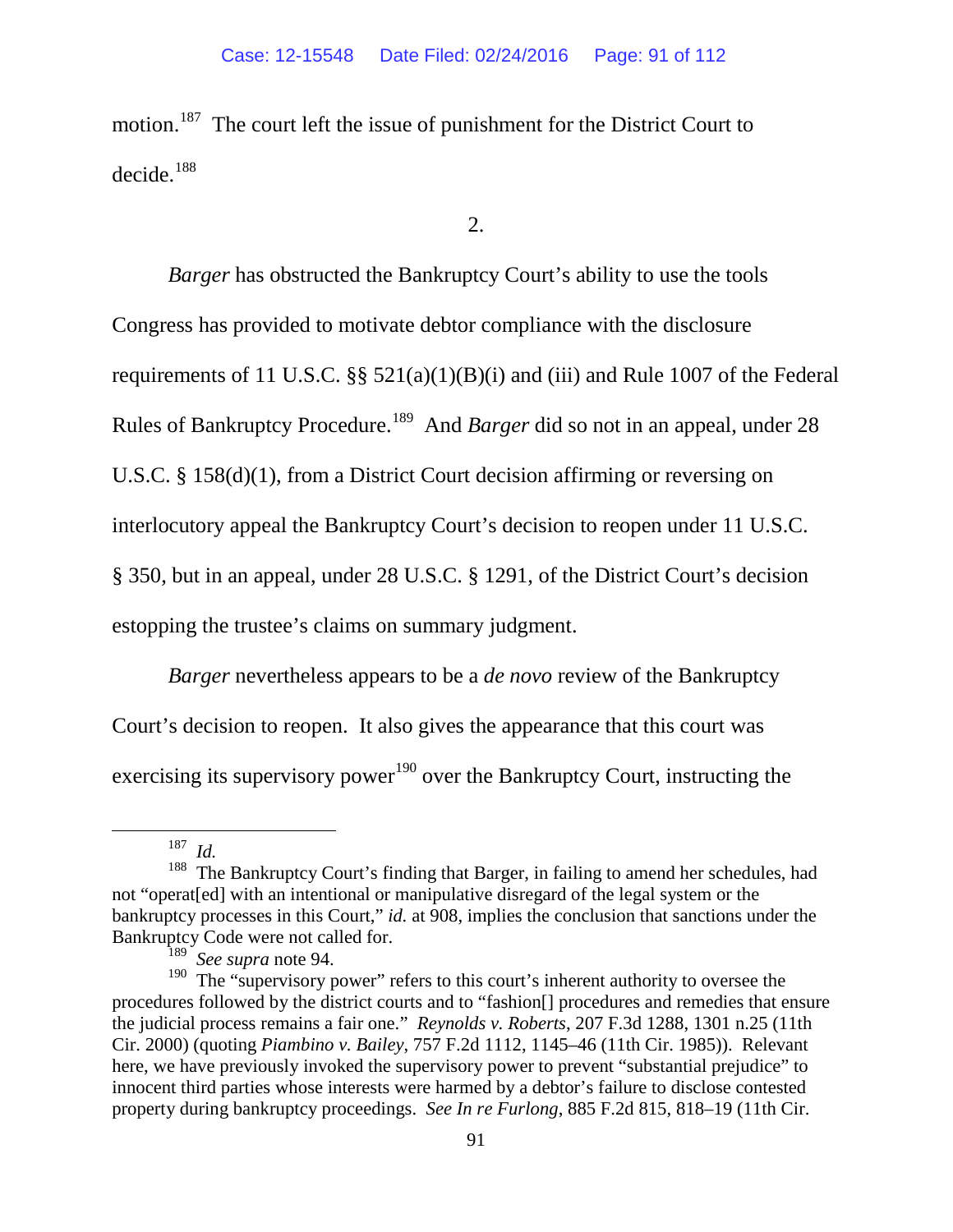motion.<sup>[187](#page-90-0)</sup> The court left the issue of punishment for the District Court to decide.<sup>[188](#page-90-1)</sup>

2.

*Barger* has obstructed the Bankruptcy Court's ability to use the tools Congress has provided to motivate debtor compliance with the disclosure requirements of 11 U.S.C.  $\S$ § 521(a)(1)(B)(i) and (iii) and Rule 1007 of the Federal Rules of Bankruptcy Procedure.[189](#page-90-2) And *Barger* did so not in an appeal, under 28 U.S.C. § 158(d)(1), from a District Court decision affirming or reversing on interlocutory appeal the Bankruptcy Court's decision to reopen under 11 U.S.C. § 350, but in an appeal, under 28 U.S.C. § 1291, of the District Court's decision estopping the trustee's claims on summary judgment.

*Barger* nevertheless appears to be a *de novo* review of the Bankruptcy Court's decision to reopen. It also gives the appearance that this court was exercising its supervisory power<sup>[190](#page-90-3)</sup> over the Bankruptcy Court, instructing the

 <sup>187</sup> *Id.*

<span id="page-90-1"></span><span id="page-90-0"></span><sup>&</sup>lt;sup>188</sup> The Bankruptcy Court's finding that Barger, in failing to amend her schedules, had not "operat[ed] with an intentional or manipulative disregard of the legal system or the bankruptcy processes in this Court," *id.* at 908, implies the conclusion that sanctions under the

<span id="page-90-3"></span><span id="page-90-2"></span>Bankruptcy Code were not called for.<br><sup>189</sup> *See supra* note 94.<br><sup>190</sup> The "supervisory power" refers to this court's inherent authority to oversee the procedures followed by the district courts and to "fashion[] procedures and remedies that ensure the judicial process remains a fair one." *Reynolds v. Roberts*, 207 F.3d 1288, 1301 n.25 (11th Cir. 2000) (quoting *Piambino v. Bailey*, 757 F.2d 1112, 1145–46 (11th Cir. 1985)). Relevant here, we have previously invoked the supervisory power to prevent "substantial prejudice" to innocent third parties whose interests were harmed by a debtor's failure to disclose contested property during bankruptcy proceedings. *See In re Furlong*, 885 F.2d 815, 818–19 (11th Cir.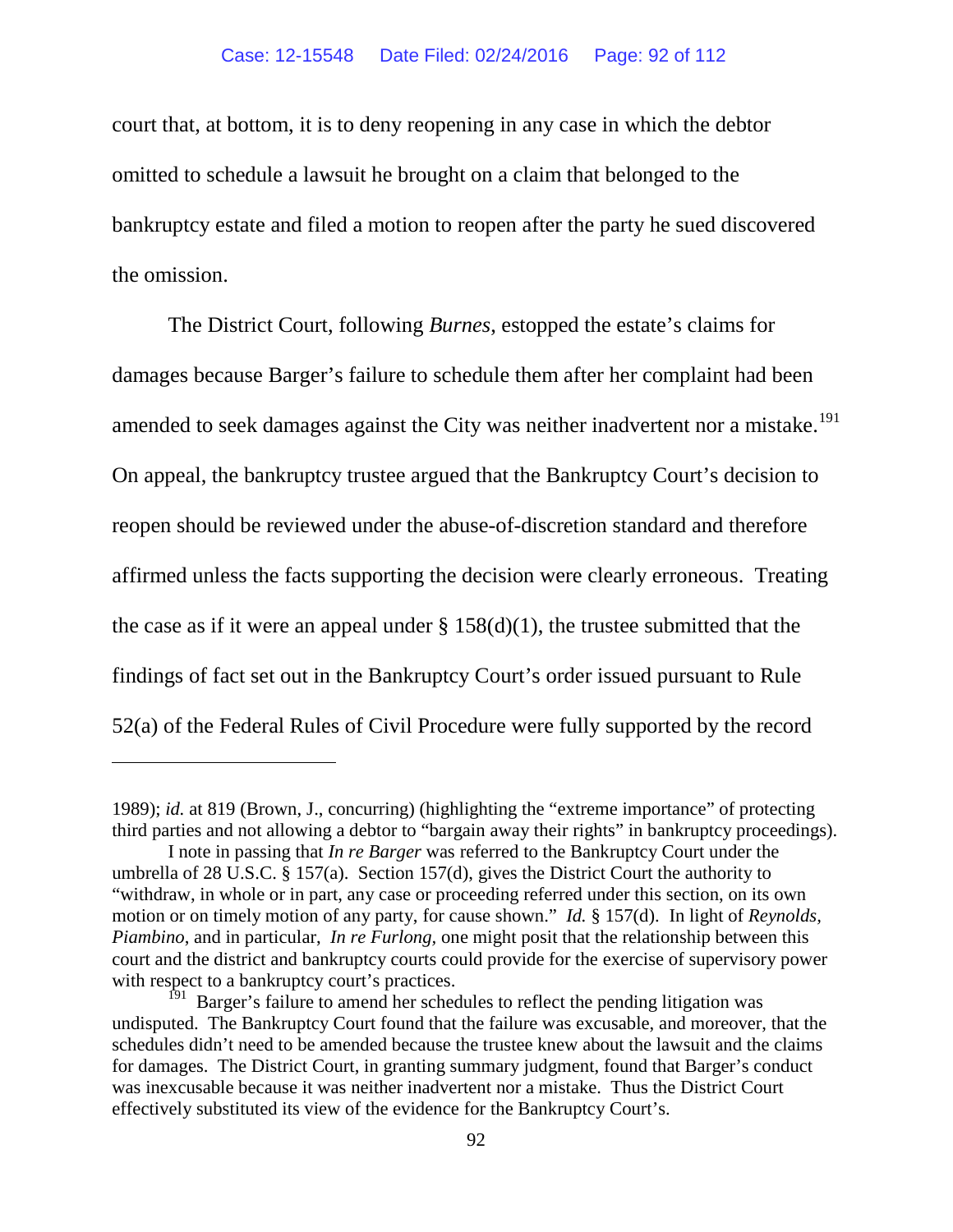court that, at bottom, it is to deny reopening in any case in which the debtor omitted to schedule a lawsuit he brought on a claim that belonged to the bankruptcy estate and filed a motion to reopen after the party he sued discovered the omission.

The District Court, following *Burnes*, estopped the estate's claims for damages because Barger's failure to schedule them after her complaint had been amended to seek damages against the City was neither inadvertent nor a mistake.<sup>[191](#page-91-0)</sup> On appeal, the bankruptcy trustee argued that the Bankruptcy Court's decision to reopen should be reviewed under the abuse-of-discretion standard and therefore affirmed unless the facts supporting the decision were clearly erroneous. Treating the case as if it were an appeal under  $\S$  158(d)(1), the trustee submitted that the findings of fact set out in the Bankruptcy Court's order issued pursuant to Rule 52(a) of the Federal Rules of Civil Procedure were fully supported by the record

 $\overline{a}$ 

<sup>1989);</sup> *id.* at 819 (Brown, J., concurring) (highlighting the "extreme importance" of protecting third parties and not allowing a debtor to "bargain away their rights" in bankruptcy proceedings).

I note in passing that *In re Barger* was referred to the Bankruptcy Court under the umbrella of 28 U.S.C. § 157(a). Section 157(d), gives the District Court the authority to "withdraw, in whole or in part, any case or proceeding referred under this section, on its own motion or on timely motion of any party, for cause shown." *Id.* § 157(d). In light of *Reynolds, Piambino*, and in particular, *In re Furlong,* one might posit that the relationship between this court and the district and bankruptcy courts could provide for the exercise of supervisory power with respect to a bankruptcy court's practices.

<span id="page-91-0"></span> $191$  Barger's failure to amend her schedules to reflect the pending litigation was undisputed. The Bankruptcy Court found that the failure was excusable, and moreover, that the schedules didn't need to be amended because the trustee knew about the lawsuit and the claims for damages. The District Court, in granting summary judgment, found that Barger's conduct was inexcusable because it was neither inadvertent nor a mistake. Thus the District Court effectively substituted its view of the evidence for the Bankruptcy Court's.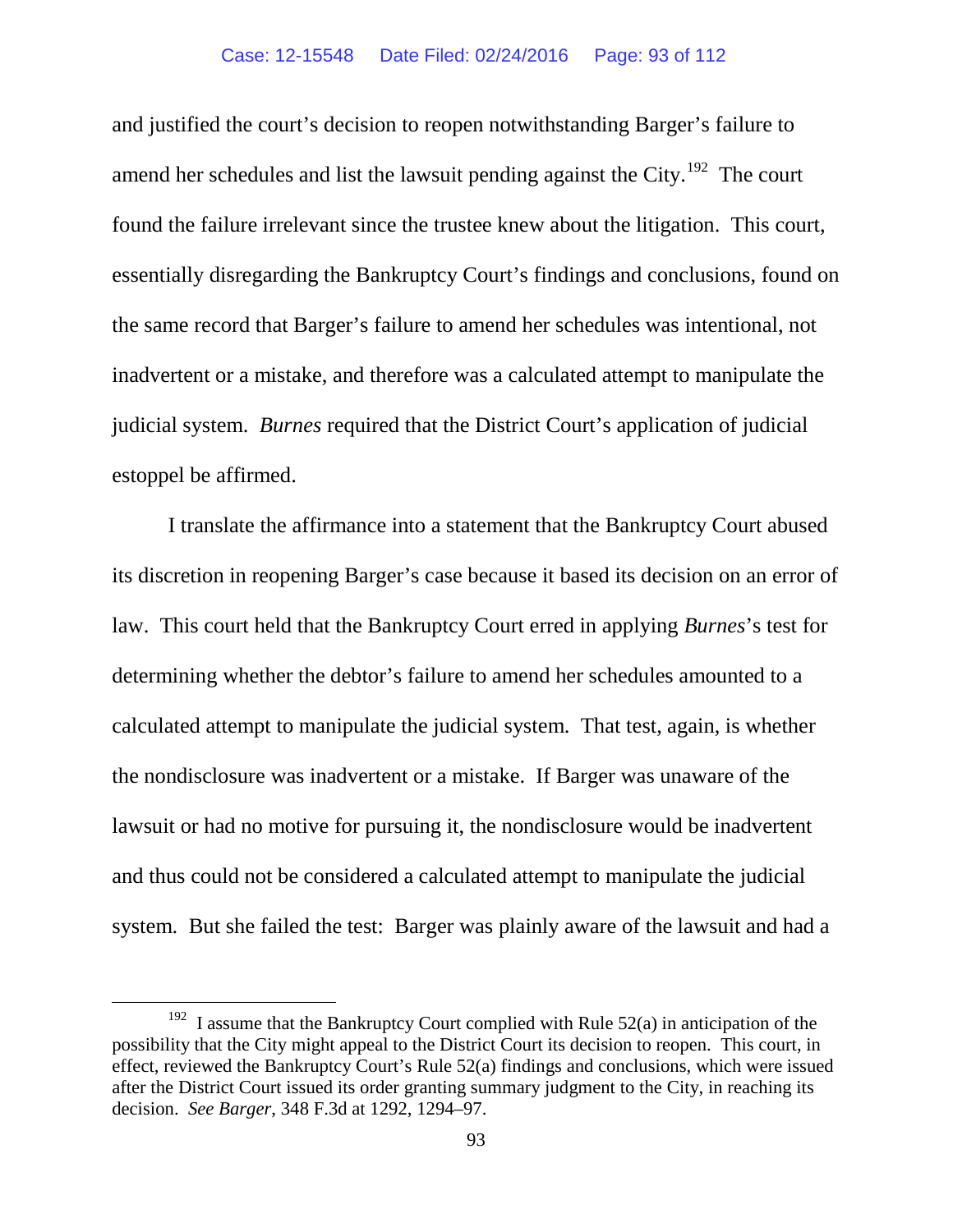and justified the court's decision to reopen notwithstanding Barger's failure to amend her schedules and list the lawsuit pending against the City.<sup>[192](#page-92-0)</sup> The court found the failure irrelevant since the trustee knew about the litigation. This court, essentially disregarding the Bankruptcy Court's findings and conclusions, found on the same record that Barger's failure to amend her schedules was intentional, not inadvertent or a mistake, and therefore was a calculated attempt to manipulate the judicial system. *Burnes* required that the District Court's application of judicial estoppel be affirmed.

I translate the affirmance into a statement that the Bankruptcy Court abused its discretion in reopening Barger's case because it based its decision on an error of law. This court held that the Bankruptcy Court erred in applying *Burnes*'s test for determining whether the debtor's failure to amend her schedules amounted to a calculated attempt to manipulate the judicial system. That test, again, is whether the nondisclosure was inadvertent or a mistake. If Barger was unaware of the lawsuit or had no motive for pursuing it, the nondisclosure would be inadvertent and thus could not be considered a calculated attempt to manipulate the judicial system. But she failed the test: Barger was plainly aware of the lawsuit and had a

<span id="page-92-0"></span> $192$  I assume that the Bankruptcy Court complied with Rule 52(a) in anticipation of the possibility that the City might appeal to the District Court its decision to reopen. This court, in effect, reviewed the Bankruptcy Court's Rule 52(a) findings and conclusions, which were issued after the District Court issued its order granting summary judgment to the City, in reaching its decision. *See Barger*, 348 F.3d at 1292, 1294–97.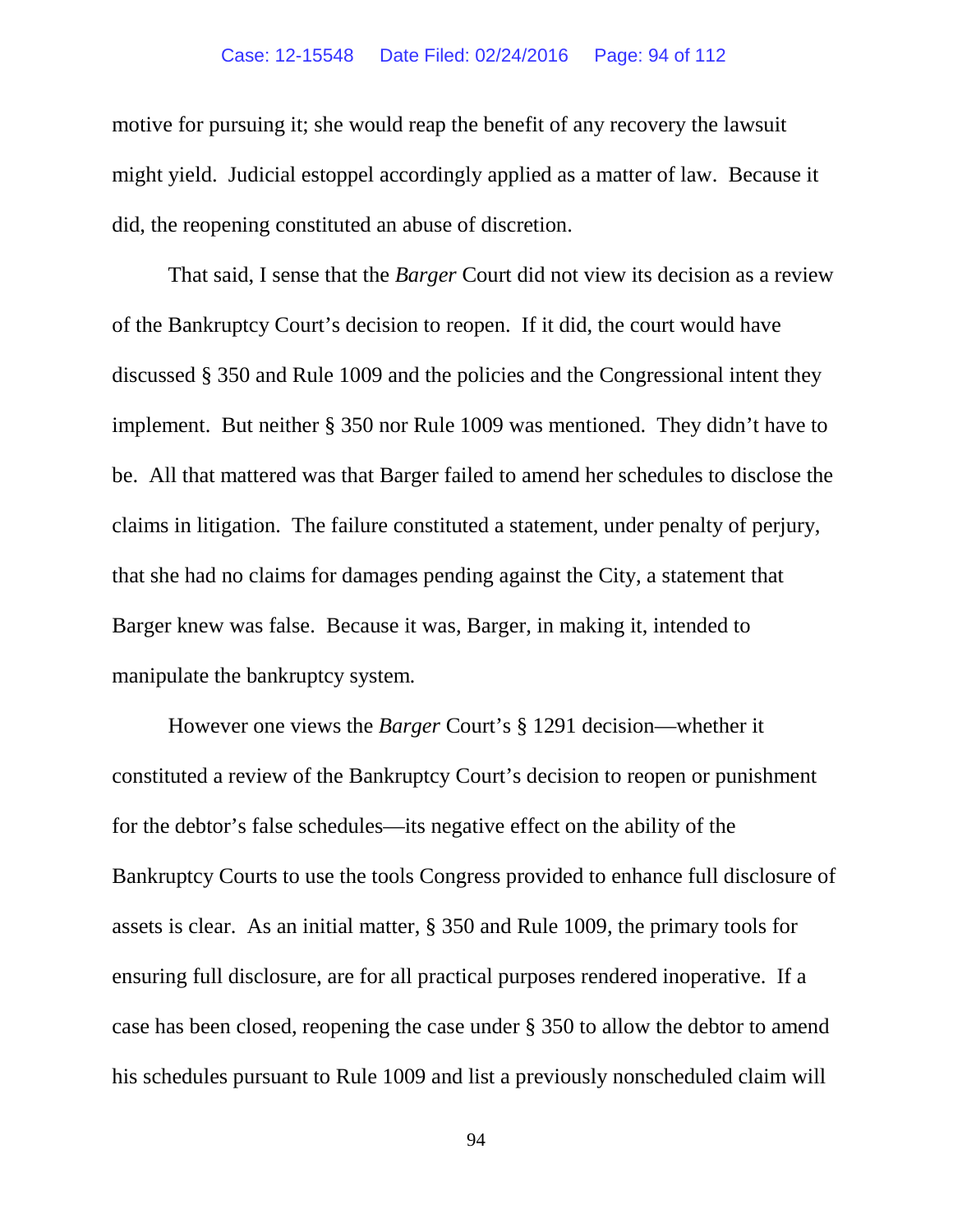### Case: 12-15548 Date Filed: 02/24/2016 Page: 94 of 112

motive for pursuing it; she would reap the benefit of any recovery the lawsuit might yield. Judicial estoppel accordingly applied as a matter of law. Because it did, the reopening constituted an abuse of discretion.

That said, I sense that the *Barger* Court did not view its decision as a review of the Bankruptcy Court's decision to reopen. If it did, the court would have discussed § 350 and Rule 1009 and the policies and the Congressional intent they implement. But neither § 350 nor Rule 1009 was mentioned. They didn't have to be. All that mattered was that Barger failed to amend her schedules to disclose the claims in litigation. The failure constituted a statement, under penalty of perjury, that she had no claims for damages pending against the City, a statement that Barger knew was false. Because it was, Barger, in making it, intended to manipulate the bankruptcy system*.*

However one views the *Barger* Court's § 1291 decision—whether it constituted a review of the Bankruptcy Court's decision to reopen or punishment for the debtor's false schedules—its negative effect on the ability of the Bankruptcy Courts to use the tools Congress provided to enhance full disclosure of assets is clear. As an initial matter, § 350 and Rule 1009, the primary tools for ensuring full disclosure, are for all practical purposes rendered inoperative. If a case has been closed, reopening the case under § 350 to allow the debtor to amend his schedules pursuant to Rule 1009 and list a previously nonscheduled claim will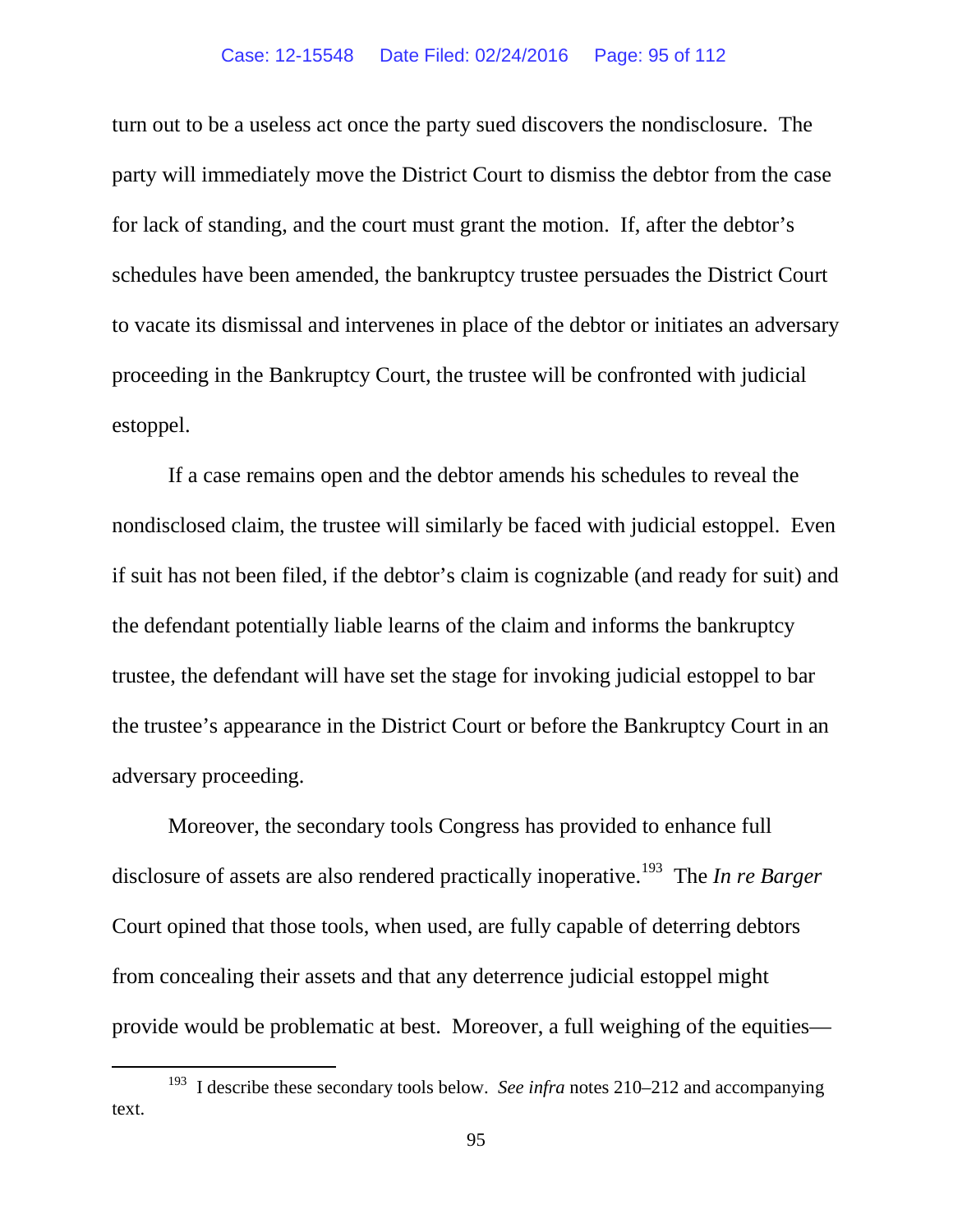#### Case: 12-15548 Date Filed: 02/24/2016 Page: 95 of 112

turn out to be a useless act once the party sued discovers the nondisclosure. The party will immediately move the District Court to dismiss the debtor from the case for lack of standing, and the court must grant the motion. If, after the debtor's schedules have been amended, the bankruptcy trustee persuades the District Court to vacate its dismissal and intervenes in place of the debtor or initiates an adversary proceeding in the Bankruptcy Court, the trustee will be confronted with judicial estoppel.

If a case remains open and the debtor amends his schedules to reveal the nondisclosed claim, the trustee will similarly be faced with judicial estoppel. Even if suit has not been filed, if the debtor's claim is cognizable (and ready for suit) and the defendant potentially liable learns of the claim and informs the bankruptcy trustee, the defendant will have set the stage for invoking judicial estoppel to bar the trustee's appearance in the District Court or before the Bankruptcy Court in an adversary proceeding.

Moreover, the secondary tools Congress has provided to enhance full disclosure of assets are also rendered practically inoperative.[193](#page-94-0) The *In re Barger* Court opined that those tools, when used, are fully capable of deterring debtors from concealing their assets and that any deterrence judicial estoppel might provide would be problematic at best. Moreover, a full weighing of the equities—

<span id="page-94-0"></span> <sup>193</sup> I describe these secondary tools below. *See infra* notes [210–](#page-103-0)[212](#page-104-0) and accompanying text.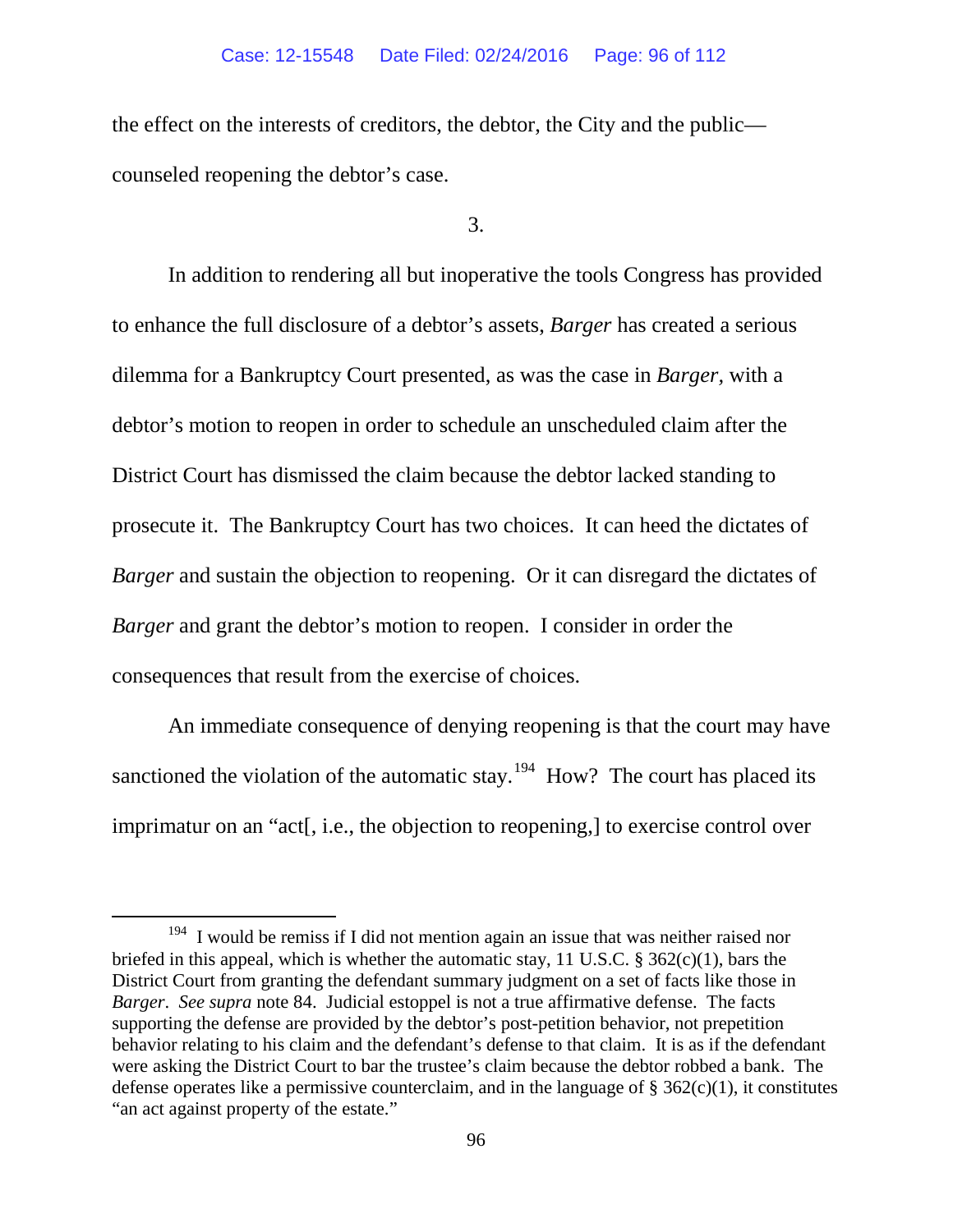the effect on the interests of creditors, the debtor, the City and the public counseled reopening the debtor's case.

3.

In addition to rendering all but inoperative the tools Congress has provided to enhance the full disclosure of a debtor's assets, *Barger* has created a serious dilemma for a Bankruptcy Court presented, as was the case in *Barger,* with a debtor's motion to reopen in order to schedule an unscheduled claim after the District Court has dismissed the claim because the debtor lacked standing to prosecute it. The Bankruptcy Court has two choices. It can heed the dictates of *Barger* and sustain the objection to reopening. Or it can disregard the dictates of *Barger* and grant the debtor's motion to reopen. I consider in order the consequences that result from the exercise of choices.

An immediate consequence of denying reopening is that the court may have sanctioned the violation of the automatic stay.<sup>[194](#page-95-0)</sup> How? The court has placed its imprimatur on an "act[, i.e., the objection to reopening,] to exercise control over

<span id="page-95-0"></span> $194$  I would be remiss if I did not mention again an issue that was neither raised nor briefed in this appeal, which is whether the automatic stay, 11 U.S.C. § 362(c)(1), bars the District Court from granting the defendant summary judgment on a set of facts like those in *Barger*. *See supra* note [84.](#page-59-1) Judicial estoppel is not a true affirmative defense. The facts supporting the defense are provided by the debtor's post-petition behavior, not prepetition behavior relating to his claim and the defendant's defense to that claim. It is as if the defendant were asking the District Court to bar the trustee's claim because the debtor robbed a bank. The defense operates like a permissive counterclaim, and in the language of  $\S 362(c)(1)$ , it constitutes "an act against property of the estate."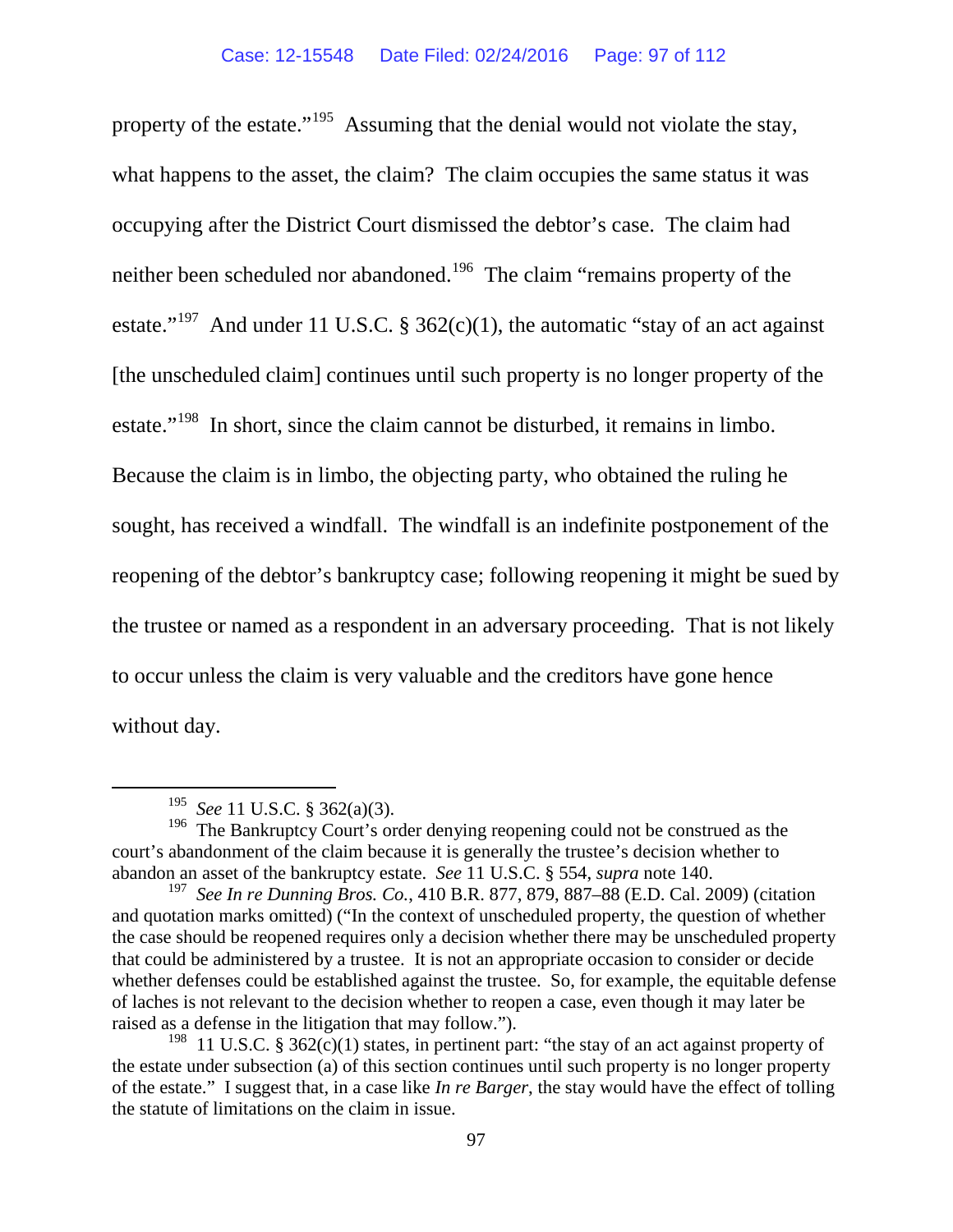property of the estate."<sup>[195](#page-96-0)</sup> Assuming that the denial would not violate the stay, what happens to the asset, the claim? The claim occupies the same status it was occupying after the District Court dismissed the debtor's case. The claim had neither been scheduled nor abandoned.[196](#page-96-1) The claim "remains property of the estate."<sup>197</sup> And under 11 U.S.C. § 362(c)(1), the automatic "stay of an act against [the unscheduled claim] continues until such property is no longer property of the estate."<sup>198</sup> In short, since the claim cannot be disturbed, it remains in limbo. Because the claim is in limbo, the objecting party, who obtained the ruling he sought, has received a windfall. The windfall is an indefinite postponement of the reopening of the debtor's bankruptcy case; following reopening it might be sued by the trustee or named as a respondent in an adversary proceeding. That is not likely to occur unless the claim is very valuable and the creditors have gone hence without day.

 <sup>195</sup> *See* 11 U.S.C. § 362(a)(3).

<span id="page-96-1"></span><span id="page-96-0"></span><sup>&</sup>lt;sup>196</sup> The Bankruptcy Court's order denying reopening could not be construed as the court's abandonment of the claim because it is generally the trustee's decision whether to abandon an asset of the bankruptcy estate. *See* 11 U.S.C. § 554, *supra* note [140.](#page-75-5)<br><sup>197</sup> See In re Dunning Bros. Co., 410 B.R. 877, 879, 887–88 (E.D. Cal. 2009) (citation

<span id="page-96-2"></span>and quotation marks omitted) ("In the context of unscheduled property, the question of whether the case should be reopened requires only a decision whether there may be unscheduled property that could be administered by a trustee. It is not an appropriate occasion to consider or decide whether defenses could be established against the trustee. So, for example, the equitable defense of laches is not relevant to the decision whether to reopen a case, even though it may later be raised as a defense in the litigation that may follow.").

<span id="page-96-3"></span><sup>&</sup>lt;sup>198</sup> 11 U.S.C. § 362 $(c)(1)$  states, in pertinent part: "the stay of an act against property of the estate under subsection (a) of this section continues until such property is no longer property of the estate." I suggest that, in a case like *In re Barger*, the stay would have the effect of tolling the statute of limitations on the claim in issue.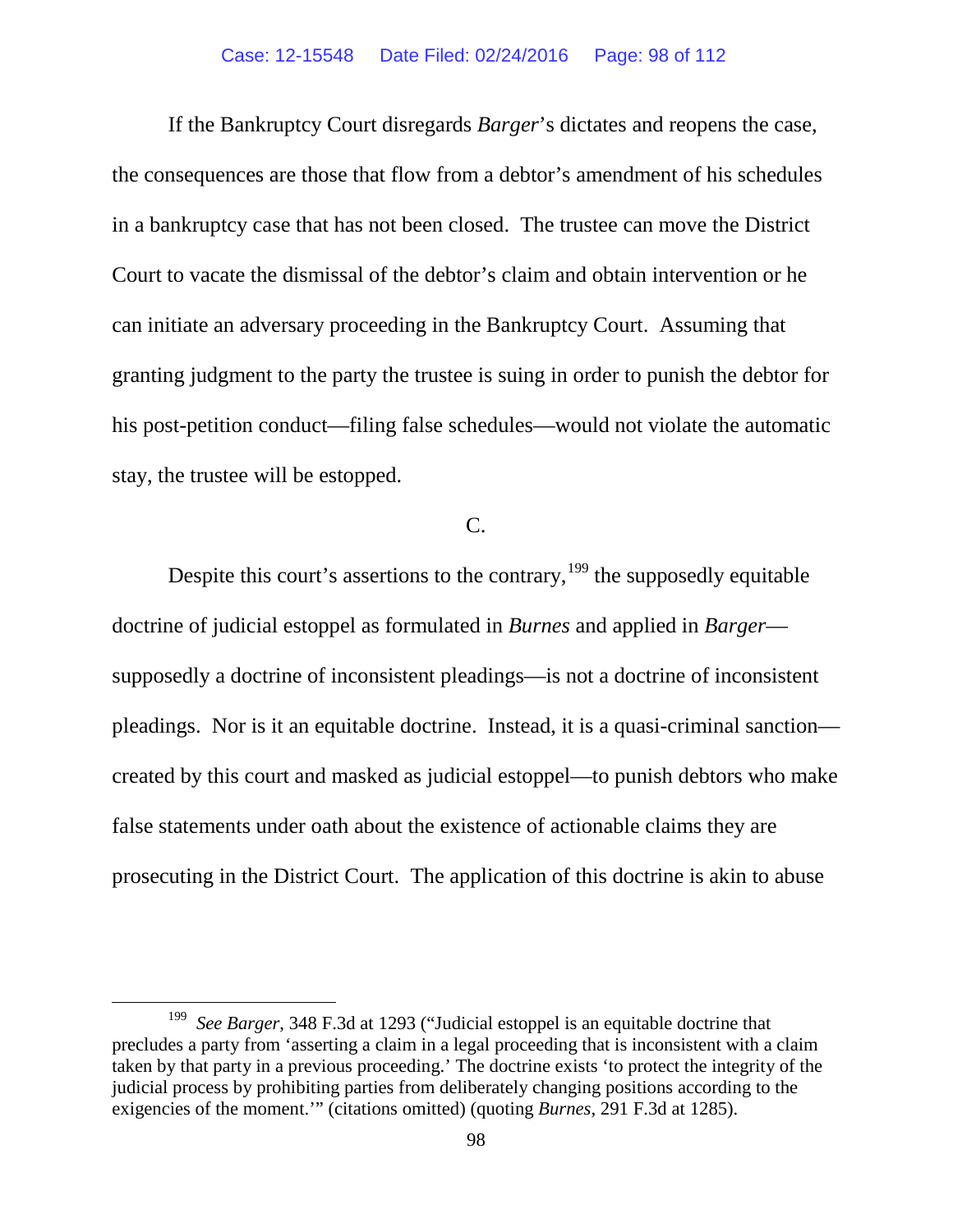If the Bankruptcy Court disregards *Barger*'s dictates and reopens the case, the consequences are those that flow from a debtor's amendment of his schedules in a bankruptcy case that has not been closed. The trustee can move the District Court to vacate the dismissal of the debtor's claim and obtain intervention or he can initiate an adversary proceeding in the Bankruptcy Court. Assuming that granting judgment to the party the trustee is suing in order to punish the debtor for his post-petition conduct—filing false schedules—would not violate the automatic stay, the trustee will be estopped.

# C.

Despite this court's assertions to the contrary,  $199$  the supposedly equitable doctrine of judicial estoppel as formulated in *Burnes* and applied in *Barger* supposedly a doctrine of inconsistent pleadings—is not a doctrine of inconsistent pleadings. Nor is it an equitable doctrine. Instead, it is a quasi-criminal sanction created by this court and masked as judicial estoppel—to punish debtors who make false statements under oath about the existence of actionable claims they are prosecuting in the District Court. The application of this doctrine is akin to abuse

<span id="page-97-0"></span> <sup>199</sup> *See Barger*, 348 F.3d at 1293 ("Judicial estoppel is an equitable doctrine that precludes a party from 'asserting a claim in a legal proceeding that is inconsistent with a claim taken by that party in a previous proceeding.' The doctrine exists 'to protect the integrity of the judicial process by prohibiting parties from deliberately changing positions according to the exigencies of the moment.'" (citations omitted) (quoting *Burnes*[, 291 F.3d at 1285\).](https://a.next.westlaw.com/Link/Document/FullText?findType=Y&serNum=2002315504&pubNum=506&originatingDoc=Ia79ad69b89ec11d9ac45f46c5ea084a3&refType=RP&fi=co_pp_sp_506_1284&originationContext=document&transitionType=DocumentItem&contextData=(sc.UserEnteredCitation)%23co_pp_sp_506_1284)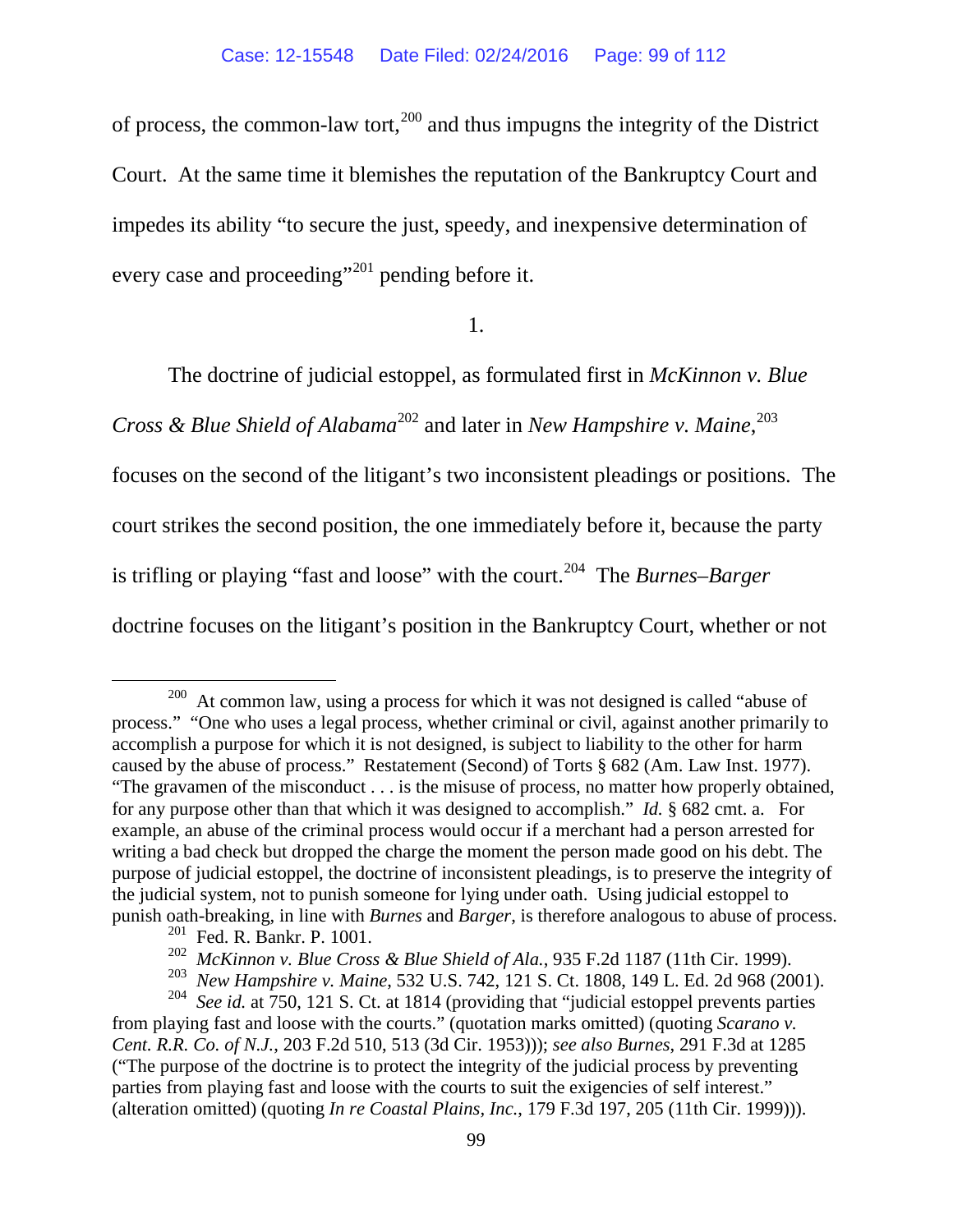of process, the common-law tort, $^{200}$  $^{200}$  $^{200}$  and thus impugns the integrity of the District Court. At the same time it blemishes the reputation of the Bankruptcy Court and impedes its ability "to secure the just, speedy, and inexpensive determination of every case and proceeding"<sup>[201](#page-98-1)</sup> pending before it.

1.

The doctrine of judicial estoppel, as formulated first in *McKinnon v. Blue* 

*Cross & Blue Shield of Alabama*[202](#page-98-2) and later in *New Hampshire v. Maine*, [203](#page-98-3)

focuses on the second of the litigant's two inconsistent pleadings or positions. The

court strikes the second position, the one immediately before it, because the party

is trifling or playing "fast and loose" with the court.<sup>[204](#page-98-4)</sup> The *Burnes–Barger* 

doctrine focuses on the litigant's position in the Bankruptcy Court, whether or not

<span id="page-98-0"></span> <sup>200</sup> At common law, using a process for which it was not designed is called "abuse of process." "One who uses a legal process, whether criminal or civil, against another primarily to accomplish a purpose for which it is not designed, is subject to liability to the other for harm caused by the abuse of process." Restatement (Second) of Torts § 682 (Am. Law Inst. 1977). "The gravamen of the misconduct . . . is the misuse of process, no matter how properly obtained, for any purpose other than that which it was designed to accomplish." *Id.* § 682 cmt. a. For example, an abuse of the criminal process would occur if a merchant had a person arrested for writing a bad check but dropped the charge the moment the person made good on his debt. The purpose of judicial estoppel, the doctrine of inconsistent pleadings, is to preserve the integrity of the judicial system, not to punish someone for lying under oath. Using judicial estoppel to punish oath-breaking, in line with *Burnes* and *Barger*, is therefore analogous to abuse of process.

<sup>201</sup> Fed. R. Bankr. P. 1001.

<sup>202</sup> *McKinnon v. Blue Cross & Blue Shield of Ala.*, 935 F.2d 1187 (11th Cir. 1999).

<sup>203</sup> *New Hampshire v. Maine*, 532 U.S. 742, 121 S. Ct. 1808, 149 L. Ed. 2d 968 (2001).

<span id="page-98-4"></span><span id="page-98-3"></span><span id="page-98-2"></span><span id="page-98-1"></span><sup>204</sup> *See id.* at 750, 121 S. Ct. at 1814 (providing that "judicial estoppel prevents parties from playing fast and loose with the courts." (quotation marks omitted) (quoting *Scarano v. Cent. R.R. Co. of N.J.*, 203 F.2d 510, 513 (3d Cir. 1953))); *see also Burnes*, 291 F.3d at 1285 ("The purpose of the doctrine is to protect the integrity of the judicial process by preventing parties from playing fast and loose with the courts to suit the exigencies of self interest." (alteration omitted) (quoting *In re Coastal Plains, Inc.*, 179 F.3d 197, 205 (11th Cir. 1999))).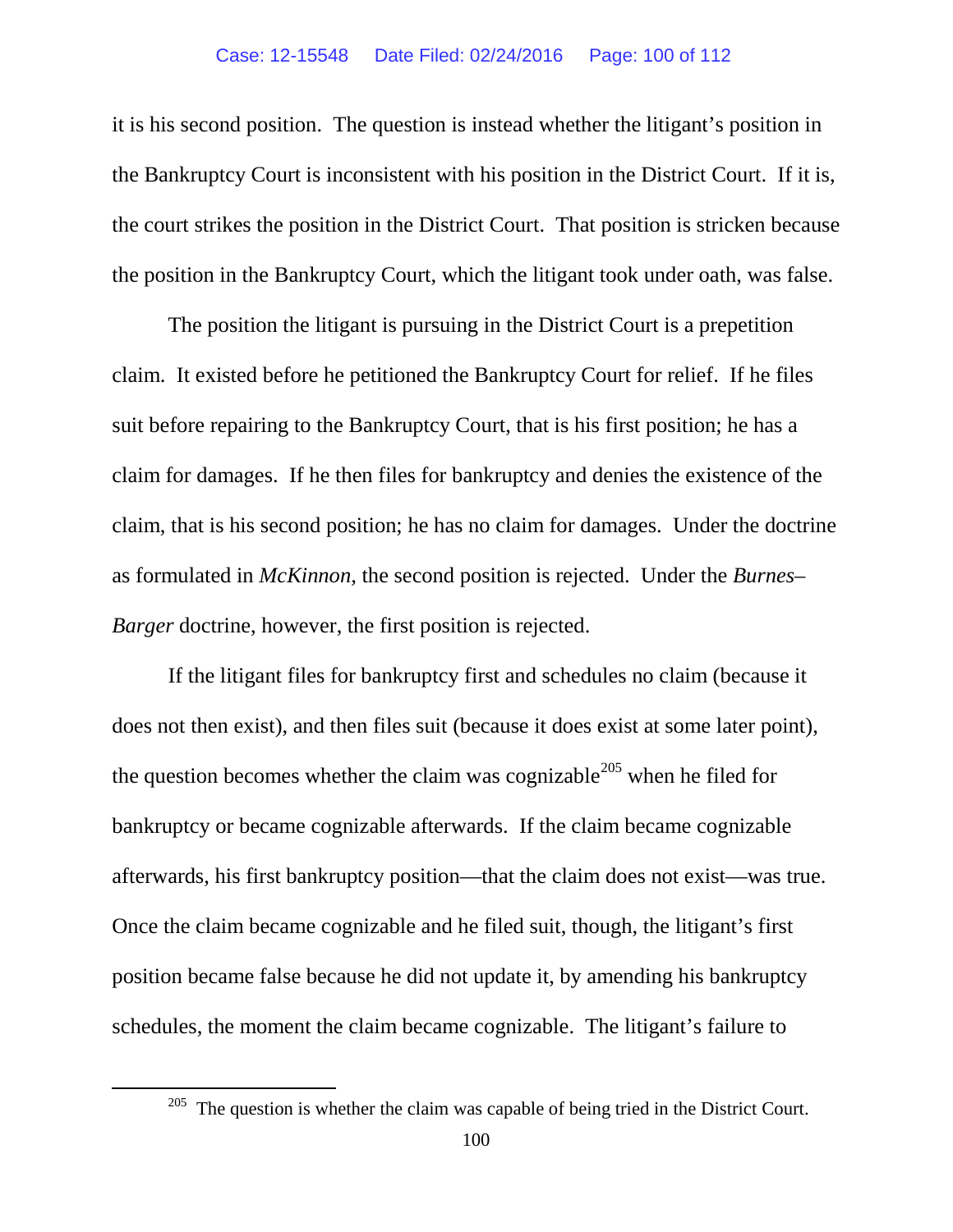#### Case: 12-15548 Date Filed: 02/24/2016 Page: 100 of 112

it is his second position. The question is instead whether the litigant's position in the Bankruptcy Court is inconsistent with his position in the District Court. If it is, the court strikes the position in the District Court. That position is stricken because the position in the Bankruptcy Court, which the litigant took under oath, was false.

The position the litigant is pursuing in the District Court is a prepetition claim. It existed before he petitioned the Bankruptcy Court for relief. If he files suit before repairing to the Bankruptcy Court, that is his first position; he has a claim for damages. If he then files for bankruptcy and denies the existence of the claim, that is his second position; he has no claim for damages. Under the doctrine as formulated in *McKinnon,* the second position is rejected. Under the *Burnes– Barger* doctrine, however, the first position is rejected.

If the litigant files for bankruptcy first and schedules no claim (because it does not then exist), and then files suit (because it does exist at some later point), the question becomes whether the claim was cognizable<sup>[205](#page-99-0)</sup> when he filed for bankruptcy or became cognizable afterwards. If the claim became cognizable afterwards, his first bankruptcy position—that the claim does not exist—was true. Once the claim became cognizable and he filed suit, though, the litigant's first position became false because he did not update it, by amending his bankruptcy schedules, the moment the claim became cognizable. The litigant's failure to

<span id="page-99-0"></span> $205$  The question is whether the claim was capable of being tried in the District Court.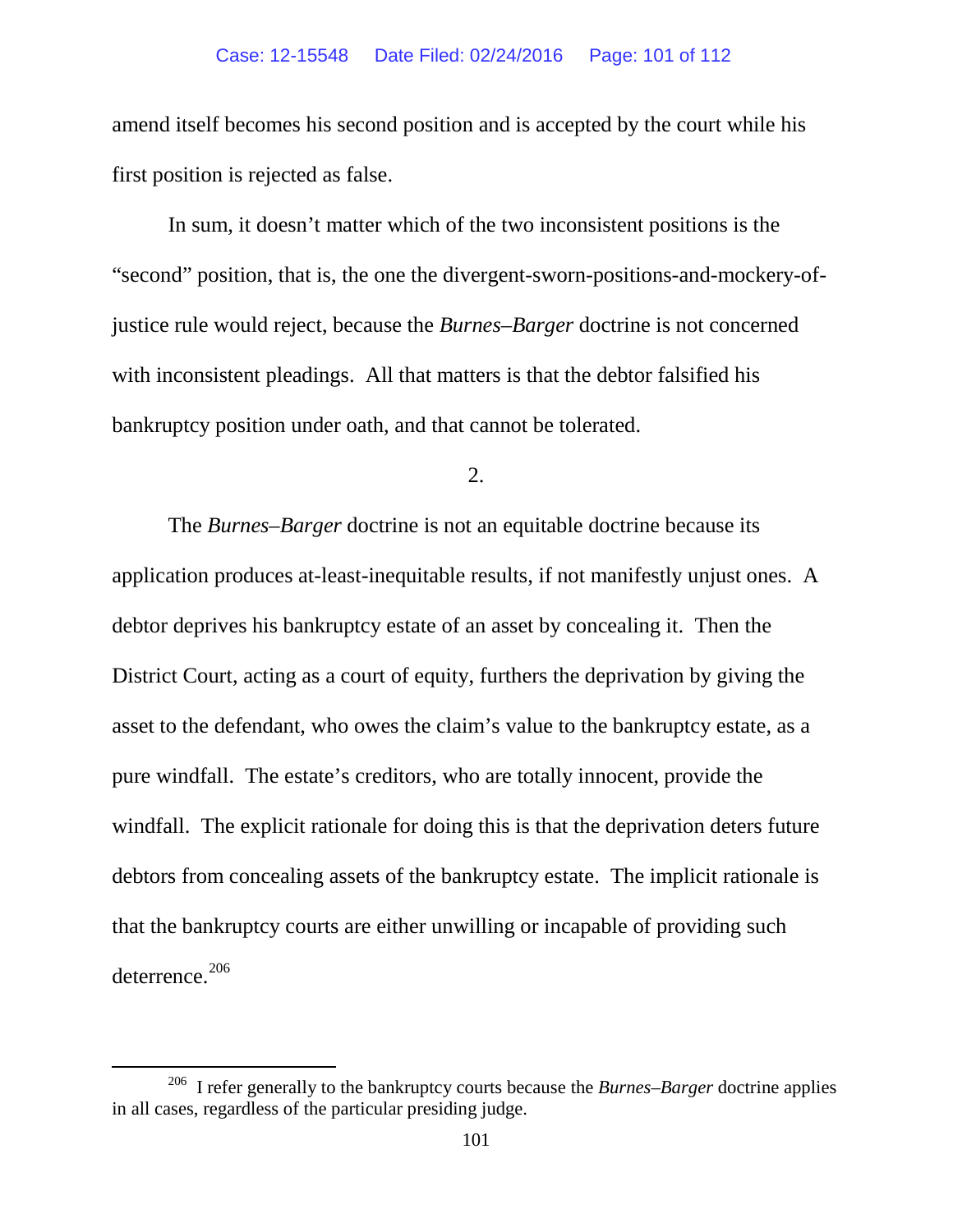amend itself becomes his second position and is accepted by the court while his first position is rejected as false.

In sum, it doesn't matter which of the two inconsistent positions is the "second" position, that is, the one the divergent-sworn-positions-and-mockery-ofjustice rule would reject, because the *Burnes*–*Barger* doctrine is not concerned with inconsistent pleadings. All that matters is that the debtor falsified his bankruptcy position under oath, and that cannot be tolerated.

2.

The *Burnes–Barger* doctrine is not an equitable doctrine because its application produces at-least-inequitable results, if not manifestly unjust ones. A debtor deprives his bankruptcy estate of an asset by concealing it. Then the District Court, acting as a court of equity, furthers the deprivation by giving the asset to the defendant, who owes the claim's value to the bankruptcy estate, as a pure windfall. The estate's creditors, who are totally innocent, provide the windfall. The explicit rationale for doing this is that the deprivation deters future debtors from concealing assets of the bankruptcy estate. The implicit rationale is that the bankruptcy courts are either unwilling or incapable of providing such deterrence.<sup>206</sup>

<span id="page-100-0"></span> <sup>206</sup> I refer generally to the bankruptcy courts because the *Burnes*–*Barger* doctrine applies in all cases, regardless of the particular presiding judge.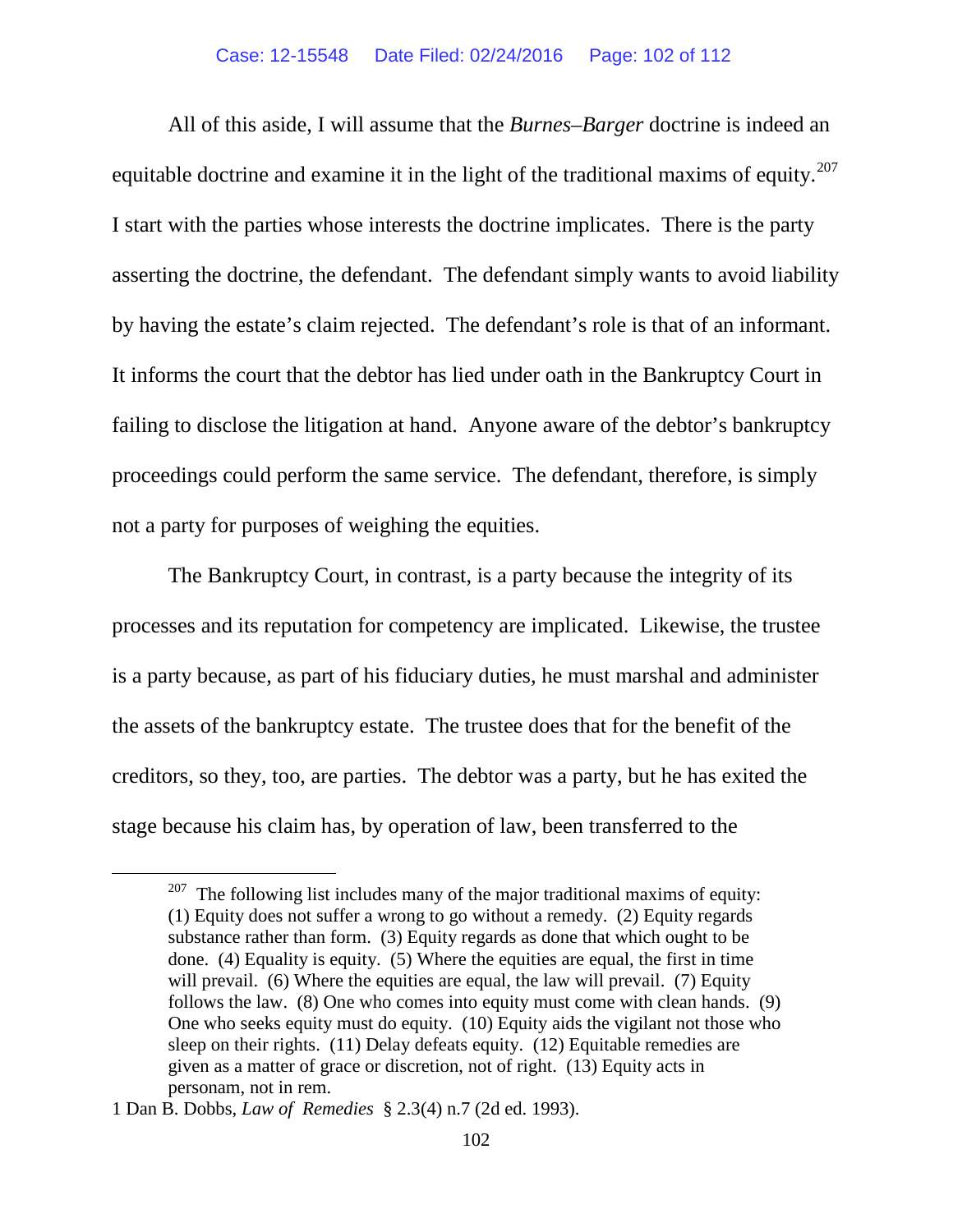#### Case: 12-15548 Date Filed: 02/24/2016 Page: 102 of 112

All of this aside, I will assume that the *Burnes–Barger* doctrine is indeed an equitable doctrine and examine it in the light of the traditional maxims of equity.<sup>207</sup> I start with the parties whose interests the doctrine implicates. There is the party asserting the doctrine, the defendant. The defendant simply wants to avoid liability by having the estate's claim rejected. The defendant's role is that of an informant. It informs the court that the debtor has lied under oath in the Bankruptcy Court in failing to disclose the litigation at hand. Anyone aware of the debtor's bankruptcy proceedings could perform the same service. The defendant, therefore, is simply not a party for purposes of weighing the equities.

The Bankruptcy Court, in contrast, is a party because the integrity of its processes and its reputation for competency are implicated. Likewise, the trustee is a party because, as part of his fiduciary duties, he must marshal and administer the assets of the bankruptcy estate. The trustee does that for the benefit of the creditors, so they, too, are parties. The debtor was a party, but he has exited the stage because his claim has, by operation of law, been transferred to the

<span id="page-101-0"></span> $207$  The following list includes many of the major traditional maxims of equity: (1) Equity does not suffer a wrong to go without a remedy. (2) Equity regards substance rather than form. (3) Equity regards as done that which ought to be done. (4) Equality is equity. (5) Where the equities are equal, the first in time will prevail. (6) Where the equities are equal, the law will prevail. (7) Equity follows the law. (8) One who comes into equity must come with clean hands. (9) One who seeks equity must do equity. (10) Equity aids the vigilant not those who sleep on their rights. (11) Delay defeats equity. (12) Equitable remedies are given as a matter of grace or discretion, not of right. (13) Equity acts in personam, not in rem.

<sup>1</sup> Dan B. Dobbs, *Law of Remedies* § 2.3(4) n.7 (2d ed. 1993).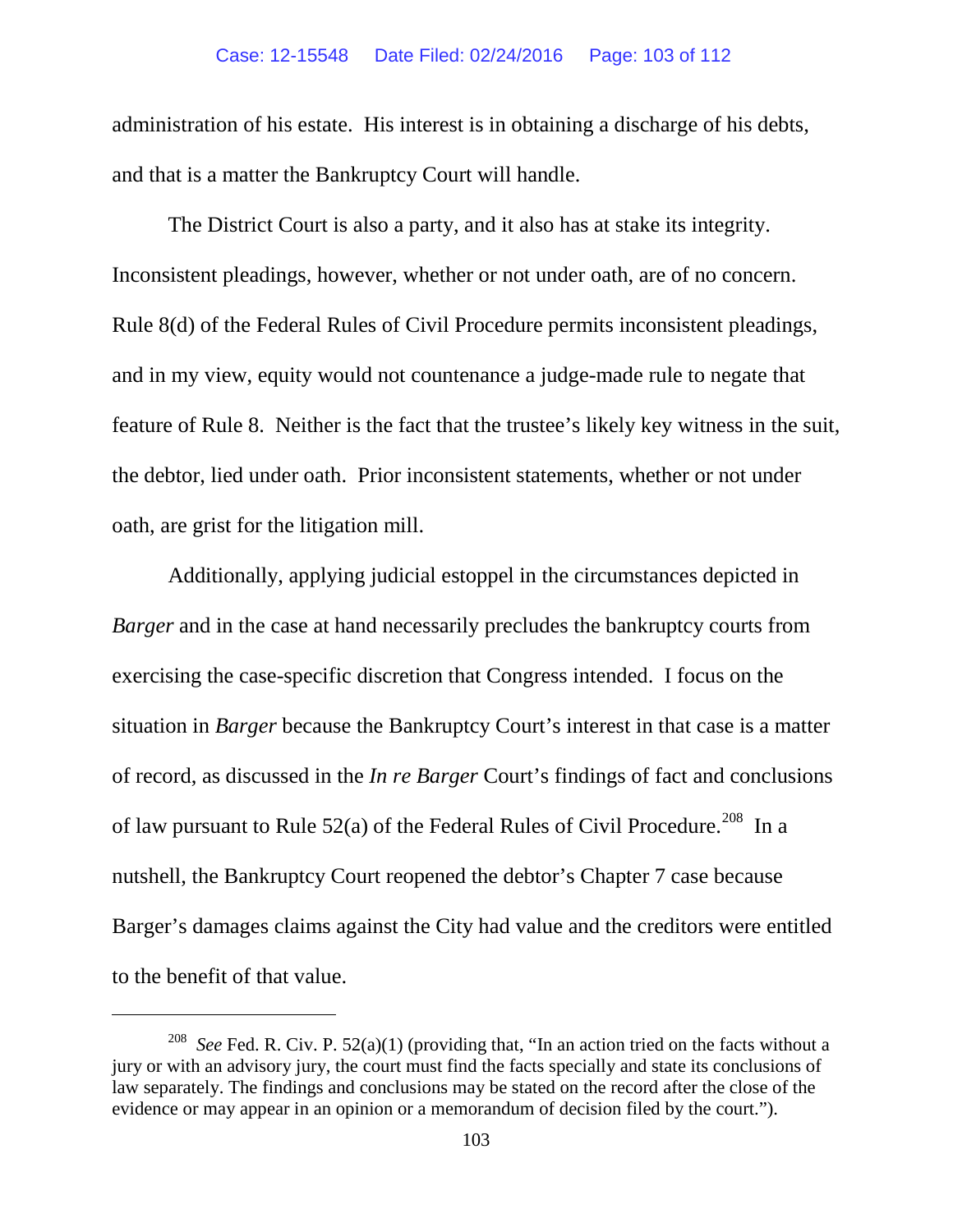#### Case: 12-15548 Date Filed: 02/24/2016 Page: 103 of 112

administration of his estate. His interest is in obtaining a discharge of his debts, and that is a matter the Bankruptcy Court will handle.

The District Court is also a party, and it also has at stake its integrity. Inconsistent pleadings, however, whether or not under oath, are of no concern. Rule 8(d) of the Federal Rules of Civil Procedure permits inconsistent pleadings, and in my view, equity would not countenance a judge-made rule to negate that feature of Rule 8. Neither is the fact that the trustee's likely key witness in the suit, the debtor, lied under oath. Prior inconsistent statements, whether or not under oath, are grist for the litigation mill.

Additionally, applying judicial estoppel in the circumstances depicted in *Barger* and in the case at hand necessarily precludes the bankruptcy courts from exercising the case-specific discretion that Congress intended. I focus on the situation in *Barger* because the Bankruptcy Court's interest in that case is a matter of record, as discussed in the *In re Barger* Court's findings of fact and conclusions of law pursuant to Rule  $52(a)$  of the Federal Rules of Civil Procedure.<sup>208</sup> In a nutshell, the Bankruptcy Court reopened the debtor's Chapter 7 case because Barger's damages claims against the City had value and the creditors were entitled to the benefit of that value.

 $\overline{a}$ 

<span id="page-102-0"></span><sup>&</sup>lt;sup>208</sup> *See* Fed. R. Civ. P. 52(a)(1) (providing that, "In an action tried on the facts without a jury or with an advisory jury, the court must find the facts specially and state its conclusions of law separately. The findings and conclusions may be stated on the record after the close of the evidence or may appear in an opinion or a memorandum of decision filed by the court.").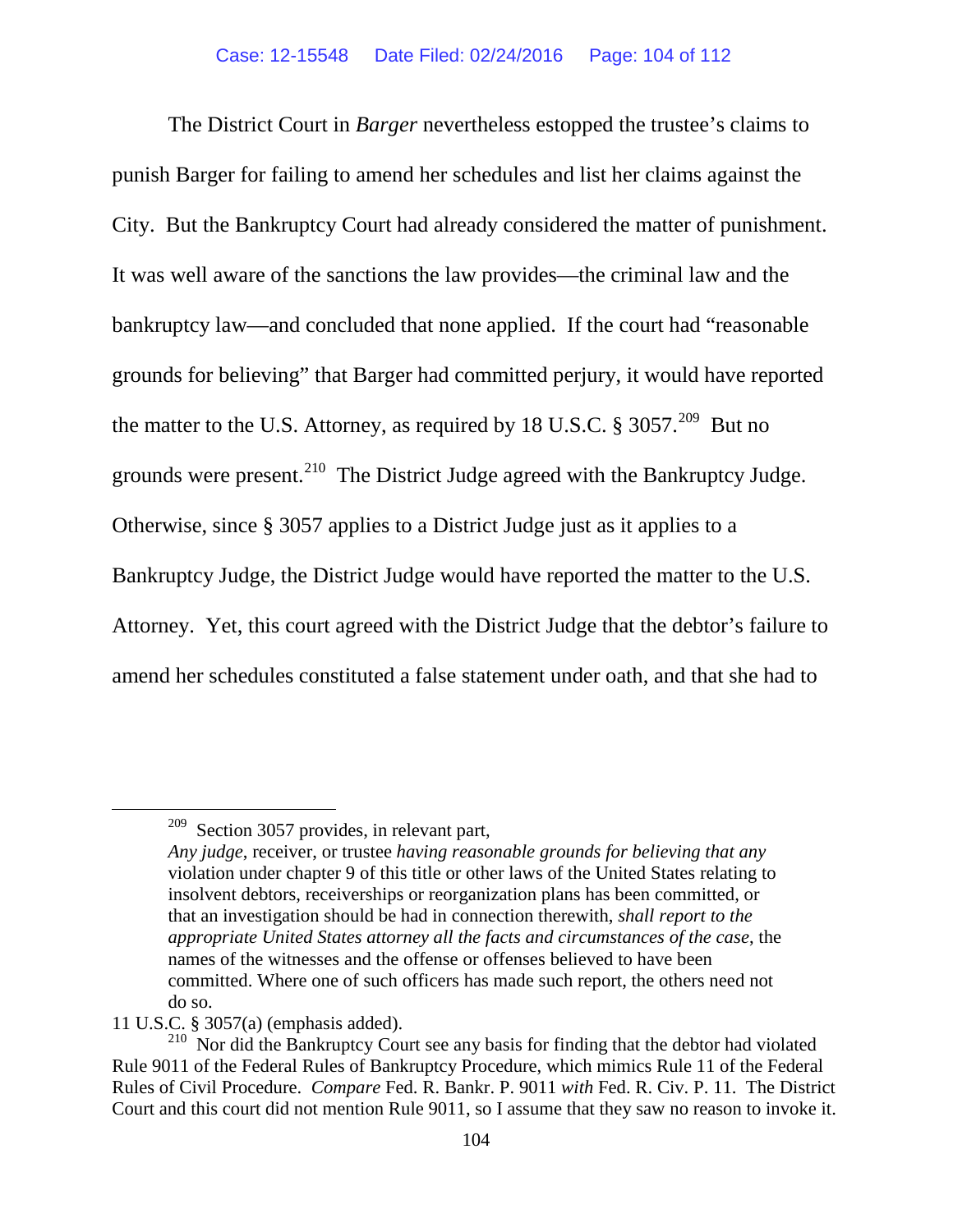The District Court in *Barger* nevertheless estopped the trustee's claims to punish Barger for failing to amend her schedules and list her claims against the City. But the Bankruptcy Court had already considered the matter of punishment. It was well aware of the sanctions the law provides—the criminal law and the bankruptcy law—and concluded that none applied. If the court had "reasonable grounds for believing" that Barger had committed perjury, it would have reported the matter to the U.S. Attorney, as required by 18 U.S.C.  $\S 3057$ <sup>209</sup> But no grounds were present.<sup>[210](#page-103-2)</sup> The District Judge agreed with the Bankruptcy Judge. Otherwise, since § 3057 applies to a District Judge just as it applies to a Bankruptcy Judge, the District Judge would have reported the matter to the U.S. Attorney. Yet, this court agreed with the District Judge that the debtor's failure to amend her schedules constituted a false statement under oath, and that she had to

<span id="page-103-1"></span><span id="page-103-0"></span> $209$  Section 3057 provides, in relevant part,

*Any judge*, receiver, or trustee *having reasonable grounds for believing that any*  violation under chapter 9 of this title or other laws of the United States relating to insolvent debtors, receiverships or reorganization plans has been committed, or that an investigation should be had in connection therewith, *shall report to the appropriate United States attorney all the facts and circumstances of the case*, the names of the witnesses and the offense or offenses believed to have been committed. Where one of such officers has made such report, the others need not do so.

<sup>11</sup> U.S.C. § 3057(a) (emphasis added).

<span id="page-103-2"></span><sup>&</sup>lt;sup>210</sup> Nor did the Bankruptcy Court see any basis for finding that the debtor had violated Rule 9011 of the Federal Rules of Bankruptcy Procedure, which mimics Rule 11 of the Federal Rules of Civil Procedure. *Compare* Fed. R. Bankr. P. 9011 *with* Fed. R. Civ. P. 11. The District Court and this court did not mention Rule 9011, so I assume that they saw no reason to invoke it.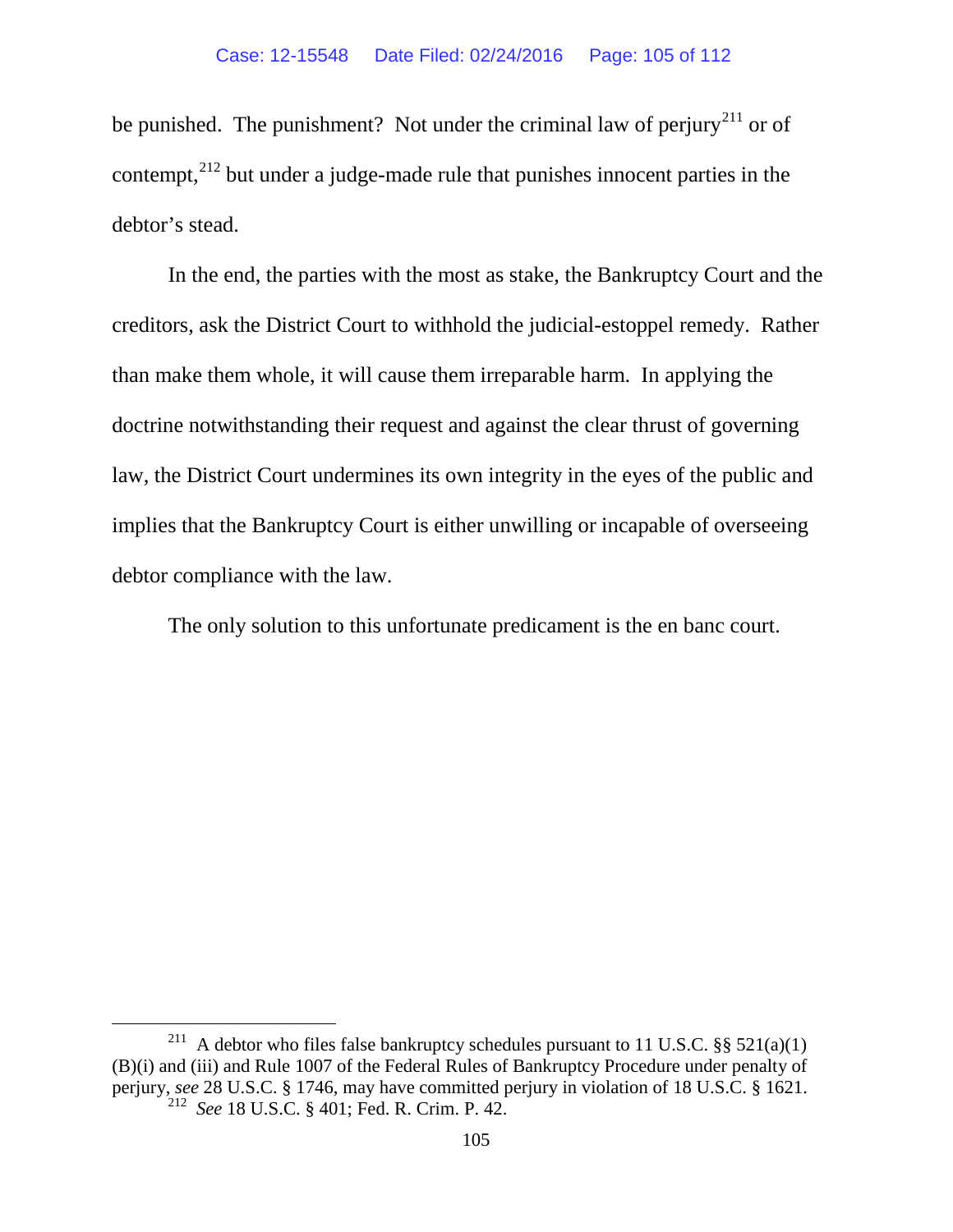<span id="page-104-0"></span>be punished. The punishment? Not under the criminal law of perjury<sup>[211](#page-104-1)</sup> or of contempt, $^{212}$  $^{212}$  $^{212}$  but under a judge-made rule that punishes innocent parties in the debtor's stead.

In the end, the parties with the most as stake, the Bankruptcy Court and the creditors, ask the District Court to withhold the judicial-estoppel remedy. Rather than make them whole, it will cause them irreparable harm. In applying the doctrine notwithstanding their request and against the clear thrust of governing law, the District Court undermines its own integrity in the eyes of the public and implies that the Bankruptcy Court is either unwilling or incapable of overseeing debtor compliance with the law.

The only solution to this unfortunate predicament is the en banc court.

<span id="page-104-2"></span><span id="page-104-1"></span><sup>&</sup>lt;sup>211</sup> A debtor who files false bankruptcy schedules pursuant to 11 U.S.C.  $\S$ § 521(a)(1) (B)(i) and (iii) and Rule 1007 of the Federal Rules of Bankruptcy Procedure under penalty of perjury, *see* 28 U.S.C. § 1746, may have committed perjury in violation of 18 U.S.C. § 1621. 212 *See* 18 U.S.C. § 401; Fed. R. Crim. P. 42.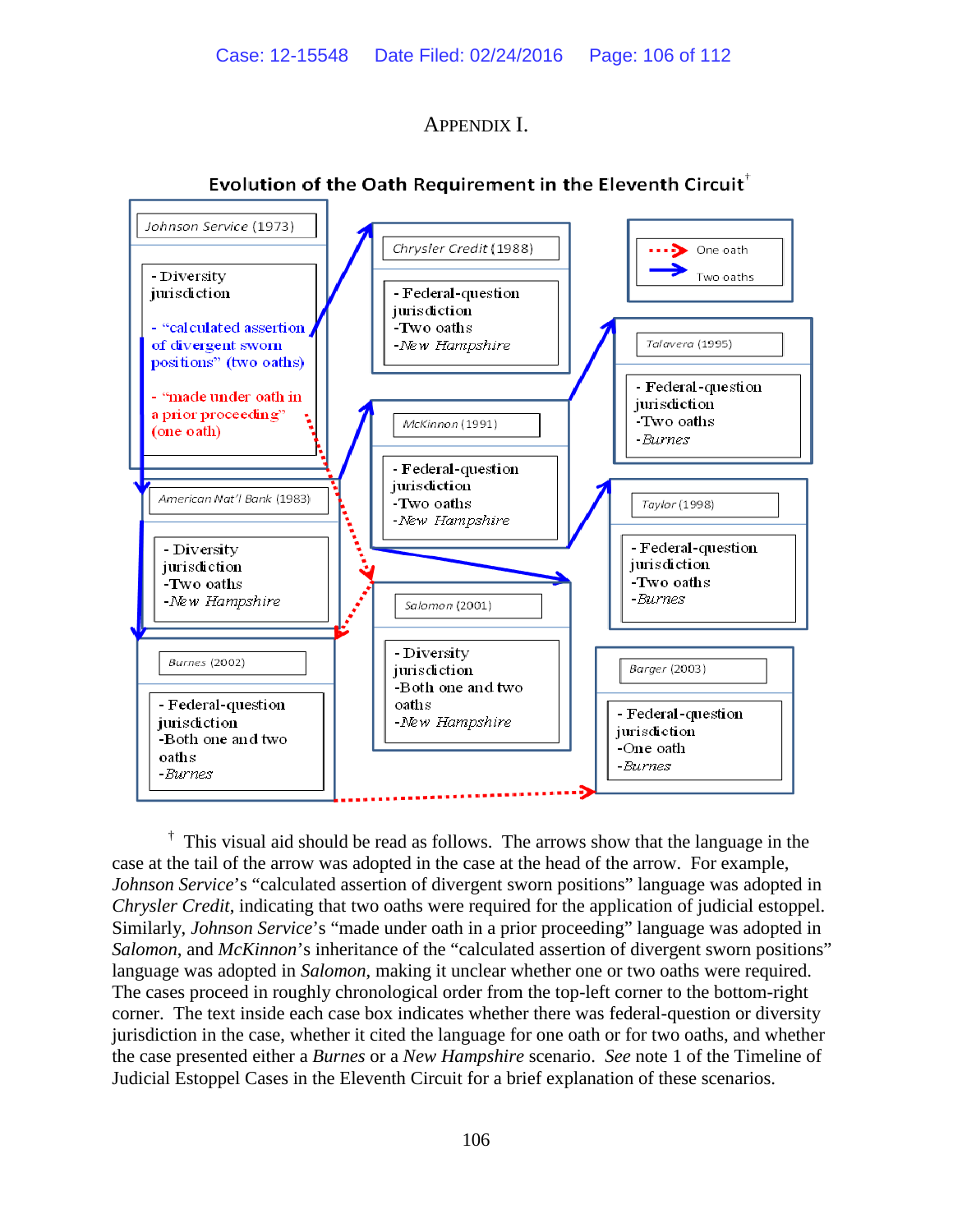# APPENDIX I.



# Evolution of the Oath Requirement in the Eleventh Circuit<sup>T</sup>

<sup>†</sup> This visual aid should be read as follows. The arrows show that the language in the case at the tail of the arrow was adopted in the case at the head of the arrow. For example, *Johnson Service*'s "calculated assertion of divergent sworn positions" language was adopted in *Chrysler Credit*, indicating that two oaths were required for the application of judicial estoppel. Similarly, *Johnson Service*'s "made under oath in a prior proceeding" language was adopted in *Salomon*, and *McKinnon*'s inheritance of the "calculated assertion of divergent sworn positions" language was adopted in *Salomon*, making it unclear whether one or two oaths were required. The cases proceed in roughly chronological order from the top-left corner to the bottom-right corner. The text inside each case box indicates whether there was federal-question or diversity jurisdiction in the case, whether it cited the language for one oath or for two oaths, and whether the case presented either a *Burnes* or a *New Hampshire* scenario. *See* note 1 of the Timeline of Judicial Estoppel Cases in the Eleventh Circuit for a brief explanation of these scenarios.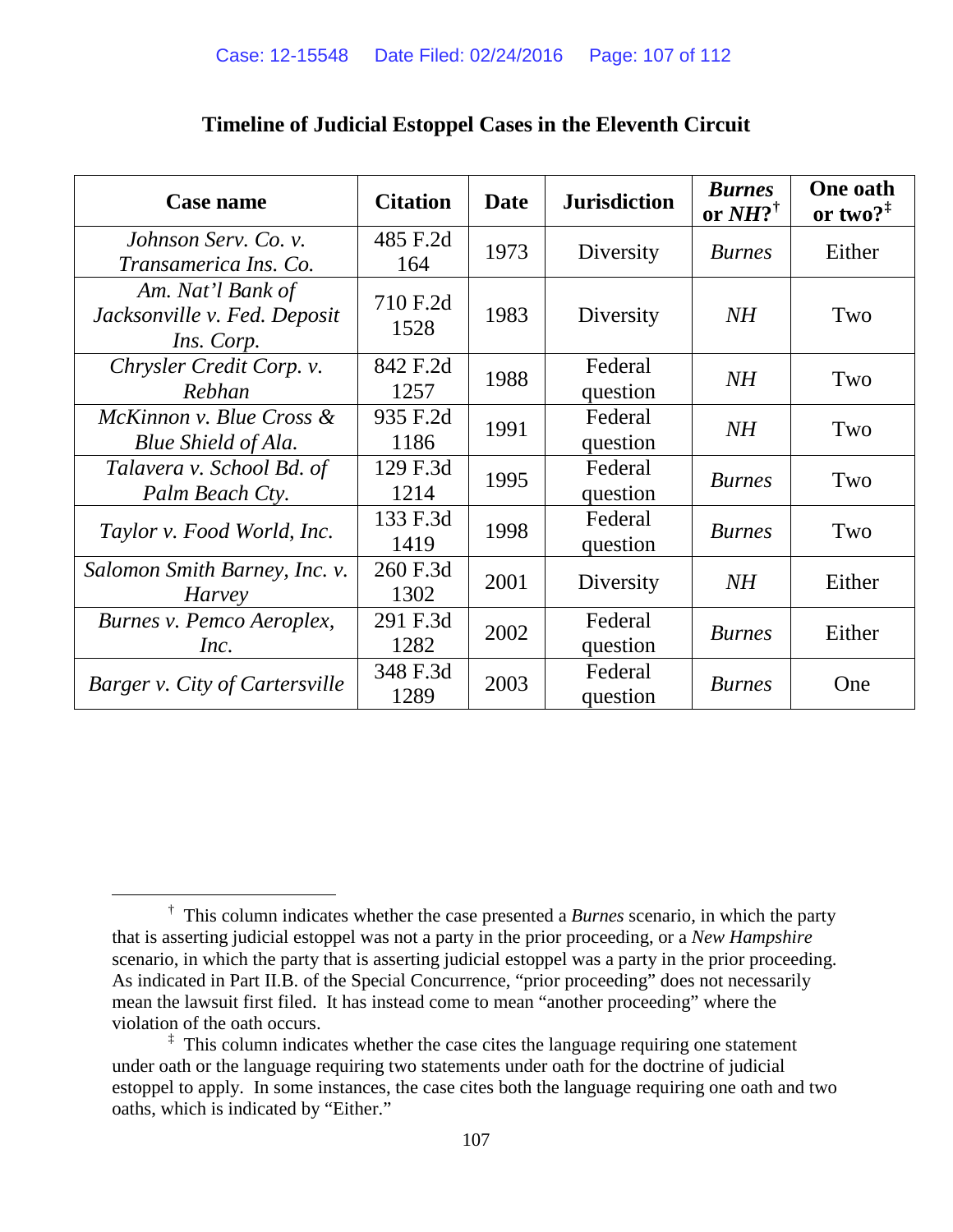| <b>Case name</b>                                                | <b>Citation</b>  | <b>Date</b> | <b>Jurisdiction</b> | <b>Burnes</b><br>or $NH?^{\dagger}$ | <b>One oath</b><br>or two? $1$ |
|-----------------------------------------------------------------|------------------|-------------|---------------------|-------------------------------------|--------------------------------|
| Johnson Serv. Co. v.<br>Transamerica Ins. Co.                   | 485 F.2d<br>164  | 1973        | Diversity           | <b>Burnes</b>                       | Either                         |
| Am. Nat'l Bank of<br>Jacksonville v. Fed. Deposit<br>Ins. Corp. | 710 F.2d<br>1528 | 1983        | Diversity           | NH                                  | Two                            |
| Chrysler Credit Corp. v.<br>Rebhan                              | 842 F.2d<br>1257 | 1988        | Federal<br>question | NH                                  | Two                            |
| McKinnon v. Blue Cross &<br>Blue Shield of Ala.                 | 935 F.2d<br>1186 | 1991        | Federal<br>question | NH                                  | Two                            |
| Talavera v. School Bd. of<br>Palm Beach Cty.                    | 129 F.3d<br>1214 | 1995        | Federal<br>question | <b>Burnes</b>                       | Two                            |
| Taylor v. Food World, Inc.                                      | 133 F.3d<br>1419 | 1998        | Federal<br>question | <b>Burnes</b>                       | Two                            |
| Salomon Smith Barney, Inc. v.<br>Harvey                         | 260 F.3d<br>1302 | 2001        | Diversity           | NH                                  | Either                         |
| Burnes v. Pemco Aeroplex,<br>Inc.                               | 291 F.3d<br>1282 | 2002        | Federal<br>question | <b>Burnes</b>                       | Either                         |
| <b>Barger v. City of Cartersville</b>                           | 348 F.3d<br>1289 | 2003        | Federal<br>question | <b>Burnes</b>                       | One                            |

# **Timeline of Judicial Estoppel Cases in the Eleventh Circuit**

<span id="page-106-0"></span> $\overline{\phantom{a}}$ <sup>†</sup> This column indicates whether the case presented a *Burnes* scenario, in which the party that is asserting judicial estoppel was not a party in the prior proceeding, or a *New Hampshire* scenario, in which the party that is asserting judicial estoppel was a party in the prior proceeding. As indicated in Part II.B. of the Special Concurrence, "prior proceeding" does not necessarily mean the lawsuit first filed. It has instead come to mean "another proceeding" where the violation of the oath occurs.

<span id="page-106-1"></span><sup>&</sup>lt;sup>‡</sup> This column indicates whether the case cites the language requiring one statement under oath or the language requiring two statements under oath for the doctrine of judicial estoppel to apply. In some instances, the case cites both the language requiring one oath and two oaths, which is indicated by "Either."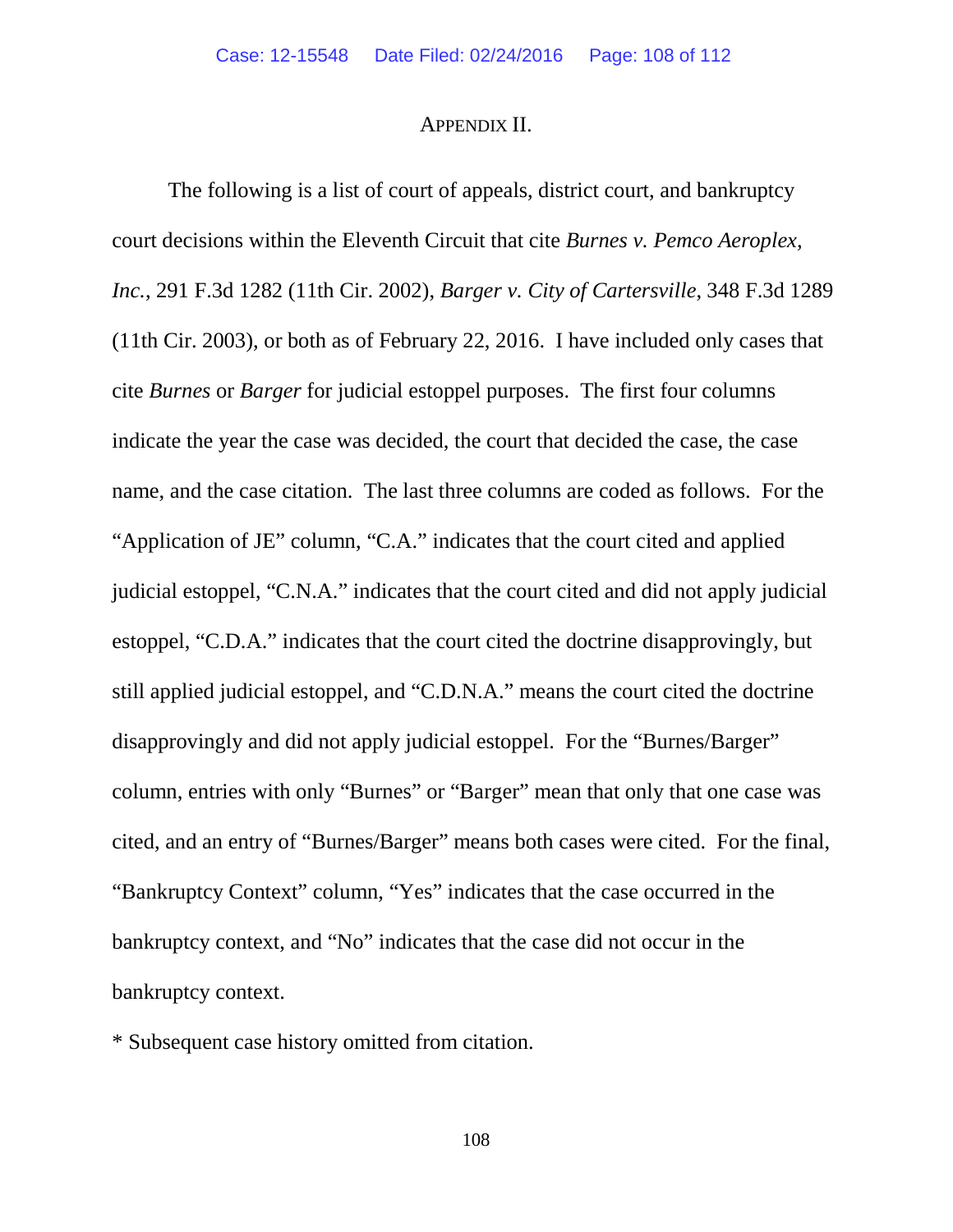# APPENDIX II.

The following is a list of court of appeals, district court, and bankruptcy court decisions within the Eleventh Circuit that cite *Burnes v. Pemco Aeroplex, Inc.*, 291 F.3d 1282 (11th Cir. 2002), *Barger v. City of Cartersville*, 348 F.3d 1289 (11th Cir. 2003), or both as of February 22, 2016. I have included only cases that cite *Burnes* or *Barger* for judicial estoppel purposes. The first four columns indicate the year the case was decided, the court that decided the case, the case name, and the case citation. The last three columns are coded as follows. For the "Application of JE" column, "C.A." indicates that the court cited and applied judicial estoppel, "C.N.A." indicates that the court cited and did not apply judicial estoppel, "C.D.A." indicates that the court cited the doctrine disapprovingly, but still applied judicial estoppel, and "C.D.N.A." means the court cited the doctrine disapprovingly and did not apply judicial estoppel. For the "Burnes/Barger" column, entries with only "Burnes" or "Barger" mean that only that one case was cited, and an entry of "Burnes/Barger" means both cases were cited. For the final, "Bankruptcy Context" column, "Yes" indicates that the case occurred in the bankruptcy context, and "No" indicates that the case did not occur in the bankruptcy context.

\* Subsequent case history omitted from citation.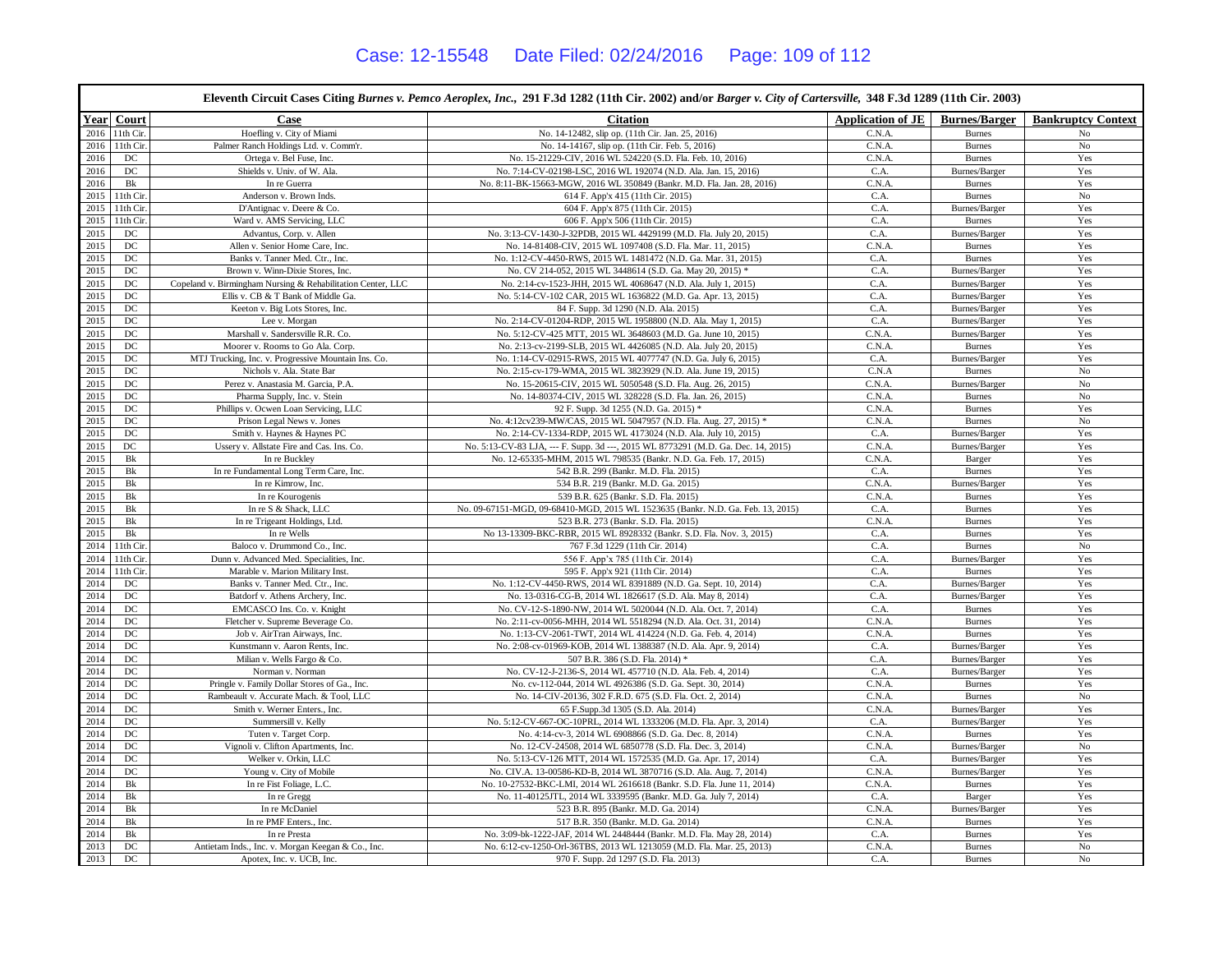$\overline{\phantom{0}}$ 

|      | Eleventh Circuit Cases Citing Burnes v. Pemco Aeroplex, Inc., 291 F.3d 1282 (11th Cir. 2002) and/or Barger v. City of Cartersville, 348 F.3d 1289 (11th Cir. 2003) |                                                             |                                                                                   |                   |                      |                           |  |  |
|------|--------------------------------------------------------------------------------------------------------------------------------------------------------------------|-------------------------------------------------------------|-----------------------------------------------------------------------------------|-------------------|----------------------|---------------------------|--|--|
|      | Year Court                                                                                                                                                         | Case                                                        | <b>Citation</b>                                                                   | Application of JE | <b>Burnes/Barger</b> | <b>Bankruptcy Context</b> |  |  |
| 2016 | 11th Cir.                                                                                                                                                          | Hoefling v. City of Miami                                   | No. 14-12482, slip op. (11th Cir. Jan. 25, 2016)                                  | C.N.A             | <b>Burnes</b>        | No                        |  |  |
| 2016 | 11th Cir.                                                                                                                                                          | Palmer Ranch Holdings Ltd. v. Comm'r.                       | No. 14-14167, slip op. (11th Cir. Feb. 5, 2016)                                   | C.N.A.            | <b>Burnes</b>        | No                        |  |  |
| 2016 | DC                                                                                                                                                                 | Ortega v. Bel Fuse, Inc.                                    | No. 15-21229-CIV, 2016 WL 524220 (S.D. Fla. Feb. 10, 2016)                        | C.N.A.            | <b>Burnes</b>        | Yes                       |  |  |
| 2016 | $_{\mathrm{DC}}$                                                                                                                                                   | Shields v. Univ. of W. Ala.                                 | No. 7:14-CV-02198-LSC, 2016 WL 192074 (N.D. Ala. Jan. 15, 2016)                   | C.A.              | Burnes/Barger        | Yes                       |  |  |
| 2016 | Bk                                                                                                                                                                 | In re Guerra                                                | No. 8:11-BK-15663-MGW, 2016 WL 350849 (Bankr. M.D. Fla. Jan. 28, 2016)            | C.N.A             | <b>Burnes</b>        | Yes                       |  |  |
| 2015 | 11th Cir.                                                                                                                                                          | Anderson v. Brown Inds.                                     | 614 F. App'x 415 (11th Cir. 2015)                                                 | C.A.              | <b>Burnes</b>        | $\rm No$                  |  |  |
| 2015 | 11th Cir.                                                                                                                                                          | D'Antignac v. Deere & Co.                                   | 604 F. App'x 875 (11th Cir. 2015)                                                 | C.A.              | Burnes/Barger        | Yes                       |  |  |
| 2015 | 11th Cir.                                                                                                                                                          | Ward v. AMS Servicing, LLC                                  | 606 F. App'x 506 (11th Cir. 2015)                                                 | C.A.              | <b>Burnes</b>        | Yes                       |  |  |
| 2015 | DC                                                                                                                                                                 | Advantus, Corp. v. Allen                                    | No. 3:13-CV-1430-J-32PDB, 2015 WL 4429199 (M.D. Fla. July 20, 2015)               | C.A.              | Burnes/Barger        | Yes                       |  |  |
| 2015 | $_{\rm DC}$                                                                                                                                                        | Allen v. Senior Home Care, Inc.                             | No. 14-81408-CIV, 2015 WL 1097408 (S.D. Fla. Mar. 11, 2015)                       | C.N.A             | <b>Burnes</b>        | Yes                       |  |  |
| 2015 | DC                                                                                                                                                                 | Banks v. Tanner Med. Ctr., Inc.                             | No. 1:12-CV-4450-RWS, 2015 WL 1481472 (N.D. Ga. Mar. 31, 2015)                    | C.A.              | <b>Burnes</b>        | Yes                       |  |  |
| 2015 | DC                                                                                                                                                                 | Brown v. Winn-Dixie Stores, Inc.                            | No. CV 214-052, 2015 WL 3448614 (S.D. Ga. May 20, 2015) *                         | C.A.              | Burnes/Barger        | Yes                       |  |  |
| 2015 | DC                                                                                                                                                                 | Copeland v. Birmingham Nursing & Rehabilitation Center, LLC | No. 2:14-cv-1523-JHH, 2015 WL 4068647 (N.D. Ala. July 1, 2015)                    | C.A.              | Burnes/Barger        | Yes                       |  |  |
| 2015 | $_{\mathrm{DC}}$                                                                                                                                                   | Ellis v. CB & T Bank of Middle Ga.                          | No. 5:14-CV-102 CAR, 2015 WL 1636822 (M.D. Ga. Apr. 13, 2015)                     | C.A.              | Burnes/Barger        | Yes                       |  |  |
| 2015 | $_{\rm DC}$                                                                                                                                                        | Keeton v. Big Lots Stores, Inc.                             | 84 F. Supp. 3d 1290 (N.D. Ala. 2015)                                              | C.A.              | Burnes/Barger        | Yes                       |  |  |
| 2015 | DC                                                                                                                                                                 | Lee v. Morgan                                               | No. 2:14-CV-01204-RDP, 2015 WL 1958800 (N.D. Ala. May 1, 2015)                    | C.A.              | Burnes/Barger        | Yes                       |  |  |
| 2015 | $_{\mathrm{DC}}$                                                                                                                                                   | Marshall v. Sandersville R.R. Co.                           | No. 5:12-CV-425 MTT, 2015 WL 3648603 (M.D. Ga. June 10, 2015)                     | C.N.A.            | Burnes/Barger        | Yes                       |  |  |
| 2015 | DC                                                                                                                                                                 | Moorer v. Rooms to Go Ala. Corp.                            | No. 2:13-cv-2199-SLB, 2015 WL 4426085 (N.D. Ala. July 20, 2015)                   | C.N.A             | <b>Burnes</b>        | Yes                       |  |  |
| 2015 | DC                                                                                                                                                                 | MTJ Trucking, Inc. v. Progressive Mountain Ins. Co.         | No. 1:14-CV-02915-RWS, 2015 WL 4077747 (N.D. Ga. July 6, 2015)                    | C.A.              | Burnes/Barger        | Yes                       |  |  |
| 2015 | DC                                                                                                                                                                 | Nichols v. Ala. State Bar                                   | No. 2:15-cv-179-WMA, 2015 WL 3823929 (N.D. Ala. June 19, 2015)                    | C.N.A             | <b>Burnes</b>        | No                        |  |  |
| 2015 | $_{\mathrm{DC}}$                                                                                                                                                   | Perez v. Anastasia M. Garcia, P.A.                          | No. 15-20615-CIV, 2015 WL 5050548 (S.D. Fla. Aug. 26, 2015)                       | C.N.A.            | Burnes/Barger        | No                        |  |  |
| 2015 | $_{\mathrm{DC}}$                                                                                                                                                   | Pharma Supply, Inc. v. Stein                                | No. 14-80374-CIV, 2015 WL 328228 (S.D. Fla. Jan. 26, 2015)                        | C.N.A             | <b>Burnes</b>        | $_{\rm No}$               |  |  |
| 2015 | DC                                                                                                                                                                 | Phillips v. Ocwen Loan Servicing, LLC                       | 92 F. Supp. 3d 1255 (N.D. Ga. 2015) *                                             | C.N.A             | <b>Burnes</b>        | Yes                       |  |  |
| 2015 | DC                                                                                                                                                                 | Prison Legal News v. Jones                                  | No. 4:12cv239-MW/CAS, 2015 WL 5047957 (N.D. Fla. Aug. 27, 2015) *                 | C.N.A             | <b>Burnes</b>        | No                        |  |  |
| 2015 | $_{\rm DC}$                                                                                                                                                        | Smith v. Haynes & Haynes PC                                 | No. 2:14-CV-1334-RDP, 2015 WL 4173024 (N.D. Ala. July 10, 2015)                   | C.A.              | Burnes/Barger        | Yes                       |  |  |
| 2015 | $_{\rm DC}$                                                                                                                                                        | Ussery v. Allstate Fire and Cas. Ins. Co.                   | No. 5:13-CV-83 LJA, --- F. Supp. 3d ---, 2015 WL 8773291 (M.D. Ga. Dec. 14, 2015) | C.N.A             | Burnes/Barger        | Yes                       |  |  |
| 2015 | $\rm{Bk}$                                                                                                                                                          | In re Buckley                                               | No. 12-65335-MHM, 2015 WL 798535 (Bankr. N.D. Ga. Feb. 17, 2015)                  | C.N.A.            | Barger               | Yes                       |  |  |
| 2015 | Bk                                                                                                                                                                 | In re Fundamental Long Term Care, Inc.                      | 542 B.R. 299 (Bankr. M.D. Fla. 2015)                                              | C.A.              | <b>Burnes</b>        | Yes                       |  |  |
| 2015 | Bk                                                                                                                                                                 | In re Kimrow, Inc.                                          | 534 B.R. 219 (Bankr. M.D. Ga. 2015)                                               | C.N.A.            | Burnes/Barger        | Yes                       |  |  |
| 2015 | Bk                                                                                                                                                                 | In re Kourogenis                                            | 539 B.R. 625 (Bankr. S.D. Fla. 2015)                                              | C.N.A             | <b>Burnes</b>        | Yes                       |  |  |
| 2015 | Bk                                                                                                                                                                 | In re S & Shack, LLC                                        | No. 09-67151-MGD, 09-68410-MGD, 2015 WL 1523635 (Bankr. N.D. Ga. Feb. 13, 2015)   | C.A.              | <b>Burnes</b>        | Yes                       |  |  |
| 2015 | Bk                                                                                                                                                                 | In re Trigeant Holdings, Ltd.                               | 523 B.R. 273 (Bankr. S.D. Fla. 2015)                                              | C.N.A             | <b>Burnes</b>        | Yes                       |  |  |
| 2015 | Bk                                                                                                                                                                 | In re Wells                                                 | No 13-13309-BKC-RBR, 2015 WL 8928332 (Bankr. S.D. Fla. Nov. 3, 2015)              | C.A.              | <b>Burnes</b>        | Yes                       |  |  |
| 2014 | 11th Cir.                                                                                                                                                          | Baloco v. Drummond Co., Inc.                                | 767 F.3d 1229 (11th Cir. 2014)                                                    | C.A.              | <b>Burnes</b>        | $\rm No$                  |  |  |
| 2014 | 11th Cir.                                                                                                                                                          | Dunn v. Advanced Med. Specialities, Inc.                    | 556 F. App'x 785 (11th Cir. 2014)                                                 | C.A.              | Burnes/Barger        | Yes                       |  |  |
| 2014 | 11th Cir.                                                                                                                                                          | Marable v. Marion Military Inst.                            | 595 F. App'x 921 (11th Cir. 2014)                                                 | C.A.              | <b>Burnes</b>        | Yes                       |  |  |
| 2014 | $_{\mathrm{DC}}$                                                                                                                                                   | Banks v. Tanner Med. Ctr., Inc.                             | No. 1:12-CV-4450-RWS, 2014 WL 8391889 (N.D. Ga. Sept. 10, 2014)                   | C.A.              | Burnes/Barger        | Yes                       |  |  |
| 2014 | $_{\mathrm{DC}}$                                                                                                                                                   | Batdorf v. Athens Archery, Inc.                             | No. 13-0316-CG-B, 2014 WL 1826617 (S.D. Ala. May 8, 2014)                         | C.A.              | Burnes/Barger        | Yes                       |  |  |
| 2014 | DC                                                                                                                                                                 | EMCASCO Ins. Co. v. Knight                                  | No. CV-12-S-1890-NW, 2014 WL 5020044 (N.D. Ala. Oct. 7, 2014)                     | C.A.              | <b>Burnes</b>        | Yes                       |  |  |
| 2014 | DC                                                                                                                                                                 | Fletcher v. Supreme Beverage Co.                            | No. 2:11-cv-0056-MHH, 2014 WL 5518294 (N.D. Ala. Oct. 31, 2014)                   | C.N.A             | <b>Burnes</b>        | Yes                       |  |  |
| 2014 | DC                                                                                                                                                                 | Job v. AirTran Airways, Inc.                                | No. 1:13-CV-2061-TWT, 2014 WL 414224 (N.D. Ga. Feb. 4, 2014)                      | C.N.A.            | <b>Burnes</b>        | Yes                       |  |  |
| 2014 | $_{\mathrm{DC}}$                                                                                                                                                   | Kunstmann v. Aaron Rents, Inc.                              | No. 2:08-cv-01969-KOB, 2014 WL 1388387 (N.D. Ala. Apr. 9, 2014)                   | C.A.              | Burnes/Barger        | Yes                       |  |  |
| 2014 | DC                                                                                                                                                                 | Milian v. Wells Fargo & Co.                                 | 507 B.R. 386 (S.D. Fla. 2014) *                                                   | C.A.              | Burnes/Barger        | Yes                       |  |  |
| 2014 | $_{\rm DC}$                                                                                                                                                        | Norman v. Norman                                            | No. CV-12-J-2136-S, 2014 WL 457710 (N.D. Ala. Feb. 4, 2014)                       | C.A.              | Burnes/Barger        | Yes                       |  |  |
| 2014 | DC                                                                                                                                                                 | Pringle v. Family Dollar Stores of Ga., Inc.                | No. cv-112-044, 2014 WL 4926386 (S.D. Ga. Sept. 30, 2014)                         | C.N.A.            | <b>Burnes</b>        | Yes                       |  |  |
| 2014 | DC                                                                                                                                                                 | Rambeault v. Accurate Mach. & Tool, LLC                     | No. 14-CIV-20136, 302 F.R.D. 675 (S.D. Fla. Oct. 2, 2014)                         | C.N.A.            | <b>Burnes</b>        | $\rm No$                  |  |  |
| 2014 | DC                                                                                                                                                                 | Smith v. Werner Enters., Inc.                               | 65 F.Supp.3d 1305 (S.D. Ala. 2014)                                                | C.N.A             | Burnes/Barger        | Yes                       |  |  |
| 2014 | DC                                                                                                                                                                 | Summersill v. Kelly                                         | No. 5:12-CV-667-OC-10PRL, 2014 WL 1333206 (M.D. Fla. Apr. 3, 2014)                | C.A.              | Burnes/Barger        | Yes                       |  |  |
| 2014 | $_{\mathrm{DC}}$                                                                                                                                                   | Tuten v. Target Corp.                                       | No. 4:14-cv-3, 2014 WL 6908866 (S.D. Ga. Dec. 8, 2014)                            | C.N.A             | <b>Burnes</b>        | Yes                       |  |  |
| 2014 | DC                                                                                                                                                                 | Vignoli v. Clifton Apartments, Inc.                         | No. 12-CV-24508, 2014 WL 6850778 (S.D. Fla. Dec. 3, 2014)                         | C.N.A             | Burnes/Barger        | $\rm No$                  |  |  |
| 2014 | DC                                                                                                                                                                 | Welker v. Orkin, LLC                                        | No. 5:13-CV-126 MTT, 2014 WL 1572535 (M.D. Ga. Apr. 17, 2014)                     | C.A.              | Burnes/Barger        | Yes                       |  |  |
| 2014 | DC                                                                                                                                                                 | Young v. City of Mobile                                     | No. CIV.A. 13-00586-KD-B, 2014 WL 3870716 (S.D. Ala. Aug. 7, 2014)                | C.N.A             | Burnes/Barger        | Yes                       |  |  |
| 2014 | Bk                                                                                                                                                                 | In re Fist Foliage, L.C.                                    | No. 10-27532-BKC-LMI, 2014 WL 2616618 (Bankr. S.D. Fla. June 11, 2014)            | C.N.A.            | <b>Burnes</b>        | Yes                       |  |  |
| 2014 | Bk                                                                                                                                                                 | In re Gregg                                                 | No. 11-40125JTL, 2014 WL 3339595 (Bankr. M.D. Ga. July 7, 2014)                   | C.A.              | Barger               | Yes                       |  |  |
| 2014 | Bk                                                                                                                                                                 | In re McDaniel                                              | 523 B.R. 895 (Bankr. M.D. Ga. 2014)                                               | C.N.A             | Burnes/Barger        | Yes                       |  |  |
| 2014 | Bk                                                                                                                                                                 | In re PMF Enters., Inc.                                     | 517 B.R. 350 (Bankr. M.D. Ga. 2014)                                               | C.N.A             | <b>Burnes</b>        | Yes                       |  |  |
| 2014 | Bk                                                                                                                                                                 | In re Presta                                                | No. 3:09-bk-1222-JAF, 2014 WL 2448444 (Bankr. M.D. Fla. May 28, 2014)             | C.A.              | <b>Burnes</b>        | Yes                       |  |  |
| 2013 | DC                                                                                                                                                                 | Antietam Inds., Inc. v. Morgan Keegan & Co., Inc.           | No. 6:12-cv-1250-Orl-36TBS, 2013 WL 1213059 (M.D. Fla. Mar. 25, 2013)             | C.N.A             | <b>Burnes</b>        | No                        |  |  |
| 2013 | $_{\mathrm{DC}}$                                                                                                                                                   | Apotex, Inc. v. UCB, Inc.                                   | 970 F. Supp. 2d 1297 (S.D. Fla. 2013)                                             | C.A.              | <b>Burnes</b>        | $\rm No$                  |  |  |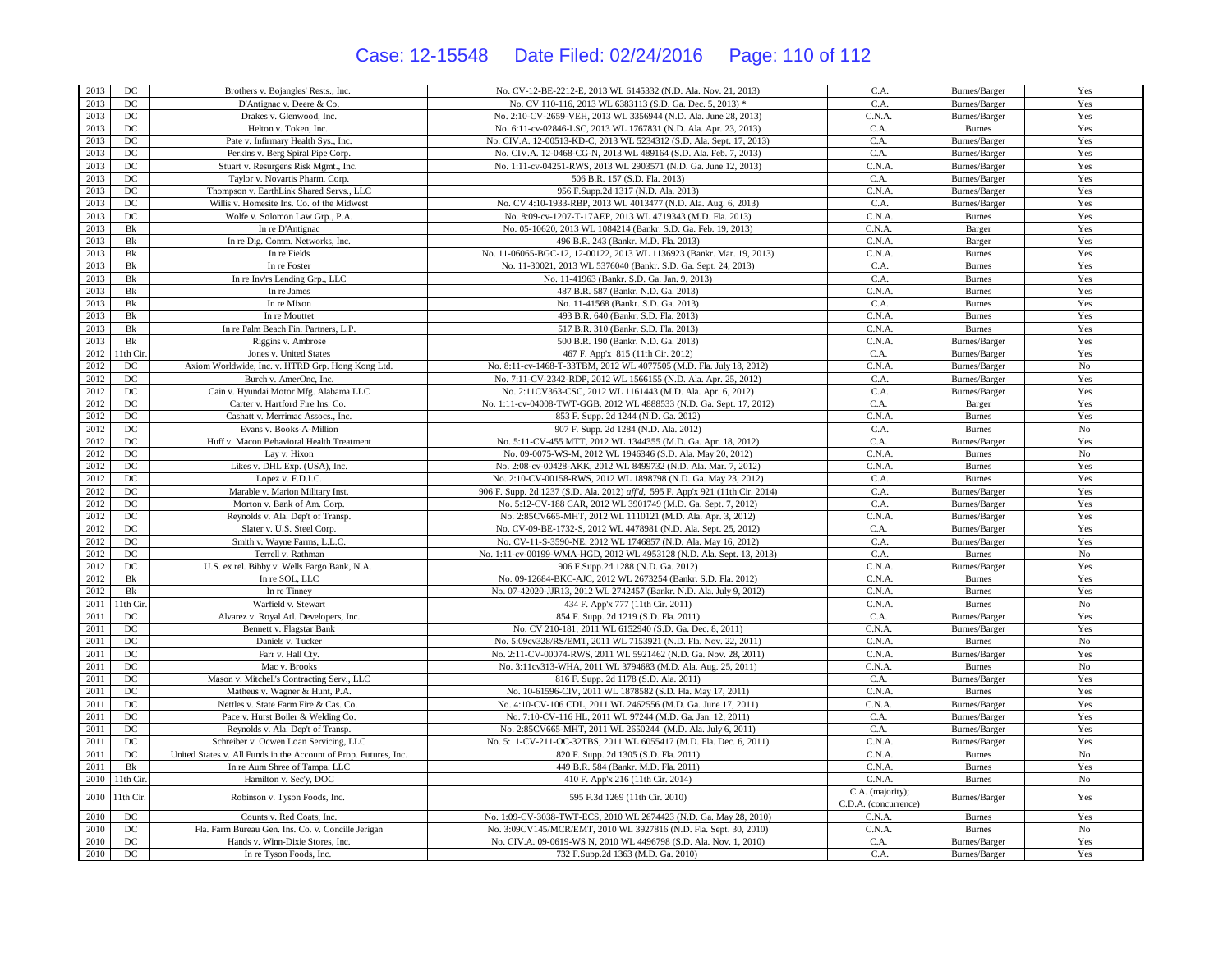## Case: 12-15548 Date Filed: 02/24/2016 Page: 110 of 112

| 2013 | DC                    | Brothers v. Bojangles' Rests., Inc.                              | No. CV-12-BE-2212-E, 2013 WL 6145332 (N.D. Ala. Nov. 21, 2013)                 | C.A.                                     | Burnes/Barger | Yes         |
|------|-----------------------|------------------------------------------------------------------|--------------------------------------------------------------------------------|------------------------------------------|---------------|-------------|
| 2013 | $_{\mathrm{DC}}$      | D'Antignac v. Deere & Co.                                        | No. CV 110-116, 2013 WL 6383113 (S.D. Ga. Dec. 5, 2013) *                      | C.A.                                     | Burnes/Barger | Yes         |
| 2013 | DC                    | Drakes v. Glenwood, Inc.                                         | No. 2:10-CV-2659-VEH, 2013 WL 3356944 (N.D. Ala. June 28, 2013)                | C.N.A.                                   | Burnes/Barger | Yes         |
| 2013 | DC                    | Helton v. Token, Inc.                                            | No. 6:11-cv-02846-LSC, 2013 WL 1767831 (N.D. Ala. Apr. 23, 2013)               | C.A.                                     | <b>Burnes</b> | Yes         |
| 2013 | DC                    | Pate v. Infirmary Health Sys., Inc.                              | No. CIV.A. 12-00513-KD-C, 2013 WL 5234312 (S.D. Ala. Sept. 17, 2013)           | C.A.                                     | Burnes/Barger | Yes         |
| 2013 | DC                    | Perkins v. Berg Spiral Pipe Corp.                                | No. CIV.A. 12-0468-CG-N, 2013 WL 489164 (S.D. Ala. Feb. 7, 2013)               | C.A.                                     | Burnes/Barger | Yes         |
| 2013 | DC                    | Stuart v. Resurgens Risk Mgmt., Inc.                             | No. 1:11-cv-04251-RWS, 2013 WL 2903571 (N.D. Ga. June 12, 2013)                | C.N.A                                    | Burnes/Barger | Yes         |
| 2013 | DC                    | Taylor v. Novartis Pharm. Corp.                                  | 506 B.R. 157 (S.D. Fla. 2013)                                                  | C.A.                                     | Burnes/Barger | Yes         |
| 2013 | DC                    | Thompson v. EarthLink Shared Servs., LLC                         | 956 F.Supp.2d 1317 (N.D. Ala. 2013)                                            | C.N.A                                    | Burnes/Barger | Yes         |
| 2013 | DC                    | Willis v. Homesite Ins. Co. of the Midwest                       | No. CV 4:10-1933-RBP, 2013 WL 4013477 (N.D. Ala. Aug. 6, 2013)                 | C.A.                                     | Burnes/Barger | Yes         |
| 2013 | $_{\mathrm{DC}}$      | Wolfe v. Solomon Law Grp., P.A.                                  | No. 8:09-cv-1207-T-17AEP, 2013 WL 4719343 (M.D. Fla. 2013)                     | C.N.A.                                   | <b>Burnes</b> | Yes         |
| 2013 | Bk                    | In re D'Antignac                                                 | No. 05-10620, 2013 WL 1084214 (Bankr. S.D. Ga. Feb. 19, 2013)                  | C.N.A.                                   | Barger        | Yes         |
| 2013 | <b>B</b> <sub>k</sub> | In re Dig. Comm. Networks, Inc.                                  | 496 B.R. 243 (Bankr. M.D. Fla. 2013)                                           | C.N.A                                    | Barger        | Yes         |
| 2013 | Bk                    | In re Fields                                                     | No. 11-06065-BGC-12, 12-00122, 2013 WL 1136923 (Bankr. Mar. 19, 2013)          | C.N.A                                    | <b>Burnes</b> | Yes         |
| 2013 | Bk                    | In re Foster                                                     | No. 11-30021, 2013 WL 5376040 (Bankr. S.D. Ga. Sept. 24, 2013)                 | C.A.                                     | <b>Burnes</b> | Yes         |
| 2013 | $\rm{Bk}$             | In re Inv'rs Lending Grp., LLC                                   | No. 11-41963 (Bankr. S.D. Ga. Jan. 9, 2013)                                    | C.A.                                     | <b>Burnes</b> | Yes         |
| 2013 | Bk                    | In re James                                                      | 487 B.R. 587 (Bankr. N.D. Ga. 2013)                                            | C.N.A                                    | <b>Burnes</b> | Yes         |
| 2013 | Bk                    | In re Mixon                                                      | No. 11-41568 (Bankr. S.D. Ga. 2013)                                            | C.A.                                     | <b>Burnes</b> | Yes         |
| 2013 | Bk                    | In re Mouttet                                                    | 493 B.R. 640 (Bankr. S.D. Fla. 2013)                                           | C.N.A.                                   | <b>Burnes</b> | Yes         |
| 2013 | Bk                    | In re Palm Beach Fin. Partners, L.P.                             | 517 B.R. 310 (Bankr. S.D. Fla. 2013)                                           | C.N.A                                    | <b>Burnes</b> | Yes         |
| 2013 | Bk                    | Riggins v. Ambrose                                               | 500 B.R. 190 (Bankr. N.D. Ga. 2013)                                            | C.N.A                                    | Burnes/Barger | Yes         |
| 2012 | 1th Cir               | Jones v. United States                                           | 467 F. App'x 815 (11th Cir. 2012)                                              | C.A.                                     | Burnes/Barger | Yes         |
| 2012 | DC                    | Axiom Worldwide, Inc. v. HTRD Grp. Hong Kong Ltd.                | No. 8:11-cv-1468-T-33TBM, 2012 WL 4077505 (M.D. Fla. July 18, 2012)            | C.N.A.                                   | Burnes/Barger | $\rm No$    |
| 2012 | DC                    | Burch v. AmerOnc, Inc.                                           | No. 7:11-CV-2342-RDP, 2012 WL 1566155 (N.D. Ala. Apr. 25, 2012)                | C.A.                                     | Burnes/Barger | Yes         |
| 2012 | DC                    | Cain v. Hyundai Motor Mfg. Alabama LLC                           | No. 2:11CV363-CSC, 2012 WL 1161443 (M.D. Ala. Apr. 6, 2012)                    | C.A.                                     | Burnes/Barger | Yes         |
| 2012 | DC                    | Carter v. Hartford Fire Ins. Co.                                 | No. 1:11-cv-04008-TWT-GGB, 2012 WL 4888533 (N.D. Ga. Sept. 17, 2012)           | C.A.                                     | Barger        | Yes         |
| 2012 | DC                    | Cashatt v. Merrimac Assocs., Inc.                                | 853 F. Supp. 2d 1244 (N.D. Ga. 2012)                                           | C.N.A                                    | <b>Burnes</b> | Yes         |
| 2012 | DC                    | Evans v. Books-A-Million                                         | 907 F. Supp. 2d 1284 (N.D. Ala. 2012)                                          | C.A.                                     | <b>Burnes</b> | No          |
| 2012 | DC                    | Huff v. Macon Behavioral Health Treatment                        | No. 5:11-CV-455 MTT, 2012 WL 1344355 (M.D. Ga. Apr. 18, 2012)                  | C.A.                                     | Burnes/Barger | Yes         |
| 2012 | DC                    | Lay v. Hixon                                                     | No. 09-0075-WS-M, 2012 WL 1946346 (S.D. Ala. May 20, 2012)                     | C.N.A.                                   | <b>Burnes</b> | $_{\rm No}$ |
| 2012 | DC                    | Likes v. DHL Exp. (USA), Inc.                                    | No. 2:08-cv-00428-AKK, 2012 WL 8499732 (N.D. Ala. Mar. 7, 2012)                | C.N.A.                                   | <b>Burnes</b> | Yes         |
| 2012 | DC                    | Lopez v. F.D.I.C.                                                | No. 2:10-CV-00158-RWS, 2012 WL 1898798 (N.D. Ga. May 23, 2012)                 | C.A.                                     | <b>Burnes</b> | Yes         |
| 2012 | DC                    | Marable v. Marion Military Inst.                                 | 906 F. Supp. 2d 1237 (S.D. Ala. 2012) aff'd, 595 F. App'x 921 (11th Cir. 2014) | C.A.                                     | Burnes/Barger | Yes         |
| 2012 | DC                    | Morton v. Bank of Am. Corp.                                      | No. 5:12-CV-188 CAR, 2012 WL 3901749 (M.D. Ga. Sept. 7, 2012)                  | C.A.                                     | Burnes/Barger | Yes         |
| 2012 | DC                    | Reynolds v. Ala. Dep't of Transp.                                | No. 2:85CV665-MHT, 2012 WL 1110121 (M.D. Ala. Apr. 3, 2012)                    | C.N.A.                                   | Burnes/Barger | Yes         |
| 2012 | DC                    | Slater v. U.S. Steel Corp.                                       | No. CV-09-BE-1732-S, 2012 WL 4478981 (N.D. Ala. Sept. 25, 2012)                | C.A.                                     | Burnes/Barger | Yes         |
| 2012 | $_{\rm DC}$           | Smith v. Wayne Farms, L.L.C.                                     | No. CV-11-S-3590-NE, 2012 WL 1746857 (N.D. Ala. May 16, 2012)                  | C.A.                                     | Burnes/Barger | Yes         |
| 2012 | DC                    | Terrell v. Rathman                                               | No. 1:11-cv-00199-WMA-HGD, 2012 WL 4953128 (N.D. Ala. Sept. 13, 2013)          | C.A.                                     | <b>Burnes</b> | $\rm No$    |
| 2012 | $_{\mathrm{DC}}$      | U.S. ex rel. Bibby v. Wells Fargo Bank, N.A.                     | 906 F.Supp.2d 1288 (N.D. Ga. 2012)                                             | C.N.A.                                   | Burnes/Barger | Yes         |
| 2012 | Bk                    | In re SOL, LLC                                                   | No. 09-12684-BKC-AJC, 2012 WL 2673254 (Bankr. S.D. Fla. 2012)                  | C.N.A.                                   | <b>Burnes</b> | Yes         |
| 2012 | $\rm Bk$              | In re Tinney                                                     | No. 07-42020-JJR13, 2012 WL 2742457 (Bankr. N.D. Ala. July 9, 2012)            | C.N.A.                                   | <b>Burnes</b> | Yes         |
| 2011 | 1th Cir.              | Warfield v. Stewart                                              | 434 F. App'x 777 (11th Cir. 2011)                                              | C.N.A                                    | <b>Burnes</b> | No          |
| 2011 | DC                    | Alvarez v. Royal Atl. Developers, Inc.                           | 854 F. Supp. 2d 1219 (S.D. Fla. 2011)                                          | C.A.                                     | Burnes/Barger | Yes         |
| 2011 | $_{\mathrm{DC}}$      | Bennett v. Flagstar Bank                                         | No. CV 210-181, 2011 WL 6152940 (S.D. Ga. Dec. 8, 2011)                        | C.N.A.                                   | Burnes/Barger | Yes         |
| 2011 | DC                    | Daniels v. Tucker                                                | No. 5:09cv328/RS/EMT, 2011 WL 7153921 (N.D. Fla. Nov. 22, 2011)                | C.N.A.                                   | <b>Burnes</b> | $\rm No$    |
| 2011 | DC                    | Farr v. Hall Cty.                                                | No. 2:11-CV-00074-RWS, 2011 WL 5921462 (N.D. Ga. Nov. 28, 2011)                | C.N.A.                                   | Burnes/Barger | Yes         |
| 2011 | DC                    | Mac v. Brooks                                                    | No. 3:11cv313-WHA, 2011 WL 3794683 (M.D. Ala. Aug. 25, 2011)                   | C.N.A.                                   | <b>Burnes</b> | $\rm No$    |
| 2011 | DC                    | Mason v. Mitchell's Contracting Serv., LLC                       | 816 F. Supp. 2d 1178 (S.D. Ala. 2011)                                          | C.A.                                     | Burnes/Barger | Yes         |
| 2011 | $_{\mathrm{DC}}$      | Matheus v. Wagner & Hunt, P.A.                                   | No. 10-61596-CIV, 2011 WL 1878582 (S.D. Fla. May 17, 2011)                     | C.N.A                                    | <b>Burnes</b> | Yes         |
| 2011 | $_{\mathrm{DC}}$      | Nettles v. State Farm Fire & Cas. Co.                            | No. 4:10-CV-106 CDL, 2011 WL 2462556 (M.D. Ga. June 17, 2011)                  | C.N.A.                                   | Burnes/Barger | Yes         |
| 2011 | DC                    | Pace v. Hurst Boiler & Welding Co.                               | No. 7:10-CV-116 HL, 2011 WL 97244 (M.D. Ga. Jan. 12, 2011)                     | C.A.                                     | Burnes/Barger | Yes         |
| 2011 | DC                    | Reynolds v. Ala. Dep't of Transp.                                | No. 2:85CV665-MHT, 2011 WL 2650244 (M.D. Ala. July 6, 2011)                    | C.A.                                     | Burnes/Barger | Yes         |
| 2011 | DC                    | Schreiber v. Ocwen Loan Servicing, LLC                           | No. 5:11-CV-211-OC-32TBS, 2011 WL 6055417 (M.D. Fla. Dec. 6, 2011)             | C.N.A.                                   | Burnes/Barger | Yes         |
| 2011 | $_{\mathrm{DC}}$      | United States v. All Funds in the Account of Prop. Futures, Inc. | 820 F. Supp. 2d 1305 (S.D. Fla. 2011)                                          | C.N.A.                                   | <b>Burnes</b> | No          |
| 2011 | Bk                    | In re Aum Shree of Tampa, LLC                                    | 449 B.R. 584 (Bankr. M.D. Fla. 2011)                                           | C.N.A.                                   | <b>Burnes</b> | Yes         |
| 2010 | 11th Cir.             | Hamilton v. Sec'y, DOC                                           | 410 F. App'x 216 (11th Cir. 2014)                                              | C.N.A.                                   | <b>Burnes</b> | No          |
| 2010 | 11th Cir              | Robinson v. Tyson Foods, Inc.                                    | 595 F.3d 1269 (11th Cir. 2010)                                                 | C.A. (majority);<br>C.D.A. (concurrence) | Burnes/Barger | Yes         |
| 2010 | DC                    | Counts v. Red Coats, Inc.                                        | No. 1:09-CV-3038-TWT-ECS, 2010 WL 2674423 (N.D. Ga. May 28, 2010)              | C.N.A.                                   | <b>Burnes</b> | Yes         |
| 2010 | DC                    | Fla. Farm Bureau Gen. Ins. Co. v. Concille Jerigan               | No. 3:09CV145/MCR/EMT, 2010 WL 3927816 (N.D. Fla. Sept. 30, 2010)              | C.N.A.                                   | <b>Burnes</b> | $\rm No$    |
| 2010 | DC                    | Hands v. Winn-Dixie Stores, Inc.                                 | No. CIV.A. 09-0619-WS N, 2010 WL 4496798 (S.D. Ala. Nov. 1, 2010)              | C.A.                                     | Burnes/Barger | Yes         |
| 2010 | DC                    | In re Tyson Foods, Inc.                                          | 732 F.Supp.2d 1363 (M.D. Ga. 2010)                                             | C.A.                                     | Burnes/Barger | Yes         |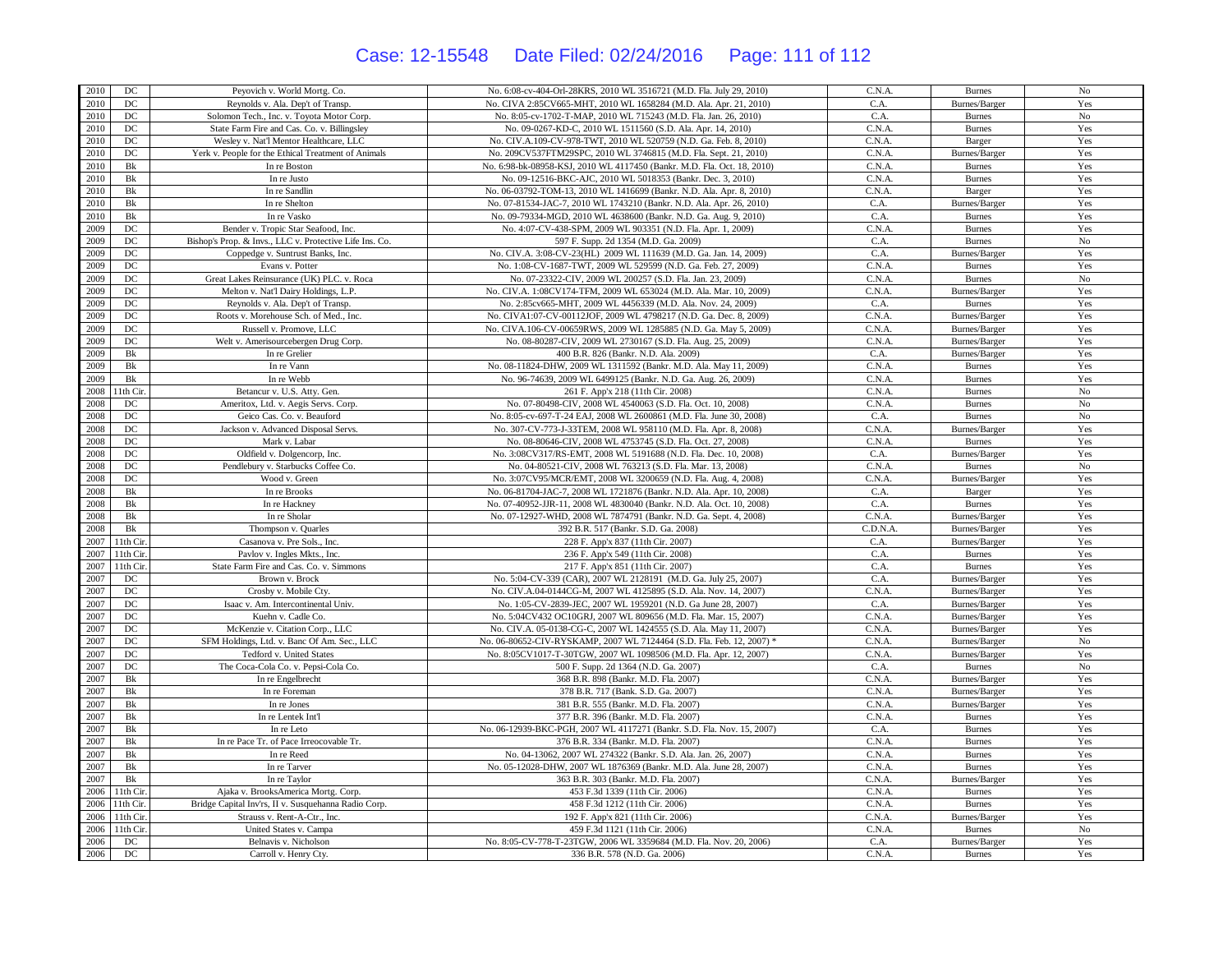## Case: 12-15548 Date Filed: 02/24/2016 Page: 111 of 112

| 2010 | DC               | Peyovich v. World Mortg. Co.                            | No. 6:08-cv-404-Orl-28KRS, 2010 WL 3516721 (M.D. Fla. July 29, 2010)    | C.N.A.           | <b>Burnes</b> | No          |
|------|------------------|---------------------------------------------------------|-------------------------------------------------------------------------|------------------|---------------|-------------|
| 2010 | $_{\mathrm{DC}}$ | Reynolds v. Ala. Dep't of Transp.                       | No. CIVA 2:85CV665-MHT, 2010 WL 1658284 (M.D. Ala. Apr. 21, 2010)       | C.A.             | Burnes/Barger | Yes         |
| 2010 | DC               | Solomon Tech., Inc. v. Toyota Motor Corp.               | No. 8:05-cv-1702-T-MAP, 2010 WL 715243 (M.D. Fla. Jan. 26, 2010)        | C.A.             | <b>Burnes</b> | $_{\rm No}$ |
| 2010 | $_{\mathrm{DC}}$ | State Farm Fire and Cas. Co. v. Billingsley             | No. 09-0267-KD-C, 2010 WL 1511560 (S.D. Ala. Apr. 14, 2010)             | C.N.A.           | <b>Burnes</b> | Yes         |
| 2010 | DC               | Wesley v. Nat'l Mentor Healthcare, LLC                  | No. CIV.A.109-CV-978-TWT, 2010 WL 520759 (N.D. Ga. Feb. 8, 2010)        | C.N.A.           | Barger        | Yes         |
| 2010 | DC               | Yerk v. People for the Ethical Treatment of Animals     | No. 209CV537FTM29SPC, 2010 WL 3746815 (M.D. Fla. Sept. 21, 2010)        | C.N.A.           | Burnes/Barger | Yes         |
| 2010 | Bk               | In re Boston                                            | No. 6:98-bk-08958-KSJ, 2010 WL 4117450 (Bankr. M.D. Fla. Oct. 18, 2010) | C.N.A            | <b>Burnes</b> | Yes         |
| 2010 | Bk               | In re Justo                                             | No. 09-12516-BKC-AJC, 2010 WL 5018353 (Bankr. Dec. 3, 2010)             | C.N.A.           | <b>Burnes</b> | Yes         |
| 2010 | Bk               | In re Sandlin                                           | No. 06-03792-TOM-13, 2010 WL 1416699 (Bankr. N.D. Ala. Apr. 8, 2010)    | C.N.A.           | Barger        | Yes         |
| 2010 | Bk               | In re Shelton                                           | No. 07-81534-JAC-7, 2010 WL 1743210 (Bankr. N.D. Ala. Apr. 26, 2010)    | C.A.             | Burnes/Barger | Yes         |
| 2010 | Bk               | In re Vasko                                             | No. 09-79334-MGD, 2010 WL 4638600 (Bankr. N.D. Ga. Aug. 9, 2010)        | C.A.             | <b>Burnes</b> | Yes         |
| 2009 | DC               | Bender v. Tropic Star Seafood, Inc.                     | No. 4:07-CV-438-SPM, 2009 WL 903351 (N.D. Fla. Apr. 1, 2009)            | C.N.A            | <b>Burnes</b> | Yes         |
| 2009 | DC               | Bishop's Prop. & Invs., LLC v. Protective Life Ins. Co. | 597 F. Supp. 2d 1354 (M.D. Ga. 2009)                                    | C.A.             | <b>Burnes</b> | No          |
| 2009 | $_{\mathrm{DC}}$ | Coppedge v. Suntrust Banks, Inc.                        | No. CIV.A. 3:08-CV-23(HL) 2009 WL 111639 (M.D. Ga. Jan. 14, 2009)       | C.A.             | Burnes/Barger | Yes         |
| 2009 | $_{\mathrm{DC}}$ | Evans v. Potter                                         | No. 1:08-CV-1687-TWT, 2009 WL 529599 (N.D. Ga. Feb. 27, 2009)           | C.N.A            | <b>Burnes</b> | Yes         |
| 2009 | $_{\mathrm{DC}}$ | Great Lakes Reinsurance (UK) PLC. v. Roca               | No. 07-23322-CIV, 2009 WL 200257 (S.D. Fla. Jan. 23, 2009)              | C.N.A.           | <b>Burnes</b> | No          |
| 2009 | $_{\mathrm{DC}}$ | Melton v. Nat'l Dairy Holdings, L.P.                    | No. CIV.A. 1:08CV174-TFM, 2009 WL 653024 (M.D. Ala. Mar. 10, 2009)      | C.N.A.           | Burnes/Barger | Yes         |
| 2009 | DC               | Reynolds v. Ala. Dep't of Transp.                       | No. 2:85cv665-MHT, 2009 WL 4456339 (M.D. Ala. Nov. 24, 2009)            | C.A.             | <b>Burnes</b> | Yes         |
| 2009 | $_{\mathrm{DC}}$ | Roots v. Morehouse Sch. of Med., Inc.                   | No. CIVA1:07-CV-00112JOF, 2009 WL 4798217 (N.D. Ga. Dec. 8, 2009)       | C.N.A.           | Burnes/Barger | Yes         |
| 2009 | $_{\mathrm{DC}}$ | Russell v. Promove, LLC                                 | No. CIVA.106-CV-00659RWS, 2009 WL 1285885 (N.D. Ga. May 5, 2009)        | C.N.A.           | Burnes/Barger | Yes         |
| 2009 | $_{\mathrm{DC}}$ | Welt v. Amerisourcebergen Drug Corp.                    | No. 08-80287-CIV, 2009 WL 2730167 (S.D. Fla. Aug. 25, 2009)             | C.N.A            | Burnes/Barger | Yes         |
| 2009 | Bk               | In re Grelier                                           | 400 B.R. 826 (Bankr. N.D. Ala. 2009)                                    | C.A.             | Burnes/Barger | Yes         |
| 2009 | Bk               | In re Vann                                              | No. 08-11824-DHW, 2009 WL 1311592 (Bankr. M.D. Ala. May 11, 2009)       | C.N.A            | <b>Burnes</b> | Yes         |
| 2009 | $\rm{Bk}$        | In re Webb                                              | No. 96-74639, 2009 WL 6499125 (Bankr. N.D. Ga. Aug. 26, 2009)           | C.N.A            | <b>Burnes</b> | Yes         |
| 2008 | 11th Cir.        | Betancur v. U.S. Atty. Gen.                             | 261 F. App'x 218 (11th Cir. 2008)                                       | C.N.A            | <b>Burnes</b> | $_{\rm No}$ |
| 2008 | $_{\mathrm{DC}}$ | Ameritox, Ltd. v. Aegis Servs. Corp.                    | No. 07-80498-CIV, 2008 WL 4540063 (S.D. Fla. Oct. 10, 2008)             | C.N.A            | <b>Burnes</b> | $_{\rm No}$ |
| 2008 | DC               | Geico Cas. Co. v. Beauford                              | No. 8:05-cv-697-T-24 EAJ, 2008 WL 2600861 (M.D. Fla. June 30, 2008)     | C.A.             | <b>Burnes</b> | No          |
| 2008 | DC               | Jackson v. Advanced Disposal Servs.                     | No. 307-CV-773-J-33TEM, 2008 WL 958110 (M.D. Fla. Apr. 8, 2008)         | C.N.A            | Burnes/Barger | Yes         |
| 2008 | $_{\mathrm{DC}}$ | Mark v. Labar                                           | No. 08-80646-CIV, 2008 WL 4753745 (S.D. Fla. Oct. 27, 2008)             | C.N.A            | <b>Burnes</b> | Yes         |
| 2008 | DC               | Oldfield v. Dolgencorp, Inc.                            | No. 3:08CV317/RS-EMT, 2008 WL 5191688 (N.D. Fla. Dec. 10, 2008)         | C.A.             | Burnes/Barger | Yes         |
| 2008 | DC               | Pendlebury v. Starbucks Coffee Co.                      | No. 04-80521-CIV, 2008 WL 763213 (S.D. Fla. Mar. 13, 2008)              | C.N.A            | <b>Burnes</b> | $_{\rm No}$ |
| 2008 | DC               | Wood v. Green                                           | No. 3:07CV95/MCR/EMT, 2008 WL 3200659 (N.D. Fla. Aug. 4, 2008)          | C.N.A.           | Burnes/Barger | Yes         |
| 2008 | Bk               | In re Brooks                                            | No. 06-81704-JAC-7, 2008 WL 1721876 (Bankr. N.D. Ala. Apr. 10, 2008)    | C.A.             | Barger        | Yes         |
| 2008 | $\rm{Bk}$        | In re Hackney                                           | No. 07-40952-JJR-11, 2008 WL 4830040 (Bankr. N.D. Ala. Oct. 10, 2008)   | C.A.             | <b>Burnes</b> | Yes         |
| 2008 | Bk               | In re Sholar                                            | No. 07-12927-WHD, 2008 WL 7874791 (Bankr. N.D. Ga. Sept. 4, 2008)       | C.N.A.           | Burnes/Barger | Yes         |
| 2008 | Bk               | Thompson v. Quarles                                     | 392 B.R. 517 (Bankr. S.D. Ga. 2008)                                     | C.D.N.A          | Burnes/Barger | Yes         |
| 2007 | 11th Cir.        | Casanova v. Pre Sols., Inc.                             | 228 F. App'x 837 (11th Cir. 2007)                                       | C.A.             | Burnes/Barger | Yes         |
| 2007 | 11th Cir.        | Pavlov v. Ingles Mkts., Inc.                            | 236 F. App'x 549 (11th Cir. 2008)                                       | C.A.             | <b>Burnes</b> | Yes         |
| 2007 | 11th Cir         | State Farm Fire and Cas. Co. v. Simmons                 | 217 F. App'x 851 (11th Cir. 2007)                                       | C.A.             | <b>Burnes</b> | Yes         |
| 2007 | $_{\mathrm{DC}}$ | Brown v. Brock                                          | No. 5:04-CV-339 (CAR), 2007 WL 2128191 (M.D. Ga. July 25, 2007)         | C.A.             | Burnes/Barger | Yes         |
| 2007 | DC               | Crosby v. Mobile Cty.                                   | No. CIV.A.04-0144CG-M, 2007 WL 4125895 (S.D. Ala. Nov. 14, 2007)        | C.N.A.           | Burnes/Barger | Yes         |
| 2007 | DC               | Isaac v. Am. Intercontinental Univ.                     | No. 1:05-CV-2839-JEC, 2007 WL 1959201 (N.D. Ga June 28, 2007)           | C.A.             | Burnes/Barger | Yes         |
| 2007 | $_{\mathrm{DC}}$ | Kuehn v. Cadle Co.                                      | No. 5:04CV432 OC10GRJ, 2007 WL 809656 (M.D. Fla. Mar. 15, 2007)         | C.N.A            | Burnes/Barger | Yes         |
| 2007 | $_{\mathrm{DC}}$ | McKenzie v. Citation Corp., LLC                         | No. CIV.A. 05-0138-CG-C, 2007 WL 1424555 (S.D. Ala. May 11, 2007)       | C.N.A            | Burnes/Barger | Yes         |
| 2007 | $_{\mathrm{DC}}$ | SFM Holdings, Ltd. v. Banc Of Am. Sec., LLC             | No. 06-80652-CIV-RYSKAMP, 2007 WL 7124464 (S.D. Fla. Feb. 12, 2007) *   | C.N.A.           | Burnes/Barger | $_{\rm No}$ |
| 2007 | DC               | Tedford v. United States                                | No. 8:05CV1017-T-30TGW, 2007 WL 1098506 (M.D. Fla. Apr. 12, 2007)       | C.N.A.           | Burnes/Barger | Yes         |
| 2007 | DC               | The Coca-Cola Co. v. Pepsi-Cola Co.                     | 500 F. Supp. 2d 1364 (N.D. Ga. 2007)                                    | C.A.             | <b>Burnes</b> | No          |
| 2007 | Bk               | In re Engelbrecht                                       | 368 B.R. 898 (Bankr. M.D. Fla. 2007)                                    | C.N.A.           | Burnes/Barger | Yes         |
| 2007 | Bk               | In re Foreman                                           | 378 B.R. 717 (Bank. S.D. Ga. 2007)                                      | C.N.A.           | Burnes/Barger | Yes         |
| 2007 | Bk               | In re Jones                                             | 381 B.R. 555 (Bankr. M.D. Fla. 2007)                                    | C.N.A.           | Burnes/Barger | Yes         |
| 2007 | Bk               | In re Lentek Int'l                                      | 377 B.R. 396 (Bankr. M.D. Fla. 2007)                                    | C.N.A            | <b>Burnes</b> | Yes         |
| 2007 | Bk               | In re Leto                                              | No. 06-12939-BKC-PGH, 2007 WL 4117271 (Bankr. S.D. Fla. Nov. 15, 2007)  | C.A.             | <b>Burnes</b> | Yes         |
| 2007 | Bk               | In re Pace Tr. of Pace Irreocovable Tr.                 | 376 B.R. 334 (Bankr. M.D. Fla. 2007)                                    | C.N.A.           | <b>Burnes</b> | Yes         |
| 2007 | Bk               | In re Reed                                              | No. 04-13062, 2007 WL 274322 (Bankr. S.D. Ala. Jan. 26, 2007)           | C.N.A.           | <b>Burnes</b> | Yes         |
| 2007 | Bk               | In re Tarver                                            | No. 05-12028-DHW, 2007 WL 1876369 (Bankr. M.D. Ala. June 28, 2007)      | C.N.A            | <b>Burnes</b> | Yes         |
| 2007 | Bk               | In re Taylor                                            | 363 B.R. 303 (Bankr. M.D. Fla. 2007)                                    | C.N.A.           |               | Yes         |
| 2006 |                  |                                                         |                                                                         | C.N.A.           | Burnes/Barger |             |
|      | 11th Cir.        | Ajaka v. BrooksAmerica Mortg. Corp.                     | 453 F.3d 1339 (11th Cir. 2006)                                          |                  | <b>Burnes</b> | Yes         |
| 2006 | 11th Cir.        | Bridge Capital Inv'rs, II v. Susquehanna Radio Corp.    | 458 F.3d 1212 (11th Cir. 2006)                                          | C.N.A.<br>C.N.A. | <b>Burnes</b> | Yes         |
| 2006 | 11th Cir.        | Strauss v. Rent-A-Ctr., Inc.                            | 192 F. App'x 821 (11th Cir. 2006)                                       |                  | Burnes/Barger | Yes         |
| 2006 | 11th Cir         | United States v. Campa                                  | 459 F.3d 1121 (11th Cir. 2006)                                          | C.N.A            | <b>Burnes</b> | No          |
| 2006 | DC               | Belnavis v. Nicholson                                   | No. 8:05-CV-778-T-23TGW, 2006 WL 3359684 (M.D. Fla. Nov. 20, 2006)      | C.A.             | Burnes/Barger | Yes         |
| 2006 | DC               | Carroll v. Henry Cty.                                   | 336 B.R. 578 (N.D. Ga. 2006)                                            | C.N.A.           | <b>Burnes</b> | Yes         |